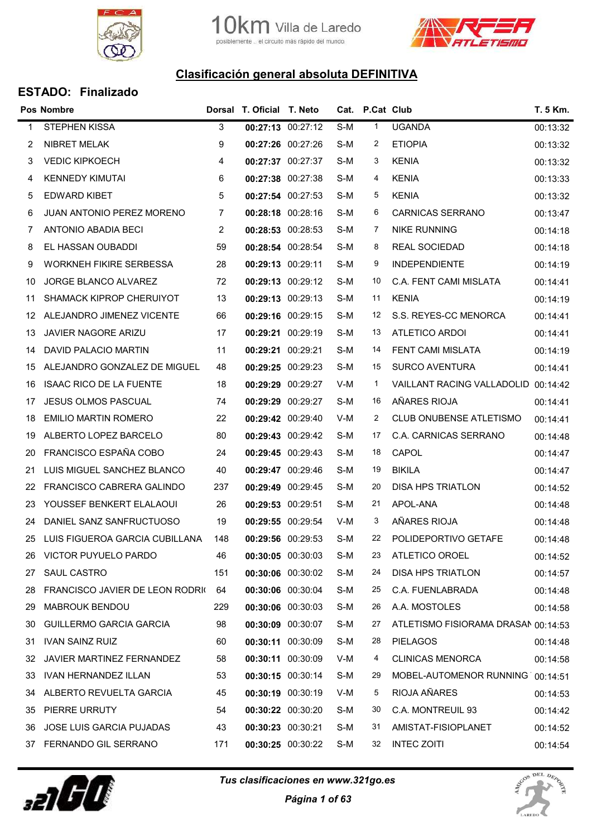



|    | Pos Nombre                       |                | Dorsal T. Oficial T. Neto |                   |     | Cat. P.Cat Club |                                     | T. 5 Km. |
|----|----------------------------------|----------------|---------------------------|-------------------|-----|-----------------|-------------------------------------|----------|
| 1  | <b>STEPHEN KISSA</b>             | 3              |                           | 00:27:13 00:27:12 | S-M | $\mathbf{1}$    | <b>UGANDA</b>                       | 00:13:32 |
| 2  | NIBRET MELAK                     | 9              | 00:27:26 00:27:26         |                   | S-M | 2               | <b>ETIOPIA</b>                      | 00:13:32 |
| 3  | <b>VEDIC KIPKOECH</b>            | $\overline{4}$ |                           | 00:27:37 00:27:37 | S-M | 3               | <b>KENIA</b>                        | 00:13:32 |
| 4  | <b>KENNEDY KIMUTAI</b>           | 6              | 00:27:38 00:27:38         |                   | S-M | 4               | <b>KENIA</b>                        | 00:13:33 |
| 5  | <b>EDWARD KIBET</b>              | 5              | 00:27:54 00:27:53         |                   | S-M | 5               | <b>KENIA</b>                        | 00:13:32 |
| 6  | JUAN ANTONIO PEREZ MORENO        | $\overline{7}$ | 00:28:18 00:28:16         |                   | S-M | 6               | <b>CARNICAS SERRANO</b>             | 00:13:47 |
| 7  | <b>ANTONIO ABADIA BECI</b>       | $\overline{2}$ | 00:28:53 00:28:53         |                   | S-M | 7               | <b>NIKE RUNNING</b>                 | 00:14:18 |
| 8  | EL HASSAN OUBADDI                | 59             | 00:28:54 00:28:54         |                   | S-M | 8               | REAL SOCIEDAD                       | 00:14:18 |
| 9  | <b>WORKNEH FIKIRE SERBESSA</b>   | 28             | 00:29:13 00:29:11         |                   | S-M | 9               | <b>INDEPENDIENTE</b>                | 00:14:19 |
| 10 | JORGE BLANCO ALVAREZ             | 72             | 00:29:13 00:29:12         |                   | S-M | 10              | C.A. FENT CAMI MISLATA              | 00:14:41 |
| 11 | SHAMACK KIPROP CHERUIYOT         | 13             | 00:29:13 00:29:13         |                   | S-M | 11              | <b>KENIA</b>                        | 00:14:19 |
| 12 | ALEJANDRO JIMENEZ VICENTE        | 66             | 00:29:16 00:29:15         |                   | S-M | 12              | S.S. REYES-CC MENORCA               | 00:14:41 |
| 13 | JAVIER NAGORE ARIZU              | 17             | 00:29:21 00:29:19         |                   | S-M | 13              | <b>ATLETICO ARDOI</b>               | 00:14:41 |
| 14 | DAVID PALACIO MARTIN             | 11             | 00:29:21 00:29:21         |                   | S-M | 14              | FENT CAMI MISLATA                   | 00:14:19 |
| 15 | ALEJANDRO GONZALEZ DE MIGUEL     | 48             | 00:29:25 00:29:23         |                   | S-M | 15              | <b>SURCO AVENTURA</b>               | 00:14:41 |
| 16 | <b>ISAAC RICO DE LA FUENTE</b>   | 18             | 00:29:29 00:29:27         |                   | V-M | $\mathbf 1$     | <b>VAILLANT RACING VALLADOLID</b>   | 00:14:42 |
| 17 | <b>JESUS OLMOS PASCUAL</b>       | 74             | 00:29:29 00:29:27         |                   | S-M | 16              | AÑARES RIOJA                        | 00:14:41 |
| 18 | <b>EMILIO MARTIN ROMERO</b>      | 22             | 00:29:42 00:29:40         |                   | V-M | 2               | <b>CLUB ONUBENSE ATLETISMO</b>      | 00:14:41 |
| 19 | ALBERTO LOPEZ BARCELO            | 80             | 00:29:43 00:29:42         |                   | S-M | 17              | C.A. CARNICAS SERRANO               | 00:14:48 |
| 20 | FRANCISCO ESPAÑA COBO            | 24             | 00:29:45 00:29:43         |                   | S-M | 18              | CAPOL                               | 00:14:47 |
| 21 | LUIS MIGUEL SANCHEZ BLANCO       | 40             | 00:29:47 00:29:46         |                   | S-M | 19              | <b>BIKILA</b>                       | 00:14:47 |
| 22 | <b>FRANCISCO CABRERA GALINDO</b> | 237            | 00:29:49 00:29:45         |                   | S-M | 20              | <b>DISA HPS TRIATLON</b>            | 00:14:52 |
| 23 | YOUSSEF BENKERT ELALAOUI         | 26             | 00:29:53 00:29:51         |                   | S-M | 21              | APOL-ANA                            | 00:14:48 |
| 24 | DANIEL SANZ SANFRUCTUOSO         | 19             | 00:29:55 00:29:54         |                   | V-M | 3               | AÑARES RIOJA                        | 00:14:48 |
| 25 | LUIS FIGUEROA GARCIA CUBILLANA   | 148            | 00:29:56 00:29:53         |                   | S-M | 22              | POLIDEPORTIVO GETAFE                | 00:14:48 |
| 26 | VICTOR PUYUELO PARDO             | 46             | 00:30:05 00:30:03         |                   | S-M | 23              | ATLETICO OROEL                      | 00:14:52 |
| 27 | SAUL CASTRO                      | 151            |                           | 00:30:06 00:30:02 | S-M | 24              | DISA HPS TRIATLON                   | 00:14:57 |
| 28 | FRANCISCO JAVIER DE LEON RODRIO  | 64             | 00:30:06 00:30:04         |                   | S-M | 25              | C.A. FUENLABRADA                    | 00:14:48 |
| 29 | <b>MABROUK BENDOU</b>            | 229            |                           | 00:30:06 00:30:03 | S-M | 26              | A.A. MOSTOLES                       | 00:14:58 |
| 30 | <b>GUILLERMO GARCIA GARCIA</b>   | 98             | 00:30:09 00:30:07         |                   | S-M | 27              | ATLETISMO FISIORAMA DRASAN 00:14:53 |          |
| 31 | IVAN SAINZ RUIZ                  | 60             | 00:30:11 00:30:09         |                   | S-M | 28              | <b>PIELAGOS</b>                     | 00:14:48 |
| 32 | JAVIER MARTINEZ FERNANDEZ        | 58             | 00:30:11 00:30:09         |                   | V-M | 4               | <b>CLINICAS MENORCA</b>             | 00:14:58 |
| 33 | IVAN HERNANDEZ ILLAN             | 53             |                           | 00:30:15 00:30:14 | S-M | 29              | MOBEL-AUTOMENOR RUNNING 00:14:51    |          |
| 34 | ALBERTO REVUELTA GARCIA          | 45             | 00:30:19 00:30:19         |                   | V-M | 5               | RIOJA AÑARES                        | 00:14:53 |
| 35 | PIERRE URRUTY                    | 54             | 00:30:22 00:30:20         |                   | S-M | 30              | C.A. MONTREUIL 93                   | 00:14:42 |
| 36 | JOSE LUIS GARCIA PUJADAS         | 43             | 00:30:23 00:30:21         |                   | S-M | 31              | AMISTAT-FISIOPLANET                 | 00:14:52 |
|    | 37 FERNANDO GIL SERRANO          | 171            |                           | 00:30:25 00:30:22 | S-M | 32              | <b>INTEC ZOITI</b>                  | 00:14:54 |



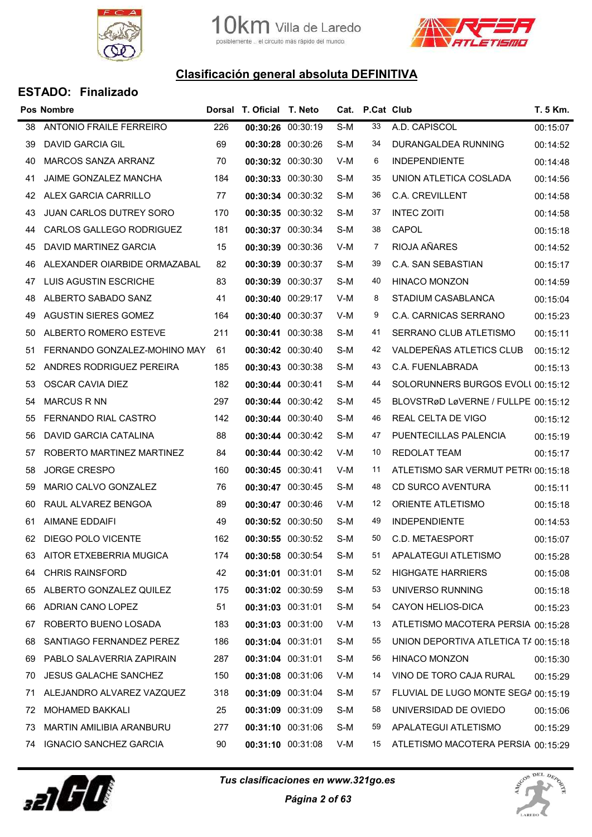



|    | <b>Pos Nombre</b>              |     | Dorsal T. Oficial T. Neto |                   |     | Cat. P.Cat Club |                                      | T. 5 Km. |
|----|--------------------------------|-----|---------------------------|-------------------|-----|-----------------|--------------------------------------|----------|
| 38 | <b>ANTONIO FRAILE FERREIRO</b> | 226 |                           | 00:30:26 00:30:19 | S-M | 33              | A.D. CAPISCOL                        | 00:15:07 |
| 39 | <b>DAVID GARCIA GIL</b>        | 69  | 00:30:28 00:30:26         |                   | S-M | 34              | DURANGALDEA RUNNING                  | 00:14:52 |
| 40 | MARCOS SANZA ARRANZ            | 70  |                           | 00:30:32 00:30:30 | V-M | 6               | <b>INDEPENDIENTE</b>                 | 00:14:48 |
| 41 | JAIME GONZALEZ MANCHA          | 184 |                           | 00:30:33 00:30:30 | S-M | 35              | UNION ATLETICA COSLADA               | 00:14:56 |
| 42 | ALEX GARCIA CARRILLO           | 77  |                           | 00:30:34 00:30:32 | S-M | 36              | C.A. CREVILLENT                      | 00:14:58 |
| 43 | <b>JUAN CARLOS DUTREY SORO</b> | 170 |                           | 00:30:35 00:30:32 | S-M | 37              | <b>INTEC ZOITI</b>                   | 00:14:58 |
| 44 | CARLOS GALLEGO RODRIGUEZ       | 181 |                           | 00:30:37 00:30:34 | S-M | 38              | CAPOL                                | 00:15:18 |
| 45 | DAVID MARTINEZ GARCIA          | 15  | 00:30:39 00:30:36         |                   | V-M | 7               | RIOJA AÑARES                         | 00:14:52 |
| 46 | ALEXANDER OIARBIDE ORMAZABAL   | 82  |                           | 00:30:39 00:30:37 | S-M | 39              | C.A. SAN SEBASTIAN                   | 00:15:17 |
| 47 | LUIS AGUSTIN ESCRICHE          | 83  |                           | 00:30:39 00:30:37 | S-M | 40              | <b>HINACO MONZON</b>                 | 00:14:59 |
| 48 | ALBERTO SABADO SANZ            | 41  |                           | 00:30:40 00:29:17 | V-M | 8               | STADIUM CASABLANCA                   | 00:15:04 |
| 49 | AGUSTIN SIERES GOMEZ           | 164 |                           | 00:30:40 00:30:37 | V-M | 9               | C.A. CARNICAS SERRANO                | 00:15:23 |
| 50 | ALBERTO ROMERO ESTEVE          | 211 |                           | 00:30:41 00:30:38 | S-M | 41              | SERRANO CLUB ATLETISMO               | 00:15:11 |
| 51 | FERNANDO GONZALEZ-MOHINO MAY   | 61  |                           | 00:30:42 00:30:40 | S-M | 42              | VALDEPEÑAS ATLETICS CLUB             | 00:15:12 |
| 52 | ANDRES RODRIGUEZ PEREIRA       | 185 |                           | 00:30:43 00:30:38 | S-M | 43              | C.A. FUENLABRADA                     | 00:15:13 |
| 53 | OSCAR CAVIA DIEZ               | 182 |                           | 00:30:44 00:30:41 | S-M | 44              | SOLORUNNERS BURGOS EVOLU 00:15:12    |          |
| 54 | <b>MARCUS R NN</b>             | 297 |                           | 00:30:44 00:30:42 | S-M | 45              | BLOVSTRøD LøVERNE / FULLPE 00:15:12  |          |
| 55 | FERNANDO RIAL CASTRO           | 142 |                           | 00:30:44 00:30:40 | S-M | 46              | REAL CELTA DE VIGO                   | 00:15:12 |
| 56 | DAVID GARCIA CATALINA          | 88  |                           | 00:30:44 00:30:42 | S-M | 47              | PUENTECILLAS PALENCIA                | 00:15:19 |
| 57 | ROBERTO MARTINEZ MARTINEZ      | 84  |                           | 00:30:44 00:30:42 | V-M | 10              | <b>REDOLAT TEAM</b>                  | 00:15:17 |
| 58 | <b>JORGE CRESPO</b>            | 160 | 00:30:45 00:30:41         |                   | V-M | 11              | ATLETISMO SAR VERMUT PETRI 00:15:18  |          |
| 59 | MARIO CALVO GONZALEZ           | 76  |                           | 00:30:47 00:30:45 | S-M | 48              | CD SURCO AVENTURA                    | 00:15:11 |
| 60 | RAUL ALVAREZ BENGOA            | 89  |                           | 00:30:47 00:30:46 | V-M | 12              | ORIENTE ATLETISMO                    | 00:15:18 |
| 61 | AIMANE EDDAIFI                 | 49  |                           | 00:30:52 00:30:50 | S-M | 49              | <b>INDEPENDIENTE</b>                 | 00:14:53 |
| 62 | DIEGO POLO VICENTE             | 162 |                           | 00:30:55 00:30:52 | S-M | 50              | C.D. METAESPORT                      | 00:15:07 |
| 63 | AITOR ETXEBERRIA MUGICA        | 174 | 00:30:58 00:30:54         |                   | S-M | 51              | APALATEGUI ATLETISMO                 | 00:15:28 |
| 64 | <b>CHRIS RAINSFORD</b>         | 42  | 00:31:01 00:31:01         |                   | S-M | 52              | <b>HIGHGATE HARRIERS</b>             | 00:15:08 |
| 65 | ALBERTO GONZALEZ QUILEZ        | 175 | 00:31:02 00:30:59         |                   | S-M | 53              | UNIVERSO RUNNING                     | 00:15:18 |
| 66 | ADRIAN CANO LOPEZ              | 51  | 00:31:03 00:31:01         |                   | S-M | 54              | <b>CAYON HELIOS-DICA</b>             | 00:15:23 |
| 67 | ROBERTO BUENO LOSADA           | 183 |                           | 00:31:03 00:31:00 | V-M | 13              | ATLETISMO MACOTERA PERSIA 00:15:28   |          |
| 68 | SANTIAGO FERNANDEZ PEREZ       | 186 | 00:31:04 00:31:01         |                   | S-M | 55              | UNION DEPORTIVA ATLETICA T/ 00:15:18 |          |
| 69 | PABLO SALAVERRIA ZAPIRAIN      | 287 | 00:31:04 00:31:01         |                   | S-M | 56              | <b>HINACO MONZON</b>                 | 00:15:30 |
| 70 | <b>JESUS GALACHE SANCHEZ</b>   | 150 |                           | 00:31:08 00:31:06 | V-M | 14              | VINO DE TORO CAJA RURAL              | 00:15:29 |
| 71 | ALEJANDRO ALVAREZ VAZQUEZ      | 318 |                           | 00:31:09 00:31:04 | S-M | 57              | FLUVIAL DE LUGO MONTE SEGA 00:15:19  |          |
| 72 | <b>MOHAMED BAKKALI</b>         | 25  |                           | 00:31:09 00:31:09 | S-M | 58              | UNIVERSIDAD DE OVIEDO                | 00:15:06 |
| 73 | MARTIN AMILIBIA ARANBURU       | 277 |                           | 00:31:10 00:31:06 | S-M | 59              | APALATEGUI ATLETISMO                 | 00:15:29 |
| 74 | <b>IGNACIO SANCHEZ GARCIA</b>  | 90  |                           | 00:31:10 00:31:08 | V-M | 15              | ATLETISMO MACOTERA PERSIA 00:15:29   |          |



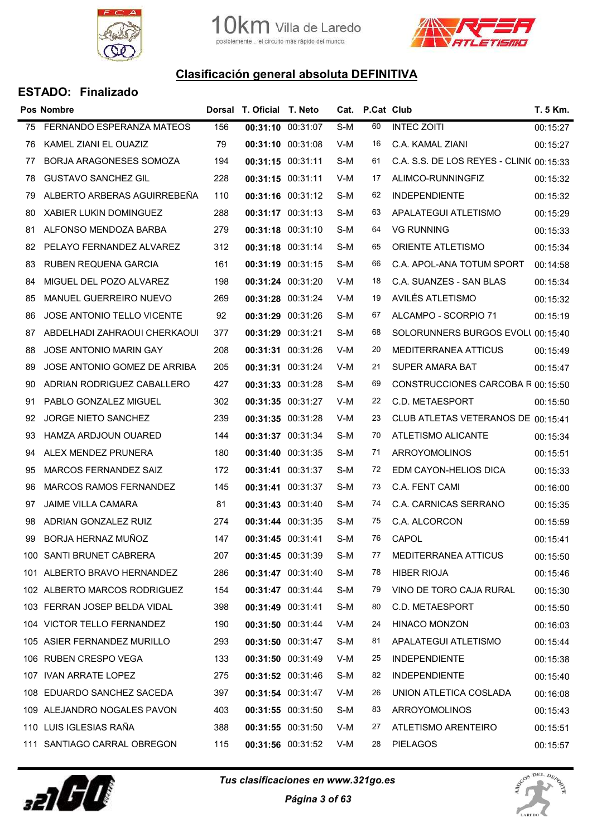



|    | <b>Pos Nombre</b>             |     | Dorsal T. Oficial T. Neto |                   |     | Cat. P.Cat Club |                                          | T. 5 Km. |
|----|-------------------------------|-----|---------------------------|-------------------|-----|-----------------|------------------------------------------|----------|
| 75 | FERNANDO ESPERANZA MATEOS     | 156 |                           | 00:31:10 00:31:07 | S-M | 60              | <b>INTEC ZOITI</b>                       | 00:15:27 |
| 76 | KAMEL ZIANI EL OUAZIZ         | 79  |                           | 00:31:10 00:31:08 | V-M | 16              | C.A. KAMAL ZIANI                         | 00:15:27 |
| 77 | BORJA ARAGONESES SOMOZA       | 194 |                           | 00:31:15 00:31:11 | S-M | 61              | C.A. S.S. DE LOS REYES - CLINIC 00:15:33 |          |
| 78 | <b>GUSTAVO SANCHEZ GIL</b>    | 228 | 00:31:15 00:31:11         |                   | V-M | 17              | ALIMCO-RUNNINGFIZ                        | 00:15:32 |
| 79 | ALBERTO ARBERAS AGUIRREBEÑA   | 110 |                           | 00:31:16 00:31:12 | S-M | 62              | <b>INDEPENDIENTE</b>                     | 00:15:32 |
| 80 | <b>XABIER LUKIN DOMINGUEZ</b> | 288 |                           | 00:31:17 00:31:13 | S-M | 63              | APALATEGUI ATLETISMO                     | 00:15:29 |
| 81 | ALFONSO MENDOZA BARBA         | 279 |                           | 00:31:18 00:31:10 | S-M | 64              | <b>VG RUNNING</b>                        | 00:15:33 |
| 82 | PELAYO FERNANDEZ ALVAREZ      | 312 |                           | 00:31:18 00:31:14 | S-M | 65              | ORIENTE ATLETISMO                        | 00:15:34 |
| 83 | RUBEN REQUENA GARCIA          | 161 |                           | 00:31:19 00:31:15 | S-M | 66              | C.A. APOL-ANA TOTUM SPORT                | 00:14:58 |
| 84 | MIGUEL DEL POZO ALVAREZ       | 198 |                           | 00:31:24 00:31:20 | V-M | 18              | C.A. SUANZES - SAN BLAS                  | 00:15:34 |
| 85 | MANUEL GUERREIRO NUEVO        | 269 |                           | 00:31:28 00:31:24 | V-M | 19              | AVILÉS ATLETISMO                         | 00:15:32 |
| 86 | JOSE ANTONIO TELLO VICENTE    | 92  |                           | 00:31:29 00:31:26 | S-M | 67              | ALCAMPO - SCORPIO 71                     | 00:15:19 |
| 87 | ABDELHADI ZAHRAOUI CHERKAOUI  | 377 | 00:31:29 00:31:21         |                   | S-M | 68              | SOLORUNNERS BURGOS EVOLL 00:15:40        |          |
| 88 | <b>JOSE ANTONIO MARIN GAY</b> | 208 |                           | 00:31:31 00:31:26 | V-M | 20              | MEDITERRANEA ATTICUS                     | 00:15:49 |
| 89 | JOSE ANTONIO GOMEZ DE ARRIBA  | 205 |                           | 00:31:31 00:31:24 | V-M | 21              | SUPER AMARA BAT                          | 00:15:47 |
| 90 | ADRIAN RODRIGUEZ CABALLERO    | 427 |                           | 00:31:33 00:31:28 | S-M | 69              | CONSTRUCCIONES CARCOBA R 00:15:50        |          |
| 91 | PABLO GONZALEZ MIGUEL         | 302 |                           | 00:31:35 00:31:27 | V-M | 22              | C.D. METAESPORT                          | 00:15:50 |
| 92 | <b>JORGE NIETO SANCHEZ</b>    | 239 |                           | 00:31:35 00:31:28 | V-M | 23              | CLUB ATLETAS VETERANOS DE 00:15:41       |          |
| 93 | HAMZA ARDJOUN OUARED          | 144 |                           | 00:31:37 00:31:34 | S-M | 70              | ATLETISMO ALICANTE                       | 00:15:34 |
| 94 | ALEX MENDEZ PRUNERA           | 180 |                           | 00:31:40 00:31:35 | S-M | 71              | ARROYOMOLINOS                            | 00:15:51 |
| 95 | MARCOS FERNANDEZ SAIZ         | 172 |                           | 00:31:41 00:31:37 | S-M | 72              | EDM CAYON-HELIOS DICA                    | 00:15:33 |
| 96 | MARCOS RAMOS FERNANDEZ        | 145 |                           | 00:31:41 00:31:37 | S-M | 73              | C.A. FENT CAMI                           | 00:16:00 |
| 97 | <b>JAIME VILLA CAMARA</b>     | 81  |                           | 00:31:43 00:31:40 | S-M | 74              | C.A. CARNICAS SERRANO                    | 00:15:35 |
| 98 | ADRIAN GONZALEZ RUIZ          | 274 | 00:31:44 00:31:35         |                   | S-M | 75              | C.A. ALCORCON                            | 00:15:59 |
| 99 | BORJA HERNAZ MUÑOZ            | 147 |                           | 00:31:45 00:31:41 | S-M | 76              | CAPOL                                    | 00:15:41 |
|    | 100 SANTI BRUNET CABRERA      | 207 | 00:31:45 00:31:39         |                   | S-M | 77              | <b>MEDITERRANEA ATTICUS</b>              | 00:15:50 |
|    | 101 ALBERTO BRAVO HERNANDEZ   | 286 |                           | 00:31:47 00:31:40 | S-M | 78              | <b>HIBER RIOJA</b>                       | 00:15:46 |
|    | 102 ALBERTO MARCOS RODRIGUEZ  | 154 |                           | 00:31:47 00:31:44 | S-M | 79              | VINO DE TORO CAJA RURAL                  | 00:15:30 |
|    | 103 FERRAN JOSEP BELDA VIDAL  | 398 |                           | 00:31:49 00:31:41 | S-M | 80              | C.D. METAESPORT                          | 00:15:50 |
|    | 104 VICTOR TELLO FERNANDEZ    | 190 |                           | 00:31:50 00:31:44 | V-M | 24              | <b>HINACO MONZON</b>                     | 00:16:03 |
|    | 105 ASIER FERNANDEZ MURILLO   | 293 |                           | 00:31:50 00:31:47 | S-M | 81              | APALATEGUI ATLETISMO                     | 00:15:44 |
|    | 106 RUBEN CRESPO VEGA         | 133 |                           | 00:31:50 00:31:49 | V-M | 25              | <b>INDEPENDIENTE</b>                     | 00:15:38 |
|    | 107 IVAN ARRATE LOPEZ         | 275 |                           | 00:31:52 00:31:46 | S-M | 82              | <b>INDEPENDIENTE</b>                     | 00:15:40 |
|    | 108 EDUARDO SANCHEZ SACEDA    | 397 |                           | 00:31:54 00:31:47 | V-M | 26              | UNION ATLETICA COSLADA                   | 00:16:08 |
|    | 109 ALEJANDRO NOGALES PAVON   | 403 |                           | 00:31:55 00:31:50 | S-M | 83              | ARROYOMOLINOS                            | 00:15:43 |
|    | 110 LUIS IGLESIAS RAÑA        | 388 |                           | 00:31:55 00:31:50 | V-M | 27              | ATLETISMO ARENTEIRO                      | 00:15:51 |
|    | 111 SANTIAGO CARRAL OBREGON   | 115 |                           | 00:31:56 00:31:52 | V-M | 28              | <b>PIELAGOS</b>                          | 00:15:57 |
|    |                               |     |                           |                   |     |                 |                                          |          |



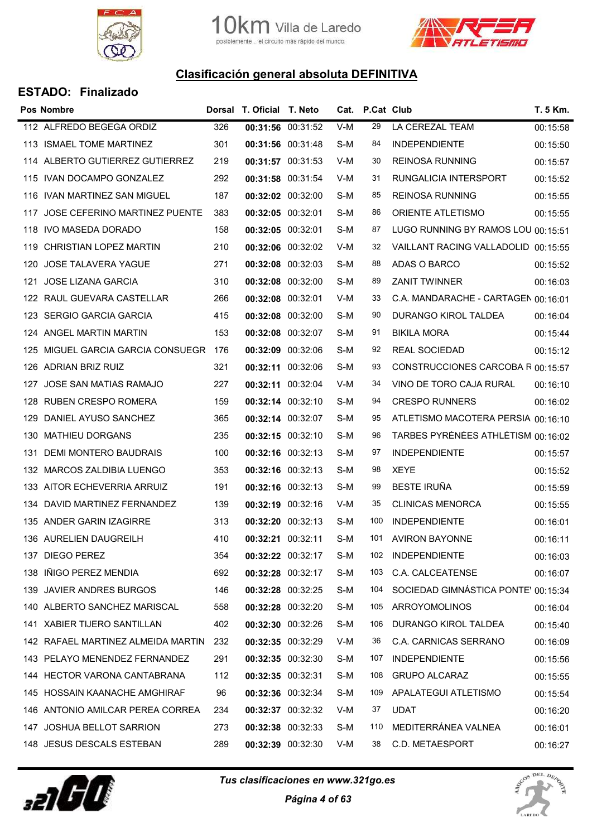



|     | <b>Pos Nombre</b>                     |     | Dorsal T. Oficial T. Neto |                   |     | Cat. P.Cat Club |                                     | T. 5 Km. |
|-----|---------------------------------------|-----|---------------------------|-------------------|-----|-----------------|-------------------------------------|----------|
|     | 112 ALFREDO BEGEGA ORDIZ              | 326 |                           | 00:31:56 00:31:52 | V-M | 29              | LA CEREZAL TEAM                     | 00:15:58 |
|     | 113 ISMAEL TOME MARTINEZ              | 301 | 00:31:56 00:31:48         |                   | S-M | 84              | <b>INDEPENDIENTE</b>                | 00:15:50 |
|     | 114 ALBERTO GUTIERREZ GUTIERREZ       | 219 | 00:31:57 00:31:53         |                   | V-M | 30              | <b>REINOSA RUNNING</b>              | 00:15:57 |
|     | 115 IVAN DOCAMPO GONZALEZ             | 292 | 00:31:58 00:31:54         |                   | V-M | 31              | RUNGALICIA INTERSPORT               | 00:15:52 |
|     | 116 IVAN MARTINEZ SAN MIGUEL          | 187 |                           | 00:32:02 00:32:00 | S-M | 85              | <b>REINOSA RUNNING</b>              | 00:15:55 |
|     | 117 JOSE CEFERINO MARTINEZ PUENTE     | 383 | 00:32:05 00:32:01         |                   | S-M | 86              | ORIENTE ATLETISMO                   | 00:15:55 |
|     | 118 IVO MASEDA DORADO                 | 158 | 00:32:05 00:32:01         |                   | S-M | 87              | LUGO RUNNING BY RAMOS LOU 00:15:51  |          |
| 119 | CHRISTIAN LOPEZ MARTIN                | 210 | 00:32:06 00:32:02         |                   | V-M | 32              | VAILLANT RACING VALLADOLID 00:15:55 |          |
|     | 120 JOSE TALAVERA YAGUE               | 271 | 00:32:08 00:32:03         |                   | S-M | 88              | ADAS O BARCO                        | 00:15:52 |
| 121 | <b>JOSE LIZANA GARCIA</b>             | 310 | 00:32:08 00:32:00         |                   | S-M | 89              | <b>ZANIT TWINNER</b>                | 00:16:03 |
|     | 122 RAUL GUEVARA CASTELLAR            | 266 | 00:32:08 00:32:01         |                   | V-M | 33              | C.A. MANDARACHE - CARTAGEN 00:16:01 |          |
|     | 123 SERGIO GARCIA GARCIA              | 415 | 00:32:08 00:32:00         |                   | S-M | 90              | DURANGO KIROL TALDEA                | 00:16:04 |
|     | 124 ANGEL MARTIN MARTIN               | 153 | 00:32:08 00:32:07         |                   | S-M | 91              | <b>BIKILA MORA</b>                  | 00:15:44 |
|     | 125 MIGUEL GARCIA GARCIA CONSUEGR 176 |     | 00:32:09 00:32:06         |                   | S-M | 92              | REAL SOCIEDAD                       | 00:15:12 |
| 126 | ADRIAN BRIZ RUIZ                      | 321 | 00:32:11 00:32:06         |                   | S-M | 93              | CONSTRUCCIONES CARCOBA R 00:15:57   |          |
|     | 127 JOSE SAN MATIAS RAMAJO            | 227 | 00:32:11 00:32:04         |                   | V-M | 34              | VINO DE TORO CAJA RURAL             | 00:16:10 |
| 128 | RUBEN CRESPO ROMERA                   | 159 | 00:32:14 00:32:10         |                   | S-M | 94              | <b>CRESPO RUNNERS</b>               | 00:16:02 |
|     | 129 DANIEL AYUSO SANCHEZ              | 365 | 00:32:14 00:32:07         |                   | S-M | 95              | ATLETISMO MACOTERA PERSIA 00:16:10  |          |
| 130 | <b>MATHIEU DORGANS</b>                | 235 |                           | 00:32:15 00:32:10 | S-M | 96              | TARBES PYRÉNÉES ATHLÉTISM 00:16:02  |          |
| 131 | DEMI MONTERO BAUDRAIS                 | 100 | 00:32:16 00:32:13         |                   | S-M | 97              | <b>INDEPENDIENTE</b>                | 00:15:57 |
|     | 132 MARCOS ZALDIBIA LUENGO            | 353 |                           | 00:32:16 00:32:13 | S-M | 98              | XEYE                                | 00:15:52 |
|     | 133 AITOR ECHEVERRIA ARRUIZ           | 191 | 00:32:16 00:32:13         |                   | S-M | 99              | <b>BESTE IRUÑA</b>                  | 00:15:59 |
|     | 134 DAVID MARTINEZ FERNANDEZ          | 139 |                           | 00:32:19 00:32:16 | V-M | 35              | <b>CLINICAS MENORCA</b>             | 00:15:55 |
|     | 135 ANDER GARIN IZAGIRRE              | 313 | 00:32:20 00:32:13         |                   | S-M | 100             | <b>INDEPENDIENTE</b>                | 00:16:01 |
|     | 136 AURELIEN DAUGREILH                | 410 | 00:32:21 00:32:11         |                   | S-M |                 | 101 AVIRON BAYONNE                  | 00:16:11 |
| 137 | DIEGO PEREZ                           | 354 | 00:32:22 00:32:17         |                   | S-M | 102             | <b>INDEPENDIENTE</b>                | 00:16:03 |
| 138 | IÑIGO PEREZ MENDIA                    | 692 |                           | 00:32:28 00:32:17 | S-M | 103             | C.A. CALCEATENSE                    | 00:16:07 |
| 139 | <b>JAVIER ANDRES BURGOS</b>           | 146 | 00:32:28 00:32:25         |                   | S-M | 104             | SOCIEDAD GIMNÁSTICA PONTE' 00:15:34 |          |
|     | 140 ALBERTO SANCHEZ MARISCAL          | 558 | 00:32:28 00:32:20         |                   | S-M | 105             | ARROYOMOLINOS                       | 00:16:04 |
| 141 | <b>XABIER TIJERO SANTILLAN</b>        | 402 | 00:32:30 00:32:26         |                   | S-M | 106             | DURANGO KIROL TALDEA                | 00:15:40 |
|     | 142 RAFAEL MARTINEZ ALMEIDA MARTIN    | 232 | 00:32:35 00:32:29         |                   | V-M | 36              | C.A. CARNICAS SERRANO               | 00:16:09 |
|     | 143 PELAYO MENENDEZ FERNANDEZ         | 291 | 00:32:35 00:32:30         |                   | S-M | 107             | <b>INDEPENDIENTE</b>                | 00:15:56 |
|     | 144 HECTOR VARONA CANTABRANA          | 112 | 00:32:35 00:32:31         |                   | S-M | 108             | <b>GRUPO ALCARAZ</b>                | 00:15:55 |
| 145 | HOSSAIN KAANACHE AMGHIRAF             | 96  | 00:32:36 00:32:34         |                   | S-M | 109             | APALATEGUI ATLETISMO                | 00:15:54 |
| 146 | ANTONIO AMILCAR PEREA CORREA          | 234 |                           | 00:32:37 00:32:32 | V-M | 37              | <b>UDAT</b>                         | 00:16:20 |
| 147 | <b>JOSHUA BELLOT SARRION</b>          | 273 |                           | 00:32:38 00:32:33 | S-M | 110             | MEDITERRÁNEA VALNEA                 | 00:16:01 |
|     | 148 JESUS DESCALS ESTEBAN             | 289 |                           | 00:32:39 00:32:30 | V-M | 38              | C.D. METAESPORT                     | 00:16:27 |



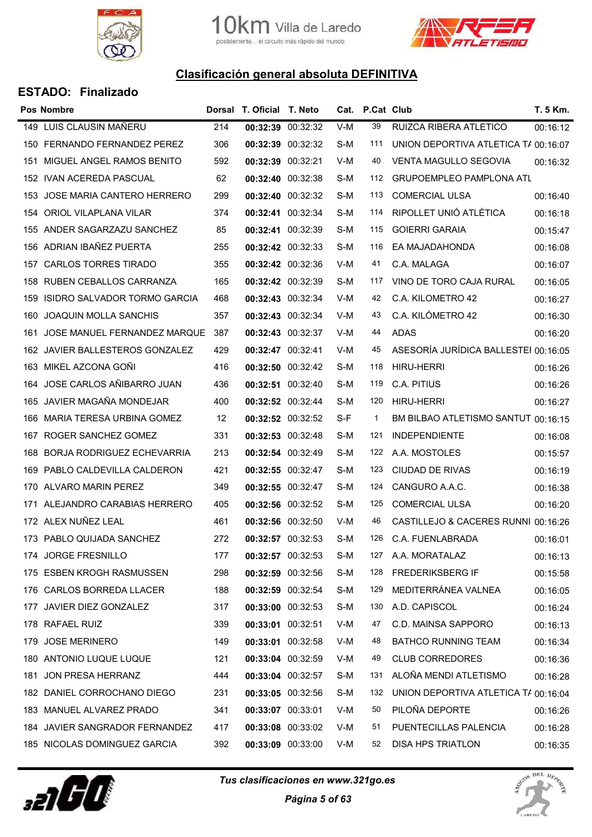



|     | <b>Pos Nombre</b>               |     | Dorsal T. Oficial T. Neto |                   |       | Cat. P.Cat Club |                                      | T. 5 Km. |
|-----|---------------------------------|-----|---------------------------|-------------------|-------|-----------------|--------------------------------------|----------|
|     | 149 LUIS CLAUSIN MAÑERU         | 214 | 00:32:39 00:32:32         |                   | $V-M$ | 39              | RUIZCA RIBERA ATLETICO               | 00:16:12 |
|     | 150 FERNANDO FERNANDEZ PEREZ    | 306 |                           | 00:32:39 00:32:32 | S-M   | 111             | UNION DEPORTIVA ATLETICA T/ 00:16:07 |          |
| 151 | MIGUEL ANGEL RAMOS BENITO       | 592 | 00:32:39 00:32:21         |                   | V-M   | 40              | <b>VENTA MAGULLO SEGOVIA</b>         | 00:16:32 |
|     | 152 IVAN ACEREDA PASCUAL        | 62  | 00:32:40 00:32:38         |                   | S-M   | 112             | GRUPOEMPLEO PAMPLONA ATL             |          |
|     | 153 JOSE MARIA CANTERO HERRERO  | 299 | 00:32:40 00:32:32         |                   | S-M   | 113             | <b>COMERCIAL ULSA</b>                | 00:16:40 |
| 154 | ORIOL VILAPLANA VILAR           | 374 | 00:32:41 00:32:34         |                   | S-M   | 114             | RIPOLLET UNIÓ ATLÈTICA               | 00:16:18 |
|     | 155 ANDER SAGARZAZU SANCHEZ     | 85  | 00:32:41 00:32:39         |                   | S-M   | 115             | <b>GOIERRI GARAIA</b>                | 00:15:47 |
| 156 | ADRIAN IBAÑEZ PUERTA            | 255 | 00:32:42 00:32:33         |                   | S-M   | 116             | EA MAJADAHONDA                       | 00:16:08 |
| 157 | <b>CARLOS TORRES TIRADO</b>     | 355 | 00:32:42 00:32:36         |                   | V-M   | 41              | C.A. MALAGA                          | 00:16:07 |
| 158 | RUBEN CEBALLOS CARRANZA         | 165 | 00:32:42 00:32:39         |                   | S-M   | 117             | VINO DE TORO CAJA RURAL              | 00:16:05 |
| 159 | ISIDRO SALVADOR TORMO GARCIA    | 468 |                           | 00:32:43 00:32:34 | V-M   | 42              | C.A. KILOMETRO 42                    | 00:16:27 |
| 160 | <b>JOAQUIN MOLLA SANCHIS</b>    | 357 |                           | 00:32:43 00:32:34 | V-M   | 43              | C.A. KILÓMETRO 42                    | 00:16:30 |
| 161 | JOSE MANUEL FERNANDEZ MARQUE    | 387 | 00:32:43 00:32:37         |                   | V-M   | 44              | ADAS                                 | 00:16:20 |
|     | 162 JAVIER BALLESTEROS GONZALEZ | 429 | 00:32:47 00:32:41         |                   | V-M   | 45              | ASESORÍA JURÍDICA BALLESTEI 00:16:05 |          |
| 163 | MIKEL AZCONA GOÑI               | 416 | 00:32:50 00:32:42         |                   | S-M   | 118             | <b>HIRU-HERRI</b>                    | 00:16:26 |
| 164 | JOSE CARLOS AÑIBARRO JUAN       | 436 | 00:32:51 00:32:40         |                   | S-M   | 119             | C.A. PITIUS                          | 00:16:26 |
| 165 | JAVIER MAGAÑA MONDEJAR          | 400 | 00:32:52 00:32:44         |                   | S-M   | 120             | <b>HIRU-HERRI</b>                    | 00:16:27 |
|     | 166 MARIA TERESA URBINA GOMEZ   | 12  |                           | 00:32:52 00:32:52 | S-F   | $\mathbf{1}$    | BM BILBAO ATLETISMO SANTUT 00:16:15  |          |
| 167 | ROGER SANCHEZ GOMEZ             | 331 | 00:32:53 00:32:48         |                   | S-M   | 121             | <b>INDEPENDIENTE</b>                 | 00:16:08 |
| 168 | BORJA RODRIGUEZ ECHEVARRIA      | 213 | 00:32:54 00:32:49         |                   | S-M   | 122             | A.A. MOSTOLES                        | 00:15:57 |
|     | 169 PABLO CALDEVILLA CALDERON   | 421 |                           | 00:32:55 00:32:47 | S-M   | 123             | <b>CIUDAD DE RIVAS</b>               | 00:16:19 |
|     | 170 ALVARO MARIN PEREZ          | 349 | 00:32:55 00:32:47         |                   | S-M   | 124             | CANGURO A.A.C.                       | 00:16:38 |
|     | 171 ALEJANDRO CARABIAS HERRERO  | 405 | 00:32:56 00:32:52         |                   | S-M   | 125             | <b>COMERCIAL ULSA</b>                | 00:16:20 |
|     | 172 ALEX NUÑEZ LEAL             | 461 | 00:32:56 00:32:50         |                   | V-M   | 46              | CASTILLEJO & CACERES RUNNI 00:16:26  |          |
|     | 173 PABLO QUIJADA SANCHEZ       | 272 |                           | 00:32:57 00:32:53 | S-M   | 126             | C.A. FUENLABRADA                     | 00:16:01 |
|     | 174 JORGE FRESNILLO             | 177 | 00:32:57 00:32:53         |                   | S-M   | 127             | A.A. MORATALAZ                       | 00:16:13 |
|     | 175 ESBEN KROGH RASMUSSEN       | 298 |                           | 00:32:59 00:32:56 | S-M   | 128             | <b>FREDERIKSBERG IF</b>              | 00:15:58 |
|     | 176 CARLOS BORREDA LLACER       | 188 |                           | 00:32:59 00:32:54 | S-M   | 129             | MEDITERRÁNEA VALNEA                  | 00:16:05 |
|     | 177 JAVIER DIEZ GONZALEZ        | 317 |                           | 00:33:00 00:32:53 | S-M   | 130             | A.D. CAPISCOL                        | 00:16:24 |
|     | 178 RAFAEL RUIZ                 | 339 | 00:33:01 00:32:51         |                   | V-M   | 47              | C.D. MAINSA SAPPORO                  | 00:16:13 |
| 179 | <b>JOSE MERINERO</b>            | 149 |                           | 00:33:01 00:32:58 | V-M   | 48              | <b>BATHCO RUNNING TEAM</b>           | 00:16:34 |
|     | 180 ANTONIO LUQUE LUQUE         | 121 | 00:33:04 00:32:59         |                   | V-M   | 49              | <b>CLUB CORREDORES</b>               | 00:16:36 |
| 181 | JON PRESA HERRANZ               | 444 | 00:33:04 00:32:57         |                   | S-M   | 131             | ALOÑA MENDI ATLETISMO                | 00:16:28 |
|     | 182 DANIEL CORROCHANO DIEGO     | 231 |                           | 00:33:05 00:32:56 | S-M   | 132             | UNION DEPORTIVA ATLETICA T/ 00:16:04 |          |
|     | 183 MANUEL ALVAREZ PRADO        | 341 | 00:33:07 00:33:01         |                   | V-M   | 50              | PILOÑA DEPORTE                       | 00:16:26 |
|     | 184 JAVIER SANGRADOR FERNANDEZ  | 417 |                           | 00:33:08 00:33:02 | V-M   | 51              | PUENTECILLAS PALENCIA                | 00:16:28 |
|     | 185 NICOLAS DOMINGUEZ GARCIA    | 392 |                           | 00:33:09 00:33:00 | V-M   | 52              | DISA HPS TRIATLON                    | 00:16:35 |



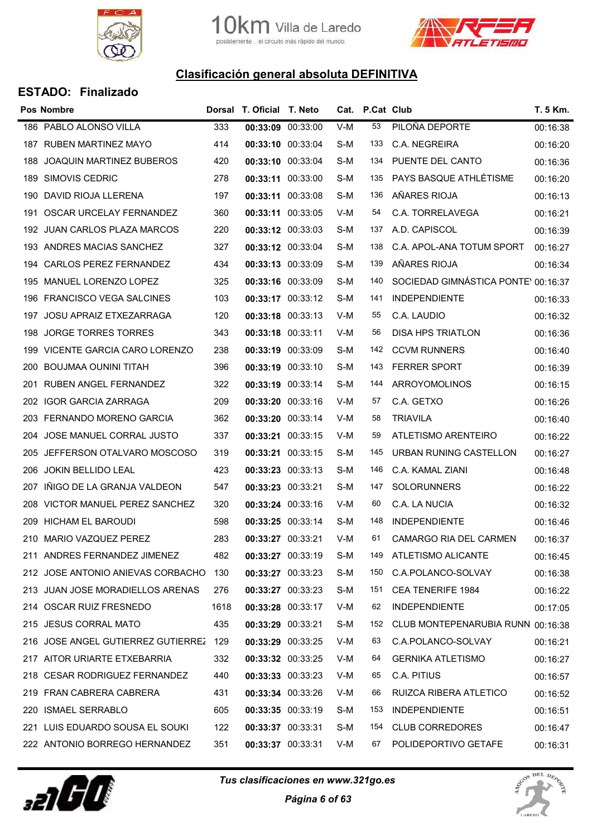



|     | Pos Nombre                         |      | Dorsal T. Oficial T. Neto |       | Cat. P.Cat Club |                                     | T. 5 Km. |
|-----|------------------------------------|------|---------------------------|-------|-----------------|-------------------------------------|----------|
|     | 186 PABLO ALONSO VILLA             | 333  | 00:33:09 00:33:00         | $V-M$ | 53              | PILOÑA DEPORTE                      | 00:16:38 |
| 187 | <b>RUBEN MARTINEZ MAYO</b>         | 414  | 00:33:10 00:33:04         | S-M   | 133             | C.A. NEGREIRA                       | 00:16:20 |
| 188 | <b>JOAQUIN MARTINEZ BUBEROS</b>    | 420  | 00:33:10 00:33:04         | S-M   | 134             | PUENTE DEL CANTO                    | 00:16:36 |
| 189 | SIMOVIS CEDRIC                     | 278  | 00:33:11 00:33:00         | S-M   | 135             | PAYS BASQUE ATHLÉTISME              | 00:16:20 |
| 190 | DAVID RIOJA LLERENA                | 197  | 00:33:11 00:33:08         | S-M   | 136             | AÑARES RIOJA                        | 00:16:13 |
| 191 | OSCAR URCELAY FERNANDEZ            | 360  | 00:33:11 00:33:05         | V-M   | 54              | C.A. TORRELAVEGA                    | 00:16:21 |
|     | 192 JUAN CARLOS PLAZA MARCOS       | 220  | 00:33:12 00:33:03         | S-M   | 137             | A.D. CAPISCOL                       | 00:16:39 |
| 193 | ANDRES MACIAS SANCHEZ              | 327  | 00:33:12 00:33:04         | S-M   | 138             | C.A. APOL-ANA TOTUM SPORT           | 00:16:27 |
| 194 | <b>CARLOS PEREZ FERNANDEZ</b>      | 434  | 00:33:13 00:33:09         | S-M   | 139             | AÑARES RIOJA                        | 00:16:34 |
| 195 | MANUEL LORENZO LOPEZ               | 325  | 00:33:16 00:33:09         | S-M   | 140             | SOCIEDAD GIMNÁSTICA PONTE' 00:16:37 |          |
| 196 | <b>FRANCISCO VEGA SALCINES</b>     | 103  | 00:33:17 00:33:12         | S-M   | 141             | <b>INDEPENDIENTE</b>                | 00:16:33 |
| 197 | JOSU APRAIZ ETXEZARRAGA            | 120  | 00:33:18 00:33:13         | V-M   | 55              | C.A. LAUDIO                         | 00:16:32 |
| 198 | <b>JORGE TORRES TORRES</b>         | 343  | 00:33:18 00:33:11         | V-M   | 56              | <b>DISA HPS TRIATLON</b>            | 00:16:36 |
|     | 199 VICENTE GARCIA CARO LORENZO    | 238  | 00:33:19 00:33:09         | S-M   | 142             | <b>CCVM RUNNERS</b>                 | 00:16:40 |
| 200 | <b>BOUJMAA OUNINI TITAH</b>        | 396  | 00:33:19 00:33:10         | S-M   | 143             | <b>FERRER SPORT</b>                 | 00:16:39 |
| 201 | RUBEN ANGEL FERNANDEZ              | 322  | 00:33:19 00:33:14         | S-M   | 144             | ARROYOMOLINOS                       | 00:16:15 |
|     | 202 IGOR GARCIA ZARRAGA            | 209  | 00:33:20 00:33:16         | V-M   | 57              | C.A. GETXO                          | 00:16:26 |
|     | 203 FERNANDO MORENO GARCIA         | 362  | 00:33:20 00:33:14         | V-M   | 58              | <b>TRIAVILA</b>                     | 00:16:40 |
| 204 | JOSE MANUEL CORRAL JUSTO           | 337  | 00:33:21 00:33:15         | V-M   | 59              | ATLETISMO ARENTEIRO                 | 00:16:22 |
| 205 | JEFFERSON OTALVARO MOSCOSO         | 319  | 00:33:21 00:33:15         | S-M   | 145             | URBAN RUNING CASTELLON              | 00:16:27 |
| 206 | JOKIN BELLIDO LEAL                 | 423  | 00:33:23 00:33:13         | S-M   | 146             | C.A. KAMAL ZIANI                    | 00:16:48 |
| 207 | IÑIGO DE LA GRANJA VALDEON         | 547  | 00:33:23 00:33:21         | S-M   | 147             | <b>SOLORUNNERS</b>                  | 00:16:22 |
|     | 208 VICTOR MANUEL PEREZ SANCHEZ    | 320  | 00:33:24 00:33:16         | V-M   | 60              | C.A. LA NUCIA                       | 00:16:32 |
| 209 | <b>HICHAM EL BAROUDI</b>           | 598  | 00:33:25 00:33:14         | S-M   | 148             | <b>INDEPENDIENTE</b>                | 00:16:46 |
|     | 210 MARIO VAZQUEZ PEREZ            | 283  | 00:33:27 00:33:21         | V-M   | 61              | <b>CAMARGO RIA DEL CARMEN</b>       | 00:16:37 |
|     | 211 ANDRES FERNANDEZ JIMENEZ       | 482  | 00:33:27 00:33:19         | S-M   | 149             | ATLETISMO ALICANTE                  | 00:16:45 |
|     | 212 JOSE ANTONIO ANIEVAS CORBACHO  | 130  | 00:33:27 00:33:23         | S-M   | 150             | C.A.POLANCO-SOLVAY                  | 00:16:38 |
|     | 213 JUAN JOSE MORADIELLOS ARENAS   | 276  | 00:33:27 00:33:23         | S-M   | 151             | <b>CEA TENERIFE 1984</b>            | 00:16:22 |
|     | 214 OSCAR RUIZ FRESNEDO            | 1618 | 00:33:28 00:33:17         | V-M   | 62              | <b>INDEPENDIENTE</b>                | 00:17:05 |
|     | 215 JESUS CORRAL MATO              | 435  | 00:33:29 00:33:21         | S-M   | 152             | CLUB MONTEPENARUBIA RUNN 00:16:38   |          |
|     | 216 JOSE ANGEL GUTIERREZ GUTIERREZ | 129  | 00:33:29 00:33:25         | V-M   | 63              | C.A.POLANCO-SOLVAY                  | 00:16:21 |
|     | 217 AITOR URIARTE ETXEBARRIA       | 332  | 00:33:32 00:33:25         | V-M   | 64              | <b>GERNIKA ATLETISMO</b>            | 00:16:27 |
|     | 218 CESAR RODRIGUEZ FERNANDEZ      | 440  | 00:33:33 00:33:23         | V-M   | 65              | C.A. PITIUS                         | 00:16:57 |
| 219 | FRAN CABRERA CABRERA               | 431  | 00:33:34 00:33:26         | V-M   | 66              | RUIZCA RIBERA ATLETICO              | 00:16:52 |
| 220 | <b>ISMAEL SERRABLO</b>             | 605  | 00:33:35 00:33:19         | S-M   | 153             | <b>INDEPENDIENTE</b>                | 00:16:51 |
|     | 221 LUIS EDUARDO SOUSA EL SOUKI    | 122  | 00:33:37 00:33:31         | S-M   | 154             | <b>CLUB CORREDORES</b>              | 00:16:47 |
|     | 222 ANTONIO BORREGO HERNANDEZ      | 351  | 00:33:37 00:33:31         | V-M   | 67              | POLIDEPORTIVO GETAFE                | 00:16:31 |



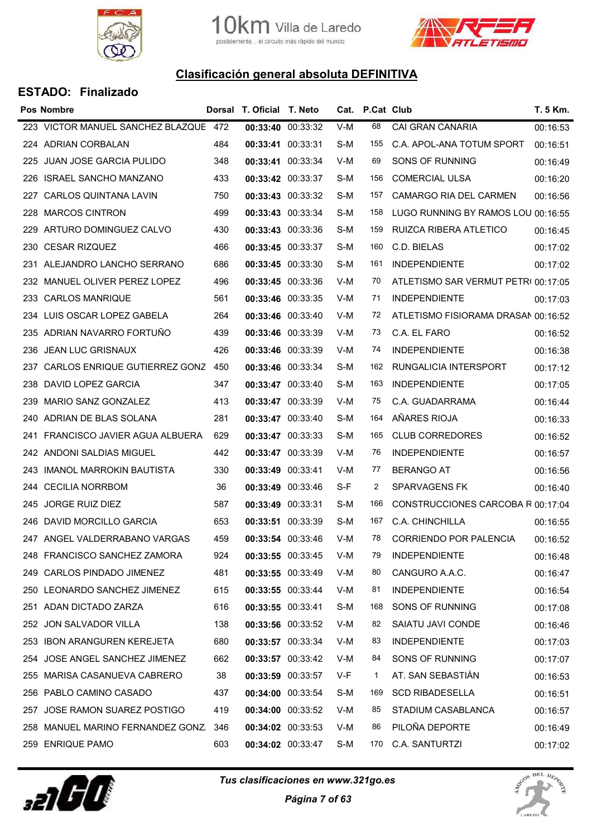



|     | <b>Pos Nombre</b>                     |     | Dorsal T. Oficial T. Neto |                   |     | Cat. P.Cat Club |                                     | T. 5 Km. |
|-----|---------------------------------------|-----|---------------------------|-------------------|-----|-----------------|-------------------------------------|----------|
|     | 223 VICTOR MANUEL SANCHEZ BLAZQUE 472 |     | 00:33:40 00:33:32         |                   | V-M | 68              | CAI GRAN CANARIA                    | 00:16:53 |
|     | 224 ADRIAN CORBALAN                   | 484 | 00:33:41 00:33:31         |                   | S-M | 155             | C.A. APOL-ANA TOTUM SPORT           | 00:16:51 |
|     | 225 JUAN JOSE GARCIA PULIDO           | 348 | 00:33:41 00:33:34         |                   | V-M | 69              | SONS OF RUNNING                     | 00:16:49 |
|     | 226 ISRAEL SANCHO MANZANO             | 433 | 00:33:42 00:33:37         |                   | S-M | 156             | <b>COMERCIAL ULSA</b>               | 00:16:20 |
|     | 227 CARLOS QUINTANA LAVIN             | 750 |                           | 00:33:43 00:33:32 | S-M | 157             | CAMARGO RIA DEL CARMEN              | 00:16:56 |
| 228 | <b>MARCOS CINTRON</b>                 | 499 | 00:33:43 00:33:34         |                   | S-M | 158             | LUGO RUNNING BY RAMOS LOU 00:16:55  |          |
|     | 229 ARTURO DOMINGUEZ CALVO            | 430 | 00:33:43 00:33:36         |                   | S-M | 159             | RUIZCA RIBERA ATLETICO              | 00:16:45 |
| 230 | <b>CESAR RIZQUEZ</b>                  | 466 | 00:33:45 00:33:37         |                   | S-M | 160             | C.D. BIELAS                         | 00:17:02 |
|     | 231 ALEJANDRO LANCHO SERRANO          | 686 | 00:33:45 00:33:30         |                   | S-M | 161             | <b>INDEPENDIENTE</b>                | 00:17:02 |
|     | 232 MANUEL OLIVER PEREZ LOPEZ         | 496 | 00:33:45 00:33:36         |                   | V-M | 70              | ATLETISMO SAR VERMUT PETRI 00:17:05 |          |
|     | 233 CARLOS MANRIQUE                   | 561 | 00:33:46 00:33:35         |                   | V-M | 71              | <b>INDEPENDIENTE</b>                | 00:17:03 |
|     | 234 LUIS OSCAR LOPEZ GABELA           | 264 |                           | 00:33:46 00:33:40 | V-M | 72              | ATLETISMO FISIORAMA DRASAN 00:16:52 |          |
|     | 235 ADRIAN NAVARRO FORTUÑO            | 439 | 00:33:46 00:33:39         |                   | V-M | 73              | C.A. EL FARO                        | 00:16:52 |
|     | 236 JEAN LUC GRISNAUX                 | 426 | 00:33:46 00:33:39         |                   | V-M | 74              | <b>INDEPENDIENTE</b>                | 00:16:38 |
| 237 | CARLOS ENRIQUE GUTIERREZ GONZ         | 450 | 00:33:46 00:33:34         |                   | S-M | 162             | RUNGALICIA INTERSPORT               | 00:17:12 |
|     | 238 DAVID LOPEZ GARCIA                | 347 | 00:33:47 00:33:40         |                   | S-M | 163             | <b>INDEPENDIENTE</b>                | 00:17:05 |
| 239 | MARIO SANZ GONZALEZ                   | 413 | 00:33:47 00:33:39         |                   | V-M | 75              | C.A. GUADARRAMA                     | 00:16:44 |
|     | 240 ADRIAN DE BLAS SOLANA             | 281 | 00:33:47 00:33:40         |                   | S-M | 164             | AÑARES RIOJA                        | 00:16:33 |
| 241 | FRANCISCO JAVIER AGUA ALBUERA         | 629 | 00:33:47 00:33:33         |                   | S-M | 165             | <b>CLUB CORREDORES</b>              | 00:16:52 |
|     | 242 ANDONI SALDIAS MIGUEL             | 442 | 00:33:47 00:33:39         |                   | V-M | 76              | <b>INDEPENDIENTE</b>                | 00:16:57 |
|     | 243 IMANOL MARROKIN BAUTISTA          | 330 | 00:33:49 00:33:41         |                   | V-M | 77              | <b>BERANGO AT</b>                   | 00:16:56 |
|     | 244 CECILIA NORRBOM                   | 36  | 00:33:49 00:33:46         |                   | S-F | 2               | <b>SPARVAGENS FK</b>                | 00:16:40 |
|     | 245 JORGE RUIZ DIEZ                   | 587 | 00:33:49 00:33:31         |                   | S-M | 166             | CONSTRUCCIONES CARCOBA R 00:17:04   |          |
|     | 246 DAVID MORCILLO GARCIA             | 653 | 00:33:51 00:33:39         |                   | S-M | 167             | C.A. CHINCHILLA                     | 00:16:55 |
|     | 247 ANGEL VALDERRABANO VARGAS         | 459 |                           | 00:33:54 00:33:46 | V-M | 78              | <b>CORRIENDO POR PALENCIA</b>       | 00:16:52 |
|     | 248 FRANCISCO SANCHEZ ZAMORA          | 924 | 00:33:55 00:33:45         |                   | V-M | 79              | <b>INDEPENDIENTE</b>                | 00:16:48 |
|     | 249 CARLOS PINDADO JIMENEZ            | 481 |                           | 00:33:55 00:33:49 | V-M | 80              | CANGURO A.A.C.                      | 00:16:47 |
|     | 250 LEONARDO SANCHEZ JIMENEZ          | 615 | 00:33:55 00:33:44         |                   | V-M | 81              | <b>INDEPENDIENTE</b>                | 00:16:54 |
|     | 251 ADAN DICTADO ZARZA                | 616 |                           | 00:33:55 00:33:41 | S-M | 168             | SONS OF RUNNING                     | 00:17:08 |
| 252 | JON SALVADOR VILLA                    | 138 |                           | 00:33:56 00:33:52 | V-M | 82              | SAIATU JAVI CONDE                   | 00:16:46 |
|     | 253 IBON ARANGUREN KEREJETA           | 680 |                           | 00:33:57 00:33:34 | V-M | 83              | <b>INDEPENDIENTE</b>                | 00:17:03 |
| 254 | JOSE ANGEL SANCHEZ JIMENEZ            | 662 |                           | 00:33:57 00:33:42 | V-M | 84              | SONS OF RUNNING                     | 00:17:07 |
| 255 | MARISA CASANUEVA CABRERO              | 38  |                           | 00:33:59 00:33:57 | V-F | $\mathbf{1}$    | AT. SAN SEBASTIÁN                   | 00:16:53 |
| 256 | PABLO CAMINO CASADO                   | 437 | 00:34:00 00:33:54         |                   | S-M | 169             | <b>SCD RIBADESELLA</b>              | 00:16:51 |
| 257 | JOSE RAMON SUAREZ POSTIGO             | 419 |                           | 00:34:00 00:33:52 | V-M | 85              | STADIUM CASABLANCA                  | 00:16:57 |
| 258 | MANUEL MARINO FERNANDEZ GONZ          | 346 |                           | 00:34:02 00:33:53 | V-M | 86              | PILOÑA DEPORTE                      | 00:16:49 |
|     | 259 ENRIQUE PAMO                      | 603 |                           | 00:34:02 00:33:47 | S-M | 170             | C.A. SANTURTZI                      | 00:17:02 |



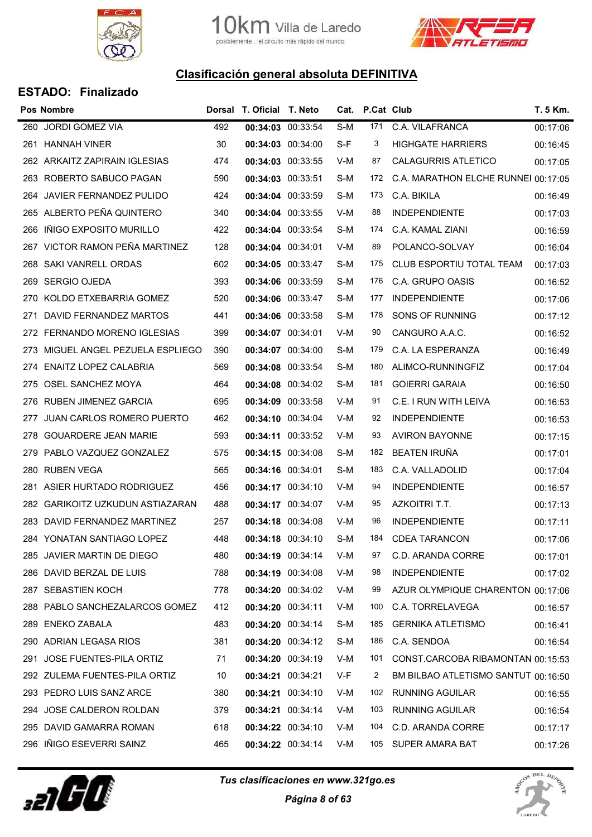



| <b>Pos Nombre</b>                |                                                                                                                                                                                                                                                                                                                                                                                                                                                                                                                                                                                                                                                                                                                                                                                                                                  |  |                                                                                                                                                                                                                                                                                                                                                                                                                                                                                                                                                                                                                                                                                                                                                                                                                                    |     |                                     | T. 5 Km.                           |
|----------------------------------|----------------------------------------------------------------------------------------------------------------------------------------------------------------------------------------------------------------------------------------------------------------------------------------------------------------------------------------------------------------------------------------------------------------------------------------------------------------------------------------------------------------------------------------------------------------------------------------------------------------------------------------------------------------------------------------------------------------------------------------------------------------------------------------------------------------------------------|--|------------------------------------------------------------------------------------------------------------------------------------------------------------------------------------------------------------------------------------------------------------------------------------------------------------------------------------------------------------------------------------------------------------------------------------------------------------------------------------------------------------------------------------------------------------------------------------------------------------------------------------------------------------------------------------------------------------------------------------------------------------------------------------------------------------------------------------|-----|-------------------------------------|------------------------------------|
|                                  | 492                                                                                                                                                                                                                                                                                                                                                                                                                                                                                                                                                                                                                                                                                                                                                                                                                              |  | S-M                                                                                                                                                                                                                                                                                                                                                                                                                                                                                                                                                                                                                                                                                                                                                                                                                                | 171 | C.A. VILAFRANCA                     | 00:17:06                           |
|                                  | 30                                                                                                                                                                                                                                                                                                                                                                                                                                                                                                                                                                                                                                                                                                                                                                                                                               |  | S-F                                                                                                                                                                                                                                                                                                                                                                                                                                                                                                                                                                                                                                                                                                                                                                                                                                | 3   | <b>HIGHGATE HARRIERS</b>            | 00:16:45                           |
|                                  | 474                                                                                                                                                                                                                                                                                                                                                                                                                                                                                                                                                                                                                                                                                                                                                                                                                              |  | V-M                                                                                                                                                                                                                                                                                                                                                                                                                                                                                                                                                                                                                                                                                                                                                                                                                                | 87  | <b>CALAGURRIS ATLETICO</b>          | 00:17:05                           |
|                                  | 590                                                                                                                                                                                                                                                                                                                                                                                                                                                                                                                                                                                                                                                                                                                                                                                                                              |  | S-M                                                                                                                                                                                                                                                                                                                                                                                                                                                                                                                                                                                                                                                                                                                                                                                                                                | 172 | C.A. MARATHON ELCHE RUNNEI 00:17:05 |                                    |
|                                  | 424                                                                                                                                                                                                                                                                                                                                                                                                                                                                                                                                                                                                                                                                                                                                                                                                                              |  | S-M                                                                                                                                                                                                                                                                                                                                                                                                                                                                                                                                                                                                                                                                                                                                                                                                                                | 173 | C.A. BIKILA                         | 00:16:49                           |
|                                  | 340                                                                                                                                                                                                                                                                                                                                                                                                                                                                                                                                                                                                                                                                                                                                                                                                                              |  | V-M                                                                                                                                                                                                                                                                                                                                                                                                                                                                                                                                                                                                                                                                                                                                                                                                                                | 88  | <b>INDEPENDIENTE</b>                | 00:17:03                           |
|                                  | 422                                                                                                                                                                                                                                                                                                                                                                                                                                                                                                                                                                                                                                                                                                                                                                                                                              |  | S-M                                                                                                                                                                                                                                                                                                                                                                                                                                                                                                                                                                                                                                                                                                                                                                                                                                | 174 | C.A. KAMAL ZIANI                    | 00:16:59                           |
|                                  | 128                                                                                                                                                                                                                                                                                                                                                                                                                                                                                                                                                                                                                                                                                                                                                                                                                              |  | V-M                                                                                                                                                                                                                                                                                                                                                                                                                                                                                                                                                                                                                                                                                                                                                                                                                                | 89  | POLANCO-SOLVAY                      | 00:16:04                           |
|                                  | 602                                                                                                                                                                                                                                                                                                                                                                                                                                                                                                                                                                                                                                                                                                                                                                                                                              |  | S-M                                                                                                                                                                                                                                                                                                                                                                                                                                                                                                                                                                                                                                                                                                                                                                                                                                | 175 | CLUB ESPORTIU TOTAL TEAM            | 00:17:03                           |
| <b>SERGIO OJEDA</b>              | 393                                                                                                                                                                                                                                                                                                                                                                                                                                                                                                                                                                                                                                                                                                                                                                                                                              |  | S-M                                                                                                                                                                                                                                                                                                                                                                                                                                                                                                                                                                                                                                                                                                                                                                                                                                | 176 | C.A. GRUPO OASIS                    | 00:16:52                           |
| KOLDO ETXEBARRIA GOMEZ           | 520                                                                                                                                                                                                                                                                                                                                                                                                                                                                                                                                                                                                                                                                                                                                                                                                                              |  | S-M                                                                                                                                                                                                                                                                                                                                                                                                                                                                                                                                                                                                                                                                                                                                                                                                                                | 177 | <b>INDEPENDIENTE</b>                | 00:17:06                           |
| DAVID FERNANDEZ MARTOS           | 441                                                                                                                                                                                                                                                                                                                                                                                                                                                                                                                                                                                                                                                                                                                                                                                                                              |  | S-M                                                                                                                                                                                                                                                                                                                                                                                                                                                                                                                                                                                                                                                                                                                                                                                                                                | 178 | SONS OF RUNNING                     | 00:17:12                           |
|                                  | 399                                                                                                                                                                                                                                                                                                                                                                                                                                                                                                                                                                                                                                                                                                                                                                                                                              |  | V-M                                                                                                                                                                                                                                                                                                                                                                                                                                                                                                                                                                                                                                                                                                                                                                                                                                | 90  | CANGURO A.A.C.                      | 00:16:52                           |
|                                  | 390                                                                                                                                                                                                                                                                                                                                                                                                                                                                                                                                                                                                                                                                                                                                                                                                                              |  | S-M                                                                                                                                                                                                                                                                                                                                                                                                                                                                                                                                                                                                                                                                                                                                                                                                                                | 179 | C.A. LA ESPERANZA                   | 00:16:49                           |
| <b>ENAITZ LOPEZ CALABRIA</b>     | 569                                                                                                                                                                                                                                                                                                                                                                                                                                                                                                                                                                                                                                                                                                                                                                                                                              |  | S-M                                                                                                                                                                                                                                                                                                                                                                                                                                                                                                                                                                                                                                                                                                                                                                                                                                | 180 | ALIMCO-RUNNINGFIZ                   | 00:17:04                           |
|                                  | 464                                                                                                                                                                                                                                                                                                                                                                                                                                                                                                                                                                                                                                                                                                                                                                                                                              |  | S-M                                                                                                                                                                                                                                                                                                                                                                                                                                                                                                                                                                                                                                                                                                                                                                                                                                | 181 | <b>GOIERRI GARAIA</b>               | 00:16:50                           |
| RUBEN JIMENEZ GARCIA             | 695                                                                                                                                                                                                                                                                                                                                                                                                                                                                                                                                                                                                                                                                                                                                                                                                                              |  | V-M                                                                                                                                                                                                                                                                                                                                                                                                                                                                                                                                                                                                                                                                                                                                                                                                                                | 91  | C.E. I RUN WITH LEIVA               | 00:16:53                           |
| <b>JUAN CARLOS ROMERO PUERTO</b> | 462                                                                                                                                                                                                                                                                                                                                                                                                                                                                                                                                                                                                                                                                                                                                                                                                                              |  | V-M                                                                                                                                                                                                                                                                                                                                                                                                                                                                                                                                                                                                                                                                                                                                                                                                                                | 92  | <b>INDEPENDIENTE</b>                | 00:16:53                           |
| <b>GOUARDERE JEAN MARIE</b>      | 593                                                                                                                                                                                                                                                                                                                                                                                                                                                                                                                                                                                                                                                                                                                                                                                                                              |  | V-M                                                                                                                                                                                                                                                                                                                                                                                                                                                                                                                                                                                                                                                                                                                                                                                                                                | 93  | <b>AVIRON BAYONNE</b>               | 00:17:15                           |
|                                  | 575                                                                                                                                                                                                                                                                                                                                                                                                                                                                                                                                                                                                                                                                                                                                                                                                                              |  | S-M                                                                                                                                                                                                                                                                                                                                                                                                                                                                                                                                                                                                                                                                                                                                                                                                                                | 182 | <b>BEATEN IRUÑA</b>                 | 00:17:01                           |
|                                  | 565                                                                                                                                                                                                                                                                                                                                                                                                                                                                                                                                                                                                                                                                                                                                                                                                                              |  | S-M                                                                                                                                                                                                                                                                                                                                                                                                                                                                                                                                                                                                                                                                                                                                                                                                                                | 183 | C.A. VALLADOLID                     | 00:17:04                           |
| ASIER HURTADO RODRIGUEZ          | 456                                                                                                                                                                                                                                                                                                                                                                                                                                                                                                                                                                                                                                                                                                                                                                                                                              |  | V-M                                                                                                                                                                                                                                                                                                                                                                                                                                                                                                                                                                                                                                                                                                                                                                                                                                | 94  | <b>INDEPENDIENTE</b>                | 00:16:57                           |
|                                  | 488                                                                                                                                                                                                                                                                                                                                                                                                                                                                                                                                                                                                                                                                                                                                                                                                                              |  | V-M                                                                                                                                                                                                                                                                                                                                                                                                                                                                                                                                                                                                                                                                                                                                                                                                                                | 95  | AZKOITRI T.T.                       | 00:17:13                           |
| DAVID FERNANDEZ MARTINEZ         | 257                                                                                                                                                                                                                                                                                                                                                                                                                                                                                                                                                                                                                                                                                                                                                                                                                              |  | V-M                                                                                                                                                                                                                                                                                                                                                                                                                                                                                                                                                                                                                                                                                                                                                                                                                                | 96  | <b>INDEPENDIENTE</b>                | 00:17:11                           |
|                                  | 448                                                                                                                                                                                                                                                                                                                                                                                                                                                                                                                                                                                                                                                                                                                                                                                                                              |  | S-M                                                                                                                                                                                                                                                                                                                                                                                                                                                                                                                                                                                                                                                                                                                                                                                                                                | 184 | <b>CDEA TARANCON</b>                | 00:17:06                           |
|                                  | 480                                                                                                                                                                                                                                                                                                                                                                                                                                                                                                                                                                                                                                                                                                                                                                                                                              |  | V-M                                                                                                                                                                                                                                                                                                                                                                                                                                                                                                                                                                                                                                                                                                                                                                                                                                | 97  | C.D. ARANDA CORRE                   | 00:17:01                           |
|                                  | 788                                                                                                                                                                                                                                                                                                                                                                                                                                                                                                                                                                                                                                                                                                                                                                                                                              |  | V-M                                                                                                                                                                                                                                                                                                                                                                                                                                                                                                                                                                                                                                                                                                                                                                                                                                | 98  | <b>INDEPENDIENTE</b>                | 00:17:02                           |
|                                  | 778                                                                                                                                                                                                                                                                                                                                                                                                                                                                                                                                                                                                                                                                                                                                                                                                                              |  | V-M                                                                                                                                                                                                                                                                                                                                                                                                                                                                                                                                                                                                                                                                                                                                                                                                                                | 99  | AZUR OLYMPIQUE CHARENTON 00:17:06   |                                    |
|                                  | 412                                                                                                                                                                                                                                                                                                                                                                                                                                                                                                                                                                                                                                                                                                                                                                                                                              |  | V-M                                                                                                                                                                                                                                                                                                                                                                                                                                                                                                                                                                                                                                                                                                                                                                                                                                | 100 | C.A. TORRELAVEGA                    | 00:16:57                           |
|                                  | 483                                                                                                                                                                                                                                                                                                                                                                                                                                                                                                                                                                                                                                                                                                                                                                                                                              |  | S-M                                                                                                                                                                                                                                                                                                                                                                                                                                                                                                                                                                                                                                                                                                                                                                                                                                | 185 | <b>GERNIKA ATLETISMO</b>            | 00:16:41                           |
|                                  | 381                                                                                                                                                                                                                                                                                                                                                                                                                                                                                                                                                                                                                                                                                                                                                                                                                              |  | S-M                                                                                                                                                                                                                                                                                                                                                                                                                                                                                                                                                                                                                                                                                                                                                                                                                                | 186 | C.A. SENDOA                         | 00:16:54                           |
| JOSE FUENTES-PILA ORTIZ          | 71                                                                                                                                                                                                                                                                                                                                                                                                                                                                                                                                                                                                                                                                                                                                                                                                                               |  | V-M                                                                                                                                                                                                                                                                                                                                                                                                                                                                                                                                                                                                                                                                                                                                                                                                                                | 101 | CONST.CARCOBA RIBAMONTAN 00:15:53   |                                    |
|                                  | 10                                                                                                                                                                                                                                                                                                                                                                                                                                                                                                                                                                                                                                                                                                                                                                                                                               |  | V-F                                                                                                                                                                                                                                                                                                                                                                                                                                                                                                                                                                                                                                                                                                                                                                                                                                | 2   | BM BILBAO ATLETISMO SANTUT 00:16:50 |                                    |
|                                  | 380                                                                                                                                                                                                                                                                                                                                                                                                                                                                                                                                                                                                                                                                                                                                                                                                                              |  | V-M                                                                                                                                                                                                                                                                                                                                                                                                                                                                                                                                                                                                                                                                                                                                                                                                                                | 102 | <b>RUNNING AGUILAR</b>              | 00:16:55                           |
|                                  | 379                                                                                                                                                                                                                                                                                                                                                                                                                                                                                                                                                                                                                                                                                                                                                                                                                              |  | V-M                                                                                                                                                                                                                                                                                                                                                                                                                                                                                                                                                                                                                                                                                                                                                                                                                                | 103 | <b>RUNNING AGUILAR</b>              | 00:16:54                           |
|                                  | 618                                                                                                                                                                                                                                                                                                                                                                                                                                                                                                                                                                                                                                                                                                                                                                                                                              |  | V-M                                                                                                                                                                                                                                                                                                                                                                                                                                                                                                                                                                                                                                                                                                                                                                                                                                | 104 | C.D. ARANDA CORRE                   | 00:17:17                           |
|                                  | 465                                                                                                                                                                                                                                                                                                                                                                                                                                                                                                                                                                                                                                                                                                                                                                                                                              |  | V-M                                                                                                                                                                                                                                                                                                                                                                                                                                                                                                                                                                                                                                                                                                                                                                                                                                | 105 |                                     | 00:17:26                           |
| 269<br>270<br>271<br>274<br>281  | 260 JORDI GOMEZ VIA<br>261 HANNAH VINER<br>262 ARKAITZ ZAPIRAIN IGLESIAS<br>263 ROBERTO SABUCO PAGAN<br>264 JAVIER FERNANDEZ PULIDO<br>265 ALBERTO PEÑA QUINTERO<br>266 IÑIGO EXPOSITO MURILLO<br>VICTOR RAMON PEÑA MARTINEZ<br>267<br>268 SAKI VANRELL ORDAS<br>272 FERNANDO MORENO IGLESIAS<br>273 MIGUEL ANGEL PEZUELA ESPLIEGO<br>275 OSEL SANCHEZ MOYA<br>276<br>277<br>278<br>279 PABLO VAZQUEZ GONZALEZ<br>280 RUBEN VEGA<br>282 GARIKOITZ UZKUDUN ASTIAZARAN<br>283<br>284 YONATAN SANTIAGO LOPEZ<br>285 JAVIER MARTIN DE DIEGO<br>286 DAVID BERZAL DE LUIS<br>287 SEBASTIEN KOCH<br>288 PABLO SANCHEZALARCOS GOMEZ<br>289 ENEKO ZABALA<br>290 ADRIAN LEGASA RIOS<br>291<br>292 ZULEMA FUENTES-PILA ORTIZ<br>293 PEDRO LUIS SANZ ARCE<br>294 JOSE CALDERON ROLDAN<br>295 DAVID GAMARRA ROMAN<br>296 IÑIGO ESEVERRI SAINZ |  | Dorsal T. Oficial T. Neto<br>00:34:03 00:33:54<br>00:34:03 00:34:00<br>00:34:03 00:33:55<br>00:34:03 00:33:51<br>00:34:04 00:33:59<br>00:34:04 00:33:55<br>00:34:04 00:33:54<br>00:34:04 00:34:01<br>00:34:05 00:33:47<br>00:34:06 00:33:59<br>00:34:06 00:33:47<br>00:34:06 00:33:58<br>00:34:07 00:34:01<br>00:34:07 00:34:00<br>00:34:08 00:33:54<br>00:34:08 00:34:02<br>00:34:09 00:33:58<br>00:34:10 00:34:04<br>00:34:11 00:33:52<br>00:34:15 00:34:08<br>00:34:16 00:34:01<br>00:34:17 00:34:10<br>00:34:17 00:34:07<br>00:34:18 00:34:08<br>00:34:18 00:34:10<br>00:34:19 00:34:14<br>00:34:19 00:34:08<br>00:34:20 00:34:02<br>00:34:20 00:34:11<br>00:34:20 00:34:14<br>00:34:20 00:34:12<br>00:34:20 00:34:19<br>00:34:21 00:34:21<br>00:34:21 00:34:10<br>00:34:21 00:34:14<br>00:34:22 00:34:10<br>00:34:22 00:34:14 |     |                                     | Cat. P.Cat Club<br>SUPER AMARA BAT |



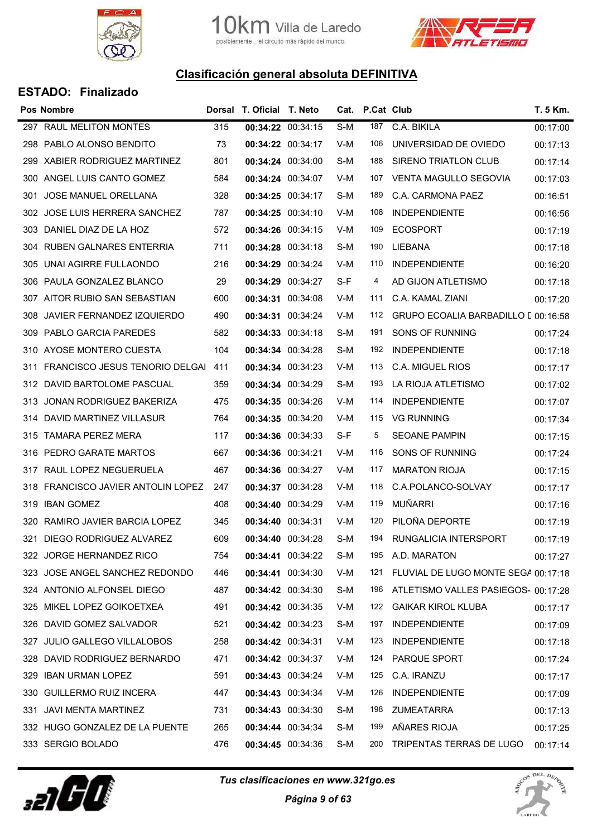



|      | <b>Pos Nombre</b>                |     | Dorsal T. Oficial T. Neto |                   |     | Cat. P.Cat Club |                                     | T. 5 Km. |
|------|----------------------------------|-----|---------------------------|-------------------|-----|-----------------|-------------------------------------|----------|
| 297  | RAUL MELITON MONTES              | 315 | 00:34:22 00:34:15         |                   | S-M | 187             | C.A. BIKILA                         | 00:17:00 |
| 298  | PABLO ALONSO BENDITO             | 73  | 00:34:22 00:34:17         |                   | V-M | 106             | UNIVERSIDAD DE OVIEDO               | 00:17:13 |
| 299  | <b>XABIER RODRIGUEZ MARTINEZ</b> | 801 | 00:34:24 00:34:00         |                   | S-M | 188             | SIRENO TRIATLON CLUB                | 00:17:14 |
| 300  | ANGEL LUIS CANTO GOMEZ           | 584 | 00:34:24 00:34:07         |                   | V-M | 107             | VENTA MAGULLO SEGOVIA               | 00:17:03 |
| 301  | JOSE MANUEL ORELLANA             | 328 | 00:34:25 00:34:17         |                   | S-M | 189             | C.A. CARMONA PAEZ                   | 00:16:51 |
| 302  | JOSE LUIS HERRERA SANCHEZ        | 787 | 00:34:25 00:34:10         |                   | V-M | 108             | <b>INDEPENDIENTE</b>                | 00:16:56 |
| 303. | DANIEL DIAZ DE LA HOZ            | 572 | 00:34:26 00:34:15         |                   | V-M | 109             | <b>ECOSPORT</b>                     | 00:17:19 |
| 304  | <b>RUBEN GALNARES ENTERRIA</b>   | 711 | 00:34:28 00:34:18         |                   | S-M | 190             | LIEBANA                             | 00:17:18 |
| 305  | UNAI AGIRRE FULLAONDO            | 216 | 00:34:29 00:34:24         |                   | V-M | 110             | <b>INDEPENDIENTE</b>                | 00:16:20 |
| 306  | PAULA GONZALEZ BLANCO            | 29  | 00:34:29 00:34:27         |                   | S-F | 4               | AD GIJON ATLETISMO                  | 00:17:18 |
|      | 307 AITOR RUBIO SAN SEBASTIAN    | 600 | 00:34:31 00:34:08         |                   | V-M | 111             | C.A. KAMAL ZIANI                    | 00:17:20 |
| 308  | JAVIER FERNANDEZ IZQUIERDO       | 490 | 00:34:31 00:34:24         |                   | V-M | 112             | GRUPO ECOALIA BARBADILLO [ 00:16:58 |          |
| 309  | PABLO GARCIA PAREDES             | 582 | 00:34:33 00:34:18         |                   | S-M | 191             | SONS OF RUNNING                     | 00:17:24 |
| 310  | AYOSE MONTERO CUESTA             | 104 | 00:34:34 00:34:28         |                   | S-M | 192             | <b>INDEPENDIENTE</b>                | 00:17:18 |
| 311  | FRANCISCO JESUS TENORIO DELGAI   | 411 | 00:34:34 00:34:23         |                   | V-M | 113             | C.A. MIGUEL RIOS                    | 00:17:17 |
| 312. | DAVID BARTOLOME PASCUAL          | 359 | 00:34:34 00:34:29         |                   | S-M | 193             | LA RIOJA ATLETISMO                  | 00:17:02 |
| 313  | JONAN RODRIGUEZ BAKERIZA         | 475 | 00:34:35 00:34:26         |                   | V-M | 114             | <b>INDEPENDIENTE</b>                | 00:17:07 |
| 314  | DAVID MARTINEZ VILLASUR          | 764 | 00:34:35 00:34:20         |                   | V-M | 115             | <b>VG RUNNING</b>                   | 00:17:34 |
| 315  | TAMARA PEREZ MERA                | 117 | 00:34:36 00:34:33         |                   | S-F | 5               | <b>SEOANE PAMPIN</b>                | 00:17:15 |
| 316  | PEDRO GARATE MARTOS              | 667 | 00:34:36 00:34:21         |                   | V-M | 116             | SONS OF RUNNING                     | 00:17:24 |
| 317  | RAUL LOPEZ NEGUERUELA            | 467 | 00:34:36 00:34:27         |                   | V-M | 117             | <b>MARATON RIOJA</b>                | 00:17:15 |
| 318  | FRANCISCO JAVIER ANTOLIN LOPEZ   | 247 | 00:34:37 00:34:28         |                   | V-M | 118             | C.A.POLANCO-SOLVAY                  | 00:17:17 |
| 319  | <b>IBAN GOMEZ</b>                | 408 | 00:34:40 00:34:29         |                   | V-M | 119             | <b>MUÑARRI</b>                      | 00:17:16 |
| 320  | RAMIRO JAVIER BARCIA LOPEZ       | 345 | 00:34:40 00:34:31         |                   | V-M | 120             | PILOÑA DEPORTE                      | 00:17:19 |
| 321. | DIEGO RODRIGUEZ ALVAREZ          | 609 | 00:34:40 00:34:28         |                   | S-M | 194             | <b>RUNGALICIA INTERSPORT</b>        | 00:17:19 |
|      | 322 JORGE HERNANDEZ RICO         | 754 | 00:34:41 00:34:22         |                   | S-M | 195             | A.D. MARATON                        | 00:17:27 |
| 323  | JOSE ANGEL SANCHEZ REDONDO       | 446 | 00:34:41 00:34:30         |                   | V-M | 121             | FLUVIAL DE LUGO MONTE SEGA 00:17:18 |          |
|      | 324 ANTONIO ALFONSEL DIEGO       | 487 | 00:34:42 00:34:30         |                   | S-M | 196             | ATLETISMO VALLES PASIEGOS- 00:17:28 |          |
| 325  | MIKEL LOPEZ GOIKOETXEA           | 491 |                           | 00:34:42 00:34:35 | V-M | 122             | <b>GAIKAR KIROL KLUBA</b>           | 00:17:17 |
| 326  | DAVID GOMEZ SALVADOR             | 521 | 00:34:42 00:34:23         |                   | S-M | 197             | <b>INDEPENDIENTE</b>                | 00:17:09 |
| 327  | <b>JULIO GALLEGO VILLALOBOS</b>  | 258 | 00:34:42 00:34:31         |                   | V-M | 123             | <b>INDEPENDIENTE</b>                | 00:17:18 |
| 328  | DAVID RODRIGUEZ BERNARDO         | 471 | 00:34:42 00:34:37         |                   | V-M | 124             | PARQUE SPORT                        | 00:17:24 |
| 329  | <b>IBAN URMAN LOPEZ</b>          | 591 | 00:34:43 00:34:24         |                   | V-M | 125             | C.A. IRANZU                         | 00:17:17 |
| 330  | <b>GUILLERMO RUIZ INCERA</b>     | 447 | 00:34:43 00:34:34         |                   | V-M | 126             | <b>INDEPENDIENTE</b>                | 00:17:09 |
| 331  | <b>JAVI MENTA MARTINEZ</b>       | 731 | 00:34:43 00:34:30         |                   | S-M | 198             | <b>ZUMEATARRA</b>                   | 00:17:13 |
|      | 332 HUGO GONZALEZ DE LA PUENTE   | 265 | 00:34:44 00:34:34         |                   | S-M | 199             | AÑARES RIOJA                        | 00:17:25 |
|      | 333 SERGIO BOLADO                | 476 |                           | 00:34:45 00:34:36 | S-M | 200             | TRIPENTAS TERRAS DE LUGO            | 00:17:14 |



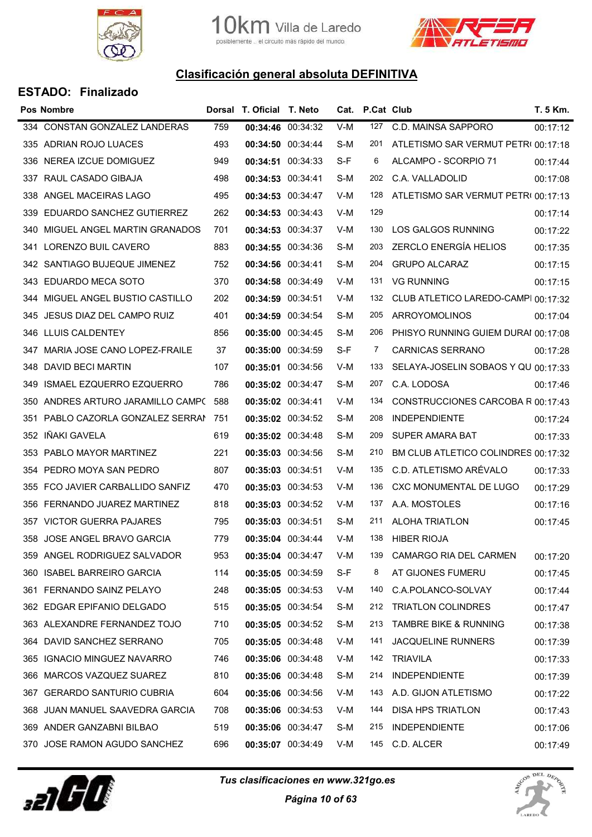



|      | <b>Pos Nombre</b>                 |     | Dorsal T. Oficial T. Neto |                   |     | Cat. P.Cat Club |                                     | T. 5 Km. |
|------|-----------------------------------|-----|---------------------------|-------------------|-----|-----------------|-------------------------------------|----------|
|      | 334 CONSTAN GONZALEZ LANDERAS     | 759 | 00:34:46 00:34:32         |                   | V-M | 127             | C.D. MAINSA SAPPORO                 | 00:17:12 |
|      | 335 ADRIAN ROJO LUACES            | 493 | 00:34:50 00:34:44         |                   | S-M | 201             | ATLETISMO SAR VERMUT PETRI 00:17:18 |          |
| 336  | NEREA IZCUE DOMIGUEZ              | 949 | 00:34:51 00:34:33         |                   | S-F | 6               | ALCAMPO - SCORPIO 71                | 00:17:44 |
| 337  | RAUL CASADO GIBAJA                | 498 | 00:34:53 00:34:41         |                   | S-M | 202             | C.A. VALLADOLID                     | 00:17:08 |
|      | 338 ANGEL MACEIRAS LAGO           | 495 | 00:34:53 00:34:47         |                   | V-M | 128             | ATLETISMO SAR VERMUT PETRI 00:17:13 |          |
| 339  | EDUARDO SANCHEZ GUTIERREZ         | 262 | 00:34:53 00:34:43         |                   | V-M | 129             |                                     | 00:17:14 |
|      | 340 MIGUEL ANGEL MARTIN GRANADOS  | 701 | 00:34:53 00:34:37         |                   | V-M | 130             | LOS GALGOS RUNNING                  | 00:17:22 |
| 341  | LORENZO BUIL CAVERO               | 883 | 00:34:55 00:34:36         |                   | S-M | 203             | <b>ZERCLO ENERGÍA HELIOS</b>        | 00:17:35 |
|      | 342 SANTIAGO BUJEQUE JIMENEZ      | 752 | 00:34:56 00:34:41         |                   | S-M | 204             | <b>GRUPO ALCARAZ</b>                | 00:17:15 |
| 343. | EDUARDO MECA SOTO                 | 370 | 00:34:58 00:34:49         |                   | V-M | 131             | <b>VG RUNNING</b>                   | 00:17:15 |
|      | 344 MIGUEL ANGEL BUSTIO CASTILLO  | 202 | 00:34:59 00:34:51         |                   | V-M | 132             | CLUB ATLETICO LAREDO-CAMPI 00:17:32 |          |
|      | 345 JESUS DIAZ DEL CAMPO RUIZ     | 401 | 00:34:59 00:34:54         |                   | S-M | 205             | <b>ARROYOMOLINOS</b>                | 00:17:04 |
|      | 346 LLUIS CALDENTEY               | 856 | 00:35:00 00:34:45         |                   | S-M | 206             | PHISYO RUNNING GUIEM DURAI 00:17:08 |          |
|      | 347 MARIA JOSE CANO LOPEZ-FRAILE  | 37  | 00:35:00 00:34:59         |                   | S-F | 7               | <b>CARNICAS SERRANO</b>             | 00:17:28 |
| 348  | DAVID BECI MARTIN                 | 107 | 00:35:01 00:34:56         |                   | V-M | 133             | SELAYA-JOSELIN SOBAOS Y QU 00:17:33 |          |
| 349  | <b>ISMAEL EZQUERRO EZQUERRO</b>   | 786 | 00:35:02 00:34:47         |                   | S-M | 207             | C.A. LODOSA                         | 00:17:46 |
| 350  | ANDRES ARTURO JARAMILLO CAMPO     | 588 | 00:35:02 00:34:41         |                   | V-M | 134             | CONSTRUCCIONES CARCOBA R 00:17:43   |          |
| 351  | PABLO CAZORLA GONZALEZ SERRAN 751 |     | 00:35:02 00:34:52         |                   | S-M | 208             | <b>INDEPENDIENTE</b>                | 00:17:24 |
| 352  | IÑAKI GAVELA                      | 619 | 00:35:02 00:34:48         |                   | S-M | 209             | SUPER AMARA BAT                     | 00:17:33 |
|      | 353 PABLO MAYOR MARTINEZ          | 221 | 00:35:03 00:34:56         |                   | S-M | 210             | BM CLUB ATLETICO COLINDRES 00:17:32 |          |
|      | 354 PEDRO MOYA SAN PEDRO          | 807 | 00:35:03 00:34:51         |                   | V-M | 135             | C.D. ATLETISMO ARÉVALO              | 00:17:33 |
| 355  | FCO JAVIER CARBALLIDO SANFIZ      | 470 | 00:35:03 00:34:53         |                   | V-M | 136             | CXC MONUMENTAL DE LUGO              | 00:17:29 |
|      | 356 FERNANDO JUAREZ MARTINEZ      | 818 | 00:35:03 00:34:52         |                   | V-M | 137             | A.A. MOSTOLES                       | 00:17:16 |
|      | 357 VICTOR GUERRA PAJARES         | 795 | 00:35:03 00:34:51         |                   | S-M | 211             | <b>ALOHA TRIATLON</b>               | 00:17:45 |
|      | 358 JOSE ANGEL BRAVO GARCIA       | 779 | 00:35:04 00:34:44         |                   | V-M | 138             | <b>HIBER RIOJA</b>                  |          |
|      | 359 ANGEL RODRIGUEZ SALVADOR      | 953 | 00:35:04 00:34:47         |                   | V-M | 139             | <b>CAMARGO RIA DEL CARMEN</b>       | 00:17:20 |
| 360  | <b>ISABEL BARREIRO GARCIA</b>     | 114 | 00:35:05 00:34:59         |                   | S-F | 8               | AT GIJONES FUMERU                   | 00:17:45 |
| 361  | FERNANDO SAINZ PELAYO             | 248 | 00:35:05 00:34:53         |                   | V-M | 140             | C.A.POLANCO-SOLVAY                  | 00:17:44 |
|      | 362 EDGAR EPIFANIO DELGADO        | 515 |                           | 00:35:05 00:34:54 | S-M | 212             | <b>TRIATLON COLINDRES</b>           | 00:17:47 |
|      | 363 ALEXANDRE FERNANDEZ TOJO      | 710 | 00:35:05 00:34:52         |                   | S-M | 213             | <b>TAMBRE BIKE &amp; RUNNING</b>    | 00:17:38 |
|      | 364 DAVID SANCHEZ SERRANO         | 705 | 00:35:05 00:34:48         |                   | V-M | 141             | <b>JACQUELINE RUNNERS</b>           | 00:17:39 |
| 365  | <b>IGNACIO MINGUEZ NAVARRO</b>    | 746 | 00:35:06 00:34:48         |                   | V-M | 142             | TRIAVILA                            | 00:17:33 |
| 366  | MARCOS VAZQUEZ SUAREZ             | 810 | 00:35:06 00:34:48         |                   | S-M | 214             | <b>INDEPENDIENTE</b>                | 00:17:39 |
| 367  | <b>GERARDO SANTURIO CUBRIA</b>    | 604 | 00:35:06 00:34:56         |                   | V-M | 143             | A.D. GIJON ATLETISMO                | 00:17:22 |
| 368  | JUAN MANUEL SAAVEDRA GARCIA       | 708 | 00:35:06 00:34:53         |                   | V-M | 144             | <b>DISA HPS TRIATLON</b>            | 00:17:43 |
|      | 369 ANDER GANZABNI BILBAO         | 519 |                           | 00:35:06 00:34:47 | S-M | 215             | <b>INDEPENDIENTE</b>                | 00:17:06 |
|      | 370 JOSE RAMON AGUDO SANCHEZ      | 696 | 00:35:07 00:34:49         |                   | V-M | 145             | C.D. ALCER                          | 00:17:49 |
|      |                                   |     |                           |                   |     |                 |                                     |          |



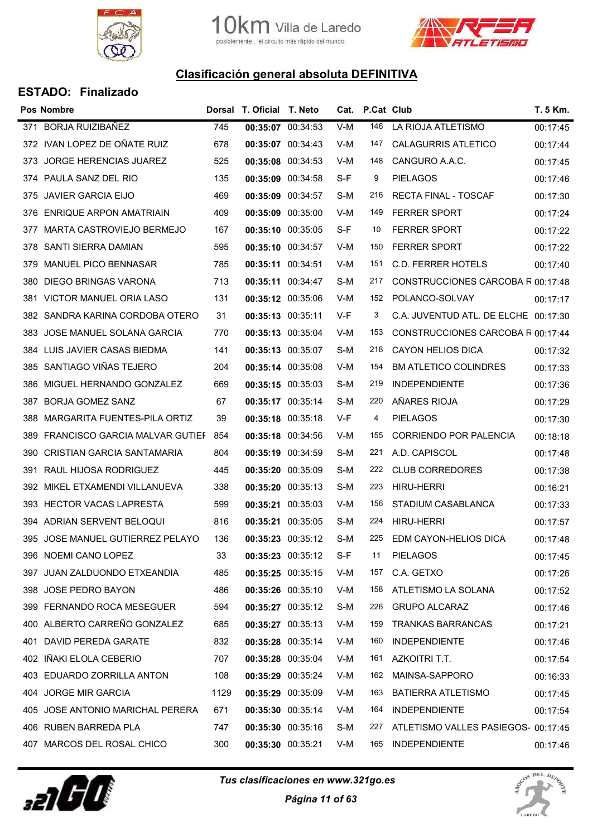



|      | <b>Pos Nombre</b>                |      | Dorsal T. Oficial T. Neto |                   |     | Cat. P.Cat Club |                                      | T. 5 Km. |
|------|----------------------------------|------|---------------------------|-------------------|-----|-----------------|--------------------------------------|----------|
|      | 371 BORJA RUIZIBAÑEZ             | 745  | 00:35:07 00:34:53         |                   | V-M | 146             | LA RIOJA ATLETISMO                   | 00:17:45 |
|      | 372 IVAN LOPEZ DE OÑATE RUIZ     | 678  | 00:35:07 00:34:43         |                   | V-M | 147             | <b>CALAGURRIS ATLETICO</b>           | 00:17:44 |
|      | 373 JORGE HERENCIAS JUAREZ       | 525  | 00:35:08 00:34:53         |                   | V-M | 148             | CANGURO A.A.C.                       | 00:17:45 |
|      | 374 PAULA SANZ DEL RIO           | 135  | 00:35:09 00:34:58         |                   | S-F | 9               | <b>PIELAGOS</b>                      | 00:17:46 |
|      | 375 JAVIER GARCIA EIJO           | 469  | 00:35:09 00:34:57         |                   | S-M | 216             | <b>RECTA FINAL - TOSCAF</b>          | 00:17:30 |
| 376  | ENRIQUE ARPON AMATRIAIN          | 409  | 00:35:09 00:35:00         |                   | V-M | 149             | <b>FERRER SPORT</b>                  | 00:17:24 |
|      | 377 MARTA CASTROVIEJO BERMEJO    | 167  | 00:35:10 00:35:05         |                   | S-F | 10              | <b>FERRER SPORT</b>                  | 00:17:22 |
| 378  | SANTI SIERRA DAMIAN              | 595  | 00:35:10 00:34:57         |                   | V-M | 150             | <b>FERRER SPORT</b>                  | 00:17:22 |
|      | 379 MANUEL PICO BENNASAR         | 785  | 00:35:11 00:34:51         |                   | V-M | 151             | C.D. FERRER HOTELS                   | 00:17:40 |
| 380  | DIEGO BRINGAS VARONA             | 713  | 00:35:11 00:34:47         |                   | S-M | 217             | CONSTRUCCIONES CARCOBA R 00:17:48    |          |
| 381  | VICTOR MANUEL ORIA LASO          | 131  | 00:35:12 00:35:06         |                   | V-M | 152             | POLANCO-SOLVAY                       | 00:17:17 |
|      | 382 SANDRA KARINA CORDOBA OTERO  | 31   | 00:35:13 00:35:11         |                   | V-F | 3               | C.A. JUVENTUD ATL. DE ELCHE 00:17:30 |          |
| 383  | JOSE MANUEL SOLANA GARCIA        | 770  | 00:35:13 00:35:04         |                   | V-M | 153             | CONSTRUCCIONES CARCOBA R 00:17:44    |          |
|      | 384 LUIS JAVIER CASAS BIEDMA     | 141  | 00:35:13 00:35:07         |                   | S-M | 218             | CAYON HELIOS DICA                    | 00:17:32 |
| 385  | SANTIAGO VIÑAS TEJERO            | 204  | 00:35:14 00:35:08         |                   | V-M | 154             | <b>BM ATLETICO COLINDRES</b>         | 00:17:33 |
|      | 386 MIGUEL HERNANDO GONZALEZ     | 669  | 00:35:15 00:35:03         |                   | S-M | 219             | <b>INDEPENDIENTE</b>                 | 00:17:36 |
| 387  | <b>BORJA GOMEZ SANZ</b>          | 67   | 00:35:17 00:35:14         |                   | S-M | 220             | AÑARES RIOJA                         | 00:17:29 |
| 388  | MARGARITA FUENTES-PILA ORTIZ     | 39   | 00:35:18 00:35:18         |                   | V-F | 4               | <b>PIELAGOS</b>                      | 00:17:30 |
| 389  | FRANCISCO GARCIA MALVAR GUTIEF   | 854  | 00:35:18 00:34:56         |                   | V-M | 155             | <b>CORRIENDO POR PALENCIA</b>        | 00:18:18 |
| 390  | CRISTIAN GARCIA SANTAMARIA       | 804  | 00:35:19 00:34:59         |                   | S-M | 221             | A.D. CAPISCOL                        | 00:17:48 |
|      | 391 RAUL HIJOSA RODRIGUEZ        | 445  | 00:35:20 00:35:09         |                   | S-M | 222             | <b>CLUB CORREDORES</b>               | 00:17:38 |
|      | 392 MIKEL ETXAMENDI VILLANUEVA   | 338  | 00:35:20 00:35:13         |                   | S-M | 223             | <b>HIRU-HERRI</b>                    | 00:16:21 |
|      | 393 HECTOR VACAS LAPRESTA        | 599  | 00:35:21 00:35:03         |                   | V-M | 156             | STADIUM CASABLANCA                   | 00:17:33 |
|      | 394 ADRIAN SERVENT BELOQUI       | 816  | 00:35:21 00:35:05         |                   | S-M | 224             | <b>HIRU-HERRI</b>                    | 00:17:57 |
|      | 395 JOSE MANUEL GUTIERREZ PELAYO | 136  |                           | 00:35:23 00:35:12 | S-M | 225             | EDM CAYON-HELIOS DICA                | 00:17:48 |
|      | 396 NOEMI CANO LOPEZ             | 33   | 00:35:23 00:35:12         |                   | S-F | 11              | <b>PIELAGOS</b>                      | 00:17:45 |
|      | 397 JUAN ZALDUONDO ETXEANDIA     | 485  |                           | 00:35:25 00:35:15 | V-M | 157             | C.A. GETXO                           | 00:17:26 |
|      | 398 JOSE PEDRO BAYON             | 486  | 00:35:26 00:35:10         |                   | V-M | 158             | ATLETISMO LA SOLANA                  | 00:17:52 |
|      | 399 FERNANDO ROCA MESEGUER       | 594  |                           | 00:35:27 00:35:12 | S-M | 226             | <b>GRUPO ALCARAZ</b>                 | 00:17:46 |
|      | 400 ALBERTO CARREÑO GONZALEZ     | 685  | 00:35:27 00:35:13         |                   | V-M | 159             | <b>TRANKAS BARRANCAS</b>             | 00:17:21 |
|      | 401 DAVID PEREDA GARATE          | 832  | 00:35:28 00:35:14         |                   | V-M | 160             | <b>INDEPENDIENTE</b>                 | 00:17:46 |
| 402  | IÑAKI ELOLA CEBERIO              | 707  | 00:35:28 00:35:04         |                   | V-M | 161             | AZKOITRI T.T.                        | 00:17:54 |
|      | 403 EDUARDO ZORRILLA ANTON       | 108  | 00:35:29 00:35:24         |                   | V-M | 162             | MAINSA-SAPPORO                       | 00:16:33 |
| 404  | <b>JORGE MIR GARCIA</b>          | 1129 | 00:35:29 00:35:09         |                   | V-M | 163             | <b>BATIERRA ATLETISMO</b>            | 00:17:45 |
| 405  | JOSE ANTONIO MARICHAL PERERA     | 671  | 00:35:30 00:35:14         |                   | V-M | 164             | <b>INDEPENDIENTE</b>                 | 00:17:54 |
|      | 406 RUBEN BARREDA PLA            | 747  | 00:35:30 00:35:16         |                   | S-M | 227             | ATLETISMO VALLES PASIEGOS- 00:17:45  |          |
| 407. | MARCOS DEL ROSAL CHICO           | 300  | 00:35:30 00:35:21         |                   | V-M | 165             | <b>INDEPENDIENTE</b>                 | 00:17:46 |



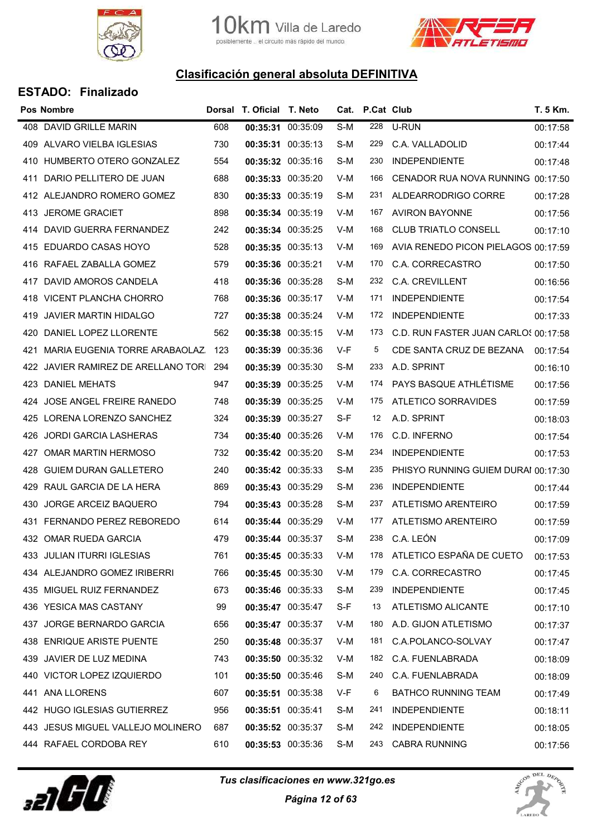



|     | <b>Pos Nombre</b>                   |     | Dorsal T. Oficial T. Neto |                   |     | Cat. P.Cat Club |                                      | T. 5 Km. |
|-----|-------------------------------------|-----|---------------------------|-------------------|-----|-----------------|--------------------------------------|----------|
|     | 408 DAVID GRILLE MARIN              | 608 | 00:35:31 00:35:09         |                   | S-M | 228             | U-RUN                                | 00:17:58 |
|     | 409 ALVARO VIELBA IGLESIAS          | 730 |                           | 00:35:31 00:35:13 | S-M | 229             | C.A. VALLADOLID                      | 00:17:44 |
|     | 410 HUMBERTO OTERO GONZALEZ         | 554 |                           | 00:35:32 00:35:16 | S-M | 230             | <b>INDEPENDIENTE</b>                 | 00:17:48 |
| 411 | DARIO PELLITERO DE JUAN             | 688 | 00:35:33 00:35:20         |                   | V-M | 166             | CENADOR RUA NOVA RUNNING 00:17:50    |          |
|     | 412 ALEJANDRO ROMERO GOMEZ          | 830 |                           | 00:35:33 00:35:19 | S-M | 231             | ALDEARRODRIGO CORRE                  | 00:17:28 |
|     | 413 JEROME GRACIET                  | 898 |                           | 00:35:34 00:35:19 | V-M | 167             | <b>AVIRON BAYONNE</b>                | 00:17:56 |
|     | 414 DAVID GUERRA FERNANDEZ          | 242 |                           | 00:35:34 00:35:25 | V-M | 168             | <b>CLUB TRIATLO CONSELL</b>          | 00:17:10 |
|     | 415 EDUARDO CASAS HOYO              | 528 |                           | 00:35:35 00:35:13 | V-M | 169             | AVIA RENEDO PICON PIELAGOS 00:17:59  |          |
|     | 416 RAFAEL ZABALLA GOMEZ            | 579 | 00:35:36 00:35:21         |                   | V-M | 170             | C.A. CORRECASTRO                     | 00:17:50 |
| 417 | DAVID AMOROS CANDELA                | 418 |                           | 00:35:36 00:35:28 | S-M | 232             | C.A. CREVILLENT                      | 00:16:56 |
|     | 418 VICENT PLANCHA CHORRO           | 768 | 00:35:36 00:35:17         |                   | V-M | 171             | <b>INDEPENDIENTE</b>                 | 00:17:54 |
|     | 419 JAVIER MARTIN HIDALGO           | 727 | 00:35:38 00:35:24         |                   | V-M | 172             | <b>INDEPENDIENTE</b>                 | 00:17:33 |
|     | 420 DANIEL LOPEZ LLORENTE           | 562 |                           | 00:35:38 00:35:15 | V-M | 173             | C.D. RUN FASTER JUAN CARLOS 00:17:58 |          |
|     | 421 MARIA EUGENIA TORRE ARABAOLAZ   | 123 |                           | 00:35:39 00:35:36 | V-F | 5               | CDE SANTA CRUZ DE BEZANA             | 00:17:54 |
|     | 422 JAVIER RAMIREZ DE ARELLANO TORI | 294 | 00:35:39 00:35:30         |                   | S-M | 233             | A.D. SPRINT                          | 00:16:10 |
|     | 423 DANIEL MEHATS                   | 947 |                           | 00:35:39 00:35:25 | V-M | 174             | PAYS BASQUE ATHLÉTISME               | 00:17:56 |
|     | 424 JOSE ANGEL FREIRE RANEDO        | 748 |                           | 00:35:39 00:35:25 | V-M | 175             | ATLETICO SORRAVIDES                  | 00:17:59 |
|     | 425 LORENA LORENZO SANCHEZ          | 324 | 00:35:39 00:35:27         |                   | S-F | 12              | A.D. SPRINT                          | 00:18:03 |
| 426 | <b>JORDI GARCIA LASHERAS</b>        | 734 |                           | 00:35:40 00:35:26 | V-M | 176             | C.D. INFERNO                         | 00:17:54 |
| 427 | OMAR MARTIN HERMOSO                 | 732 | 00:35:42 00:35:20         |                   | S-M | 234             | <b>INDEPENDIENTE</b>                 | 00:17:53 |
|     | 428 GUIEM DURAN GALLETERO           | 240 |                           | 00:35:42 00:35:33 | S-M | 235             | PHISYO RUNNING GUIEM DURAI 00:17:30  |          |
|     | 429 RAUL GARCIA DE LA HERA          | 869 | 00:35:43 00:35:29         |                   | S-M | 236             | <b>INDEPENDIENTE</b>                 | 00:17:44 |
|     | 430 JORGE ARCEIZ BAQUERO            | 794 |                           | 00:35:43 00:35:28 | S-M | 237             | ATLETISMO ARENTEIRO                  | 00:17:59 |
| 431 | FERNANDO PEREZ REBOREDO             | 614 |                           | 00:35:44 00:35:29 | V-M | 177             | ATLETISMO ARENTEIRO                  | 00:17:59 |
|     | 432 OMAR RUEDA GARCIA               | 479 |                           | 00:35:44 00:35:37 | S-M | 238             | C.A. LEÓN                            | 00:17:09 |
|     | 433 JULIAN ITURRI IGLESIAS          | 761 |                           | 00:35:45 00:35:33 | V-M | 178             | ATLETICO ESPAÑA DE CUETO             | 00:17:53 |
|     | 434 ALEJANDRO GOMEZ IRIBERRI        | 766 |                           | 00:35:45 00:35:30 | V-M | 179             | C.A. CORRECASTRO                     | 00:17:45 |
|     | 435 MIGUEL RUIZ FERNANDEZ           | 673 |                           | 00:35:46 00:35:33 | S-M | 239             | <b>INDEPENDIENTE</b>                 | 00:17:45 |
|     | 436 YESICA MAS CASTANY              | 99  |                           | 00:35:47 00:35:47 | S-F | 13              | ATLETISMO ALICANTE                   | 00:17:10 |
|     | 437 JORGE BERNARDO GARCIA           | 656 |                           | 00:35:47 00:35:37 | V-M | 180             | A.D. GIJON ATLETISMO                 | 00:17:37 |
|     | 438 ENRIQUE ARISTE PUENTE           | 250 |                           | 00:35:48 00:35:37 | V-M | 181             | C.A.POLANCO-SOLVAY                   | 00:17:47 |
|     | 439 JAVIER DE LUZ MEDINA            | 743 |                           | 00:35:50 00:35:32 | V-M | 182             | C.A. FUENLABRADA                     | 00:18:09 |
|     | 440 VICTOR LOPEZ IZQUIERDO          | 101 |                           | 00:35:50 00:35:46 | S-M | 240             | C.A. FUENLABRADA                     | 00:18:09 |
|     | 441 ANA LLORENS                     | 607 |                           | 00:35:51 00:35:38 | V-F | 6               | <b>BATHCO RUNNING TEAM</b>           | 00:17:49 |
|     | 442 HUGO IGLESIAS GUTIERREZ         | 956 |                           | 00:35:51 00:35:41 | S-M | 241             | <b>INDEPENDIENTE</b>                 | 00:18:11 |
|     | 443 JESUS MIGUEL VALLEJO MOLINERO   | 687 |                           | 00:35:52 00:35:37 | S-M | 242             | <b>INDEPENDIENTE</b>                 | 00:18:05 |
|     | 444 RAFAEL CORDOBA REY              | 610 |                           | 00:35:53 00:35:36 | S-M | 243             | <b>CABRA RUNNING</b>                 | 00:17:56 |



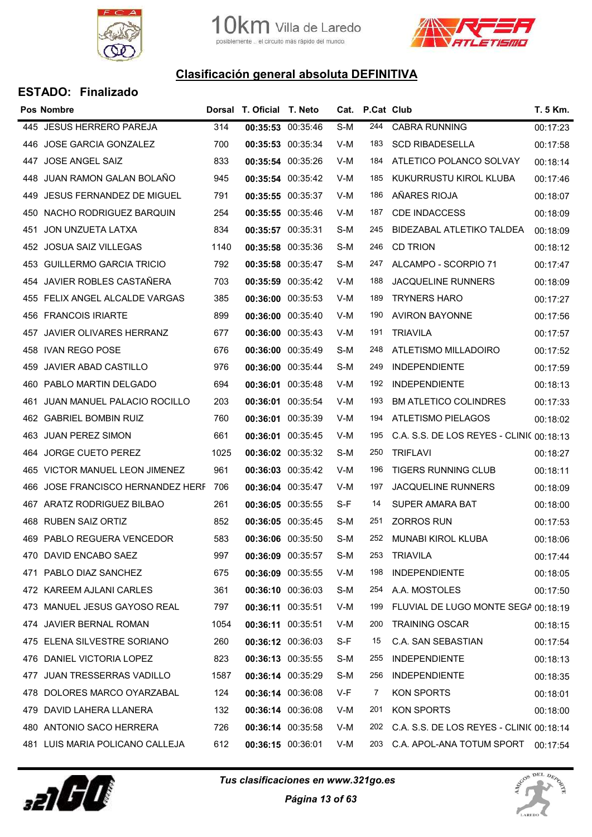



| <b>ESTADO: Finalizado</b> |  |
|---------------------------|--|
|---------------------------|--|

|      | <b>Pos Nombre</b>                  |      | Dorsal T. Oficial T. Neto |                   |     | Cat. P.Cat Club |                                          | T. 5 Km. |
|------|------------------------------------|------|---------------------------|-------------------|-----|-----------------|------------------------------------------|----------|
|      | 445 JESUS HERRERO PAREJA           | 314  | 00:35:53 00:35:46         |                   | S-M | 244             | <b>CABRA RUNNING</b>                     | 00:17:23 |
|      | 446 JOSE GARCIA GONZALEZ           | 700  | 00:35:53 00:35:34         |                   | V-M | 183             | <b>SCD RIBADESELLA</b>                   | 00:17:58 |
|      | 447 JOSE ANGEL SAIZ                | 833  | 00:35:54 00:35:26         |                   | V-M | 184             | ATLETICO POLANCO SOLVAY                  | 00:18:14 |
|      | 448 JUAN RAMON GALAN BOLANO        | 945  | 00:35:54 00:35:42         |                   | V-M | 185             | KUKURRUSTU KIROL KLUBA                   | 00:17:46 |
|      | 449 JESUS FERNANDEZ DE MIGUEL      | 791  | 00:35:55 00:35:37         |                   | V-M | 186             | AÑARES RIOJA                             | 00:18:07 |
| 450  | NACHO RODRIGUEZ BARQUIN            | 254  | 00:35:55 00:35:46         |                   | V-M | 187             | CDE INDACCESS                            | 00:18:09 |
|      | 451 JON UNZUETA LATXA              | 834  | 00:35:57 00:35:31         |                   | S-M | 245             | BIDEZABAL ATLETIKO TALDEA                | 00:18:09 |
|      | 452 JOSUA SAIZ VILLEGAS            | 1140 | 00:35:58 00:35:36         |                   | S-M | 246             | <b>CD TRION</b>                          | 00:18:12 |
|      | 453 GUILLERMO GARCIA TRICIO        | 792  | 00:35:58 00:35:47         |                   | S-M | 247             | ALCAMPO - SCORPIO 71                     | 00:17:47 |
| 454  | JAVIER ROBLES CASTAÑERA            | 703  | 00:35:59 00:35:42         |                   | V-M | 188             | <b>JACQUELINE RUNNERS</b>                | 00:18:09 |
|      | 455 FELIX ANGEL ALCALDE VARGAS     | 385  | 00:36:00 00:35:53         |                   | V-M | 189             | <b>TRYNERS HARO</b>                      | 00:17:27 |
|      | 456 FRANCOIS IRIARTE               | 899  | 00:36:00 00:35:40         |                   | V-M | 190             | <b>AVIRON BAYONNE</b>                    | 00:17:56 |
|      | 457 JAVIER OLIVARES HERRANZ        | 677  | 00:36:00 00:35:43         |                   | V-M | 191             | <b>TRIAVILA</b>                          | 00:17:57 |
|      | 458 IVAN REGO POSE                 | 676  | 00:36:00 00:35:49         |                   | S-M | 248             | ATLETISMO MILLADOIRO                     | 00:17:52 |
| 459  | JAVIER ABAD CASTILLO               | 976  | 00:36:00 00:35:44         |                   | S-M | 249             | <b>INDEPENDIENTE</b>                     | 00:17:59 |
|      | 460 PABLO MARTIN DELGADO           | 694  | 00:36:01 00:35:48         |                   | V-M | 192             | <b>INDEPENDIENTE</b>                     | 00:18:13 |
| 461  | <b>JUAN MANUEL PALACIO ROCILLO</b> | 203  | 00:36:01 00:35:54         |                   | V-M | 193             | <b>BM ATLETICO COLINDRES</b>             | 00:17:33 |
|      | 462 GABRIEL BOMBIN RUIZ            | 760  | 00:36:01 00:35:39         |                   | V-M | 194             | ATLETISMO PIELAGOS                       | 00:18:02 |
| 463  | <b>JUAN PEREZ SIMON</b>            | 661  | 00:36:01 00:35:45         |                   | V-M | 195             | C.A. S.S. DE LOS REYES - CLINI( 00:18:13 |          |
| 464. | JORGE CUETO PEREZ                  | 1025 | 00:36:02 00:35:32         |                   | S-M | 250             | <b>TRIFLAVI</b>                          | 00:18:27 |
|      | 465 VICTOR MANUEL LEON JIMENEZ     | 961  | 00:36:03 00:35:42         |                   | V-M | 196             | TIGERS RUNNING CLUB                      | 00:18:11 |
| 466  | JOSE FRANCISCO HERNANDEZ HERF      | 706  | 00:36:04 00:35:47         |                   | V-M | 197             | <b>JACQUELINE RUNNERS</b>                | 00:18:09 |
|      | 467 ARATZ RODRIGUEZ BILBAO         | 261  | 00:36:05 00:35:55         |                   | S-F | 14              | <b>SUPER AMARA BAT</b>                   | 00:18:00 |
|      | 468 RUBEN SAIZ ORTIZ               | 852  | 00:36:05 00:35:45         |                   | S-M | 251             | <b>ZORROS RUN</b>                        | 00:17:53 |
|      | 469 PABLO REGUERA VENCEDOR         | 583  | 00:36:06 00:35:50         |                   | S-M | 252             | <b>MUNABI KIROL KLUBA</b>                | 00:18:06 |
|      | 470 DAVID ENCABO SAEZ              | 997  | 00:36:09 00:35:57         |                   | S-M | 253             | <b>TRIAVILA</b>                          | 00:17:44 |
|      | 471 PABLO DIAZ SANCHEZ             | 675  | 00:36:09 00:35:55         |                   | V-M | 198             | <b>INDEPENDIENTE</b>                     | 00:18:05 |
|      | 472 KAREEM AJLANI CARLES           | 361  | 00:36:10 00:36:03         |                   | S-M | 254             | A.A. MOSTOLES                            | 00:17:50 |
|      | 473 MANUEL JESUS GAYOSO REAL       | 797  | 00:36:11 00:35:51         |                   | V-M | 199             | FLUVIAL DE LUGO MONTE SEGA 00:18:19      |          |
|      | 474 JAVIER BERNAL ROMAN            | 1054 | 00:36:11 00:35:51         |                   | V-M | 200             | <b>TRAINING OSCAR</b>                    | 00:18:15 |
|      | 475 ELENA SILVESTRE SORIANO        | 260  | 00:36:12 00:36:03         |                   | S-F | 15              | C.A. SAN SEBASTIAN                       | 00:17:54 |
|      | 476 DANIEL VICTORIA LOPEZ          | 823  | 00:36:13 00:35:55         |                   | S-M | 255             | <b>INDEPENDIENTE</b>                     | 00:18:13 |
| 477  | <b>JUAN TRESSERRAS VADILLO</b>     | 1587 | 00:36:14 00:35:29         |                   | S-M | 256             | <b>INDEPENDIENTE</b>                     | 00:18:35 |
| 478  | DOLORES MARCO OYARZABAL            | 124  | 00:36:14 00:36:08         |                   | V-F | 7               | KON SPORTS                               | 00:18:01 |
| 479. | DAVID LAHERA LLANERA               | 132  | 00:36:14 00:36:08         |                   | V-M | 201             | KON SPORTS                               | 00:18:00 |
|      | 480 ANTONIO SACO HERRERA           | 726  |                           | 00:36:14 00:35:58 | V-M | 202             | C.A. S.S. DE LOS REYES - CLINI( 00:18:14 |          |
|      | 481 LUIS MARIA POLICANO CALLEJA    | 612  | 00:36:15 00:36:01         |                   | V-M | 203             | C.A. APOL-ANA TOTUM SPORT 00:17:54       |          |
|      |                                    |      |                           |                   |     |                 |                                          |          |



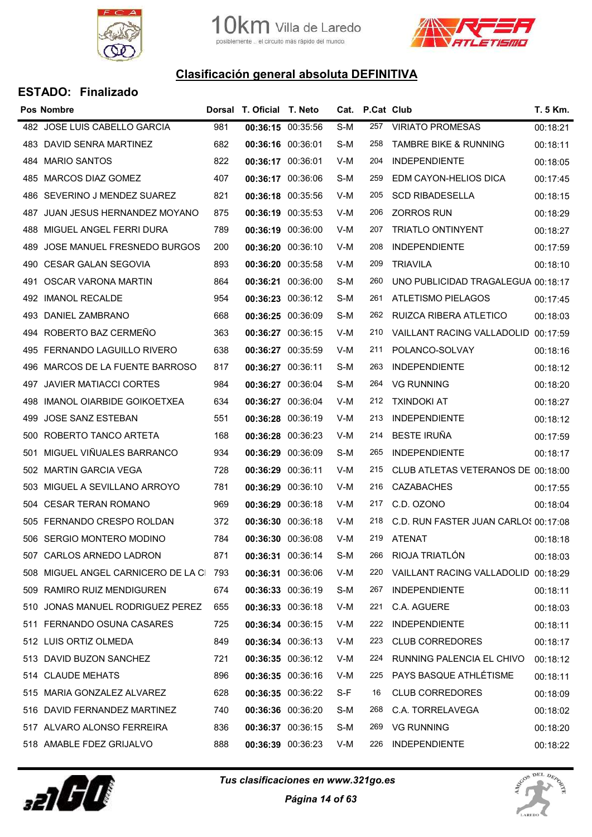



|     | <b>Pos Nombre</b>                   |     | Dorsal T. Oficial T. Neto |                   |     | Cat. P.Cat Club |                                      | T. 5 Km. |
|-----|-------------------------------------|-----|---------------------------|-------------------|-----|-----------------|--------------------------------------|----------|
|     | 482 JOSE LUIS CABELLO GARCIA        | 981 | 00:36:15 00:35:56         |                   | S-M | 257             | <b>VIRIATO PROMESAS</b>              | 00:18:21 |
|     | 483 DAVID SENRA MARTINEZ            | 682 | 00:36:16 00:36:01         |                   | S-M | 258             | <b>TAMBRE BIKE &amp; RUNNING</b>     | 00:18:11 |
|     | 484 MARIO SANTOS                    | 822 | 00:36:17 00:36:01         |                   | V-M | 204             | <b>INDEPENDIENTE</b>                 | 00:18:05 |
|     | 485 MARCOS DIAZ GOMEZ               | 407 | 00:36:17 00:36:06         |                   | S-M | 259             | EDM CAYON-HELIOS DICA                | 00:17:45 |
|     | 486 SEVERINO J MENDEZ SUAREZ        | 821 | 00:36:18 00:35:56         |                   | V-M | 205             | <b>SCD RIBADESELLA</b>               | 00:18:15 |
| 487 | JUAN JESUS HERNANDEZ MOYANO         | 875 | 00:36:19 00:35:53         |                   | V-M | 206             | <b>ZORROS RUN</b>                    | 00:18:29 |
| 488 | MIGUEL ANGEL FERRI DURA             | 789 | 00:36:19 00:36:00         |                   | V-M | 207             | <b>TRIATLO ONTINYENT</b>             | 00:18:27 |
| 489 | JOSE MANUEL FRESNEDO BURGOS         | 200 | 00:36:20 00:36:10         |                   | V-M | 208             | <b>INDEPENDIENTE</b>                 | 00:17:59 |
|     | 490 CESAR GALAN SEGOVIA             | 893 |                           | 00:36:20 00:35:58 | V-M | 209             | <b>TRIAVILA</b>                      | 00:18:10 |
| 491 | OSCAR VARONA MARTIN                 | 864 | 00:36:21 00:36:00         |                   | S-M | 260             | UNO PUBLICIDAD TRAGALEGUA 00:18:17   |          |
|     | 492 IMANOL RECALDE                  | 954 | 00:36:23 00:36:12         |                   | S-M | 261             | ATLETISMO PIELAGOS                   | 00:17:45 |
|     | 493 DANIEL ZAMBRANO                 | 668 | 00:36:25 00:36:09         |                   | S-M | 262             | RUIZCA RIBERA ATLETICO               | 00:18:03 |
|     | 494 ROBERTO BAZ CERMEÑO             | 363 | 00:36:27 00:36:15         |                   | V-M | 210             | VAILLANT RACING VALLADOLID 00:17:59  |          |
| 495 | FERNANDO LAGUILLO RIVERO            | 638 | 00:36:27 00:35:59         |                   | V-M | 211             | POLANCO-SOLVAY                       | 00:18:16 |
| 496 | MARCOS DE LA FUENTE BARROSO         | 817 | 00:36:27 00:36:11         |                   | S-M | 263             | <b>INDEPENDIENTE</b>                 | 00:18:12 |
| 497 | JAVIER MATIACCI CORTES              | 984 | 00:36:27 00:36:04         |                   | S-M | 264             | <b>VG RUNNING</b>                    | 00:18:20 |
| 498 | IMANOL OIARBIDE GOIKOETXEA          | 634 | 00:36:27 00:36:04         |                   | V-M | 212             | <b>TXINDOKI AT</b>                   | 00:18:27 |
| 499 | JOSE SANZ ESTEBAN                   | 551 | 00:36:28 00:36:19         |                   | V-M | 213             | <b>INDEPENDIENTE</b>                 | 00:18:12 |
| 500 | ROBERTO TANCO ARTETA                | 168 | 00:36:28 00:36:23         |                   | V-M | 214             | <b>BESTE IRUÑA</b>                   | 00:17:59 |
| 501 | MIGUEL VIÑUALES BARRANCO            | 934 | 00:36:29 00:36:09         |                   | S-M | 265             | <b>INDEPENDIENTE</b>                 | 00:18:17 |
|     | 502 MARTIN GARCIA VEGA              | 728 | 00:36:29 00:36:11         |                   | V-M | 215             | CLUB ATLETAS VETERANOS DE 00:18:00   |          |
| 503 | MIGUEL A SEVILLANO ARROYO           | 781 | 00:36:29 00:36:10         |                   | V-M | 216             | <b>CAZABACHES</b>                    | 00:17:55 |
|     | 504 CESAR TERAN ROMANO              | 969 | 00:36:29 00:36:18         |                   | V-M | 217             | C.D. OZONO                           | 00:18:04 |
| 505 | FERNANDO CRESPO ROLDAN              | 372 | 00:36:30 00:36:18         |                   | V-M | 218             | C.D. RUN FASTER JUAN CARLOS 00:17:08 |          |
|     | 506 SERGIO MONTERO MODINO           | 784 |                           | 00:36:30 00:36:08 | V-M | 219             | ATENAT                               | 00:18:18 |
|     | 507 CARLOS ARNEDO LADRON            | 871 | 00:36:31 00:36:14         |                   | S-M | 266             | RIOJA TRIATLÓN                       | 00:18:03 |
|     | 508 MIGUEL ANGEL CARNICERO DE LA CI | 793 | 00:36:31 00:36:06         |                   | V-M | 220             | VAILLANT RACING VALLADOLID 00:18:29  |          |
|     | 509 RAMIRO RUIZ MENDIGUREN          | 674 | 00:36:33 00:36:19         |                   | S-M | 267             | <b>INDEPENDIENTE</b>                 | 00:18:11 |
|     | 510 JONAS MANUEL RODRIGUEZ PEREZ    | 655 | 00:36:33 00:36:18         |                   | V-M | 221             | C.A. AGUERE                          | 00:18:03 |
|     | 511 FERNANDO OSUNA CASARES          | 725 | 00:36:34 00:36:15         |                   | V-M | 222             | <b>INDEPENDIENTE</b>                 | 00:18:11 |
|     | 512 LUIS ORTIZ OLMEDA               | 849 | 00:36:34 00:36:13         |                   | V-M | 223             | <b>CLUB CORREDORES</b>               | 00:18:17 |
|     | 513 DAVID BUZON SANCHEZ             | 721 | 00:36:35 00:36:12         |                   | V-M | 224             | RUNNING PALENCIA EL CHIVO            | 00:18:12 |
|     | 514 CLAUDE MEHATS                   | 896 | 00:36:35 00:36:16         |                   | V-M | 225             | PAYS BASQUE ATHLÉTISME               | 00:18:11 |
|     | 515 MARIA GONZALEZ ALVAREZ          | 628 | 00:36:35 00:36:22         |                   | S-F | 16              | <b>CLUB CORREDORES</b>               | 00:18:09 |
|     | 516 DAVID FERNANDEZ MARTINEZ        | 740 | 00:36:36 00:36:20         |                   | S-M | 268             | C.A. TORRELAVEGA                     | 00:18:02 |
|     | 517 ALVARO ALONSO FERREIRA          | 836 | 00:36:37 00:36:15         |                   | S-M | 269             | <b>VG RUNNING</b>                    | 00:18:20 |
|     | 518 AMABLE FDEZ GRIJALVO            | 888 | 00:36:39 00:36:23         |                   | V-M | 226             | <b>INDEPENDIENTE</b>                 | 00:18:22 |



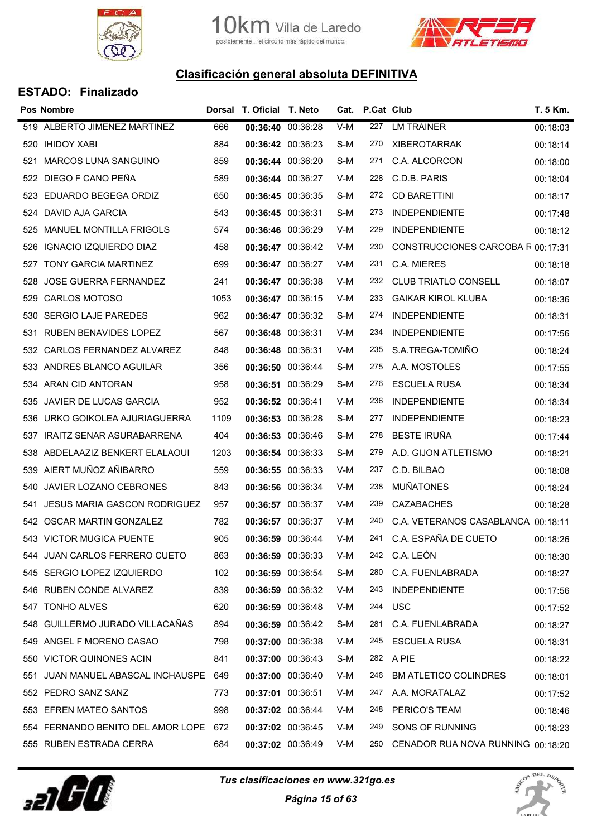



|     | <b>Pos Nombre</b>                     |      | Dorsal T. Oficial T. Neto |                   |     | Cat. P.Cat Club |                                    | T. 5 Km. |
|-----|---------------------------------------|------|---------------------------|-------------------|-----|-----------------|------------------------------------|----------|
|     | 519 ALBERTO JIMENEZ MARTINEZ          | 666  | 00:36:40 00:36:28         |                   | V-M | 227             | <b>LM TRAINER</b>                  | 00:18:03 |
| 520 | <b>IHIDOY XABI</b>                    | 884  | 00:36:42 00:36:23         |                   | S-M | 270             | <b>XIBEROTARRAK</b>                | 00:18:14 |
| 521 | <b>MARCOS LUNA SANGUINO</b>           | 859  | 00:36:44 00:36:20         |                   | S-M | 271             | C.A. ALCORCON                      | 00:18:00 |
| 522 | DIEGO F CANO PEÑA                     | 589  | 00:36:44 00:36:27         |                   | V-M | 228             | C.D.B. PARIS                       | 00:18:04 |
|     | 523 EDUARDO BEGEGA ORDIZ              | 650  | 00:36:45 00:36:35         |                   | S-M | 272             | <b>CD BARETTINI</b>                | 00:18:17 |
| 524 | DAVID AJA GARCIA                      | 543  | 00:36:45 00:36:31         |                   | S-M | 273             | <b>INDEPENDIENTE</b>               | 00:17:48 |
|     | 525 MANUEL MONTILLA FRIGOLS           | 574  | 00:36:46 00:36:29         |                   | V-M | 229             | <b>INDEPENDIENTE</b>               | 00:18:12 |
| 526 | <b>IGNACIO IZQUIERDO DIAZ</b>         | 458  | 00:36:47 00:36:42         |                   | V-M | 230             | CONSTRUCCIONES CARCOBA R 00:17:31  |          |
| 527 | TONY GARCIA MARTINEZ                  | 699  | 00:36:47 00:36:27         |                   | V-M | 231             | C.A. MIERES                        | 00:18:18 |
| 528 | <b>JOSE GUERRA FERNANDEZ</b>          | 241  | 00:36:47 00:36:38         |                   | V-M | 232             | <b>CLUB TRIATLO CONSELL</b>        | 00:18:07 |
| 529 | <b>CARLOS MOTOSO</b>                  | 1053 | 00:36:47 00:36:15         |                   | V-M | 233             | <b>GAIKAR KIROL KLUBA</b>          | 00:18:36 |
| 530 | <b>SERGIO LAJE PAREDES</b>            | 962  | 00:36:47 00:36:32         |                   | S-M | 274             | <b>INDEPENDIENTE</b>               | 00:18:31 |
| 531 | <b>RUBEN BENAVIDES LOPEZ</b>          | 567  | 00:36:48 00:36:31         |                   | V-M | 234             | <b>INDEPENDIENTE</b>               | 00:17:56 |
| 532 | CARLOS FERNANDEZ ALVAREZ              | 848  | 00:36:48 00:36:31         |                   | V-M | 235             | S.A.TREGA-TOMIÑO                   | 00:18:24 |
| 533 | ANDRES BLANCO AGUILAR                 | 356  | 00:36:50 00:36:44         |                   | S-M | 275             | A.A. MOSTOLES                      | 00:17:55 |
|     | 534 ARAN CID ANTORAN                  | 958  | 00:36:51 00:36:29         |                   | S-M | 276             | <b>ESCUELA RUSA</b>                | 00:18:34 |
| 535 | JAVIER DE LUCAS GARCIA                | 952  | 00:36:52 00:36:41         |                   | V-M | 236             | <b>INDEPENDIENTE</b>               | 00:18:34 |
| 536 | URKO GOIKOLEA AJURIAGUERRA            | 1109 | 00:36:53 00:36:28         |                   | S-M | 277             | <b>INDEPENDIENTE</b>               | 00:18:23 |
| 537 | <b>IRAITZ SENAR ASURABARRENA</b>      | 404  | 00:36:53 00:36:46         |                   | S-M | 278             | <b>BESTE IRUÑA</b>                 | 00:17:44 |
| 538 | ABDELAAZIZ BENKERT ELALAOUI           | 1203 | 00:36:54 00:36:33         |                   | S-M | 279             | A.D. GIJON ATLETISMO               | 00:18:21 |
| 539 | AIERT MUÑOZ AÑIBARRO                  | 559  | 00:36:55 00:36:33         |                   | V-M | 237             | C.D. BILBAO                        | 00:18:08 |
| 540 | <b>JAVIER LOZANO CEBRONES</b>         | 843  | 00:36:56 00:36:34         |                   | V-M | 238             | <b>MUÑATONES</b>                   | 00:18:24 |
| 541 | <b>JESUS MARIA GASCON RODRIGUEZ</b>   | 957  | 00:36:57 00:36:37         |                   | V-M | 239             | <b>CAZABACHES</b>                  | 00:18:28 |
|     | 542 OSCAR MARTIN GONZALEZ             | 782  | 00:36:57 00:36:37         |                   | V-M | 240             | C.A. VETERANOS CASABLANCA 00:18:11 |          |
|     | 543 VICTOR MUGICA PUENTE              | 905  | 00:36:59 00:36:44         |                   | V-M | 241             | C.A. ESPAÑA DE CUETO               | 00:18:26 |
|     | 544 JUAN CARLOS FERRERO CUETO         | 863  | 00:36:59 00:36:33         |                   | V-M |                 | 242 C.A. LEÓN                      | 00:18:30 |
|     | 545 SERGIO LOPEZ IZQUIERDO            | 102  |                           | 00:36:59 00:36:54 | S-M | 280             | C.A. FUENLABRADA                   | 00:18:27 |
|     | 546 RUBEN CONDE ALVAREZ               | 839  | 00:36:59 00:36:32         |                   | V-M | 243             | <b>INDEPENDIENTE</b>               | 00:17:56 |
|     | 547 TONHO ALVES                       | 620  |                           | 00:36:59 00:36:48 | V-M |                 | 244 USC                            | 00:17:52 |
|     | 548 GUILLERMO JURADO VILLACAÑAS       | 894  | 00:36:59 00:36:42         |                   | S-M | 281             | C.A. FUENLABRADA                   | 00:18:27 |
|     | 549 ANGEL F MORENO CASAO              | 798  | 00:37:00 00:36:38         |                   | V-M | 245             | ESCUELA RUSA                       | 00:18:31 |
|     | 550 VICTOR QUINONES ACIN              | 841  | 00:37:00 00:36:43         |                   | S-M |                 | 282 A PIE                          | 00:18:22 |
|     | 551 JUAN MANUEL ABASCAL INCHAUSPE 649 |      | 00:37:00 00:36:40         |                   | V-M | 246             | <b>BM ATLETICO COLINDRES</b>       | 00:18:01 |
|     | 552 PEDRO SANZ SANZ                   | 773  | 00:37:01 00:36:51         |                   | V-M | 247             | A.A. MORATALAZ                     | 00:17:52 |
|     | 553 EFREN MATEO SANTOS                | 998  | 00:37:02 00:36:44         |                   | V-M | 248             | PERICO'S TEAM                      | 00:18:46 |
|     | 554 FERNANDO BENITO DEL AMOR LOPE 672 |      | 00:37:02 00:36:45         |                   | V-M | 249             | SONS OF RUNNING                    | 00:18:23 |
|     | 555 RUBEN ESTRADA CERRA               | 684  | 00:37:02 00:36:49         |                   | V-M | 250             | CENADOR RUA NOVA RUNNING 00:18:20  |          |
|     |                                       |      |                           |                   |     |                 |                                    |          |



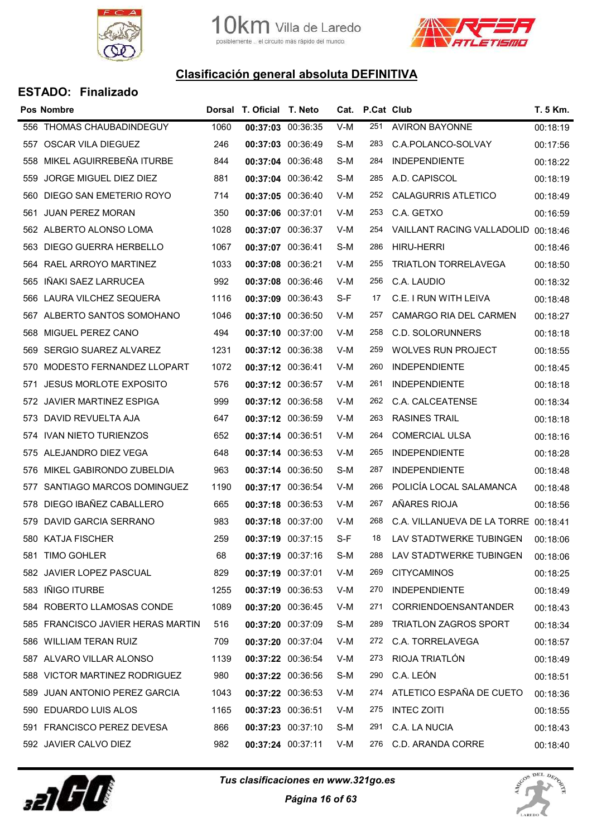



|     | <b>Pos Nombre</b>                 |      | Dorsal T. Oficial T. Neto |       | Cat. P.Cat Club |                              | T. 5 Km. |
|-----|-----------------------------------|------|---------------------------|-------|-----------------|------------------------------|----------|
|     | 556 THOMAS CHAUBADINDEGUY         | 1060 | 00:37:03 00:36:35         | $V-M$ | 251             | <b>AVIRON BAYONNE</b>        | 00:18:19 |
|     | 557 OSCAR VILA DIEGUEZ            | 246  | 00:37:03 00:36:49         | S-M   | 283             | C.A.POLANCO-SOLVAY           | 00:17:56 |
| 558 | MIKEL AGUIRREBEÑA ITURBE          | 844  | 00:37:04 00:36:48         | S-M   | 284             | <b>INDEPENDIENTE</b>         | 00:18:22 |
| 559 | <b>JORGE MIGUEL DIEZ DIEZ</b>     | 881  | 00:37:04 00:36:42         | S-M   | 285             | A.D. CAPISCOL                | 00:18:19 |
|     | 560 DIEGO SAN EMETERIO ROYO       | 714  | 00:37:05 00:36:40         | V-M   | 252             | <b>CALAGURRIS ATLETICO</b>   | 00:18:49 |
| 561 | <b>JUAN PEREZ MORAN</b>           | 350  | 00:37:06 00:37:01         | V-M   | 253             | C.A. GETXO                   | 00:16:59 |
|     | 562 ALBERTO ALONSO LOMA           | 1028 | 00:37:07 00:36:37         | V-M   | 254             | VAILLANT RACING VALLADOLID   | 00:18:46 |
| 563 | DIEGO GUERRA HERBELLO             | 1067 | 00:37:07 00:36:41         | S-M   | 286             | <b>HIRU-HERRI</b>            | 00:18:46 |
|     | 564 RAEL ARROYO MARTINEZ          | 1033 | 00:37:08 00:36:21         | V-M   | 255             | <b>TRIATLON TORRELAVEGA</b>  | 00:18:50 |
| 565 | IÑAKI SAEZ LARRUCEA               | 992  | 00:37:08 00:36:46         | V-M   | 256             | C.A. LAUDIO                  | 00:18:32 |
|     | 566 LAURA VILCHEZ SEQUERA         | 1116 | 00:37:09 00:36:43         | S-F   | 17              | C.E. I RUN WITH LEIVA        | 00:18:48 |
|     | 567 ALBERTO SANTOS SOMOHANO       | 1046 | 00:37:10 00:36:50         | V-M   | 257             | CAMARGO RIA DEL CARMEN       | 00:18:27 |
| 568 | MIGUEL PEREZ CANO                 | 494  | 00:37:10 00:37:00         | V-M   | 258             | <b>C.D. SOLORUNNERS</b>      | 00:18:18 |
|     | 569 SERGIO SUAREZ ALVAREZ         | 1231 | 00:37:12 00:36:38         | V-M   | 259             | <b>WOLVES RUN PROJECT</b>    | 00:18:55 |
| 570 | MODESTO FERNANDEZ LLOPART         | 1072 | 00:37:12 00:36:41         | V-M   | 260             | <b>INDEPENDIENTE</b>         | 00:18:45 |
| 571 | <b>JESUS MORLOTE EXPOSITO</b>     | 576  | 00:37:12 00:36:57         | V-M   | 261             | <b>INDEPENDIENTE</b>         | 00:18:18 |
|     | 572 JAVIER MARTINEZ ESPIGA        | 999  | 00:37:12 00:36:58         | V-M   | 262             | C.A. CALCEATENSE             | 00:18:34 |
|     | 573 DAVID REVUELTA AJA            | 647  | 00:37:12 00:36:59         | V-M   | 263             | <b>RASINES TRAIL</b>         | 00:18:18 |
|     | 574 IVAN NIETO TURIENZOS          | 652  | 00:37:14 00:36:51         | V-M   | 264             | <b>COMERCIAL ULSA</b>        | 00:18:16 |
|     | 575 ALEJANDRO DIEZ VEGA           | 648  | 00:37:14 00:36:53         | V-M   | 265             | <b>INDEPENDIENTE</b>         | 00:18:28 |
| 576 | MIKEL GABIRONDO ZUBELDIA          | 963  | 00:37:14 00:36:50         | S-M   | 287             | <b>INDEPENDIENTE</b>         | 00:18:48 |
| 577 | SANTIAGO MARCOS DOMINGUEZ         | 1190 | 00:37:17 00:36:54         | V-M   | 266             | POLICÍA LOCAL SALAMANCA      | 00:18:48 |
|     | 578 DIEGO IBAÑEZ CABALLERO        | 665  | 00:37:18 00:36:53         | V-M   | 267             | AÑARES RIOJA                 | 00:18:56 |
| 579 | DAVID GARCIA SERRANO              | 983  | 00:37:18 00:37:00         | V-M   | 268             | C.A. VILLANUEVA DE LA TORRE  | 00:18:41 |
|     | 580 KATJA FISCHER                 | 259  | 00:37:19 00:37:15         | S-F   | 18              | LAV STADTWERKE TUBINGEN      | 00:18:06 |
|     | 581 TIMO GOHLER                   | 68   | 00:37:19 00:37:16         | S-M   | 288             | LAV STADTWERKE TUBINGEN      | 00:18:06 |
|     | 582 JAVIER LOPEZ PASCUAL          | 829  | 00:37:19 00:37:01         | V-M   | 269             | <b>CITYCAMINOS</b>           | 00:18:25 |
|     | 583 IÑIGO ITURBE                  | 1255 | 00:37:19 00:36:53         | V-M   | 270             | <b>INDEPENDIENTE</b>         | 00:18:49 |
|     | 584 ROBERTO LLAMOSAS CONDE        | 1089 | 00:37:20 00:36:45         | V-M   | 271             | <b>CORRIENDOENSANTANDER</b>  | 00:18:43 |
|     | 585 FRANCISCO JAVIER HERAS MARTIN | 516  | 00:37:20 00:37:09         | S-M   | 289             | <b>TRIATLON ZAGROS SPORT</b> | 00:18:34 |
|     | 586 WILLIAM TERAN RUIZ            | 709  | 00:37:20 00:37:04         | V-M   | 272             | C.A. TORRELAVEGA             | 00:18:57 |
|     | 587 ALVARO VILLAR ALONSO          | 1139 | 00:37:22 00:36:54         | V-M   | 273             | RIOJA TRIATLÓN               | 00:18:49 |
|     | 588 VICTOR MARTINEZ RODRIGUEZ     | 980  | 00:37:22 00:36:56         | S-M   | 290             | C.A. LEÓN                    | 00:18:51 |
| 589 | JUAN ANTONIO PEREZ GARCIA         | 1043 | 00:37:22 00:36:53         | V-M   | 274             | ATLETICO ESPAÑA DE CUETO     | 00:18:36 |
|     | 590 EDUARDO LUIS ALOS             | 1165 | 00:37:23 00:36:51         | V-M   | 275             | <b>INTEC ZOITI</b>           | 00:18:55 |
|     | 591 FRANCISCO PEREZ DEVESA        | 866  | 00:37:23 00:37:10         | S-M   | 291             | C.A. LA NUCIA                | 00:18:43 |
|     | 592 JAVIER CALVO DIEZ             | 982  | 00:37:24 00:37:11         | V-M   | 276             | C.D. ARANDA CORRE            | 00:18:40 |



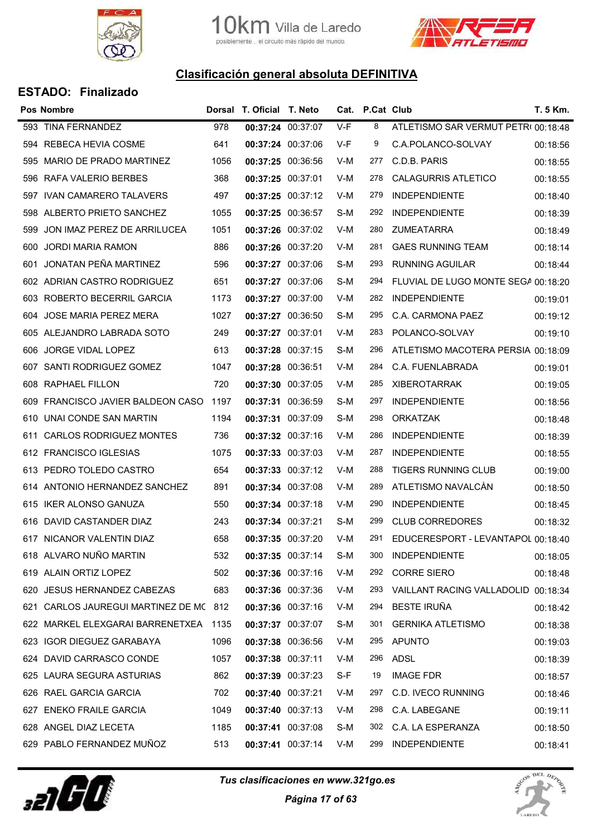

10 Km. Villa de Laredo<br>posiblemente .. el circuito más rápido del mundo.



## Clasificación general absoluta DEFINITIVA

|     | <b>Pos Nombre</b>                      |      | Dorsal T. Oficial T. Neto |       | Cat. P.Cat Club |                                     | T. 5 Km. |
|-----|----------------------------------------|------|---------------------------|-------|-----------------|-------------------------------------|----------|
| 593 | <b>TINA FERNANDEZ</b>                  | 978  | 00:37:24 00:37:07         | $V-F$ | 8               | ATLETISMO SAR VERMUT PETR(00:18:48  |          |
|     | 594 REBECA HEVIA COSME                 | 641  | 00:37:24 00:37:06         | V-F   | 9               | C.A.POLANCO-SOLVAY                  | 00:18:56 |
| 595 | MARIO DE PRADO MARTINEZ                | 1056 | 00:37:25 00:36:56         | V-M   | 277             | C.D.B. PARIS                        | 00:18:55 |
| 596 | RAFA VALERIO BERBES                    | 368  | 00:37:25 00:37:01         | V-M   | 278             | CALAGURRIS ATLETICO                 | 00:18:55 |
|     | 597 IVAN CAMARERO TALAVERS             | 497  | 00:37:25 00:37:12         | V-M   | 279             | <b>INDEPENDIENTE</b>                | 00:18:40 |
| 598 | ALBERTO PRIETO SANCHEZ                 | 1055 | 00:37:25 00:36:57         | S-M   | 292             | <b>INDEPENDIENTE</b>                | 00:18:39 |
| 599 | JON IMAZ PEREZ DE ARRILUCEA            | 1051 | 00:37:26 00:37:02         | V-M   | 280             | ZUMEATARRA                          | 00:18:49 |
| 600 | <b>JORDI MARIA RAMON</b>               | 886  | 00:37:26 00:37:20         | V-M   | 281             | <b>GAES RUNNING TEAM</b>            | 00:18:14 |
| 601 | JONATAN PEÑA MARTINEZ                  | 596  | 00:37:27 00:37:06         | S-M   | 293             | <b>RUNNING AGUILAR</b>              | 00:18:44 |
|     | 602 ADRIAN CASTRO RODRIGUEZ            | 651  | 00:37:27 00:37:06         | S-M   | 294             | FLUVIAL DE LUGO MONTE SEGA 00:18:20 |          |
|     | 603 ROBERTO BECERRIL GARCIA            | 1173 | 00:37:27 00:37:00         | V-M   | 282             | <b>INDEPENDIENTE</b>                | 00:19:01 |
| 604 | JOSE MARIA PEREZ MERA                  | 1027 | 00:37:27 00:36:50         | S-M   | 295             | C.A. CARMONA PAEZ                   | 00:19:12 |
|     | 605 ALEJANDRO LABRADA SOTO             | 249  | 00:37:27 00:37:01         | V-M   | 283             | POLANCO-SOLVAY                      | 00:19:10 |
| 606 | JORGE VIDAL LOPEZ                      | 613  | 00:37:28 00:37:15         | S-M   | 296             | ATLETISMO MACOTERA PERSIA 00:18:09  |          |
| 607 | SANTI RODRIGUEZ GOMEZ                  | 1047 | 00:37:28 00:36:51         | V-M   | 284             | C.A. FUENLABRADA                    | 00:19:01 |
| 608 | <b>RAPHAEL FILLON</b>                  | 720  | 00:37:30 00:37:05         | V-M   | 285             | <b>XIBEROTARRAK</b>                 | 00:19:05 |
| 609 | FRANCISCO JAVIER BALDEON CASO          | 1197 | 00:37:31 00:36:59         | S-M   | 297             | <b>INDEPENDIENTE</b>                | 00:18:56 |
| 610 | UNAI CONDE SAN MARTIN                  | 1194 | 00:37:31 00:37:09         | S-M   | 298             | <b>ORKATZAK</b>                     | 00:18:48 |
| 611 | <b>CARLOS RODRIGUEZ MONTES</b>         | 736  | 00:37:32 00:37:16         | V-M   | 286             | <b>INDEPENDIENTE</b>                | 00:18:39 |
|     | 612 FRANCISCO IGLESIAS                 | 1075 | 00:37:33 00:37:03         | V-M   | 287             | <b>INDEPENDIENTE</b>                | 00:18:55 |
|     | 613 PEDRO TOLEDO CASTRO                | 654  | 00:37:33 00:37:12         | V-M   | 288             | <b>TIGERS RUNNING CLUB</b>          | 00:19:00 |
|     | 614 ANTONIO HERNANDEZ SANCHEZ          | 891  | 00:37:34 00:37:08         | V-M   | 289             | ATLETISMO NAVALCÁN                  | 00:18:50 |
| 615 | IKER ALONSO GANUZA                     | 550  | 00:37:34 00:37:18         | V-M   | 290             | <b>INDEPENDIENTE</b>                | 00:18:45 |
| 616 | DAVID CASTANDER DIAZ                   | 243  | 00:37:34 00:37:21         | S-M   | 299             | <b>CLUB CORREDORES</b>              | 00:18:32 |
|     | 617 NICANOR VALENTIN DIAZ              | 658  | 00:37:35 00:37:20         | V-M   | 291             | EDUCERESPORT - LEVANTAPOL 00:18:40  |          |
|     | 618 ALVARO NUÑO MARTIN                 | 532  | 00:37:35 00:37:14         | S-M   | 300             | <b>INDEPENDIENTE</b>                | 00:18:05 |
|     | 619 ALAIN ORTIZ LOPEZ                  | 502  | 00:37:36 00:37:16         | V-M   | 292             | <b>CORRE SIERO</b>                  | 00:18:48 |
| 620 | <b>JESUS HERNANDEZ CABEZAS</b>         | 683  | 00:37:36 00:37:36         | V-M   | 293             | VAILLANT RACING VALLADOLID 00:18:34 |          |
|     | 621 CARLOS JAUREGUI MARTINEZ DE MC 812 |      | 00:37:36 00:37:16         | V-M   | 294             | BESTE IRUÑA                         | 00:18:42 |
|     | 622 MARKEL ELEXGARAI BARRENETXEA 1135  |      | 00:37:37 00:37:07         | S-M   | 301             | <b>GERNIKA ATLETISMO</b>            | 00:18:38 |
|     | 623 IGOR DIEGUEZ GARABAYA              | 1096 | 00:37:38 00:36:56         | V-M   | 295             | APUNTO                              | 00:19:03 |
|     | 624 DAVID CARRASCO CONDE               | 1057 | 00:37:38 00:37:11         | V-M   | 296             | ADSL                                | 00:18:39 |
|     | 625 LAURA SEGURA ASTURIAS              | 862  | 00:37:39 00:37:23         | S-F   | 19              | <b>IMAGE FDR</b>                    | 00:18:57 |
|     | 626 RAEL GARCIA GARCIA                 | 702  | 00:37:40 00:37:21         | V-M   | 297             | C.D. IVECO RUNNING                  | 00:18:46 |
| 627 | <b>ENEKO FRAILE GARCIA</b>             | 1049 | 00:37:40 00:37:13         | V-M   | 298             | C.A. LABEGANE                       | 00:19:11 |
|     | 628 ANGEL DIAZ LECETA                  | 1185 | 00:37:41 00:37:08         | S-M   | 302             | C.A. LA ESPERANZA                   | 00:18:50 |
|     | 629 PABLO FERNANDEZ MUÑOZ              | 513  | 00:37:41 00:37:14         | V-M   | 299             | <b>INDEPENDIENTE</b>                | 00:18:41 |



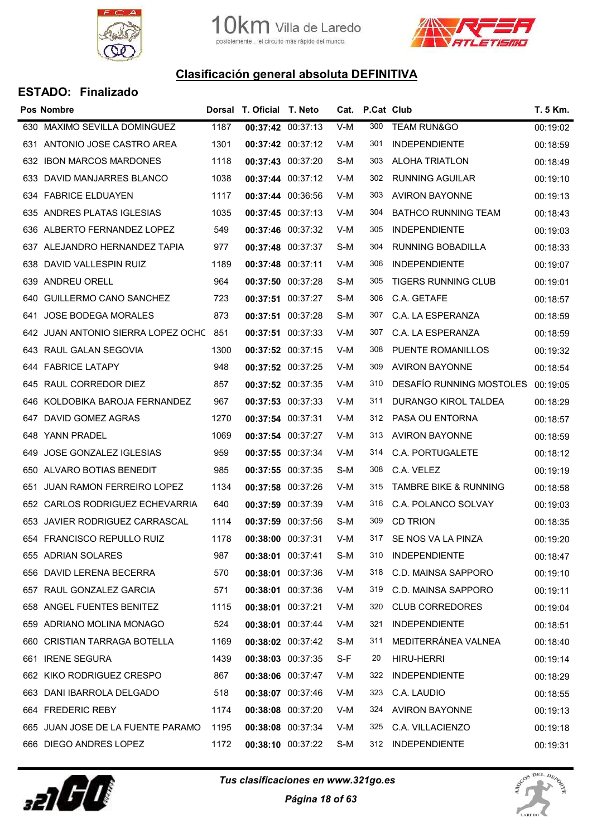



|     | <b>Pos Nombre</b>                  |      | Dorsal T. Oficial T. Neto |     | Cat. P.Cat Club |                                  | T. 5 Km. |
|-----|------------------------------------|------|---------------------------|-----|-----------------|----------------------------------|----------|
|     | 630 MAXIMO SEVILLA DOMINGUEZ       | 1187 | 00:37:42 00:37:13         | V-M | 300             | <b>TEAM RUN&amp;GO</b>           | 00:19:02 |
|     | 631 ANTONIO JOSE CASTRO AREA       | 1301 | 00:37:42 00:37:12         | V-M | 301             | <b>INDEPENDIENTE</b>             | 00:18:59 |
| 632 | <b>IBON MARCOS MARDONES</b>        | 1118 | 00:37:43 00:37:20         | S-M | 303             | <b>ALOHA TRIATLON</b>            | 00:18:49 |
| 633 | DAVID MANJARRES BLANCO             | 1038 | 00:37:44 00:37:12         | V-M | 302             | <b>RUNNING AGUILAR</b>           | 00:19:10 |
|     | 634 FABRICE ELDUAYEN               | 1117 | 00:37:44 00:36:56         | V-M | 303             | <b>AVIRON BAYONNE</b>            | 00:19:13 |
|     | 635 ANDRES PLATAS IGLESIAS         | 1035 | 00:37:45 00:37:13         | V-M | 304             | <b>BATHCO RUNNING TEAM</b>       | 00:18:43 |
|     | 636 ALBERTO FERNANDEZ LOPEZ        | 549  | 00:37:46 00:37:32         | V-M | 305             | <b>INDEPENDIENTE</b>             | 00:19:03 |
|     | 637 ALEJANDRO HERNANDEZ TAPIA      | 977  | 00:37:48 00:37:37         | S-M | 304             | <b>RUNNING BOBADILLA</b>         | 00:18:33 |
|     | 638 DAVID VALLESPIN RUIZ           | 1189 | 00:37:48 00:37:11         | V-M | 306             | <b>INDEPENDIENTE</b>             | 00:19:07 |
| 639 | ANDREU ORELL                       | 964  | 00:37:50 00:37:28         | S-M | 305             | <b>TIGERS RUNNING CLUB</b>       | 00:19:01 |
|     | 640 GUILLERMO CANO SANCHEZ         | 723  | 00:37:51 00:37:27         | S-M | 306             | C.A. GETAFE                      | 00:18:57 |
|     | 641 JOSE BODEGA MORALES            | 873  | 00:37:51 00:37:28         | S-M | 307             | C.A. LA ESPERANZA                | 00:18:59 |
|     | 642 JUAN ANTONIO SIERRA LOPEZ OCHC | 851  | 00:37:51 00:37:33         | V-M | 307             | C.A. LA ESPERANZA                | 00:18:59 |
|     | 643 RAUL GALAN SEGOVIA             | 1300 | 00:37:52 00:37:15         | V-M | 308             | <b>PUENTE ROMANILLOS</b>         | 00:19:32 |
|     | 644 FABRICE LATAPY                 | 948  | 00:37:52 00:37:25         | V-M | 309             | <b>AVIRON BAYONNE</b>            | 00:18:54 |
|     | 645 RAUL CORREDOR DIEZ             | 857  | 00:37:52 00:37:35         | V-M | 310             | DESAFIO RUNNING MOSTOLES         | 00:19:05 |
|     | 646 KOLDOBIKA BAROJA FERNANDEZ     | 967  | 00:37:53 00:37:33         | V-M | 311             | DURANGO KIROL TALDEA             | 00:18:29 |
|     | 647 DAVID GOMEZ AGRAS              | 1270 | 00:37:54 00:37:31         | V-M | 312             | PASA OU ENTORNA                  | 00:18:57 |
|     | 648 YANN PRADEL                    | 1069 | 00:37:54 00:37:27         | V-M | 313             | <b>AVIRON BAYONNE</b>            | 00:18:59 |
|     | 649 JOSE GONZALEZ IGLESIAS         | 959  | 00:37:55 00:37:34         | V-M | 314             | C.A. PORTUGALETE                 | 00:18:12 |
|     | 650 ALVARO BOTIAS BENEDIT          | 985  | 00:37:55 00:37:35         | S-M | 308             | C.A. VELEZ                       | 00:19:19 |
| 651 | <b>JUAN RAMON FERREIRO LOPEZ</b>   | 1134 | 00:37:58 00:37:26         | V-M | 315             | <b>TAMBRE BIKE &amp; RUNNING</b> | 00:18:58 |
|     | 652 CARLOS RODRIGUEZ ECHEVARRIA    | 640  | 00:37:59 00:37:39         | V-M | 316             | C.A. POLANCO SOLVAY              | 00:19:03 |
| 653 | JAVIER RODRIGUEZ CARRASCAL         | 1114 | 00:37:59 00:37:56         | S-M | 309             | <b>CD TRION</b>                  | 00:18:35 |
|     | 654 FRANCISCO REPULLO RUIZ         | 1178 | 00:38:00 00:37:31         | V-M | 317             | SE NOS VA LA PINZA               | 00:19:20 |
|     | 655 ADRIAN SOLARES                 | 987  | 00:38:01 00:37:41         | S-M | 310             | <b>INDEPENDIENTE</b>             | 00:18:47 |
|     | 656 DAVID LERENA BECERRA           | 570  | 00:38:01 00:37:36         | V-M | 318             | C.D. MAINSA SAPPORO              | 00:19:10 |
|     | 657 RAUL GONZALEZ GARCIA           | 571  | 00:38:01 00:37:36         | V-M | 319             | C.D. MAINSA SAPPORO              | 00:19:11 |
|     | 658 ANGEL FUENTES BENITEZ          | 1115 | 00:38:01 00:37:21         | V-M | 320             | <b>CLUB CORREDORES</b>           | 00:19:04 |
|     | 659 ADRIANO MOLINA MONAGO          | 524  | 00:38:01 00:37:44         | V-M | 321             | <b>INDEPENDIENTE</b>             | 00:18:51 |
|     | 660 CRISTIAN TARRAGA BOTELLA       | 1169 | 00:38:02 00:37:42         | S-M | 311             | MEDITERRÁNEA VALNEA              | 00:18:40 |
|     | 661 IRENE SEGURA                   | 1439 | 00:38:03 00:37:35         | S-F | 20              | HIRU-HERRI                       | 00:19:14 |
|     | 662 KIKO RODRIGUEZ CRESPO          | 867  | 00:38:06 00:37:47         | V-M | 322             | <b>INDEPENDIENTE</b>             | 00:18:29 |
|     | 663 DANI IBARROLA DELGADO          | 518  | 00:38:07 00:37:46         | V-M | 323             | C.A. LAUDIO                      | 00:18:55 |
|     | 664 FREDERIC REBY                  | 1174 | 00:38:08 00:37:20         | V-M | 324             | <b>AVIRON BAYONNE</b>            | 00:19:13 |
|     | 665 JUAN JOSE DE LA FUENTE PARAMO  | 1195 | 00:38:08 00:37:34         | V-M | 325             | C.A. VILLACIENZO                 | 00:19:18 |
|     | 666 DIEGO ANDRES LOPEZ             | 1172 | 00:38:10 00:37:22         | S-M | 312             | <b>INDEPENDIENTE</b>             | 00:19:31 |



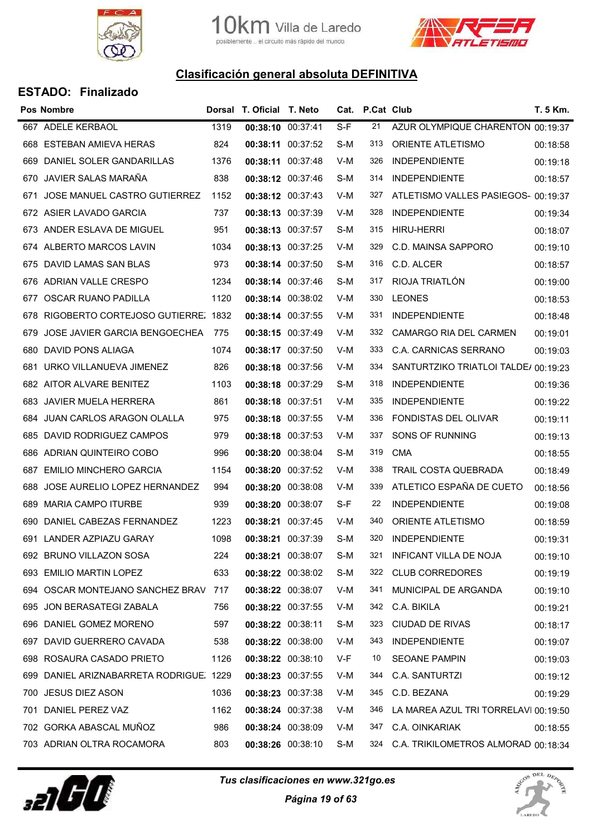



|      | <b>Pos Nombre</b>                       |      | Dorsal T. Oficial T. Neto |                       |     | Cat. P.Cat Club |                                      | T. 5 Km. |
|------|-----------------------------------------|------|---------------------------|-----------------------|-----|-----------------|--------------------------------------|----------|
| 667  | ADELE KERBAOL                           | 1319 |                           | 00:38:10 00:37:41     | S-F | 21              | AZUR OLYMPIQUE CHARENTON 00:19:37    |          |
| 668  | <b>ESTEBAN AMIEVA HERAS</b>             | 824  |                           | 00:38:11 00:37:52     | S-M | 313             | <b>ORIENTE ATLETISMO</b>             | 00:18:58 |
| 669  | DANIEL SOLER GANDARILLAS                | 1376 |                           | 00:38:11 00:37:48     | V-M | 326             | <b>INDEPENDIENTE</b>                 | 00:19:18 |
| 670  | JAVIER SALAS MARAÑA                     | 838  |                           | 00:38:12 00:37:46     | S-M | 314             | <b>INDEPENDIENTE</b>                 | 00:18:57 |
| 671  | JOSE MANUEL CASTRO GUTIERREZ            | 1152 |                           | 00:38:12 00:37:43     | V-M | 327             | ATLETISMO VALLES PASIEGOS- 00:19:37  |          |
|      | 672 ASIER LAVADO GARCIA                 | 737  |                           | 00:38:13 00:37:39     | V-M | 328             | <b>INDEPENDIENTE</b>                 | 00:19:34 |
|      | 673 ANDER ESLAVA DE MIGUEL              | 951  |                           | 00:38:13 00:37:57     | S-M | 315             | <b>HIRU-HERRI</b>                    | 00:18:07 |
| 674  | ALBERTO MARCOS LAVIN                    | 1034 |                           | 00:38:13 00:37:25     | V-M | 329             | C.D. MAINSA SAPPORO                  | 00:19:10 |
|      | 675 DAVID LAMAS SAN BLAS                | 973  |                           | 00:38:14 00:37:50     | S-M | 316             | C.D. ALCER                           | 00:18:57 |
| 676  | ADRIAN VALLE CRESPO                     | 1234 |                           | 00:38:14 00:37:46     | S-M | 317             | RIOJA TRIATLÓN                       | 00:19:00 |
| 677  | OSCAR RUANO PADILLA                     | 1120 |                           | 00:38:14 00:38:02     | V-M | 330             | <b>LEONES</b>                        | 00:18:53 |
| 678  | RIGOBERTO CORTEJOSO GUTIERRE. 1832      |      |                           | 00:38:14 00:37:55     | V-M | 331             | <b>INDEPENDIENTE</b>                 | 00:18:48 |
| 679  | JOSE JAVIER GARCIA BENGOECHEA           | 775  |                           | 00:38:15 00:37:49     | V-M | 332             | CAMARGO RIA DEL CARMEN               | 00:19:01 |
| 680  | DAVID PONS ALIAGA                       | 1074 |                           | 00:38:17 00:37:50     | V-M | 333             | C.A. CARNICAS SERRANO                | 00:19:03 |
| 681  | URKO VILLANUEVA JIMENEZ                 | 826  |                           | 00:38:18 00:37:56     | V-M | 334             | SANTURTZIKO TRIATLOI TALDE/ 00:19:23 |          |
|      | 682 AITOR ALVARE BENITEZ                | 1103 |                           | 00:38:18 00:37:29     | S-M | 318             | <b>INDEPENDIENTE</b>                 | 00:19:36 |
| 683  | JAVIER MUELA HERRERA                    | 861  |                           | 00:38:18 00:37:51     | V-M | 335             | <b>INDEPENDIENTE</b>                 | 00:19:22 |
| 684  | JUAN CARLOS ARAGON OLALLA               | 975  |                           | 00:38:18 00:37:55     | V-M | 336             | FONDISTAS DEL OLIVAR                 | 00:19:11 |
| 685  | DAVID RODRIGUEZ CAMPOS                  | 979  |                           | 00:38:18 00:37:53     | V-M | 337             | SONS OF RUNNING                      | 00:19:13 |
| 686  | ADRIAN QUINTEIRO COBO                   | 996  |                           | 00:38:20 00:38:04     | S-M | 319             | <b>CMA</b>                           | 00:18:55 |
| 687  | EMILIO MINCHERO GARCIA                  | 1154 |                           | 00:38:20 00:37:52     | V-M | 338             | TRAIL COSTA QUEBRADA                 | 00:18:49 |
| 688  | JOSE AURELIO LOPEZ HERNANDEZ            | 994  |                           | 00:38:20 00:38:08     | V-M | 339             | ATLETICO ESPAÑA DE CUETO             | 00:18:56 |
| 689  | <b>MARIA CAMPO ITURBE</b>               | 939  |                           | 00:38:20 00:38:07     | S-F | 22              | <b>INDEPENDIENTE</b>                 | 00:19:08 |
| 690  | DANIEL CABEZAS FERNANDEZ                | 1223 |                           | 00:38:21 00:37:45     | V-M | 340             | <b>ORIENTE ATLETISMO</b>             | 00:18:59 |
|      | 691 LANDER AZPIAZU GARAY                | 1098 |                           | $00:38:21$ $00:37:39$ | S-M | 320             | <b>INDEPENDIENTE</b>                 | 00:19:31 |
|      | 692 BRUNO VILLAZON SOSA                 | 224  |                           | 00:38:21 00:38:07     | S-M | 321             | <b>INFICANT VILLA DE NOJA</b>        | 00:19:10 |
|      | 693 EMILIO MARTIN LOPEZ                 | 633  |                           | 00:38:22 00:38:02     | S-M | 322             | <b>CLUB CORREDORES</b>               | 00:19:19 |
|      | 694 OSCAR MONTEJANO SANCHEZ BRAV 717    |      |                           | 00:38:22 00:38:07     | V-M | 341             | MUNICIPAL DE ARGANDA                 | 00:19:10 |
|      | 695 JON BERASATEGI ZABALA               | 756  |                           | 00:38:22 00:37:55     | V-M | 342             | C.A. BIKILA                          | 00:19:21 |
| 696  | DANIEL GOMEZ MORENO                     | 597  |                           | 00:38:22 00:38:11     | S-M | 323             | <b>CIUDAD DE RIVAS</b>               | 00:18:17 |
|      | 697 DAVID GUERRERO CAVADA               | 538  |                           | 00:38:22 00:38:00     | V-M | 343             | <b>INDEPENDIENTE</b>                 | 00:19:07 |
|      | 698 ROSAURA CASADO PRIETO               | 1126 |                           | 00:38:22 00:38:10     | V-F | 10              | <b>SEOANE PAMPIN</b>                 | 00:19:03 |
|      | 699 DANIEL ARIZNABARRETA RODRIGUE. 1229 |      |                           | 00:38:23 00:37:55     | V-M | 344             | C.A. SANTURTZI                       | 00:19:12 |
| 700  | JESUS DIEZ ASON                         | 1036 |                           | 00:38:23 00:37:38     | V-M | 345             | C.D. BEZANA                          | 00:19:29 |
| 701. | DANIEL PEREZ VAZ                        | 1162 |                           | 00:38:24 00:37:38     | V-M | 346             | LA MAREA AZUL TRI TORRELAVI 00:19:50 |          |
|      | 702 GORKA ABASCAL MUÑOZ                 | 986  |                           | 00:38:24 00:38:09     | V-M | 347             | C.A. OINKARIAK                       | 00:18:55 |
|      | 703 ADRIAN OLTRA ROCAMORA               | 803  |                           | 00:38:26 00:38:10     | S-M | 324             | C.A. TRIKILOMETROS ALMORAD 00:18:34  |          |



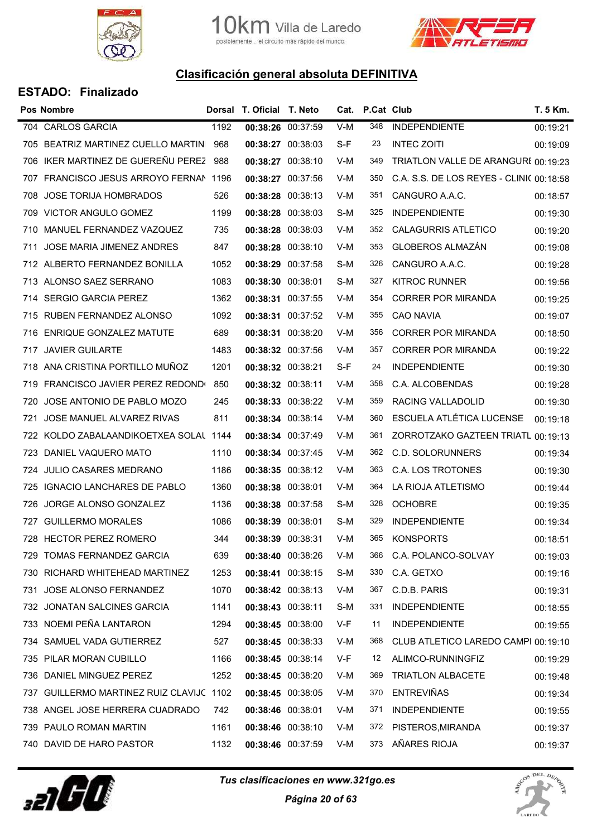

10 Km. Villa de Laredo<br>posiblemente .. el circuito más rápido del mundo.



## Clasificación general absoluta DEFINITIVA

|      | <b>Pos Nombre</b>                      |      | Dorsal T. Oficial T. Neto |     | Cat. P.Cat Club |                                          | <b>T. 5 Km.</b> |
|------|----------------------------------------|------|---------------------------|-----|-----------------|------------------------------------------|-----------------|
|      | 704 CARLOS GARCIA                      | 1192 | 00:38:26 00:37:59         | V-M | 348             | <b>INDEPENDIENTE</b>                     | 00:19:21        |
| 705  | BEATRIZ MARTINEZ CUELLO MARTIN         | 968  | 00:38:27 00:38:03         | S-F | 23              | <b>INTEC ZOITI</b>                       | 00:19:09        |
|      | 706 IKER MARTINEZ DE GUEREÑU PEREZ 988 |      | 00:38:27 00:38:10         | V-M | 349             | TRIATLON VALLE DE ARANGURI 00:19:23      |                 |
| 707. | FRANCISCO JESUS ARROYO FERNAN 1196     |      | 00:38:27 00:37:56         | V-M | 350             | C.A. S.S. DE LOS REYES - CLINIC 00:18:58 |                 |
|      | 708 JOSE TORIJA HOMBRADOS              | 526  | 00:38:28 00:38:13         | V-M | 351             | CANGURO A.A.C.                           | 00:18:57        |
|      | 709 VICTOR ANGULO GOMEZ                | 1199 | 00:38:28 00:38:03         | S-M | 325             | <b>INDEPENDIENTE</b>                     | 00:19:30        |
|      | 710 MANUEL FERNANDEZ VAZQUEZ           | 735  | 00:38:28 00:38:03         | V-M | 352             | <b>CALAGURRIS ATLETICO</b>               | 00:19:20        |
| 711  | JOSE MARIA JIMENEZ ANDRES              | 847  | 00:38:28 00:38:10         | V-M | 353             | <b>GLOBEROS ALMAZÁN</b>                  | 00:19:08        |
|      | 712 ALBERTO FERNANDEZ BONILLA          | 1052 | 00:38:29 00:37:58         | S-M | 326             | CANGURO A.A.C.                           | 00:19:28        |
|      | 713 ALONSO SAEZ SERRANO                | 1083 | 00:38:30 00:38:01         | S-M | 327             | <b>KITROC RUNNER</b>                     | 00:19:56        |
|      | 714 SERGIO GARCIA PEREZ                | 1362 | 00:38:31 00:37:55         | V-M | 354             | <b>CORRER POR MIRANDA</b>                | 00:19:25        |
|      | 715 RUBEN FERNANDEZ ALONSO             | 1092 | 00:38:31 00:37:52         | V-M | 355             | <b>CAO NAVIA</b>                         | 00:19:07        |
|      | 716 ENRIQUE GONZALEZ MATUTE            | 689  | 00:38:31 00:38:20         | V-M | 356             | <b>CORRER POR MIRANDA</b>                | 00:18:50        |
|      | 717 JAVIER GUILARTE                    | 1483 | 00:38:32 00:37:56         | V-M | 357             | CORRER POR MIRANDA                       | 00:19:22        |
|      | 718 ANA CRISTINA PORTILLO MUÑOZ        | 1201 | 00:38:32 00:38:21         | S-F | 24              | <b>INDEPENDIENTE</b>                     | 00:19:30        |
|      | 719 FRANCISCO JAVIER PEREZ REDONDO     | 850  | 00:38:32 00:38:11         | V-M | 358             | C.A. ALCOBENDAS                          | 00:19:28        |
| 720  | JOSE ANTONIO DE PABLO MOZO             | 245  | 00:38:33 00:38:22         | V-M | 359             | RACING VALLADOLID                        | 00:19:30        |
| 721  | JOSE MANUEL ALVAREZ RIVAS              | 811  | 00:38:34 00:38:14         | V-M | 360             | ESCUELA ATLÉTICA LUCENSE                 | 00:19:18        |
| 722. | KOLDO ZABALAANDIKOETXEA SOLAL 1144     |      | 00:38:34 00:37:49         | V-M | 361             | ZORROTZAKO GAZTEEN TRIATL 00:19:13       |                 |
| 723. | DANIEL VAQUERO MATO                    | 1110 | 00:38:34 00:37:45         | V-M | 362             | C.D. SOLORUNNERS                         | 00:19:34        |
|      | 724 JULIO CASARES MEDRANO              | 1186 | 00:38:35 00:38:12         | V-M | 363             | C.A. LOS TROTONES                        | 00:19:30        |
| 725  | IGNACIO LANCHARES DE PABLO             | 1360 | 00:38:38 00:38:01         | V-M | 364             | LA RIOJA ATLETISMO                       | 00:19:44        |
| 726  | JORGE ALONSO GONZALEZ                  | 1136 | 00:38:38 00:37:58         | S-M | 328             | <b>OCHOBRE</b>                           | 00:19:35        |
| 727  | <b>GUILLERMO MORALES</b>               | 1086 | 00:38:39 00:38:01         | S-M | 329             | <b>INDEPENDIENTE</b>                     | 00:19:34        |
|      | 728 HECTOR PEREZ ROMERO                | 344  | 00:38:39 00:38:31         | V-M | 365             | <b>KONSPORTS</b>                         | 00:18:51        |
|      | 729 TOMAS FERNANDEZ GARCIA             | 639  | 00:38:40 00:38:26         | V-M | 366             | C.A. POLANCO-SOLVAY                      | 00:19:03        |
|      | 730 RICHARD WHITEHEAD MARTINEZ         | 1253 | 00:38:41 00:38:15         | S-M | 330             | C.A. GETXO                               | 00:19:16        |
| 731  | <b>JOSE ALONSO FERNANDEZ</b>           | 1070 | 00:38:42 00:38:13         | V-M | 367             | C.D.B. PARIS                             | 00:19:31        |
|      | 732 JONATAN SALCINES GARCIA            | 1141 | 00:38:43 00:38:11         | S-M | 331             | <b>INDEPENDIENTE</b>                     | 00:18:55        |
| 733. | NOEMI PEÑA LANTARON                    | 1294 | 00:38:45 00:38:00         | V-F | 11              | <b>INDEPENDIENTE</b>                     | 00:19:55        |
|      | 734 SAMUEL VADA GUTIERREZ              | 527  | 00:38:45 00:38:33         | V-M | 368             | CLUB ATLETICO LAREDO CAMPI 00:19:10      |                 |
| 735  | PILAR MORAN CUBILLO                    | 1166 | 00:38:45 00:38:14         | V-F | 12              | ALIMCO-RUNNINGFIZ                        | 00:19:29        |
| 736. | DANIEL MINGUEZ PEREZ                   | 1252 | 00:38:45 00:38:20         | V-M | 369             | <b>TRIATLON ALBACETE</b>                 | 00:19:48        |
| 737  | GUILLERMO MARTINEZ RUIZ CLAVIJC 1102   |      | 00:38:45 00:38:05         | V-M | 370             | <b>ENTREVIÑAS</b>                        | 00:19:34        |
| 738. | ANGEL JOSE HERRERA CUADRADO            | 742  | 00:38:46 00:38:01         | V-M | 371             | <b>INDEPENDIENTE</b>                     | 00:19:55        |
|      | 739 PAULO ROMAN MARTIN                 | 1161 | 00:38:46 00:38:10         | V-M | 372             | PISTEROS, MIRANDA                        | 00:19:37        |
|      | 740 DAVID DE HARO PASTOR               | 1132 | 00:38:46 00:37:59         | V-M | 373             | AÑARES RIOJA                             | 00:19:37        |



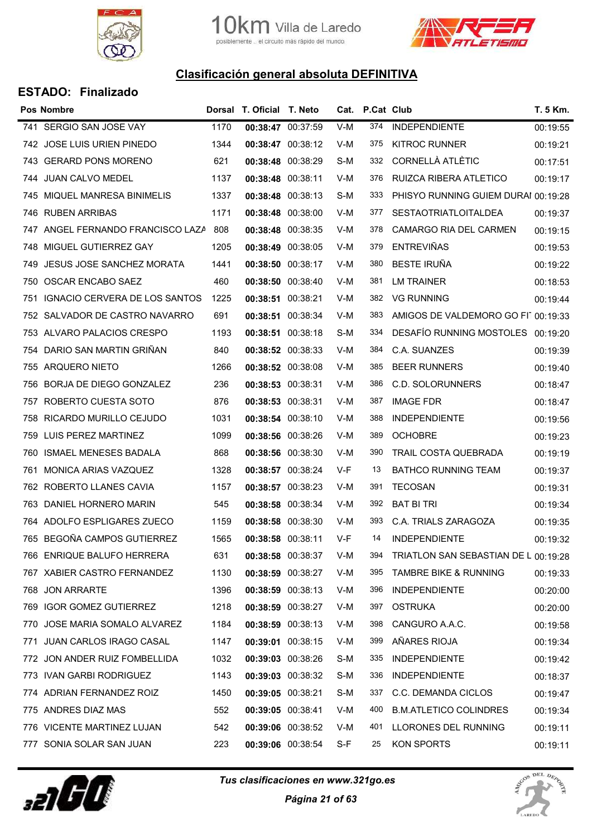



|     | Pos Nombre                        |      | Dorsal T. Oficial T. Neto |                   |     | Cat. P.Cat Club |                                      | T. 5 Km. |
|-----|-----------------------------------|------|---------------------------|-------------------|-----|-----------------|--------------------------------------|----------|
|     | 741 SERGIO SAN JOSE VAY           | 1170 | 00:38:47 00:37:59         |                   | V-M | 374             | <b>INDEPENDIENTE</b>                 | 00:19:55 |
|     | 742 JOSE LUIS URIEN PINEDO        | 1344 | 00:38:47 00:38:12         |                   | V-M | 375             | <b>KITROC RUNNER</b>                 | 00:19:21 |
|     | 743 GERARD PONS MORENO            | 621  | 00:38:48 00:38:29         |                   | S-M | 332             | <b>CORNELLÀ ATLÈTIC</b>              | 00:17:51 |
|     | 744 JUAN CALVO MEDEL              | 1137 | 00:38:48 00:38:11         |                   | V-M | 376             | RUIZCA RIBERA ATLETICO               | 00:19:17 |
|     | 745 MIQUEL MANRESA BINIMELIS      | 1337 | 00:38:48 00:38:13         |                   | S-M | 333             | PHISYO RUNNING GUIEM DURAI 00:19:28  |          |
|     | 746 RUBEN ARRIBAS                 | 1171 | 00:38:48 00:38:00         |                   | V-M | 377             | <b>SESTAOTRIATLOITALDEA</b>          | 00:19:37 |
|     | 747 ANGEL FERNANDO FRANCISCO LAZA | 808  | 00:38:48 00:38:35         |                   | V-M | 378             | CAMARGO RIA DEL CARMEN               | 00:19:15 |
| 748 | MIGUEL GUTIERREZ GAY              | 1205 | 00:38:49 00:38:05         |                   | V-M | 379             | <b>ENTREVIÑAS</b>                    | 00:19:53 |
| 749 | JESUS JOSE SANCHEZ MORATA         | 1441 | 00:38:50 00:38:17         |                   | V-M | 380             | <b>BESTE IRUÑA</b>                   | 00:19:22 |
| 750 | OSCAR ENCABO SAEZ                 | 460  | 00:38:50 00:38:40         |                   | V-M | 381             | <b>LM TRAINER</b>                    | 00:18:53 |
| 751 | IGNACIO CERVERA DE LOS SANTOS     | 1225 | 00:38:51 00:38:21         |                   | V-M | 382             | <b>VG RUNNING</b>                    | 00:19:44 |
|     | 752 SALVADOR DE CASTRO NAVARRO    | 691  | 00:38:51 00:38:34         |                   | V-M | 383             | AMIGOS DE VALDEMORO GO FI1 00:19:33  |          |
|     | 753 ALVARO PALACIOS CRESPO        | 1193 | 00:38:51 00:38:18         |                   | S-M | 334             | <b>DESAFÍO RUNNING MOSTOLES</b>      | 00:19:20 |
|     | 754 DARIO SAN MARTIN GRINAN       | 840  | 00:38:52 00:38:33         |                   | V-M | 384             | C.A. SUANZES                         | 00:19:39 |
| 755 | <b>ARQUERO NIETO</b>              | 1266 | 00:38:52 00:38:08         |                   | V-M | 385             | <b>BEER RUNNERS</b>                  | 00:19:40 |
| 756 | BORJA DE DIEGO GONZALEZ           | 236  | 00:38:53 00:38:31         |                   | V-M | 386             | C.D. SOLORUNNERS                     | 00:18:47 |
| 757 | ROBERTO CUESTA SOTO               | 876  | 00:38:53 00:38:31         |                   | V-M | 387             | <b>IMAGE FDR</b>                     | 00:18:47 |
|     | 758 RICARDO MURILLO CEJUDO        | 1031 | 00:38:54 00:38:10         |                   | V-M | 388             | <b>INDEPENDIENTE</b>                 | 00:19:56 |
| 759 | LUIS PEREZ MARTINEZ               | 1099 | 00:38:56 00:38:26         |                   | V-M | 389             | <b>OCHOBRE</b>                       | 00:19:23 |
| 760 | ISMAEL MENESES BADALA             | 868  | 00:38:56 00:38:30         |                   | V-M | 390             | TRAIL COSTA QUEBRADA                 | 00:19:19 |
| 761 | MONICA ARIAS VAZQUEZ              | 1328 | 00:38:57 00:38:24         |                   | V-F | 13              | <b>BATHCO RUNNING TEAM</b>           | 00:19:37 |
|     | 762 ROBERTO LLANES CAVIA          | 1157 | 00:38:57 00:38:23         |                   | V-M | 391             | <b>TECOSAN</b>                       | 00:19:31 |
|     | 763 DANIEL HORNERO MARIN          | 545  | 00:38:58 00:38:34         |                   | V-M | 392             | <b>BAT BI TRI</b>                    | 00:19:34 |
|     | 764 ADOLFO ESPLIGARES ZUECO       | 1159 | 00:38:58 00:38:30         |                   | V-M | 393             | C.A. TRIALS ZARAGOZA                 | 00:19:35 |
|     | 765 BEGOÑA CAMPOS GUTIERREZ       | 1565 | 00:38:58 00:38:11         |                   | V-F | 14              | <b>INDEPENDIENTE</b>                 | 00:19:32 |
|     | 766 ENRIQUE BALUFO HERRERA        | 631  |                           | 00:38:58 00:38:37 | V-M | 394             | TRIATLON SAN SEBASTIAN DE L 00:19:28 |          |
|     | 767 XABIER CASTRO FERNANDEZ       | 1130 | 00:38:59 00:38:27         |                   | V-M | 395             | <b>TAMBRE BIKE &amp; RUNNING</b>     | 00:19:33 |
| 768 | <b>JON ARRARTE</b>                | 1396 | 00:38:59 00:38:13         |                   | V-M | 396             | <b>INDEPENDIENTE</b>                 | 00:20:00 |
|     | 769 IGOR GOMEZ GUTIERREZ          | 1218 | 00:38:59 00:38:27         |                   | V-M | 397             | <b>OSTRUKA</b>                       | 00:20:00 |
| 770 | JOSE MARIA SOMALO ALVAREZ         | 1184 | 00:38:59 00:38:13         |                   | V-M | 398             | CANGURO A.A.C.                       | 00:19:58 |
|     | 771 JUAN CARLOS IRAGO CASAL       | 1147 | 00:39:01 00:38:15         |                   | V-M | 399             | AÑARES RIOJA                         | 00:19:34 |
|     | 772 JON ANDER RUIZ FOMBELLIDA     | 1032 | 00:39:03 00:38:26         |                   | S-M | 335             | <b>INDEPENDIENTE</b>                 | 00:19:42 |
|     | 773 IVAN GARBI RODRIGUEZ          | 1143 |                           | 00:39:03 00:38:32 | S-M | 336             | <b>INDEPENDIENTE</b>                 | 00:18:37 |
|     | 774 ADRIAN FERNANDEZ ROIZ         | 1450 | 00:39:05 00:38:21         |                   | S-M | 337             | C.C. DEMANDA CICLOS                  | 00:19:47 |
|     | 775 ANDRES DIAZ MAS               | 552  | 00:39:05 00:38:41         |                   | V-M | 400             | <b>B.M.ATLETICO COLINDRES</b>        | 00:19:34 |
|     | 776 VICENTE MARTINEZ LUJAN        | 542  |                           | 00:39:06 00:38:52 | V-M | 401             | LLORONES DEL RUNNING                 | 00:19:11 |
|     | 777 SONIA SOLAR SAN JUAN          | 223  | 00:39:06 00:38:54         |                   | S-F | 25              | KON SPORTS                           | 00:19:11 |



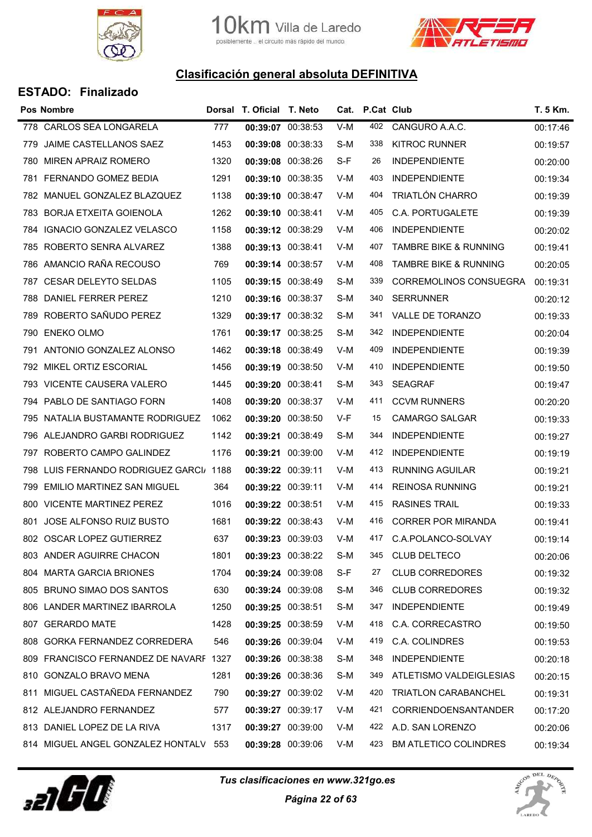



| <b>ESTADO: Finalizado</b> |  |
|---------------------------|--|
|---------------------------|--|

|      | <b>Pos Nombre</b>                      |      | Dorsal T. Oficial T. Neto |       | Cat. P.Cat Club |                                  | T. 5 Km. |
|------|----------------------------------------|------|---------------------------|-------|-----------------|----------------------------------|----------|
| 778  | CARLOS SEA LONGARELA                   | 777  | 00:39:07 00:38:53         | $V-M$ | 402             | CANGURO A.A.C.                   | 00:17:46 |
| 779  | JAIME CASTELLANOS SAEZ                 | 1453 | 00:39:08 00:38:33         | S-M   | 338             | <b>KITROC RUNNER</b>             | 00:19:57 |
| 780  | <b>MIREN APRAIZ ROMERO</b>             | 1320 | 00:39:08 00:38:26         | S-F   | 26              | <b>INDEPENDIENTE</b>             | 00:20:00 |
| 781  | <b>FERNANDO GOMEZ BEDIA</b>            | 1291 | 00:39:10 00:38:35         | V-M   | 403             | <b>INDEPENDIENTE</b>             | 00:19:34 |
|      | 782 MANUEL GONZALEZ BLAZQUEZ           | 1138 | 00:39:10 00:38:47         | V-M   | 404             | TRIATLÓN CHARRO                  | 00:19:39 |
| 783  | <b>BORJA ETXEITA GOIENOLA</b>          | 1262 | 00:39:10 00:38:41         | V-M   | 405             | C.A. PORTUGALETE                 | 00:19:39 |
|      | 784 IGNACIO GONZALEZ VELASCO           | 1158 | 00:39:12 00:38:29         | V-M   | 406             | <b>INDEPENDIENTE</b>             | 00:20:02 |
| 785  | ROBERTO SENRA ALVAREZ                  | 1388 | 00:39:13 00:38:41         | V-M   | 407             | <b>TAMBRE BIKE &amp; RUNNING</b> | 00:19:41 |
| 786  | AMANCIO RAÑA RECOUSO                   | 769  | 00:39:14 00:38:57         | V-M   | 408             | <b>TAMBRE BIKE &amp; RUNNING</b> | 00:20:05 |
| 787  | <b>CESAR DELEYTO SELDAS</b>            | 1105 | 00:39:15 00:38:49         | S-M   | 339             | <b>CORREMOLINOS CONSUEGRA</b>    | 00:19:31 |
| 788  | DANIEL FERRER PEREZ                    | 1210 | 00:39:16 00:38:37         | S-M   | 340             | <b>SERRUNNER</b>                 | 00:20:12 |
| 789  | ROBERTO SAÑUDO PEREZ                   | 1329 | 00:39:17 00:38:32         | S-M   | 341             | VALLE DE TORANZO                 | 00:19:33 |
| 790  | <b>ENEKO OLMO</b>                      | 1761 | 00:39:17 00:38:25         | S-M   | 342             | <b>INDEPENDIENTE</b>             | 00:20:04 |
|      | 791 ANTONIO GONZALEZ ALONSO            | 1462 | 00:39:18 00:38:49         | V-M   | 409             | <b>INDEPENDIENTE</b>             | 00:19:39 |
| 792  | MIKEL ORTIZ ESCORIAL                   | 1456 | 00:39:19 00:38:50         | V-M   | 410             | <b>INDEPENDIENTE</b>             | 00:19:50 |
|      | 793 VICENTE CAUSERA VALERO             | 1445 | 00:39:20 00:38:41         | S-M   | 343             | <b>SEAGRAF</b>                   | 00:19:47 |
| 794. | PABLO DE SANTIAGO FORN                 | 1408 | 00:39:20 00:38:37         | V-M   | 411             | <b>CCVM RUNNERS</b>              | 00:20:20 |
|      | 795 NATALIA BUSTAMANTE RODRIGUEZ       | 1062 | 00:39:20 00:38:50         | V-F   | 15              | <b>CAMARGO SALGAR</b>            | 00:19:33 |
| 796  | ALEJANDRO GARBI RODRIGUEZ              | 1142 | 00:39:21 00:38:49         | S-M   | 344             | <b>INDEPENDIENTE</b>             | 00:19:27 |
| 797  | ROBERTO CAMPO GALINDEZ                 | 1176 | 00:39:21 00:39:00         | V-M   | 412             | <b>INDEPENDIENTE</b>             | 00:19:19 |
| 798  | LUIS FERNANDO RODRIGUEZ GARCI/ 1188    |      | 00:39:22 00:39:11         | V-M   | 413             | <b>RUNNING AGUILAR</b>           | 00:19:21 |
| 799  | <b>EMILIO MARTINEZ SAN MIGUEL</b>      | 364  | 00:39:22 00:39:11         | V-M   | 414             | <b>REINOSA RUNNING</b>           | 00:19:21 |
|      | 800 VICENTE MARTINEZ PEREZ             | 1016 | 00:39:22 00:38:51         | V-M   | 415             | <b>RASINES TRAIL</b>             | 00:19:33 |
| 801  | <b>JOSE ALFONSO RUIZ BUSTO</b>         | 1681 | 00:39:22 00:38:43         | V-M   | 416             | <b>CORRER POR MIRANDA</b>        | 00:19:41 |
|      | 802 OSCAR LOPEZ GUTIERREZ              | 637  | 00:39:23 00:39:03         | V-M   | 417             | C.A.POLANCO-SOLVAY               | 00:19:14 |
|      | 803 ANDER AGUIRRE CHACON               | 1801 | 00:39:23 00:38:22         | S-M   | 345             | <b>CLUB DELTECO</b>              | 00:20:06 |
|      | 804 MARTA GARCIA BRIONES               | 1704 | 00:39:24 00:39:08         | S-F   | 27              | <b>CLUB CORREDORES</b>           | 00:19:32 |
|      | 805 BRUNO SIMAO DOS SANTOS             | 630  | 00:39:24 00:39:08         | S-M   | 346             | <b>CLUB CORREDORES</b>           | 00:19:32 |
|      | 806 LANDER MARTINEZ IBARROLA           | 1250 | 00:39:25 00:38:51         | S-M   | 347             | <b>INDEPENDIENTE</b>             | 00:19:49 |
|      | 807 GERARDO MATE                       | 1428 | 00:39:25 00:38:59         | V-M   | 418             | C.A. CORRECASTRO                 | 00:19:50 |
|      | 808 GORKA FERNANDEZ CORREDERA          | 546  | 00:39:26 00:39:04         | V-M   | 419             | C.A. COLINDRES                   | 00:19:53 |
|      | 809 FRANCISCO FERNANDEZ DE NAVARF 1327 |      | 00:39:26 00:38:38         | S-M   | 348             | <b>INDEPENDIENTE</b>             | 00:20:18 |
|      | 810 GONZALO BRAVO MENA                 | 1281 | 00:39:26 00:38:36         | S-M   | 349             | ATLETISMO VALDEIGLESIAS          | 00:20:15 |
| 811  | MIGUEL CASTAÑEDA FERNANDEZ             | 790  | 00:39:27 00:39:02         | V-M   | 420             | <b>TRIATLON CARABANCHEL</b>      | 00:19:31 |
|      | 812 ALEJANDRO FERNANDEZ                | 577  | 00:39:27 00:39:17         | V-M   | 421             | <b>CORRIENDOENSANTANDER</b>      | 00:17:20 |
|      | 813 DANIEL LOPEZ DE LA RIVA            | 1317 | 00:39:27 00:39:00         | V-M   | 422             | A.D. SAN LORENZO                 | 00:20:06 |
|      | 814 MIGUEL ANGEL GONZALEZ HONTALV 553  |      | 00:39:28 00:39:06         | V-M   | 423             | <b>BM ATLETICO COLINDRES</b>     | 00:19:34 |
|      |                                        |      |                           |       |                 |                                  |          |



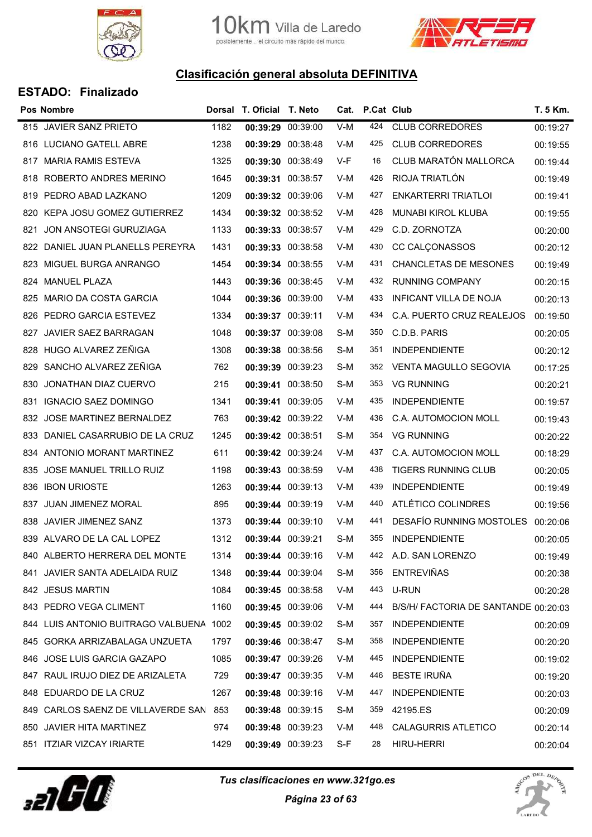



|                              |                                                                                                                                                                                                                                                                                                                                                                                                                                                                                                                                                                                                                                                                                                                                                                                            |                                                                                   |                                                                                                                                                                                                                                                                                                                                                                                                                                                                                                                                                                                                                                                                                                                                                                                                                                    |     |                                      | T. 5 Km.                            |
|------------------------------|--------------------------------------------------------------------------------------------------------------------------------------------------------------------------------------------------------------------------------------------------------------------------------------------------------------------------------------------------------------------------------------------------------------------------------------------------------------------------------------------------------------------------------------------------------------------------------------------------------------------------------------------------------------------------------------------------------------------------------------------------------------------------------------------|-----------------------------------------------------------------------------------|------------------------------------------------------------------------------------------------------------------------------------------------------------------------------------------------------------------------------------------------------------------------------------------------------------------------------------------------------------------------------------------------------------------------------------------------------------------------------------------------------------------------------------------------------------------------------------------------------------------------------------------------------------------------------------------------------------------------------------------------------------------------------------------------------------------------------------|-----|--------------------------------------|-------------------------------------|
|                              | 1182                                                                                                                                                                                                                                                                                                                                                                                                                                                                                                                                                                                                                                                                                                                                                                                       |                                                                                   | $V-M$                                                                                                                                                                                                                                                                                                                                                                                                                                                                                                                                                                                                                                                                                                                                                                                                                              | 424 | <b>CLUB CORREDORES</b>               | 00:19:27                            |
|                              | 1238                                                                                                                                                                                                                                                                                                                                                                                                                                                                                                                                                                                                                                                                                                                                                                                       |                                                                                   | V-M                                                                                                                                                                                                                                                                                                                                                                                                                                                                                                                                                                                                                                                                                                                                                                                                                                | 425 | <b>CLUB CORREDORES</b>               | 00:19:55                            |
| <b>MARIA RAMIS ESTEVA</b>    | 1325                                                                                                                                                                                                                                                                                                                                                                                                                                                                                                                                                                                                                                                                                                                                                                                       |                                                                                   | V-F                                                                                                                                                                                                                                                                                                                                                                                                                                                                                                                                                                                                                                                                                                                                                                                                                                | 16  | CLUB MARATÓN MALLORCA                | 00:19:44                            |
|                              | 1645                                                                                                                                                                                                                                                                                                                                                                                                                                                                                                                                                                                                                                                                                                                                                                                       |                                                                                   | V-M                                                                                                                                                                                                                                                                                                                                                                                                                                                                                                                                                                                                                                                                                                                                                                                                                                | 426 | RIOJA TRIATLÓN                       | 00:19:49                            |
|                              | 1209                                                                                                                                                                                                                                                                                                                                                                                                                                                                                                                                                                                                                                                                                                                                                                                       |                                                                                   | V-M                                                                                                                                                                                                                                                                                                                                                                                                                                                                                                                                                                                                                                                                                                                                                                                                                                | 427 | <b>ENKARTERRI TRIATLOI</b>           | 00:19:41                            |
| KEPA JOSU GOMEZ GUTIERREZ    | 1434                                                                                                                                                                                                                                                                                                                                                                                                                                                                                                                                                                                                                                                                                                                                                                                       |                                                                                   | V-M                                                                                                                                                                                                                                                                                                                                                                                                                                                                                                                                                                                                                                                                                                                                                                                                                                | 428 | MUNABI KIROL KLUBA                   | 00:19:55                            |
| JON ANSOTEGI GURUZIAGA       | 1133                                                                                                                                                                                                                                                                                                                                                                                                                                                                                                                                                                                                                                                                                                                                                                                       |                                                                                   | V-M                                                                                                                                                                                                                                                                                                                                                                                                                                                                                                                                                                                                                                                                                                                                                                                                                                | 429 | C.D. ZORNOTZA                        | 00:20:00                            |
|                              | 1431                                                                                                                                                                                                                                                                                                                                                                                                                                                                                                                                                                                                                                                                                                                                                                                       |                                                                                   | V-M                                                                                                                                                                                                                                                                                                                                                                                                                                                                                                                                                                                                                                                                                                                                                                                                                                | 430 | CC CALÇONASSOS                       | 00:20:12                            |
|                              | 1454                                                                                                                                                                                                                                                                                                                                                                                                                                                                                                                                                                                                                                                                                                                                                                                       |                                                                                   | V-M                                                                                                                                                                                                                                                                                                                                                                                                                                                                                                                                                                                                                                                                                                                                                                                                                                | 431 | <b>CHANCLETAS DE MESONES</b>         | 00:19:49                            |
| <b>MANUEL PLAZA</b>          | 1443                                                                                                                                                                                                                                                                                                                                                                                                                                                                                                                                                                                                                                                                                                                                                                                       |                                                                                   | V-M                                                                                                                                                                                                                                                                                                                                                                                                                                                                                                                                                                                                                                                                                                                                                                                                                                | 432 | <b>RUNNING COMPANY</b>               | 00:20:15                            |
| <b>MARIO DA COSTA GARCIA</b> | 1044                                                                                                                                                                                                                                                                                                                                                                                                                                                                                                                                                                                                                                                                                                                                                                                       |                                                                                   | V-M                                                                                                                                                                                                                                                                                                                                                                                                                                                                                                                                                                                                                                                                                                                                                                                                                                | 433 | <b>INFICANT VILLA DE NOJA</b>        | 00:20:13                            |
|                              | 1334                                                                                                                                                                                                                                                                                                                                                                                                                                                                                                                                                                                                                                                                                                                                                                                       |                                                                                   | V-M                                                                                                                                                                                                                                                                                                                                                                                                                                                                                                                                                                                                                                                                                                                                                                                                                                | 434 | C.A. PUERTO CRUZ REALEJOS            | 00:19:50                            |
| JAVIER SAEZ BARRAGAN         | 1048                                                                                                                                                                                                                                                                                                                                                                                                                                                                                                                                                                                                                                                                                                                                                                                       |                                                                                   | S-M                                                                                                                                                                                                                                                                                                                                                                                                                                                                                                                                                                                                                                                                                                                                                                                                                                | 350 | C.D.B. PARIS                         | 00:20:05                            |
| HUGO ALVAREZ ZEÑIGA          | 1308                                                                                                                                                                                                                                                                                                                                                                                                                                                                                                                                                                                                                                                                                                                                                                                       |                                                                                   | S-M                                                                                                                                                                                                                                                                                                                                                                                                                                                                                                                                                                                                                                                                                                                                                                                                                                | 351 | <b>INDEPENDIENTE</b>                 | 00:20:12                            |
| SANCHO ALVAREZ ZEÑIGA        | 762                                                                                                                                                                                                                                                                                                                                                                                                                                                                                                                                                                                                                                                                                                                                                                                        |                                                                                   | S-M                                                                                                                                                                                                                                                                                                                                                                                                                                                                                                                                                                                                                                                                                                                                                                                                                                | 352 | <b>VENTA MAGULLO SEGOVIA</b>         | 00:17:25                            |
| JONATHAN DIAZ CUERVO         | 215                                                                                                                                                                                                                                                                                                                                                                                                                                                                                                                                                                                                                                                                                                                                                                                        |                                                                                   | S-M                                                                                                                                                                                                                                                                                                                                                                                                                                                                                                                                                                                                                                                                                                                                                                                                                                | 353 | <b>VG RUNNING</b>                    | 00:20:21                            |
| <b>IGNACIO SAEZ DOMINGO</b>  | 1341                                                                                                                                                                                                                                                                                                                                                                                                                                                                                                                                                                                                                                                                                                                                                                                       |                                                                                   | V-M                                                                                                                                                                                                                                                                                                                                                                                                                                                                                                                                                                                                                                                                                                                                                                                                                                | 435 | <b>INDEPENDIENTE</b>                 | 00:19:57                            |
|                              | 763                                                                                                                                                                                                                                                                                                                                                                                                                                                                                                                                                                                                                                                                                                                                                                                        |                                                                                   | V-M                                                                                                                                                                                                                                                                                                                                                                                                                                                                                                                                                                                                                                                                                                                                                                                                                                | 436 | C.A. AUTOMOCION MOLL                 | 00:19:43                            |
|                              | 1245                                                                                                                                                                                                                                                                                                                                                                                                                                                                                                                                                                                                                                                                                                                                                                                       |                                                                                   | S-M                                                                                                                                                                                                                                                                                                                                                                                                                                                                                                                                                                                                                                                                                                                                                                                                                                | 354 | <b>VG RUNNING</b>                    | 00:20:22                            |
|                              | 611                                                                                                                                                                                                                                                                                                                                                                                                                                                                                                                                                                                                                                                                                                                                                                                        |                                                                                   | V-M                                                                                                                                                                                                                                                                                                                                                                                                                                                                                                                                                                                                                                                                                                                                                                                                                                | 437 | C.A. AUTOMOCION MOLL                 | 00:18:29                            |
| JOSE MANUEL TRILLO RUIZ      | 1198                                                                                                                                                                                                                                                                                                                                                                                                                                                                                                                                                                                                                                                                                                                                                                                       |                                                                                   | V-M                                                                                                                                                                                                                                                                                                                                                                                                                                                                                                                                                                                                                                                                                                                                                                                                                                | 438 | <b>TIGERS RUNNING CLUB</b>           | 00:20:05                            |
|                              | 1263                                                                                                                                                                                                                                                                                                                                                                                                                                                                                                                                                                                                                                                                                                                                                                                       |                                                                                   | V-M                                                                                                                                                                                                                                                                                                                                                                                                                                                                                                                                                                                                                                                                                                                                                                                                                                | 439 | <b>INDEPENDIENTE</b>                 | 00:19:49                            |
|                              | 895                                                                                                                                                                                                                                                                                                                                                                                                                                                                                                                                                                                                                                                                                                                                                                                        |                                                                                   | V-M                                                                                                                                                                                                                                                                                                                                                                                                                                                                                                                                                                                                                                                                                                                                                                                                                                | 440 | ATLÉTICO COLINDRES                   | 00:19:56                            |
| JAVIER JIMENEZ SANZ          | 1373                                                                                                                                                                                                                                                                                                                                                                                                                                                                                                                                                                                                                                                                                                                                                                                       |                                                                                   | V-M                                                                                                                                                                                                                                                                                                                                                                                                                                                                                                                                                                                                                                                                                                                                                                                                                                | 441 | <b>DESAFÍO RUNNING MOSTOLES</b>      | 00:20:06                            |
|                              | 1312                                                                                                                                                                                                                                                                                                                                                                                                                                                                                                                                                                                                                                                                                                                                                                                       |                                                                                   | S-M                                                                                                                                                                                                                                                                                                                                                                                                                                                                                                                                                                                                                                                                                                                                                                                                                                | 355 | <b>INDEPENDIENTE</b>                 | 00:20:05                            |
|                              | 1314                                                                                                                                                                                                                                                                                                                                                                                                                                                                                                                                                                                                                                                                                                                                                                                       |                                                                                   | V-M                                                                                                                                                                                                                                                                                                                                                                                                                                                                                                                                                                                                                                                                                                                                                                                                                                | 442 |                                      | 00:19:49                            |
|                              | 1348                                                                                                                                                                                                                                                                                                                                                                                                                                                                                                                                                                                                                                                                                                                                                                                       |                                                                                   | S-M                                                                                                                                                                                                                                                                                                                                                                                                                                                                                                                                                                                                                                                                                                                                                                                                                                | 356 | <b>ENTREVIÑAS</b>                    | 00:20:38                            |
|                              | 1084                                                                                                                                                                                                                                                                                                                                                                                                                                                                                                                                                                                                                                                                                                                                                                                       |                                                                                   | V-M                                                                                                                                                                                                                                                                                                                                                                                                                                                                                                                                                                                                                                                                                                                                                                                                                                | 443 | U-RUN                                | 00:20:28                            |
|                              | 1160                                                                                                                                                                                                                                                                                                                                                                                                                                                                                                                                                                                                                                                                                                                                                                                       |                                                                                   | V-M                                                                                                                                                                                                                                                                                                                                                                                                                                                                                                                                                                                                                                                                                                                                                                                                                                | 444 | B/S/H/ FACTORIA DE SANTANDE 00:20:03 |                                     |
|                              |                                                                                                                                                                                                                                                                                                                                                                                                                                                                                                                                                                                                                                                                                                                                                                                            |                                                                                   | S-M                                                                                                                                                                                                                                                                                                                                                                                                                                                                                                                                                                                                                                                                                                                                                                                                                                | 357 | <b>INDEPENDIENTE</b>                 | 00:20:09                            |
|                              | 1797                                                                                                                                                                                                                                                                                                                                                                                                                                                                                                                                                                                                                                                                                                                                                                                       |                                                                                   | S-M                                                                                                                                                                                                                                                                                                                                                                                                                                                                                                                                                                                                                                                                                                                                                                                                                                | 358 | <b>INDEPENDIENTE</b>                 | 00:20:20                            |
|                              | 1085                                                                                                                                                                                                                                                                                                                                                                                                                                                                                                                                                                                                                                                                                                                                                                                       |                                                                                   | V-M                                                                                                                                                                                                                                                                                                                                                                                                                                                                                                                                                                                                                                                                                                                                                                                                                                | 445 | <b>INDEPENDIENTE</b>                 | 00:19:02                            |
|                              | 729                                                                                                                                                                                                                                                                                                                                                                                                                                                                                                                                                                                                                                                                                                                                                                                        |                                                                                   | V-M                                                                                                                                                                                                                                                                                                                                                                                                                                                                                                                                                                                                                                                                                                                                                                                                                                | 446 | <b>BESTE IRUÑA</b>                   | 00:19:20                            |
|                              | 1267                                                                                                                                                                                                                                                                                                                                                                                                                                                                                                                                                                                                                                                                                                                                                                                       |                                                                                   | V-M                                                                                                                                                                                                                                                                                                                                                                                                                                                                                                                                                                                                                                                                                                                                                                                                                                | 447 | <b>INDEPENDIENTE</b>                 | 00:20:03                            |
|                              |                                                                                                                                                                                                                                                                                                                                                                                                                                                                                                                                                                                                                                                                                                                                                                                            |                                                                                   | S-M                                                                                                                                                                                                                                                                                                                                                                                                                                                                                                                                                                                                                                                                                                                                                                                                                                | 359 | 42195.ES                             | 00:20:09                            |
|                              | 974                                                                                                                                                                                                                                                                                                                                                                                                                                                                                                                                                                                                                                                                                                                                                                                        |                                                                                   | V-M                                                                                                                                                                                                                                                                                                                                                                                                                                                                                                                                                                                                                                                                                                                                                                                                                                | 448 | <b>CALAGURRIS ATLETICO</b>           | 00:20:14                            |
|                              | 1429                                                                                                                                                                                                                                                                                                                                                                                                                                                                                                                                                                                                                                                                                                                                                                                       |                                                                                   | S-F                                                                                                                                                                                                                                                                                                                                                                                                                                                                                                                                                                                                                                                                                                                                                                                                                                | 28  | HIRU-HERRI                           | 00:20:04                            |
| 821<br>827<br>829<br>838     | <b>Pos Nombre</b><br>815 JAVIER SANZ PRIETO<br>816 LUCIANO GATELL ABRE<br>817<br>ROBERTO ANDRES MERINO<br>818<br>819 PEDRO ABAD LAZKANO<br>820<br>822<br>DANIEL JUAN PLANELLS PEREYRA<br>MIGUEL BURGA ANRANGO<br>823<br>824<br>825<br>826<br>PEDRO GARCIA ESTEVEZ<br>828<br>830<br>832 JOSE MARTINEZ BERNALDEZ<br>DANIEL CASARRUBIO DE LA CRUZ<br>833<br>834 ANTONIO MORANT MARTINEZ<br>835<br><b>IBON URIOSTE</b><br>836<br>837 JUAN JIMENEZ MORAL<br>839 ALVARO DE LA CAL LOPEZ<br>840 ALBERTO HERRERA DEL MONTE<br>841 JAVIER SANTA ADELAIDA RUIZ<br>842 JESUS MARTIN<br>843 PEDRO VEGA CLIMENT<br>845 GORKA ARRIZABALAGA UNZUETA<br>846 JOSE LUIS GARCIA GAZAPO<br>847 RAUL IRUJO DIEZ DE ARIZALETA<br>848 EDUARDO DE LA CRUZ<br>850 JAVIER HITA MARTINEZ<br>851 ITZIAR VIZCAY IRIARTE | 844 LUIS ANTONIO BUITRAGO VALBUENA 1002<br>849 CARLOS SAENZ DE VILLAVERDE SAN 853 | Dorsal T. Oficial T. Neto<br>00:39:29 00:39:00<br>00:39:29 00:38:48<br>00:39:30 00:38:49<br>00:39:31 00:38:57<br>00:39:32 00:39:06<br>00:39:32 00:38:52<br>00:39:33 00:38:57<br>00:39:33 00:38:58<br>00:39:34 00:38:55<br>00:39:36 00:38:45<br>00:39:36 00:39:00<br>00:39:37 00:39:11<br>00:39:37 00:39:08<br>00:39:38 00:38:56<br>00:39:39 00:39:23<br>00:39:41 00:38:50<br>00:39:41 00:39:05<br>00:39:42 00:39:22<br>00:39:42 00:38:51<br>00:39:42 00:39:24<br>00:39:43 00:38:59<br>00:39:44 00:39:13<br>00:39:44 00:39:19<br>00:39:44 00:39:10<br>00:39:44 00:39:21<br>00:39:44 00:39:16<br>00:39:44 00:39:04<br>00:39:45 00:38:58<br>00:39:45 00:39:06<br>00:39:45 00:39:02<br>00:39:46 00:38:47<br>00:39:47 00:39:26<br>00:39:47 00:39:35<br>00:39:48 00:39:16<br>00:39:48 00:39:15<br>00:39:48 00:39:23<br>00:39:49 00:39:23 |     |                                      | Cat. P.Cat Club<br>A.D. SAN LORENZO |



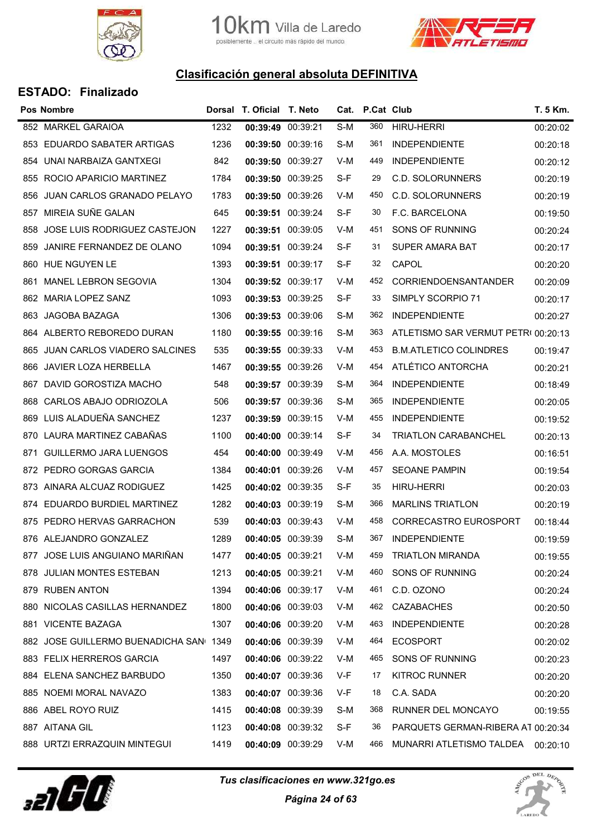



#### ESTADO: Finalizado

|     | Pos Nombre                              |      | Dorsal T. Oficial T. Neto |          |     | Cat. P.Cat Club |                                     | T. 5 Km. |
|-----|-----------------------------------------|------|---------------------------|----------|-----|-----------------|-------------------------------------|----------|
|     | 852 MARKEL GARAIOA                      | 1232 | 00:39:49                  | 00:39:21 | S-M | 360             | <b>HIRU-HERRI</b>                   | 00:20:02 |
|     | 853 EDUARDO SABATER ARTIGAS             | 1236 | 00:39:50 00:39:16         |          | S-M | 361             | <b>INDEPENDIENTE</b>                | 00:20:18 |
| 854 | UNAI NARBAIZA GANTXEGI                  | 842  | 00:39:50 00:39:27         |          | V-M | 449             | <b>INDEPENDIENTE</b>                | 00:20:12 |
| 855 | ROCIO APARICIO MARTINEZ                 | 1784 | 00:39:50                  | 00:39:25 | S-F | 29              | <b>C.D. SOLORUNNERS</b>             | 00:20:19 |
| 856 | JUAN CARLOS GRANADO PELAYO              | 1783 | 00:39:50 00:39:26         |          | V-M | 450             | C.D. SOLORUNNERS                    | 00:20:19 |
| 857 | MIREIA SUÑE GALAN                       | 645  | 00:39:51 00:39:24         |          | S-F | 30              | F.C. BARCELONA                      | 00:19:50 |
| 858 | JOSE LUIS RODRIGUEZ CASTEJON            | 1227 | 00:39:51 00:39:05         |          | V-M | 451             | SONS OF RUNNING                     | 00:20:24 |
| 859 | JANIRE FERNANDEZ DE OLANO               | 1094 | 00:39:51 00:39:24         |          | S-F | 31              | <b>SUPER AMARA BAT</b>              | 00:20:17 |
|     | 860 HUE NGUYEN LE                       | 1393 | 00:39:51 00:39:17         |          | S-F | 32              | CAPOL                               | 00:20:20 |
| 861 | <b>MANEL LEBRON SEGOVIA</b>             | 1304 | 00:39:52 00:39:17         |          | V-M | 452             | <b>CORRIENDOENSANTANDER</b>         | 00:20:09 |
|     | 862 MARIA LOPEZ SANZ                    | 1093 | 00:39:53 00:39:25         |          | S-F | 33              | SIMPLY SCORPIO 71                   | 00:20:17 |
|     | 863 JAGOBA BAZAGA                       | 1306 | 00:39:53 00:39:06         |          | S-M | 362             | <b>INDEPENDIENTE</b>                | 00:20:27 |
|     | 864 ALBERTO REBOREDO DURAN              | 1180 | 00:39:55 00:39:16         |          | S-M | 363             | ATLETISMO SAR VERMUT PETRI 00:20:13 |          |
| 865 | JUAN CARLOS VIADERO SALCINES            | 535  | 00:39:55 00:39:33         |          | V-M | 453             | <b>B.M.ATLETICO COLINDRES</b>       | 00:19:47 |
| 866 | <b>JAVIER LOZA HERBELLA</b>             | 1467 | 00:39:55 00:39:26         |          | V-M | 454             | ATLÉTICO ANTORCHA                   | 00:20:21 |
| 867 | DAVID GOROSTIZA MACHO                   | 548  | 00:39:57 00:39:39         |          | S-M | 364             | <b>INDEPENDIENTE</b>                | 00:18:49 |
| 868 | CARLOS ABAJO ODRIOZOLA                  | 506  | 00:39:57 00:39:36         |          | S-M | 365             | <b>INDEPENDIENTE</b>                | 00:20:05 |
| 869 | LUIS ALADUEÑA SANCHEZ                   | 1237 | 00:39:59 00:39:15         |          | V-M | 455             | <b>INDEPENDIENTE</b>                | 00:19:52 |
| 870 | LAURA MARTINEZ CABAÑAS                  | 1100 | 00:40:00 00:39:14         |          | S-F | 34              | <b>TRIATLON CARABANCHEL</b>         | 00:20:13 |
| 871 | <b>GUILLERMO JARA LUENGOS</b>           | 454  | 00:40:00 00:39:49         |          | V-M | 456             | A.A. MOSTOLES                       | 00:16:51 |
|     | 872 PEDRO GORGAS GARCIA                 | 1384 | 00:40:01 00:39:26         |          | V-M | 457             | <b>SEOANE PAMPIN</b>                | 00:19:54 |
|     | 873 AINARA ALCUAZ RODIGUEZ              | 1425 | 00:40:02 00:39:35         |          | S-F | 35              | <b>HIRU-HERRI</b>                   | 00:20:03 |
|     | 874 EDUARDO BURDIEL MARTINEZ            | 1282 | 00:40:03 00:39:19         |          | S-M | 366             | <b>MARLINS TRIATLON</b>             | 00:20:19 |
| 875 | PEDRO HERVAS GARRACHON                  | 539  | 00:40:03 00:39:43         |          | V-M | 458             | <b>CORRECASTRO EUROSPORT</b>        | 00:18:44 |
|     | 876 ALEJANDRO GONZALEZ                  | 1289 | 00:40:05 00:39:39         |          | S-M | 367             | <b>INDEPENDIENTE</b>                | 00:19:59 |
|     | 877 JOSE LUIS ANGUIANO MARIÑAN          | 1477 | 00:40:05 00:39:21         |          | V-M | 459             | <b>TRIATLON MIRANDA</b>             | 00:19:55 |
|     | 878 JULIAN MONTES ESTEBAN               | 1213 | 00:40:05 00:39:21         |          | V-M | 460             | SONS OF RUNNING                     | 00:20:24 |
|     | 879 RUBEN ANTON                         | 1394 | 00:40:06 00:39:17         |          | V-M | 461             | C.D. OZONO                          | 00:20:24 |
|     | 880 NICOLAS CASILLAS HERNANDEZ          | 1800 | 00:40:06 00:39:03         |          | V-M | 462             | <b>CAZABACHES</b>                   | 00:20:50 |
|     | 881 VICENTE BAZAGA                      | 1307 | 00:40:06 00:39:20         |          | V-M | 463             | <b>INDEPENDIENTE</b>                | 00:20:28 |
|     | 882 JOSE GUILLERMO BUENADICHA SANI 1349 |      | 00:40:06 00:39:39         |          | V-M | 464             | <b>ECOSPORT</b>                     | 00:20:02 |
|     | 883 FELIX HERREROS GARCIA               | 1497 | 00:40:06 00:39:22         |          | V-M | 465             | SONS OF RUNNING                     | 00:20:23 |
|     | 884 ELENA SANCHEZ BARBUDO               | 1350 | 00:40:07 00:39:36         |          | V-F | 17              | KITROC RUNNER                       | 00:20:20 |
|     | 885 NOEMI MORAL NAVAZO                  | 1383 | 00:40:07 00:39:36         |          | V-F | 18              | C.A. SADA                           | 00:20:20 |
|     | 886 ABEL ROYO RUIZ                      | 1415 | 00:40:08 00:39:39         |          | S-M | 368             | RUNNER DEL MONCAYO                  | 00:19:55 |
|     | 887 AITANA GIL                          | 1123 | 00:40:08 00:39:32         |          | S-F | 36              | PARQUETS GERMAN-RIBERA AT 00:20:34  |          |
|     | 888 URTZI ERRAZQUIN MINTEGUI            | 1419 | 00:40:09 00:39:29         |          | V-M | 466             | MUNARRI ATLETISMO TALDEA            | 00:20:10 |



Tus clasificaciones en www.321go.es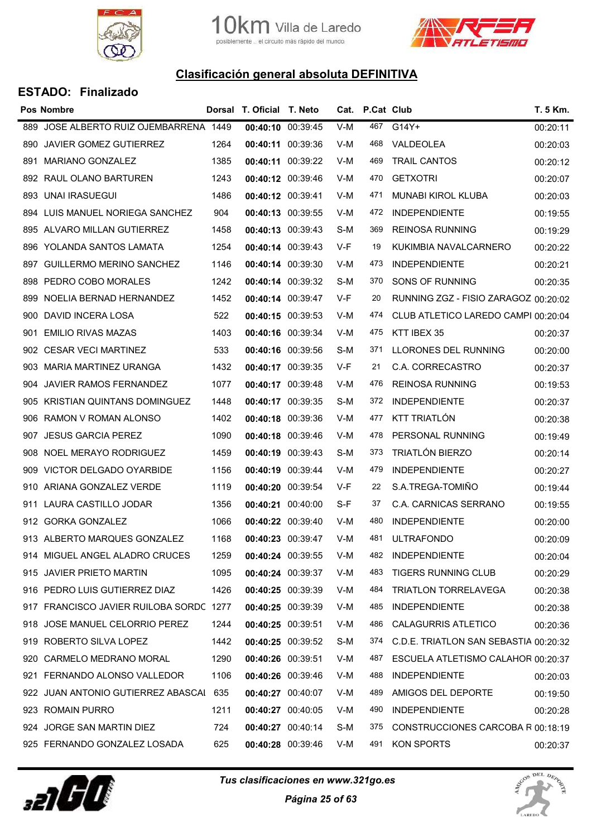



|     | <b>Pos Nombre</b>                       |      | Dorsal T. Oficial T. Neto |                   |     | Cat. P.Cat Club |                                       | T. 5 Km. |
|-----|-----------------------------------------|------|---------------------------|-------------------|-----|-----------------|---------------------------------------|----------|
| 889 | JOSE ALBERTO RUIZ OJEMBARRENA 1449      |      | 00:40:10 00:39:45         |                   | V-M | 467             | G14Y+                                 | 00:20:11 |
|     | 890 JAVIER GOMEZ GUTIERREZ              | 1264 | 00:40:11 00:39:36         |                   | V-M | 468             | VALDEOLEA                             | 00:20:03 |
| 891 | <b>MARIANO GONZALEZ</b>                 | 1385 | 00:40:11 00:39:22         |                   | V-M | 469             | <b>TRAIL CANTOS</b>                   | 00:20:12 |
|     | 892 RAUL OLANO BARTUREN                 | 1243 | 00:40:12 00:39:46         |                   | V-M | 470             | <b>GETXOTRI</b>                       | 00:20:07 |
|     | 893 UNAI IRASUEGUI                      | 1486 | 00:40:12 00:39:41         |                   | V-M | 471             | MUNABI KIROL KLUBA                    | 00:20:03 |
|     | 894 LUIS MANUEL NORIEGA SANCHEZ         | 904  | 00:40:13 00:39:55         |                   | V-M | 472             | <b>INDEPENDIENTE</b>                  | 00:19:55 |
|     | 895 ALVARO MILLAN GUTIERREZ             | 1458 | 00:40:13 00:39:43         |                   | S-M | 369             | <b>REINOSA RUNNING</b>                | 00:19:29 |
| 896 | YOLANDA SANTOS LAMATA                   | 1254 | 00:40:14 00:39:43         |                   | V-F | 19              | KUKIMBIA NAVALCARNERO                 | 00:20:22 |
|     | 897 GUILLERMO MERINO SANCHEZ            | 1146 | 00:40:14 00:39:30         |                   | V-M | 473             | <b>INDEPENDIENTE</b>                  | 00:20:21 |
| 898 | PEDRO COBO MORALES                      | 1242 | 00:40:14 00:39:32         |                   | S-M | 370             | SONS OF RUNNING                       | 00:20:35 |
|     | 899 NOELIA BERNAD HERNANDEZ             | 1452 | 00:40:14 00:39:47         |                   | V-F | 20              | RUNNING ZGZ - FISIO ZARAGOZ 00:20:02  |          |
|     | 900 DAVID INCERA LOSA                   | 522  | 00:40:15 00:39:53         |                   | V-M | 474             | CLUB ATLETICO LAREDO CAMPI 00:20:04   |          |
| 901 | <b>EMILIO RIVAS MAZAS</b>               | 1403 | 00:40:16 00:39:34         |                   | V-M | 475             | KTT IBEX 35                           | 00:20:37 |
|     | 902 CESAR VECI MARTINEZ                 | 533  | 00:40:16 00:39:56         |                   | S-M | 371             | LLORONES DEL RUNNING                  | 00:20:00 |
| 903 | MARIA MARTINEZ URANGA                   | 1432 | 00:40:17 00:39:35         |                   | V-F | 21              | C.A. CORRECASTRO                      | 00:20:37 |
|     | 904 JAVIER RAMOS FERNANDEZ              | 1077 | 00:40:17 00:39:48         |                   | V-M | 476             | <b>REINOSA RUNNING</b>                | 00:19:53 |
| 905 | <b>KRISTIAN QUINTANS DOMINGUEZ</b>      | 1448 | 00:40:17 00:39:35         |                   | S-M | 372             | <b>INDEPENDIENTE</b>                  | 00:20:37 |
|     | 906 RAMON V ROMAN ALONSO                | 1402 | 00:40:18 00:39:36         |                   | V-M | 477             | KTT TRIATLÓN                          | 00:20:38 |
| 907 | <b>JESUS GARCIA PEREZ</b>               | 1090 | 00:40:18 00:39:46         |                   | V-M | 478             | PERSONAL RUNNING                      | 00:19:49 |
|     | 908 NOEL MERAYO RODRIGUEZ               | 1459 | 00:40:19 00:39:43         |                   | S-M | 373             | TRIATLÓN BIERZO                       | 00:20:14 |
|     | 909 VICTOR DELGADO OYARBIDE             | 1156 | 00:40:19 00:39:44         |                   | V-M | 479             | <b>INDEPENDIENTE</b>                  | 00:20:27 |
|     | 910 ARIANA GONZALEZ VERDE               | 1119 | 00:40:20 00:39:54         |                   | V-F | 22              | S.A.TREGA-TOMIÑO                      | 00:19:44 |
|     | 911 LAURA CASTILLO JODAR                | 1356 | 00:40:21 00:40:00         |                   | S-F | 37              | <b>C.A. CARNICAS SERRANO</b>          | 00:19:55 |
|     | 912 GORKA GONZALEZ                      | 1066 | 00:40:22 00:39:40         |                   | V-M | 480             | <b>INDEPENDIENTE</b>                  | 00:20:00 |
|     | 913 ALBERTO MARQUES GONZALEZ            | 1168 | 00:40:23 00:39:47         |                   | V-M | 481             | <b>ULTRAFONDO</b>                     | 00:20:09 |
|     | 914 MIGUEL ANGEL ALADRO CRUCES          | 1259 | 00:40:24 00:39:55         |                   | V-M | 482             | <b>INDEPENDIENTE</b>                  | 00:20:04 |
|     | 915 JAVIER PRIETO MARTIN                | 1095 | 00:40:24 00:39:37         |                   | V-M | 483             | <b>TIGERS RUNNING CLUB</b>            | 00:20:29 |
|     | 916 PEDRO LUIS GUTIERREZ DIAZ           | 1426 | 00:40:25 00:39:39         |                   | V-M | 484             | <b>TRIATLON TORRELAVEGA</b>           | 00:20:38 |
|     | 917 FRANCISCO JAVIER RUILOBA SORDC 1277 |      |                           | 00:40:25 00:39:39 | V-M | 485             | <b>INDEPENDIENTE</b>                  | 00:20:38 |
|     | 918 JOSE MANUEL CELORRIO PEREZ          | 1244 | 00:40:25 00:39:51         |                   | V-M | 486             | <b>CALAGURRIS ATLETICO</b>            | 00:20:36 |
|     | 919 ROBERTO SILVA LOPEZ                 | 1442 | 00:40:25 00:39:52         |                   | S-M | 374             | C.D.E. TRIATLON SAN SEBASTIA 00:20:32 |          |
| 920 | CARMELO MEDRANO MORAL                   | 1290 | 00:40:26 00:39:51         |                   | V-M | 487             | ESCUELA ATLETISMO CALAHOR 00:20:37    |          |
|     | 921 FERNANDO ALONSO VALLEDOR            | 1106 | 00:40:26 00:39:46         |                   | V-M | 488             | <b>INDEPENDIENTE</b>                  | 00:20:03 |
|     | 922 JUAN ANTONIO GUTIERREZ ABASCAI 635  |      | 00:40:27 00:40:07         |                   | V-M | 489             | AMIGOS DEL DEPORTE                    | 00:19:50 |
|     | 923 ROMAIN PURRO                        | 1211 | 00:40:27 00:40:05         |                   | V-M | 490             | <b>INDEPENDIENTE</b>                  | 00:20:28 |
|     | 924 JORGE SAN MARTIN DIEZ               | 724  | 00:40:27 00:40:14         |                   | S-M | 375             | CONSTRUCCIONES CARCOBA R 00:18:19     |          |
|     | 925 FERNANDO GONZALEZ LOSADA            | 625  | 00:40:28 00:39:46         |                   | V-M | 491             | KON SPORTS                            | 00:20:37 |



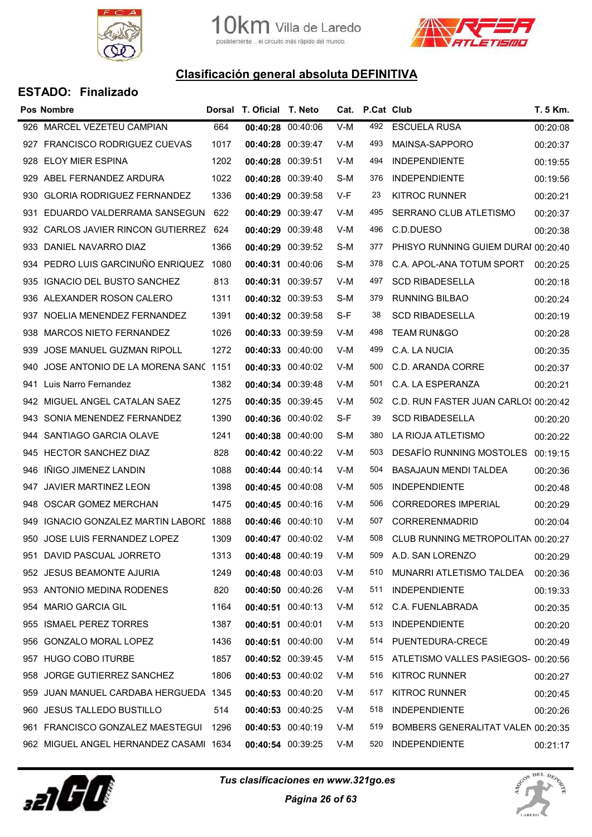



|     | <b>Pos Nombre</b>                      |      | Dorsal T. Oficial T. Neto |                   |     | Cat. P.Cat Club |                                      | T. 5 Km. |
|-----|----------------------------------------|------|---------------------------|-------------------|-----|-----------------|--------------------------------------|----------|
| 926 | MARCEL VEZETEU CAMPIAN                 | 664  | 00:40:28 00:40:06         |                   | V-M | 492             | <b>ESCUELA RUSA</b>                  | 00:20:08 |
| 927 | <b>FRANCISCO RODRIGUEZ CUEVAS</b>      | 1017 | 00:40:28 00:39:47         |                   | V-M | 493             | MAINSA-SAPPORO                       | 00:20:37 |
|     | 928 ELOY MIER ESPINA                   | 1202 | 00:40:28 00:39:51         |                   | V-M | 494             | <b>INDEPENDIENTE</b>                 | 00:19:55 |
|     | 929 ABEL FERNANDEZ ARDURA              | 1022 | 00:40:28 00:39:40         |                   | S-M | 376             | <b>INDEPENDIENTE</b>                 | 00:19:56 |
|     | 930 GLORIA RODRIGUEZ FERNANDEZ         | 1336 | 00:40:29 00:39:58         |                   | V-F | 23              | <b>KITROC RUNNER</b>                 | 00:20:21 |
| 931 | EDUARDO VALDERRAMA SANSEGUN            | 622  | 00:40:29 00:39:47         |                   | V-M | 495             | SERRANO CLUB ATLETISMO               | 00:20:37 |
|     | 932 CARLOS JAVIER RINCON GUTIERREZ 624 |      | 00:40:29 00:39:48         |                   | V-M | 496             | C.D.DUESO                            | 00:20:38 |
| 933 | DANIEL NAVARRO DIAZ                    | 1366 | 00:40:29 00:39:52         |                   | S-M | 377             | PHISYO RUNNING GUIEM DURAI 00:20:40  |          |
| 934 | PEDRO LUIS GARCINUÑO ENRIQUEZ 1080     |      | 00:40:31 00:40:06         |                   | S-M | 378             | C.A. APOL-ANA TOTUM SPORT            | 00:20:25 |
| 935 | IGNACIO DEL BUSTO SANCHEZ              | 813  | 00:40:31 00:39:57         |                   | V-M | 497             | <b>SCD RIBADESELLA</b>               | 00:20:18 |
| 936 | ALEXANDER ROSON CALERO                 | 1311 | 00:40:32 00:39:53         |                   | S-M | 379             | <b>RUNNING BILBAO</b>                | 00:20:24 |
| 937 | NOELIA MENENDEZ FERNANDEZ              | 1391 | 00:40:32 00:39:58         |                   | S-F | 38              | <b>SCD RIBADESELLA</b>               | 00:20:19 |
| 938 | MARCOS NIETO FERNANDEZ                 | 1026 | 00:40:33 00:39:59         |                   | V-M | 498             | <b>TEAM RUN&amp;GO</b>               | 00:20:28 |
| 939 | JOSE MANUEL GUZMAN RIPOLL              | 1272 | 00:40:33 00:40:00         |                   | V-M | 499             | C.A. LA NUCIA                        | 00:20:35 |
| 940 | JOSE ANTONIO DE LA MORENA SANC 1151    |      | 00:40:33 00:40:02         |                   | V-M | 500             | C.D. ARANDA CORRE                    | 00:20:37 |
| 941 | Luis Narro Fernandez                   | 1382 | 00:40:34 00:39:48         |                   | V-M | 501             | C.A. LA ESPERANZA                    | 00:20:21 |
| 942 | MIGUEL ANGEL CATALAN SAEZ              | 1275 | 00:40:35 00:39:45         |                   | V-M | 502             | C.D. RUN FASTER JUAN CARLOS 00:20:42 |          |
|     | 943 SONIA MENENDEZ FERNANDEZ           | 1390 | 00:40:36 00:40:02         |                   | S-F | 39              | <b>SCD RIBADESELLA</b>               | 00:20:20 |
| 944 | SANTIAGO GARCIA OLAVE                  | 1241 | 00:40:38 00:40:00         |                   | S-M | 380             | LA RIOJA ATLETISMO                   | 00:20:22 |
|     | 945 HECTOR SANCHEZ DIAZ                | 828  | 00:40:42 00:40:22         |                   | V-M | 503             | <b>DESAFÍO RUNNING MOSTOLES</b>      | 00:19:15 |
| 946 | IÑIGO JIMENEZ LANDIN                   | 1088 | 00:40:44 00:40:14         |                   | V-M | 504             | BASAJAUN MENDI TALDEA                | 00:20:36 |
| 947 | <b>JAVIER MARTINEZ LEON</b>            | 1398 | 00:40:45 00:40:08         |                   | V-M | 505             | <b>INDEPENDIENTE</b>                 | 00:20:48 |
| 948 | OSCAR GOMEZ MERCHAN                    | 1475 | 00:40:45 00:40:16         |                   | V-M | 506             | <b>CORREDORES IMPERIAL</b>           | 00:20:29 |
| 949 | IGNACIO GONZALEZ MARTIN LABORE 1888    |      | 00:40:46 00:40:10         |                   | V-M | 507             | CORRERENMADRID                       | 00:20:04 |
|     | 950 JOSE LUIS FERNANDEZ LOPEZ          | 1309 | 00:40:47 00:40:02         |                   | V-M | 508             | CLUB RUNNING METROPOLITAN 00:20:27   |          |
|     | 951 DAVID PASCUAL JORRETO              | 1313 | 00:40:48 00:40:19         |                   | V-M | 509             | A.D. SAN LORENZO                     | 00:20:29 |
|     | 952 JESUS BEAMONTE AJURIA              | 1249 | 00:40:48 00:40:03         |                   | V-M | 510             | MUNARRI ATLETISMO TALDEA             | 00:20:36 |
|     | 953 ANTONIO MEDINA RODENES             | 820  | 00:40:50 00:40:26         |                   | V-M | 511             | <b>INDEPENDIENTE</b>                 | 00:19:33 |
|     | 954 MARIO GARCIA GIL                   | 1164 |                           | 00:40:51 00:40:13 | V-M | 512             | C.A. FUENLABRADA                     | 00:20:35 |
| 955 | <b>ISMAEL PEREZ TORRES</b>             | 1387 | 00:40:51 00:40:01         |                   | V-M | 513             | <b>INDEPENDIENTE</b>                 | 00:20:20 |
|     | 956 GONZALO MORAL LOPEZ                | 1436 |                           | 00:40:51 00:40:00 | V-M | 514             | PUENTEDURA-CRECE                     | 00:20:49 |
| 957 | <b>HUGO COBO ITURBE</b>                | 1857 | 00:40:52 00:39:45         |                   | V-M | 515             | ATLETISMO VALLES PASIEGOS- 00:20:56  |          |
| 958 | JORGE GUTIERREZ SANCHEZ                | 1806 | 00:40:53 00:40:02         |                   | V-M | 516             | <b>KITROC RUNNER</b>                 | 00:20:27 |
| 959 | JUAN MANUEL CARDABA HERGUEDA 1345      |      | 00:40:53 00:40:20         |                   | V-M | 517             | <b>KITROC RUNNER</b>                 | 00:20:45 |
| 960 | JESUS TALLEDO BUSTILLO                 | 514  |                           | 00:40:53 00:40:25 | V-M | 518             | <b>INDEPENDIENTE</b>                 | 00:20:26 |
|     | 961 FRANCISCO GONZALEZ MAESTEGUI 1296  |      | 00:40:53 00:40:19         |                   | V-M | 519             | BOMBERS GENERALITAT VALEN 00:20:35   |          |
|     | 962 MIGUEL ANGEL HERNANDEZ CASAMI 1634 |      | 00:40:54 00:39:25         |                   | V-M | 520             | <b>INDEPENDIENTE</b>                 | 00:21:17 |



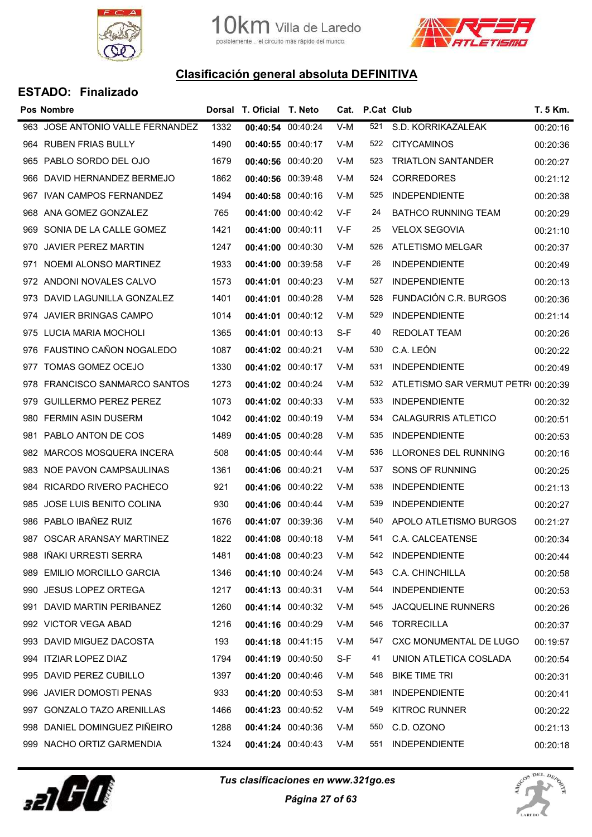



|     | <b>Pos Nombre</b>                |      | Dorsal T. Oficial T. Neto |       | Cat. P.Cat Club |                                     | T. 5 Km. |
|-----|----------------------------------|------|---------------------------|-------|-----------------|-------------------------------------|----------|
|     | 963 JOSE ANTONIO VALLE FERNANDEZ | 1332 | 00:40:54 00:40:24         | $V-M$ | 521             | S.D. KORRIKAZALEAK                  | 00:20:16 |
|     | 964 RUBEN FRIAS BULLY            | 1490 | 00:40:55 00:40:17         | V-M   | 522             | <b>CITYCAMINOS</b>                  | 00:20:36 |
|     | 965 PABLO SORDO DEL OJO          | 1679 | 00:40:56 00:40:20         | V-M   | 523             | <b>TRIATLON SANTANDER</b>           | 00:20:27 |
| 966 | DAVID HERNANDEZ BERMEJO          | 1862 | 00:40:56 00:39:48         | V-M   | 524             | <b>CORREDORES</b>                   | 00:21:12 |
|     | 967 IVAN CAMPOS FERNANDEZ        | 1494 | 00:40:58 00:40:16         | V-M   | 525             | <b>INDEPENDIENTE</b>                | 00:20:38 |
| 968 | ANA GOMEZ GONZALEZ               | 765  | 00:41:00 00:40:42         | V-F   | 24              | <b>BATHCO RUNNING TEAM</b>          | 00:20:29 |
|     | 969 SONIA DE LA CALLE GOMEZ      | 1421 | 00:41:00 00:40:11         | V-F   | 25              | <b>VELOX SEGOVIA</b>                | 00:21:10 |
| 970 | <b>JAVIER PEREZ MARTIN</b>       | 1247 | 00:41:00 00:40:30         | V-M   | 526             | <b>ATLETISMO MELGAR</b>             | 00:20:37 |
|     | 971 NOEMI ALONSO MARTINEZ        | 1933 | 00:41:00 00:39:58         | V-F   | 26              | <b>INDEPENDIENTE</b>                | 00:20:49 |
|     | 972 ANDONI NOVALES CALVO         | 1573 | 00:41:01 00:40:23         | V-M   | 527             | <b>INDEPENDIENTE</b>                | 00:20:13 |
|     | 973 DAVID LAGUNILLA GONZALEZ     | 1401 | 00:41:01 00:40:28         | V-M   | 528             | FUNDACIÓN C.R. BURGOS               | 00:20:36 |
|     | 974 JAVIER BRINGAS CAMPO         | 1014 | 00:41:01 00:40:12         | V-M   | 529             | <b>INDEPENDIENTE</b>                | 00:21:14 |
|     | 975 LUCIA MARIA MOCHOLI          | 1365 | 00:41:01 00:40:13         | S-F   | 40              | <b>REDOLAT TEAM</b>                 | 00:20:26 |
|     | 976 FAUSTINO CAÑON NOGALEDO      | 1087 | 00:41:02 00:40:21         | V-M   | 530             | C.A. LEÓN                           | 00:20:22 |
| 977 | TOMAS GOMEZ OCEJO                | 1330 | 00:41:02 00:40:17         | V-M   | 531             | <b>INDEPENDIENTE</b>                | 00:20:49 |
|     | 978 FRANCISCO SANMARCO SANTOS    | 1273 | 00:41:02 00:40:24         | V-M   | 532             | ATLETISMO SAR VERMUT PETRI 00:20:39 |          |
| 979 | <b>GUILLERMO PEREZ PEREZ</b>     | 1073 | 00:41:02 00:40:33         | V-M   | 533             | <b>INDEPENDIENTE</b>                | 00:20:32 |
|     | 980 FERMIN ASIN DUSERM           | 1042 | 00:41:02 00:40:19         | V-M   | 534             | <b>CALAGURRIS ATLETICO</b>          | 00:20:51 |
| 981 | PABLO ANTON DE COS               | 1489 | 00:41:05 00:40:28         | V-M   | 535             | <b>INDEPENDIENTE</b>                | 00:20:53 |
|     | 982 MARCOS MOSQUERA INCERA       | 508  | 00:41:05 00:40:44         | V-M   | 536             | LLORONES DEL RUNNING                | 00:20:16 |
|     | 983 NOE PAVON CAMPSAULINAS       | 1361 | 00:41:06 00:40:21         | V-M   | 537             | SONS OF RUNNING                     | 00:20:25 |
| 984 | <b>RICARDO RIVERO PACHECO</b>    | 921  | 00:41:06 00:40:22         | V-M   | 538             | <b>INDEPENDIENTE</b>                | 00:21:13 |
| 985 | JOSE LUIS BENITO COLINA          | 930  | 00:41:06 00:40:44         | V-M   | 539             | <b>INDEPENDIENTE</b>                | 00:20:27 |
| 986 | PABLO IBAÑEZ RUIZ                | 1676 | 00:41:07 00:39:36         | V-M   | 540             | APOLO ATLETISMO BURGOS              | 00:21:27 |
|     | 987 OSCAR ARANSAY MARTINEZ       | 1822 | 00:41:08 00:40:18         | V-M   | 541             | C.A. CALCEATENSE                    | 00:20:34 |
|     | 988 IÑAKI URRESTI SERRA          | 1481 | 00:41:08 00:40:23         | V-M   | 542             | <b>INDEPENDIENTE</b>                | 00:20:44 |
| 989 | <b>EMILIO MORCILLO GARCIA</b>    | 1346 | 00:41:10 00:40:24         | V-M   | 543             | C.A. CHINCHILLA                     | 00:20:58 |
|     | 990 JESUS LOPEZ ORTEGA           | 1217 | 00:41:13 00:40:31         | V-M   | 544             | <b>INDEPENDIENTE</b>                | 00:20:53 |
|     | 991 DAVID MARTIN PERIBANEZ       | 1260 | 00:41:14 00:40:32         | V-M   | 545             | <b>JACQUELINE RUNNERS</b>           | 00:20:26 |
|     | 992 VICTOR VEGA ABAD             | 1216 | 00:41:16 00:40:29         | V-M   | 546             | <b>TORRECILLA</b>                   | 00:20:37 |
|     | 993 DAVID MIGUEZ DACOSTA         | 193  | 00:41:18 00:41:15         | V-M   | 547             | CXC MONUMENTAL DE LUGO              | 00:19:57 |
|     | 994 ITZIAR LOPEZ DIAZ            | 1794 | 00:41:19 00:40:50         | S-F   | 41              | UNION ATLETICA COSLADA              | 00:20:54 |
|     | 995 DAVID PEREZ CUBILLO          | 1397 | 00:41:20 00:40:46         | V-M   | 548             | <b>BIKE TIME TRI</b>                | 00:20:31 |
|     | 996 JAVIER DOMOSTI PENAS         | 933  | 00:41:20 00:40:53         | S-M   | 381             | <b>INDEPENDIENTE</b>                | 00:20:41 |
|     | 997 GONZALO TAZO ARENILLAS       | 1466 | 00:41:23 00:40:52         | V-M   | 549             | <b>KITROC RUNNER</b>                | 00:20:22 |
|     | 998 DANIEL DOMINGUEZ PIÑEIRO     | 1288 | 00:41:24 00:40:36         | V-M   | 550             | C.D. OZONO                          | 00:21:13 |
|     | 999 NACHO ORTIZ GARMENDIA        | 1324 | 00:41:24 00:40:43         | V-M   | 551             | <b>INDEPENDIENTE</b>                | 00:20:18 |
|     |                                  |      |                           |       |                 |                                     |          |



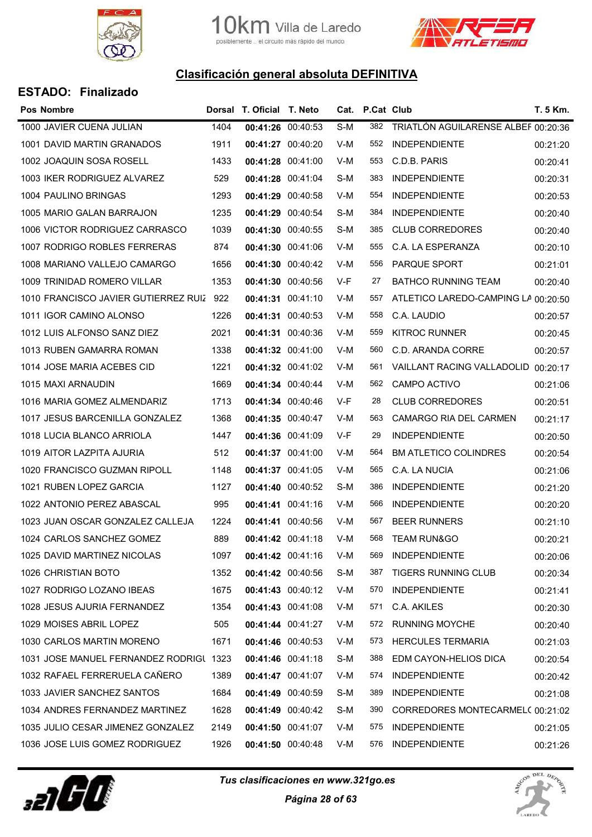



| Pos Nombre                              |      | Dorsal T. Oficial T. Neto |                   |     | Cat. P.Cat Club |                                     | T. 5 Km. |
|-----------------------------------------|------|---------------------------|-------------------|-----|-----------------|-------------------------------------|----------|
| 1000 JAVIER CUENA JULIAN                | 1404 | 00:41:26 00:40:53         |                   | S-M | 382             | TRIATLÓN AGUILARENSE ALBEF 00:20:36 |          |
| 1001 DAVID MARTIN GRANADOS              | 1911 | 00:41:27 00:40:20         |                   | V-M | 552             | <b>INDEPENDIENTE</b>                | 00:21:20 |
| 1002 JOAQUIN SOSA ROSELL                | 1433 |                           | 00:41:28 00:41:00 | V-M | 553             | C.D.B. PARIS                        | 00:20:41 |
| 1003 IKER RODRIGUEZ ALVAREZ             | 529  | 00:41:28 00:41:04         |                   | S-M | 383             | <b>INDEPENDIENTE</b>                | 00:20:31 |
| 1004 PAULINO BRINGAS                    | 1293 |                           | 00:41:29 00:40:58 | V-M | 554             | <b>INDEPENDIENTE</b>                | 00:20:53 |
| 1005 MARIO GALAN BARRAJON               | 1235 | 00:41:29 00:40:54         |                   | S-M | 384             | <b>INDEPENDIENTE</b>                | 00:20:40 |
| 1006 VICTOR RODRIGUEZ CARRASCO          | 1039 | 00:41:30 00:40:55         |                   | S-M | 385             | <b>CLUB CORREDORES</b>              | 00:20:40 |
| 1007 RODRIGO ROBLES FERRERAS            | 874  | 00:41:30 00:41:06         |                   | V-M | 555             | C.A. LA ESPERANZA                   | 00:20:10 |
| 1008 MARIANO VALLEJO CAMARGO            | 1656 | 00:41:30 00:40:42         |                   | V-M | 556             | <b>PARQUE SPORT</b>                 | 00:21:01 |
| 1009 TRINIDAD ROMERO VILLAR             | 1353 | 00:41:30 00:40:56         |                   | V-F | 27              | <b>BATHCO RUNNING TEAM</b>          | 00:20:40 |
| 1010 FRANCISCO JAVIER GUTIERREZ RUIZ    | 922  | 00:41:31 00:41:10         |                   | V-M | 557             | ATLETICO LAREDO-CAMPING LA 00:20:50 |          |
| 1011 IGOR CAMINO ALONSO                 | 1226 |                           | 00:41:31 00:40:53 | V-M | 558             | C.A. LAUDIO                         | 00:20:57 |
| 1012 LUIS ALFONSO SANZ DIEZ             | 2021 | 00:41:31 00:40:36         |                   | V-M | 559             | <b>KITROC RUNNER</b>                | 00:20:45 |
| 1013 RUBEN GAMARRA ROMAN                | 1338 | 00:41:32 00:41:00         |                   | V-M | 560             | C.D. ARANDA CORRE                   | 00:20:57 |
| 1014 JOSE MARIA ACEBES CID              | 1221 | 00:41:32 00:41:02         |                   | V-M | 561             | <b>VAILLANT RACING VALLADOLID</b>   | 00:20:17 |
| 1015 MAXI ARNAUDIN                      | 1669 | 00:41:34 00:40:44         |                   | V-M | 562             | CAMPO ACTIVO                        | 00:21:06 |
| 1016 MARIA GOMEZ ALMENDARIZ             | 1713 | 00:41:34 00:40:46         |                   | V-F | 28              | <b>CLUB CORREDORES</b>              | 00:20:51 |
| 1017 JESUS BARCENILLA GONZALEZ          | 1368 | 00:41:35 00:40:47         |                   | V-M | 563             | CAMARGO RIA DEL CARMEN              | 00:21:17 |
| 1018 LUCIA BLANCO ARRIOLA               | 1447 |                           | 00:41:36 00:41:09 | V-F | 29              | <b>INDEPENDIENTE</b>                | 00:20:50 |
| 1019 AITOR LAZPITA AJURIA               | 512  |                           | 00:41:37 00:41:00 | V-M | 564             | <b>BM ATLETICO COLINDRES</b>        | 00:20:54 |
| 1020 FRANCISCO GUZMAN RIPOLL            | 1148 | 00:41:37 00:41:05         |                   | V-M | 565             | C.A. LA NUCIA                       | 00:21:06 |
| 1021 RUBEN LOPEZ GARCIA                 | 1127 | 00:41:40 00:40:52         |                   | S-M | 386             | <b>INDEPENDIENTE</b>                | 00:21:20 |
| 1022 ANTONIO PEREZ ABASCAL              | 995  | 00:41:41 00:41:16         |                   | V-M | 566             | <b>INDEPENDIENTE</b>                | 00:20:20 |
| 1023 JUAN OSCAR GONZALEZ CALLEJA        | 1224 | 00:41:41 00:40:56         |                   | V-M | 567             | <b>BEER RUNNERS</b>                 | 00:21:10 |
| 1024 CARLOS SANCHEZ GOMEZ               | 889  | 00:41:42 00:41:18         |                   | V-M | 568             | <b>TEAM RUN&amp;GO</b>              | 00:20:21 |
| 1025 DAVID MARTINEZ NICOLAS             | 1097 | 00:41:42 00:41:16         |                   | V-M | 569             | <b>INDEPENDIENTE</b>                | 00:20:06 |
| 1026 CHRISTIAN BOTO                     | 1352 |                           | 00:41:42 00:40:56 | S-M | 387             | <b>TIGERS RUNNING CLUB</b>          | 00:20:34 |
| 1027 RODRIGO LOZANO IBEAS               | 1675 |                           | 00:41:43 00:40:12 | V-M | 570             | <b>INDEPENDIENTE</b>                | 00:21:41 |
| 1028 JESUS AJURIA FERNANDEZ             | 1354 | 00:41:43 00:41:08         |                   | V-M | 571             | C.A. AKILES                         | 00:20:30 |
| 1029 MOISES ABRIL LOPEZ                 | 505  | 00:41:44 00:41:27         |                   | V-M | 572             | <b>RUNNING MOYCHE</b>               | 00:20:40 |
| 1030 CARLOS MARTIN MORENO               | 1671 | 00:41:46 00:40:53         |                   | V-M | 573             | <b>HERCULES TERMARIA</b>            | 00:21:03 |
| 1031 JOSE MANUEL FERNANDEZ RODRIGL 1323 |      | 00:41:46 00:41:18         |                   | S-M | 388             | EDM CAYON-HELIOS DICA               | 00:20:54 |
| 1032 RAFAEL FERRERUELA CAÑERO           | 1389 |                           | 00:41:47 00:41:07 | V-M | 574             | <b>INDEPENDIENTE</b>                | 00:20:42 |
| 1033 JAVIER SANCHEZ SANTOS              | 1684 | 00:41:49 00:40:59         |                   | S-M | 389             | <b>INDEPENDIENTE</b>                | 00:21:08 |
| 1034 ANDRES FERNANDEZ MARTINEZ          | 1628 | 00:41:49 00:40:42         |                   | S-M | 390             | CORREDORES MONTECARMEL( 00:21:02    |          |
| 1035 JULIO CESAR JIMENEZ GONZALEZ       | 2149 | 00:41:50 00:41:07         |                   | V-M | 575             | <b>INDEPENDIENTE</b>                | 00:21:05 |
| 1036 JOSE LUIS GOMEZ RODRIGUEZ          | 1926 | 00:41:50 00:40:48         |                   | V-M | 576             | <b>INDEPENDIENTE</b>                | 00:21:26 |
|                                         |      |                           |                   |     |                 |                                     |          |



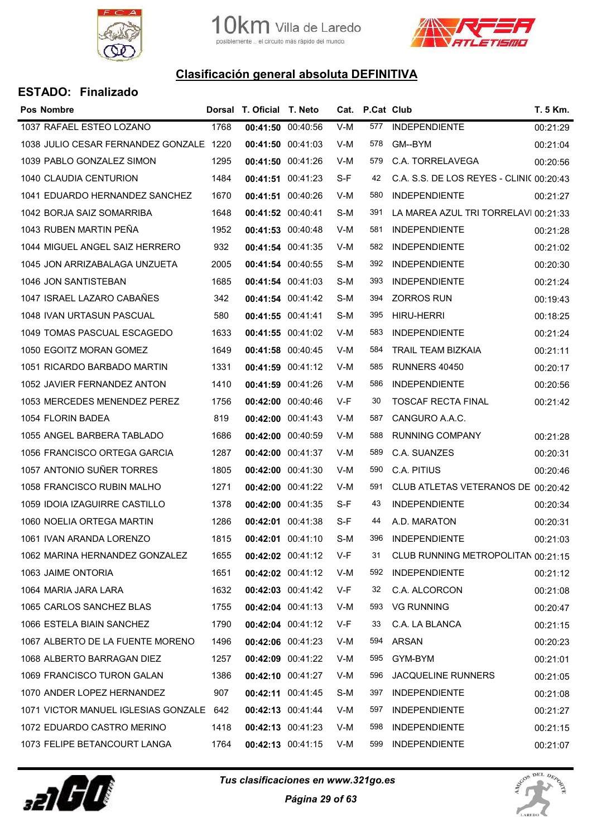

10 Km. Villa de Laredo<br>posiblemente .. el circuito más rápido del mundo.



## Clasificación general absoluta DEFINITIVA

| <b>Pos Nombre</b>                       |      | Dorsal T. Oficial T. Neto |                   | Cat.  | P.Cat Club |                                          | T. 5 Km. |
|-----------------------------------------|------|---------------------------|-------------------|-------|------------|------------------------------------------|----------|
| 1037 RAFAEL ESTEO LOZANO                | 1768 |                           | 00:41:50 00:40:56 | $V-M$ | 577        | <b>INDEPENDIENTE</b>                     | 00:21:29 |
| 1038 JULIO CESAR FERNANDEZ GONZALE 1220 |      | 00:41:50 00:41:03         |                   | V-M   | 578        | GM--BYM                                  | 00:21:04 |
| 1039 PABLO GONZALEZ SIMON               | 1295 |                           | 00:41:50 00:41:26 | V-M   | 579        | C.A. TORRELAVEGA                         | 00:20:56 |
| 1040 CLAUDIA CENTURION                  | 1484 |                           | 00:41:51 00:41:23 | S-F   | 42         | C.A. S.S. DE LOS REYES - CLINIC 00:20:43 |          |
| 1041 EDUARDO HERNANDEZ SANCHEZ          | 1670 |                           | 00:41:51 00:40:26 | V-M   | 580        | <b>INDEPENDIENTE</b>                     | 00:21:27 |
| 1042 BORJA SAIZ SOMARRIBA               | 1648 | 00:41:52 00:40:41         |                   | S-M   | 391        | LA MAREA AZUL TRI TORRELAVI 00:21:33     |          |
| 1043 RUBEN MARTIN PEÑA                  | 1952 |                           | 00:41:53 00:40:48 | V-M   | 581        | <b>INDEPENDIENTE</b>                     | 00:21:28 |
| 1044 MIGUEL ANGEL SAIZ HERRERO          | 932  |                           | 00:41:54 00:41:35 | V-M   | 582        | <b>INDEPENDIENTE</b>                     | 00:21:02 |
| 1045 JON ARRIZABALAGA UNZUETA           | 2005 |                           | 00:41:54 00:40:55 | S-M   | 392        | <b>INDEPENDIENTE</b>                     | 00:20:30 |
| 1046 JON SANTISTEBAN                    | 1685 |                           | 00:41:54 00:41:03 | S-M   | 393        | <b>INDEPENDIENTE</b>                     | 00:21:24 |
| 1047 ISRAEL LAZARO CABAÑES              | 342  |                           | 00:41:54 00:41:42 | S-M   | 394        | <b>ZORROS RUN</b>                        | 00:19:43 |
| 1048 IVAN URTASUN PASCUAL               | 580  | 00:41:55 00:41:41         |                   | S-M   | 395        | <b>HIRU-HERRI</b>                        | 00:18:25 |
| 1049 TOMAS PASCUAL ESCAGEDO             | 1633 |                           | 00:41:55 00:41:02 | V-M   | 583        | <b>INDEPENDIENTE</b>                     | 00:21:24 |
| 1050 EGOITZ MORAN GOMEZ                 | 1649 |                           | 00:41:58 00:40:45 | V-M   | 584        | TRAIL TEAM BIZKAIA                       | 00:21:11 |
| 1051 RICARDO BARBADO MARTIN             | 1331 |                           | 00:41:59 00:41:12 | V-M   | 585        | <b>RUNNERS 40450</b>                     | 00:20:17 |
| 1052 JAVIER FERNANDEZ ANTON             | 1410 |                           | 00:41:59 00:41:26 | V-M   | 586        | <b>INDEPENDIENTE</b>                     | 00:20:56 |
| 1053 MERCEDES MENENDEZ PEREZ            | 1756 |                           | 00:42:00 00:40:46 | V-F   | 30         | <b>TOSCAF RECTA FINAL</b>                | 00:21:42 |
| 1054 FLORIN BADEA                       | 819  |                           | 00:42:00 00:41:43 | V-M   | 587        | CANGURO A.A.C.                           |          |
| 1055 ANGEL BARBERA TABLADO              | 1686 |                           | 00:42:00 00:40:59 | V-M   | 588        | <b>RUNNING COMPANY</b>                   | 00:21:28 |
| 1056 FRANCISCO ORTEGA GARCIA            | 1287 | 00:42:00 00:41:37         |                   | V-M   | 589        | C.A. SUANZES                             | 00:20:31 |
| 1057 ANTONIO SUÑER TORRES               | 1805 |                           | 00:42:00 00:41:30 | V-M   | 590        | C.A. PITIUS                              | 00:20:46 |
| 1058 FRANCISCO RUBIN MALHO              | 1271 |                           | 00:42:00 00:41:22 | V-M   | 591        | CLUB ATLETAS VETERANOS DE 00:20:42       |          |
| 1059 IDOIA IZAGUIRRE CASTILLO           | 1378 |                           | 00:42:00 00:41:35 | S-F   | 43         | <b>INDEPENDIENTE</b>                     | 00:20:34 |
| 1060 NOELIA ORTEGA MARTIN               | 1286 |                           | 00:42:01 00:41:38 | S-F   | 44         | A.D. MARATON                             | 00:20:31 |
| 1061 IVAN ARANDA LORENZO                | 1815 |                           | 00:42:01 00:41:10 | S-M   | 396        | <b>INDEPENDIENTE</b>                     | 00:21:03 |
| 1062 MARINA HERNANDEZ GONZALEZ          | 1655 |                           | 00:42:02 00:41:12 | V-F   | 31         | CLUB RUNNING METROPOLITAN 00:21:15       |          |
| 1063 JAIME ONTORIA                      | 1651 |                           | 00:42:02 00:41:12 | V-M   | 592        | <b>INDEPENDIENTE</b>                     | 00:21:12 |
| 1064 MARIA JARA LARA                    | 1632 |                           | 00:42:03 00:41:42 | V-F   | 32         | C.A. ALCORCON                            | 00:21:08 |
| 1065 CARLOS SANCHEZ BLAS                | 1755 |                           | 00:42:04 00:41:13 | V-M   | 593        | <b>VG RUNNING</b>                        | 00:20:47 |
| 1066 ESTELA BIAIN SANCHEZ               | 1790 |                           | 00:42:04 00:41:12 | V-F   | 33         | C.A. LA BLANCA                           | 00:21:15 |
| 1067 ALBERTO DE LA FUENTE MORENO        | 1496 |                           | 00:42:06 00:41:23 | V-M   | 594        | ARSAN                                    | 00:20:23 |
| 1068 ALBERTO BARRAGAN DIEZ              | 1257 |                           | 00:42:09 00:41:22 | V-M   | 595        | GYM-BYM                                  | 00:21:01 |
| 1069 FRANCISCO TURON GALAN              | 1386 | 00:42:10 00:41:27         |                   | V-M   | 596        | <b>JACQUELINE RUNNERS</b>                | 00:21:05 |
| 1070 ANDER LOPEZ HERNANDEZ              | 907  |                           | 00:42:11 00:41:45 | S-M   | 397        | <b>INDEPENDIENTE</b>                     | 00:21:08 |
| 1071 VICTOR MANUEL IGLESIAS GONZALE 642 |      |                           | 00:42:13 00:41:44 | V-M   | 597        | <b>INDEPENDIENTE</b>                     | 00:21:27 |
| 1072 EDUARDO CASTRO MERINO              | 1418 |                           | 00:42:13 00:41:23 | V-M   | 598        | <b>INDEPENDIENTE</b>                     | 00:21:15 |
| 1073 FELIPE BETANCOURT LANGA            | 1764 |                           | 00:42:13 00:41:15 | V-M   | 599        | <b>INDEPENDIENTE</b>                     | 00:21:07 |



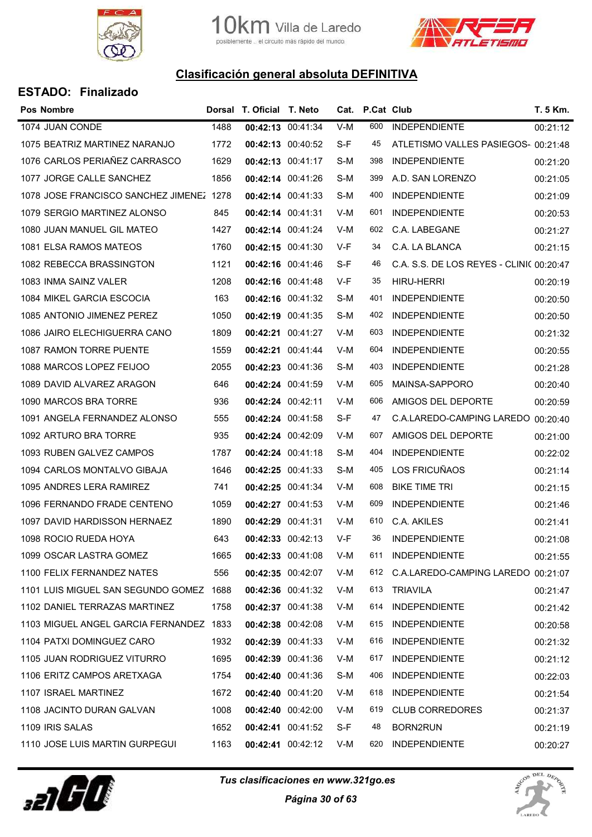



| <b>ESTADO: Finalizado</b> |  |
|---------------------------|--|
|---------------------------|--|

| <b>Pos Nombre</b>                        |      | Dorsal T. Oficial T. Neto |                   |     | Cat. P.Cat Club |                                          | T. 5 Km. |
|------------------------------------------|------|---------------------------|-------------------|-----|-----------------|------------------------------------------|----------|
| 1074 JUAN CONDE                          | 1488 | 00:42:13 00:41:34         |                   | V-M | 600             | <b>INDEPENDIENTE</b>                     | 00:21:12 |
| 1075 BEATRIZ MARTINEZ NARANJO            | 1772 | 00:42:13 00:40:52         |                   | S-F | 45              | ATLETISMO VALLES PASIEGOS- 00:21:48      |          |
| 1076 CARLOS PERIAÑEZ CARRASCO            | 1629 | 00:42:13 00:41:17         |                   | S-M | 398             | <b>INDEPENDIENTE</b>                     | 00:21:20 |
| 1077 JORGE CALLE SANCHEZ                 | 1856 | 00:42:14 00:41:26         |                   | S-M | 399             | A.D. SAN LORENZO                         | 00:21:05 |
| 1078 JOSE FRANCISCO SANCHEZ JIMENEZ 1278 |      | 00:42:14 00:41:33         |                   | S-M | 400             | <b>INDEPENDIENTE</b>                     | 00:21:09 |
| 1079 SERGIO MARTINEZ ALONSO              | 845  | 00:42:14 00:41:31         |                   | V-M | 601             | <b>INDEPENDIENTE</b>                     | 00:20:53 |
| 1080 JUAN MANUEL GIL MATEO               | 1427 | 00:42:14 00:41:24         |                   | V-M | 602             | C.A. LABEGANE                            | 00:21:27 |
| 1081 ELSA RAMOS MATEOS                   | 1760 | 00:42:15 00:41:30         |                   | V-F | 34              | C.A. LA BLANCA                           | 00:21:15 |
| 1082 REBECCA BRASSINGTON                 | 1121 | 00:42:16 00:41:46         |                   | S-F | 46              | C.A. S.S. DE LOS REYES - CLINI( 00:20:47 |          |
| 1083 INMA SAINZ VALER                    | 1208 | 00:42:16 00:41:48         |                   | V-F | 35              | <b>HIRU-HERRI</b>                        | 00:20:19 |
| 1084 MIKEL GARCIA ESCOCIA                | 163  | 00:42:16 00:41:32         |                   | S-M | 401             | <b>INDEPENDIENTE</b>                     | 00:20:50 |
| 1085 ANTONIO JIMENEZ PEREZ               | 1050 | 00:42:19 00:41:35         |                   | S-M | 402             | <b>INDEPENDIENTE</b>                     | 00:20:50 |
| 1086 JAIRO ELECHIGUERRA CANO             | 1809 | 00:42:21 00:41:27         |                   | V-M | 603             | <b>INDEPENDIENTE</b>                     | 00:21:32 |
| 1087 RAMON TORRE PUENTE                  | 1559 | 00:42:21 00:41:44         |                   | V-M | 604             | <b>INDEPENDIENTE</b>                     | 00:20:55 |
| 1088 MARCOS LOPEZ FEIJOO                 | 2055 | 00:42:23 00:41:36         |                   | S-M | 403             | <b>INDEPENDIENTE</b>                     | 00:21:28 |
| 1089 DAVID ALVAREZ ARAGON                | 646  | 00:42:24 00:41:59         |                   | V-M | 605             | MAINSA-SAPPORO                           | 00:20:40 |
| 1090 MARCOS BRA TORRE                    | 936  | 00:42:24 00:42:11         |                   | V-M | 606             | AMIGOS DEL DEPORTE                       | 00:20:59 |
| 1091 ANGELA FERNANDEZ ALONSO             | 555  | 00:42:24 00:41:58         |                   | S-F | 47              | C.A.LAREDO-CAMPING LAREDO 00:20:40       |          |
| 1092 ARTURO BRA TORRE                    | 935  | 00:42:24 00:42:09         |                   | V-M | 607             | AMIGOS DEL DEPORTE                       | 00:21:00 |
| 1093 RUBEN GALVEZ CAMPOS                 | 1787 | 00:42:24 00:41:18         |                   | S-M | 404             | <b>INDEPENDIENTE</b>                     | 00:22:02 |
| 1094 CARLOS MONTALVO GIBAJA              | 1646 | 00:42:25 00:41:33         |                   | S-M | 405             | LOS FRICUÑAOS                            | 00:21:14 |
| 1095 ANDRES LERA RAMIREZ                 | 741  | 00:42:25 00:41:34         |                   | V-M | 608             | <b>BIKE TIME TRI</b>                     | 00:21:15 |
| 1096 FERNANDO FRADE CENTENO              | 1059 | 00:42:27 00:41:53         |                   | V-M | 609             | <b>INDEPENDIENTE</b>                     | 00:21:46 |
| 1097 DAVID HARDISSON HERNAEZ             | 1890 | 00:42:29 00:41:31         |                   | V-M | 610             | C.A. AKILES                              | 00:21:41 |
| 1098 ROCIO RUEDA HOYA                    | 643  | 00:42:33 00:42:13         |                   | V-F | 36              | <b>INDEPENDIENTE</b>                     | 00:21:08 |
| 1099 OSCAR LASTRA GOMEZ                  | 1665 | 00:42:33 00:41:08         |                   | V-M | 611             | <b>INDEPENDIENTE</b>                     | 00:21:55 |
| 1100 FELIX FERNANDEZ NATES               | 556  |                           | 00:42:35 00:42:07 | V-M | 612             | C.A.LAREDO-CAMPING LAREDO 00:21:07       |          |
| 1101 LUIS MIGUEL SAN SEGUNDO GOMEZ 1688  |      | 00:42:36 00:41:32         |                   | V-M | 613             | TRIAVILA                                 | 00:21:47 |
| 1102 DANIEL TERRAZAS MARTINEZ            | 1758 | 00:42:37 00:41:38         |                   | V-M | 614             | <b>INDEPENDIENTE</b>                     | 00:21:42 |
| 1103 MIGUEL ANGEL GARCIA FERNANDEZ 1833  |      | 00:42:38 00:42:08         |                   | V-M | 615             | <b>INDEPENDIENTE</b>                     | 00:20:58 |
| 1104 PATXI DOMINGUEZ CARO                | 1932 | 00:42:39 00:41:33         |                   | V-M | 616             | <b>INDEPENDIENTE</b>                     | 00:21:32 |
| 1105 JUAN RODRIGUEZ VITURRO              | 1695 | 00:42:39 00:41:36         |                   | V-M | 617             | <b>INDEPENDIENTE</b>                     | 00:21:12 |
| 1106 ERITZ CAMPOS ARETXAGA               | 1754 | 00:42:40 00:41:36         |                   | S-M | 406             | <b>INDEPENDIENTE</b>                     | 00:22:03 |
| 1107 ISRAEL MARTINEZ                     | 1672 | 00:42:40 00:41:20         |                   | V-M | 618             | <b>INDEPENDIENTE</b>                     | 00:21:54 |
| 1108 JACINTO DURAN GALVAN                | 1008 | 00:42:40 00:42:00         |                   | V-M | 619             | <b>CLUB CORREDORES</b>                   | 00:21:37 |
| 1109 IRIS SALAS                          | 1652 |                           | 00:42:41 00:41:52 | S-F | 48              | BORN2RUN                                 | 00:21:19 |
| 1110 JOSE LUIS MARTIN GURPEGUI           | 1163 |                           | 00:42:41 00:42:12 | V-M | 620             | <b>INDEPENDIENTE</b>                     | 00:20:27 |



Tus clasificaciones en www.321go.es

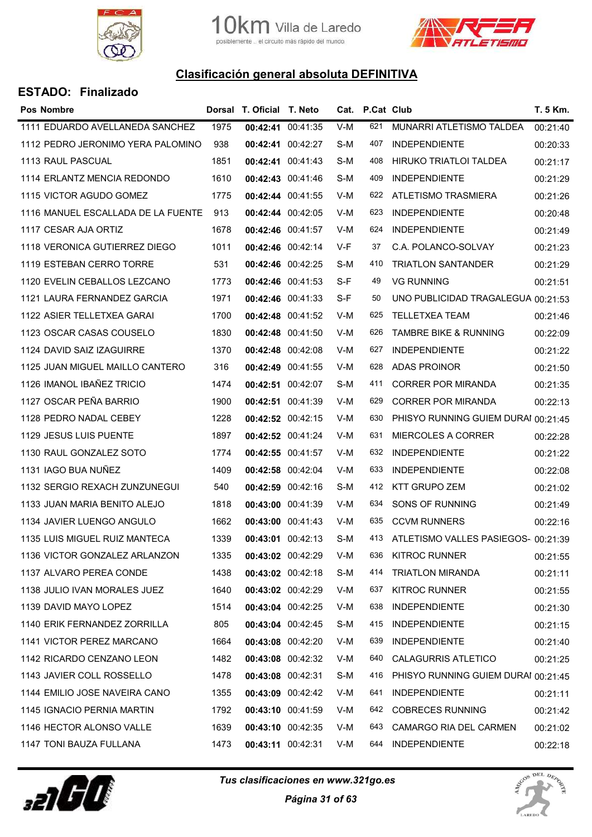



| <b>Pos Nombre</b>                  |      | Dorsal T. Oficial T. Neto |                   |     | Cat. P.Cat Club |                                     | T. 5 Km. |
|------------------------------------|------|---------------------------|-------------------|-----|-----------------|-------------------------------------|----------|
| 1111 EDUARDO AVELLANEDA SANCHEZ    | 1975 |                           | 00:42:41 00:41:35 | V-M | 621             | MUNARRI ATLETISMO TALDEA            | 00:21:40 |
| 1112 PEDRO JERONIMO YERA PALOMINO  | 938  | 00:42:41 00:42:27         |                   | S-M | 407             | <b>INDEPENDIENTE</b>                | 00:20:33 |
| 1113 RAUL PASCUAL                  | 1851 |                           | 00:42:41 00:41:43 | S-M | 408             | HIRUKO TRIATLOI TALDEA              | 00:21:17 |
| 1114 ERLANTZ MENCIA REDONDO        | 1610 |                           | 00:42:43 00:41:46 | S-M | 409             | <b>INDEPENDIENTE</b>                | 00:21:29 |
| 1115 VICTOR AGUDO GOMEZ            | 1775 |                           | 00:42:44 00:41:55 | V-M | 622             | ATLETISMO TRASMIERA                 | 00:21:26 |
| 1116 MANUEL ESCALLADA DE LA FUENTE | 913  |                           | 00:42:44 00:42:05 | V-M | 623             | <b>INDEPENDIENTE</b>                | 00:20:48 |
| 1117 CESAR AJA ORTIZ               | 1678 | 00:42:46 00:41:57         |                   | V-M | 624             | <b>INDEPENDIENTE</b>                | 00:21:49 |
| 1118 VERONICA GUTIERREZ DIEGO      | 1011 | 00:42:46 00:42:14         |                   | V-F | 37              | C.A. POLANCO-SOLVAY                 | 00:21:23 |
| 1119 ESTEBAN CERRO TORRE           | 531  | 00:42:46 00:42:25         |                   | S-M | 410             | <b>TRIATLON SANTANDER</b>           | 00:21:29 |
| 1120 EVELIN CEBALLOS LEZCANO       | 1773 |                           | 00:42:46 00:41:53 | S-F | 49              | <b>VG RUNNING</b>                   | 00:21:51 |
| 1121 LAURA FERNANDEZ GARCIA        | 1971 |                           | 00:42:46 00:41:33 | S-F | 50              | UNO PUBLICIDAD TRAGALEGUA 00:21:53  |          |
| 1122 ASIER TELLETXEA GARAI         | 1700 |                           | 00:42:48 00:41:52 | V-M | 625             | TELLETXEA TEAM                      | 00:21:46 |
| 1123 OSCAR CASAS COUSELO           | 1830 |                           | 00:42:48 00:41:50 | V-M | 626             | <b>TAMBRE BIKE &amp; RUNNING</b>    | 00:22:09 |
| 1124 DAVID SAIZ IZAGUIRRE          | 1370 |                           | 00:42:48 00:42:08 | V-M | 627             | <b>INDEPENDIENTE</b>                | 00:21:22 |
| 1125 JUAN MIGUEL MAILLO CANTERO    | 316  |                           | 00:42:49 00:41:55 | V-M | 628             | <b>ADAS PROINOR</b>                 | 00:21:50 |
| 1126 IMANOL IBAÑEZ TRICIO          | 1474 | 00:42:51 00:42:07         |                   | S-M | 411             | <b>CORRER POR MIRANDA</b>           | 00:21:35 |
| 1127 OSCAR PEÑA BARRIO             | 1900 | 00:42:51 00:41:39         |                   | V-M | 629             | <b>CORRER POR MIRANDA</b>           | 00:22:13 |
| 1128 PEDRO NADAL CEBEY             | 1228 |                           | 00:42:52 00:42:15 | V-M | 630             | PHISYO RUNNING GUIEM DURAI 00:21:45 |          |
| 1129 JESUS LUIS PUENTE             | 1897 |                           | 00:42:52 00:41:24 | V-M | 631             | <b>MIERCOLES A CORRER</b>           | 00:22:28 |
| 1130 RAUL GONZALEZ SOTO            | 1774 |                           | 00:42:55 00:41:57 | V-M | 632             | <b>INDEPENDIENTE</b>                | 00:21:22 |
| 1131 IAGO BUA NUÑEZ                | 1409 |                           | 00:42:58 00:42:04 | V-M | 633             | <b>INDEPENDIENTE</b>                | 00:22:08 |
| 1132 SERGIO REXACH ZUNZUNEGUI      | 540  |                           | 00:42:59 00:42:16 | S-M | 412             | <b>KTT GRUPO ZEM</b>                | 00:21:02 |
| 1133 JUAN MARIA BENITO ALEJO       | 1818 |                           | 00:43:00 00:41:39 | V-M | 634             | SONS OF RUNNING                     | 00:21:49 |
| 1134 JAVIER LUENGO ANGULO          | 1662 | 00:43:00 00:41:43         |                   | V-M | 635             | <b>CCVM RUNNERS</b>                 | 00:22:16 |
| 1135 LUIS MIGUEL RUIZ MANTECA      | 1339 |                           | 00:43:01 00:42:13 | S-M | 413.            | ATLETISMO VALLES PASIEGOS- 00:21:39 |          |
| 1136 VICTOR GONZALEZ ARLANZON      | 1335 |                           | 00:43:02 00:42:29 | V-M | 636             | <b>KITROC RUNNER</b>                | 00:21:55 |
| 1137 ALVARO PEREA CONDE            | 1438 |                           | 00:43:02 00:42:18 | S-M | 414             | <b>TRIATLON MIRANDA</b>             | 00:21:11 |
| 1138 JULIO IVAN MORALES JUEZ       | 1640 |                           | 00:43:02 00:42:29 | V-M | 637             | <b>KITROC RUNNER</b>                | 00:21:55 |
| 1139 DAVID MAYO LOPEZ              | 1514 |                           | 00:43:04 00:42:25 | V-M | 638             | <b>INDEPENDIENTE</b>                | 00:21:30 |
| 1140 ERIK FERNANDEZ ZORRILLA       | 805  |                           | 00:43:04 00:42:45 | S-M | 415             | <b>INDEPENDIENTE</b>                | 00:21:15 |
| 1141 VICTOR PEREZ MARCANO          | 1664 |                           | 00:43:08 00:42:20 | V-M | 639             | <b>INDEPENDIENTE</b>                | 00:21:40 |
| 1142 RICARDO CENZANO LEON          | 1482 | 00:43:08 00:42:32         |                   | V-M | 640             | <b>CALAGURRIS ATLETICO</b>          | 00:21:25 |
| 1143 JAVIER COLL ROSSELLO          | 1478 | 00:43:08 00:42:31         |                   | S-M | 416             | PHISYO RUNNING GUIEM DURAI 00:21:45 |          |
| 1144 EMILIO JOSE NAVEIRA CANO      | 1355 |                           | 00:43:09 00:42:42 | V-M | 641             | <b>INDEPENDIENTE</b>                | 00:21:11 |
| 1145 IGNACIO PERNIA MARTIN         | 1792 |                           | 00:43:10 00:41:59 | V-M | 642             | <b>COBRECES RUNNING</b>             | 00:21:42 |
| 1146 HECTOR ALONSO VALLE           | 1639 |                           | 00:43:10 00:42:35 | V-M | 643             | CAMARGO RIA DEL CARMEN              | 00:21:02 |
| 1147 TONI BAUZA FULLANA            | 1473 |                           | 00:43:11 00:42:31 | V-M | 644             | <b>INDEPENDIENTE</b>                | 00:22:18 |



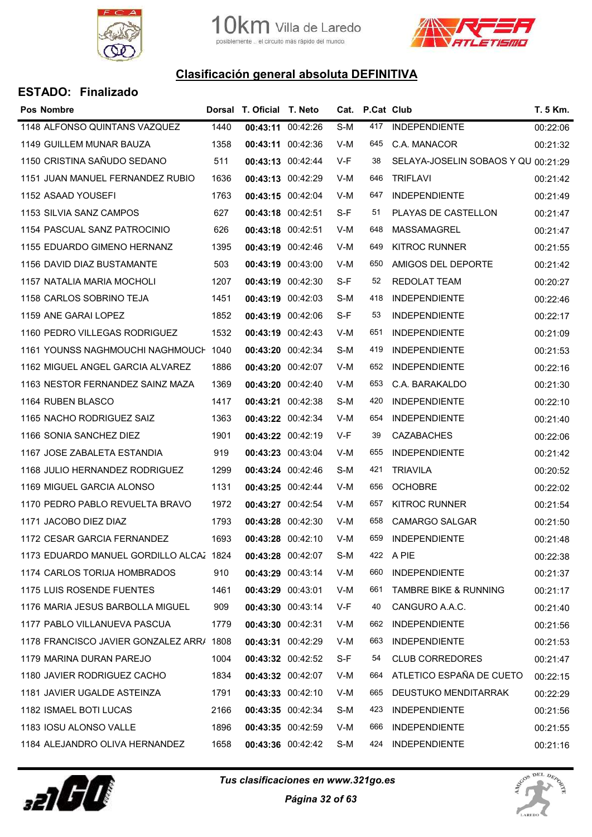



| <b>Pos Nombre</b>                        |      | Dorsal T. Oficial T. Neto |                   |     | Cat. P.Cat Club |                                     | T. 5 Km. |
|------------------------------------------|------|---------------------------|-------------------|-----|-----------------|-------------------------------------|----------|
| 1148 ALFONSO QUINTANS VAZQUEZ            | 1440 |                           | 00:43:11 00:42:26 | S-M | 417             | <b>INDEPENDIENTE</b>                | 00:22:06 |
| 1149 GUILLEM MUNAR BAUZA                 | 1358 |                           | 00:43:11 00:42:36 | V-M | 645             | C.A. MANACOR                        | 00:21:32 |
| 1150 CRISTINA SAÑUDO SEDANO              | 511  | 00:43:13 00:42:44         |                   | V-F | 38              | SELAYA-JOSELIN SOBAOS Y QU 00:21:29 |          |
| 1151 JUAN MANUEL FERNANDEZ RUBIO         | 1636 | 00:43:13 00:42:29         |                   | V-M | 646             | <b>TRIFLAVI</b>                     | 00:21:42 |
| 1152 ASAAD YOUSEFI                       | 1763 |                           | 00:43:15 00:42:04 | V-M | 647             | <b>INDEPENDIENTE</b>                | 00:21:49 |
| 1153 SILVIA SANZ CAMPOS                  | 627  | 00:43:18 00:42:51         |                   | S-F | 51              | PLAYAS DE CASTELLON                 | 00:21:47 |
| 1154 PASCUAL SANZ PATROCINIO             | 626  | 00:43:18 00:42:51         |                   | V-M | 648             | <b>MASSAMAGREL</b>                  | 00:21:47 |
| 1155 EDUARDO GIMENO HERNANZ              | 1395 | 00:43:19 00:42:46         |                   | V-M | 649             | <b>KITROC RUNNER</b>                | 00:21:55 |
| 1156 DAVID DIAZ BUSTAMANTE               | 503  |                           | 00:43:19 00:43:00 | V-M | 650             | AMIGOS DEL DEPORTE                  | 00:21:42 |
| 1157 NATALIA MARIA MOCHOLI               | 1207 |                           | 00:43:19 00:42:30 | S-F | 52              | <b>REDOLAT TEAM</b>                 | 00:20:27 |
| 1158 CARLOS SOBRINO TEJA                 | 1451 | 00:43:19 00:42:03         |                   | S-M | 418             | <b>INDEPENDIENTE</b>                | 00:22:46 |
| 1159 ANE GARAI LOPEZ                     | 1852 |                           | 00:43:19 00:42:06 | S-F | 53              | <b>INDEPENDIENTE</b>                | 00:22:17 |
| 1160 PEDRO VILLEGAS RODRIGUEZ            | 1532 |                           | 00:43:19 00:42:43 | V-M | 651             | <b>INDEPENDIENTE</b>                | 00:21:09 |
| 1161 YOUNSS NAGHMOUCHI NAGHMOUCH 1040    |      |                           | 00:43:20 00:42:34 | S-M | 419             | <b>INDEPENDIENTE</b>                | 00:21:53 |
| 1162 MIGUEL ANGEL GARCIA ALVAREZ         | 1886 |                           | 00:43:20 00:42:07 | V-M | 652             | <b>INDEPENDIENTE</b>                | 00:22:16 |
| 1163 NESTOR FERNANDEZ SAINZ MAZA         | 1369 |                           | 00:43:20 00:42:40 | V-M | 653             | C.A. BARAKALDO                      | 00:21:30 |
| 1164 RUBEN BLASCO                        | 1417 |                           | 00:43:21 00:42:38 | S-M | 420             | <b>INDEPENDIENTE</b>                | 00:22:10 |
| 1165 NACHO RODRIGUEZ SAIZ                | 1363 |                           | 00:43:22 00:42:34 | V-M | 654             | <b>INDEPENDIENTE</b>                | 00:21:40 |
| 1166 SONIA SANCHEZ DIEZ                  | 1901 |                           | 00:43:22 00:42:19 | V-F | 39              | <b>CAZABACHES</b>                   | 00:22:06 |
| 1167 JOSE ZABALETA ESTANDIA              | 919  | 00:43:23 00:43:04         |                   | V-M | 655             | <b>INDEPENDIENTE</b>                | 00:21:42 |
| 1168 JULIO HERNANDEZ RODRIGUEZ           | 1299 |                           | 00:43:24 00:42:46 | S-M | 421             | <b>TRIAVILA</b>                     | 00:20:52 |
| 1169 MIGUEL GARCIA ALONSO                | 1131 | 00:43:25 00:42:44         |                   | V-M | 656             | <b>OCHOBRE</b>                      | 00:22:02 |
| 1170 PEDRO PABLO REVUELTA BRAVO          | 1972 |                           | 00:43:27 00:42:54 | V-M | 657             | <b>KITROC RUNNER</b>                | 00:21:54 |
| 1171 JACOBO DIEZ DIAZ                    | 1793 |                           | 00:43:28 00:42:30 | V-M | 658             | CAMARGO SALGAR                      | 00:21:50 |
| 1172 CESAR GARCIA FERNANDEZ              | 1693 |                           | 00:43:28 00:42:10 | V-M | 659             | <b>INDEPENDIENTE</b>                | 00:21:48 |
| 1173 EDUARDO MANUEL GORDILLO ALCAZ 1824  |      | 00:43:28 00:42:07         |                   | S-M |                 | 422 A PIE                           | 00:22:38 |
| 1174 CARLOS TORIJA HOMBRADOS             | 910  |                           | 00:43:29 00:43:14 | V-M | 660             | <b>INDEPENDIENTE</b>                | 00:21:37 |
| 1175 LUIS ROSENDE FUENTES                | 1461 | 00:43:29 00:43:01         |                   | V-M | 661             | <b>TAMBRE BIKE &amp; RUNNING</b>    | 00:21:17 |
| 1176 MARIA JESUS BARBOLLA MIGUEL         | 909  |                           | 00:43:30 00:43:14 | V-F | 40              | CANGURO A.A.C.                      | 00:21:40 |
| 1177 PABLO VILLANUEVA PASCUA             | 1779 | 00:43:30 00:42:31         |                   | V-M | 662             | <b>INDEPENDIENTE</b>                | 00:21:56 |
| 1178 FRANCISCO JAVIER GONZALEZ ARR/ 1808 |      |                           | 00:43:31 00:42:29 | V-M | 663             | <b>INDEPENDIENTE</b>                | 00:21:53 |
| 1179 MARINA DURAN PAREJO                 | 1004 |                           | 00:43:32 00:42:52 | S-F | 54              | <b>CLUB CORREDORES</b>              | 00:21:47 |
| 1180 JAVIER RODRIGUEZ CACHO              | 1834 | 00:43:32 00:42:07         |                   | V-M | 664             | ATLETICO ESPAÑA DE CUETO            | 00:22:15 |
| 1181 JAVIER UGALDE ASTEINZA              | 1791 |                           | 00:43:33 00:42:10 | V-M | 665             | DEUSTUKO MENDITARRAK                | 00:22:29 |
| 1182 ISMAEL BOTI LUCAS                   | 2166 |                           | 00:43:35 00:42:34 | S-M | 423             | <b>INDEPENDIENTE</b>                | 00:21:56 |
| 1183 IOSU ALONSO VALLE                   | 1896 |                           | 00:43:35 00:42:59 | V-M | 666             | <b>INDEPENDIENTE</b>                | 00:21:55 |
| 1184 ALEJANDRO OLIVA HERNANDEZ           | 1658 |                           | 00:43:36 00:42:42 | S-M | 424             | <b>INDEPENDIENTE</b>                | 00:21:16 |



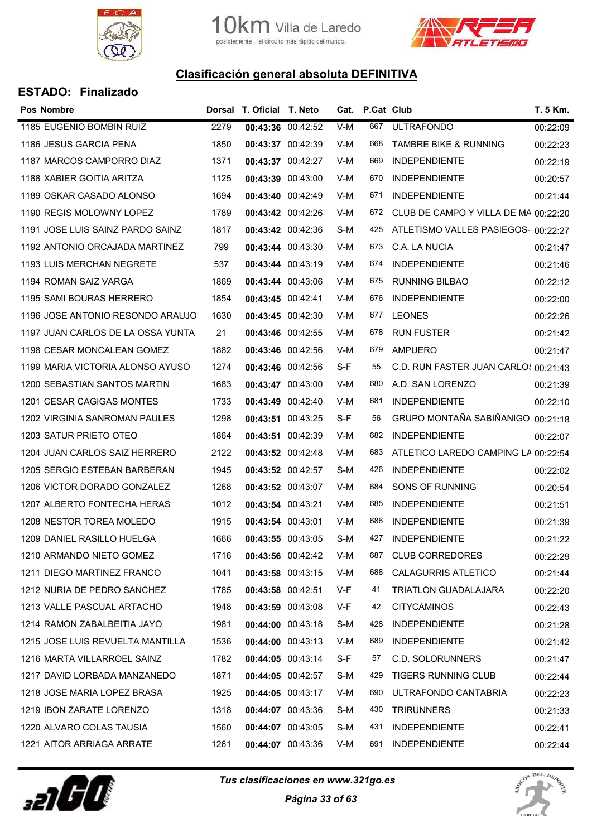



| <b>ESTADO: Finalizado</b> |  |  |
|---------------------------|--|--|
|                           |  |  |

| <b>Pos Nombre</b>                 |      | Dorsal T. Oficial T. Neto |                   |     | Cat. P.Cat Club |                                      | T. 5 Km. |
|-----------------------------------|------|---------------------------|-------------------|-----|-----------------|--------------------------------------|----------|
| 1185 EUGENIO BOMBIN RUIZ          | 2279 | 00:43:36 00:42:52         |                   | V-M | 667             | <b>ULTRAFONDO</b>                    | 00:22:09 |
| 1186 JESUS GARCIA PENA            | 1850 | 00:43:37 00:42:39         |                   | V-M | 668             | <b>TAMBRE BIKE &amp; RUNNING</b>     | 00:22:23 |
| 1187 MARCOS CAMPORRO DIAZ         | 1371 | 00:43:37 00:42:27         |                   | V-M | 669             | <b>INDEPENDIENTE</b>                 | 00:22:19 |
| 1188 XABIER GOITIA ARITZA         | 1125 | 00:43:39 00:43:00         |                   | V-M | 670             | <b>INDEPENDIENTE</b>                 | 00:20:57 |
| 1189 OSKAR CASADO ALONSO          | 1694 | 00:43:40 00:42:49         |                   | V-M | 671             | <b>INDEPENDIENTE</b>                 | 00:21:44 |
| 1190 REGIS MOLOWNY LOPEZ          | 1789 | 00:43:42 00:42:26         |                   | V-M | 672             | CLUB DE CAMPO Y VILLA DE MA 00:22:20 |          |
| 1191 JOSE LUIS SAINZ PARDO SAINZ  | 1817 | 00:43:42 00:42:36         |                   | S-M | 425             | ATLETISMO VALLES PASIEGOS- 00:22:27  |          |
| 1192 ANTONIO ORCAJADA MARTINEZ    | 799  | 00:43:44 00:43:30         |                   | V-M | 673             | C.A. LA NUCIA                        | 00:21:47 |
| 1193 LUIS MERCHAN NEGRETE         | 537  |                           | 00:43:44 00:43:19 | V-M | 674             | <b>INDEPENDIENTE</b>                 | 00:21:46 |
| 1194 ROMAN SAIZ VARGA             | 1869 | 00:43:44 00:43:06         |                   | V-M | 675             | <b>RUNNING BILBAO</b>                | 00:22:12 |
| 1195 SAMI BOURAS HERRERO          | 1854 | 00:43:45 00:42:41         |                   | V-M | 676             | <b>INDEPENDIENTE</b>                 | 00:22:00 |
| 1196 JOSE ANTONIO RESONDO ARAUJO  | 1630 | 00:43:45 00:42:30         |                   | V-M | 677             | <b>LEONES</b>                        | 00:22:26 |
| 1197 JUAN CARLOS DE LA OSSA YUNTA | 21   |                           | 00:43:46 00:42:55 | V-M | 678             | <b>RUN FUSTER</b>                    | 00:21:42 |
| 1198 CESAR MONCALEAN GOMEZ        | 1882 | 00:43:46 00:42:56         |                   | V-M | 679             | <b>AMPUERO</b>                       | 00:21:47 |
| 1199 MARIA VICTORIA ALONSO AYUSO  | 1274 | 00:43:46 00:42:56         |                   | S-F | 55              | C.D. RUN FASTER JUAN CARLOS 00:21:43 |          |
| 1200 SEBASTIAN SANTOS MARTIN      | 1683 | 00:43:47 00:43:00         |                   | V-M | 680             | A.D. SAN LORENZO                     | 00:21:39 |
| 1201 CESAR CAGIGAS MONTES         | 1733 |                           | 00:43:49 00:42:40 | V-M | 681             | <b>INDEPENDIENTE</b>                 | 00:22:10 |
| 1202 VIRGINIA SANROMAN PAULES     | 1298 | 00:43:51 00:43:25         |                   | S-F | 56              | GRUPO MONTAÑA SABIÑANIGO 00:21:18    |          |
| 1203 SATUR PRIETO OTEO            | 1864 | 00:43:51 00:42:39         |                   | V-M | 682             | <b>INDEPENDIENTE</b>                 | 00:22:07 |
| 1204 JUAN CARLOS SAIZ HERRERO     | 2122 | 00:43:52 00:42:48         |                   | V-M | 683             | ATLETICO LAREDO CAMPING LA 00:22:54  |          |
| 1205 SERGIO ESTEBAN BARBERAN      | 1945 | 00:43:52 00:42:57         |                   | S-M | 426             | <b>INDEPENDIENTE</b>                 | 00:22:02 |
| 1206 VICTOR DORADO GONZALEZ       | 1268 | 00:43:52 00:43:07         |                   | V-M | 684             | SONS OF RUNNING                      | 00:20:54 |
| 1207 ALBERTO FONTECHA HERAS       | 1012 | 00:43:54 00:43:21         |                   | V-M | 685             | <b>INDEPENDIENTE</b>                 | 00:21:51 |
| 1208 NESTOR TOREA MOLEDO          | 1915 | 00:43:54 00:43:01         |                   | V-M | 686             | <b>INDEPENDIENTE</b>                 | 00:21:39 |
| 1209 DANIEL RASILLO HUELGA        | 1666 | 00:43:55 00:43:05         |                   | S-M | 427             | <b>INDEPENDIENTE</b>                 | 00:21:22 |
| 1210 ARMANDO NIETO GOMEZ          | 1716 |                           | 00:43:56 00:42:42 | V-M | 687             | <b>CLUB CORREDORES</b>               | 00:22:29 |
| 1211 DIEGO MARTINEZ FRANCO        | 1041 | 00:43:58 00:43:15         |                   | V-M | 688             | <b>CALAGURRIS ATLETICO</b>           | 00:21:44 |
| 1212 NURIA DE PEDRO SANCHEZ       | 1785 | 00:43:58 00:42:51         |                   | V-F | 41              | <b>TRIATLON GUADALAJARA</b>          | 00:22:20 |
| 1213 VALLE PASCUAL ARTACHO        | 1948 |                           | 00:43:59 00:43:08 | V-F | 42              | <b>CITYCAMINOS</b>                   | 00:22:43 |
| 1214 RAMON ZABALBEITIA JAYO       | 1981 | 00:44:00 00:43:18         |                   | S-M | 428             | <b>INDEPENDIENTE</b>                 | 00:21:28 |
| 1215 JOSE LUIS REVUELTA MANTILLA  | 1536 | 00:44:00 00:43:13         |                   | V-M | 689             | <b>INDEPENDIENTE</b>                 | 00:21:42 |
| 1216 MARTA VILLARROEL SAINZ       | 1782 | 00:44:05 00:43:14         |                   | S-F | 57              | <b>C.D. SOLORUNNERS</b>              | 00:21:47 |
| 1217 DAVID LORBADA MANZANEDO      | 1871 | 00:44:05 00:42:57         |                   | S-M | 429             | <b>TIGERS RUNNING CLUB</b>           | 00:22:44 |
| 1218 JOSE MARIA LOPEZ BRASA       | 1925 | 00:44:05 00:43:17         |                   | V-M | 690             | ULTRAFONDO CANTABRIA                 | 00:22:23 |
| 1219 IBON ZARATE LORENZO          | 1318 | 00:44:07 00:43:36         |                   | S-M | 430             | <b>TRIRUNNERS</b>                    | 00:21:33 |
| 1220 ALVARO COLAS TAUSIA          | 1560 |                           | 00:44:07 00:43:05 | S-M | 431             | <b>INDEPENDIENTE</b>                 | 00:22:41 |
| 1221 AITOR ARRIAGA ARRATE         | 1261 | 00:44:07 00:43:36         |                   | V-M | 691             | <b>INDEPENDIENTE</b>                 | 00:22:44 |



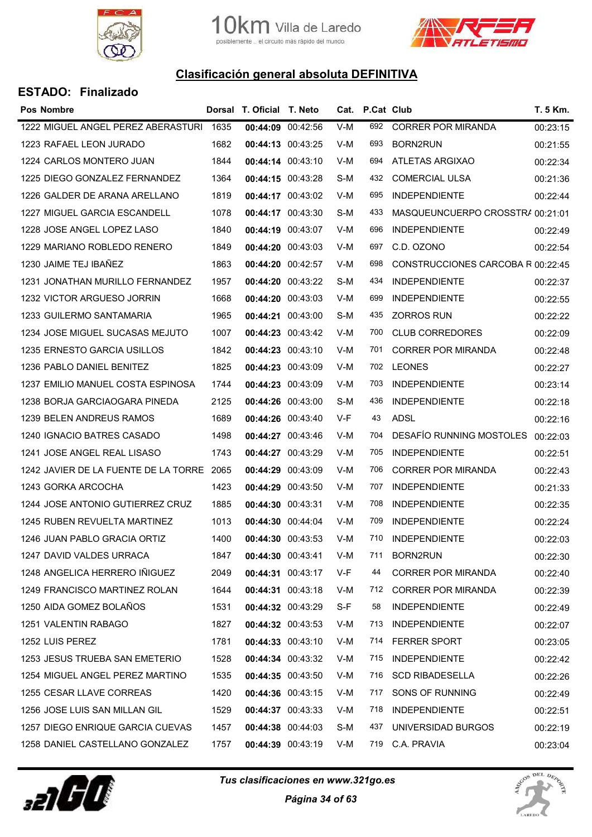



| Pos Nombre                                |      | Dorsal T. Oficial T. Neto |     | Cat. P.Cat Club |                                   | T. 5 Km. |
|-------------------------------------------|------|---------------------------|-----|-----------------|-----------------------------------|----------|
| 1222 MIGUEL ANGEL PEREZ ABERASTURI        | 1635 | 00:44:09 00:42:56         | V-M | 692             | <b>CORRER POR MIRANDA</b>         | 00:23:15 |
| 1223 RAFAEL LEON JURADO                   | 1682 | 00:44:13 00:43:25         | V-M | 693             | BORN2RUN                          | 00:21:55 |
| 1224 CARLOS MONTERO JUAN                  | 1844 | 00:44:14 00:43:10         | V-M | 694             | ATLETAS ARGIXAO                   | 00:22:34 |
| 1225 DIEGO GONZALEZ FERNANDEZ             | 1364 | 00:44:15 00:43:28         | S-M | 432             | <b>COMERCIAL ULSA</b>             | 00:21:36 |
| 1226 GALDER DE ARANA ARELLANO             | 1819 | 00:44:17 00:43:02         | V-M | 695             | <b>INDEPENDIENTE</b>              | 00:22:44 |
| 1227 MIGUEL GARCIA ESCANDELL              | 1078 | 00:44:17 00:43:30         | S-M | 433             | MASQUEUNCUERPO CROSSTR/ 00:21:01  |          |
| 1228 JOSE ANGEL LOPEZ LASO                | 1840 | 00:44:19 00:43:07         | V-M | 696             | <b>INDEPENDIENTE</b>              | 00:22:49 |
| 1229 MARIANO ROBLEDO RENERO               | 1849 | 00:44:20 00:43:03         | V-M | 697             | C.D. OZONO                        | 00:22:54 |
| 1230 JAIME TEJ IBAÑEZ                     | 1863 | 00:44:20 00:42:57         | V-M | 698             | CONSTRUCCIONES CARCOBA R 00:22:45 |          |
| 1231 JONATHAN MURILLO FERNANDEZ           | 1957 | 00:44:20 00:43:22         | S-M | 434             | <b>INDEPENDIENTE</b>              | 00:22:37 |
| 1232 VICTOR ARGUESO JORRIN                | 1668 | 00:44:20 00:43:03         | V-M | 699             | <b>INDEPENDIENTE</b>              | 00:22:55 |
| 1233 GUILERMO SANTAMARIA                  | 1965 | 00:44:21 00:43:00         | S-M | 435             | <b>ZORROS RUN</b>                 | 00:22:22 |
| 1234 JOSE MIGUEL SUCASAS MEJUTO           | 1007 | 00:44:23 00:43:42         | V-M | 700             | <b>CLUB CORREDORES</b>            | 00:22:09 |
| 1235 ERNESTO GARCIA USILLOS               | 1842 | 00:44:23 00:43:10         | V-M | 701             | <b>CORRER POR MIRANDA</b>         | 00:22:48 |
| 1236 PABLO DANIEL BENITEZ                 | 1825 | 00:44:23 00:43:09         | V-M | 702             | <b>LEONES</b>                     | 00:22:27 |
| 1237 EMILIO MANUEL COSTA ESPINOSA         | 1744 | 00:44:23 00:43:09         | V-M | 703             | <b>INDEPENDIENTE</b>              | 00:23:14 |
| 1238 BORJA GARCIAOGARA PINEDA             | 2125 | 00:44:26 00:43:00         | S-M | 436             | <b>INDEPENDIENTE</b>              | 00:22:18 |
| 1239 BELEN ANDREUS RAMOS                  | 1689 | 00:44:26 00:43:40         | V-F | 43              | <b>ADSL</b>                       | 00:22:16 |
| 1240 IGNACIO BATRES CASADO                | 1498 | 00:44:27 00:43:46         | V-M | 704             | DESAFIO RUNNING MOSTOLES          | 00:22:03 |
| 1241 JOSE ANGEL REAL LISASO               | 1743 | 00:44:27 00:43:29         | V-M | 705             | <b>INDEPENDIENTE</b>              | 00:22:51 |
| 1242 JAVIER DE LA FUENTE DE LA TORRE 2065 |      | 00:44:29 00:43:09         | V-M | 706             | <b>CORRER POR MIRANDA</b>         | 00:22:43 |
| 1243 GORKA ARCOCHA                        | 1423 | 00:44:29 00:43:50         | V-M | 707             | <b>INDEPENDIENTE</b>              | 00:21:33 |
| 1244 JOSE ANTONIO GUTIERREZ CRUZ          | 1885 | 00:44:30 00:43:31         | V-M | 708             | <b>INDEPENDIENTE</b>              | 00:22:35 |
| 1245 RUBEN REVUELTA MARTINEZ              | 1013 | 00:44:30 00:44:04         | V-M | 709             | <b>INDEPENDIENTE</b>              | 00:22:24 |
| 1246 JUAN PABLO GRACIA ORTIZ              | 1400 | 00:44:30 00:43:53         | V-M | 710             | <b>INDEPENDIENTE</b>              | 00:22:03 |
| 1247 DAVID VALDES URRACA                  | 1847 | 00:44:30 00:43:41         | V-M | 711             | <b>BORN2RUN</b>                   | 00:22:30 |
| 1248 ANGELICA HERRERO IÑIGUEZ             | 2049 | 00:44:31 00:43:17         | V-F | 44              | <b>CORRER POR MIRANDA</b>         | 00:22:40 |
| 1249 FRANCISCO MARTINEZ ROLAN             | 1644 | 00:44:31 00:43:18         | V-M | 712             | <b>CORRER POR MIRANDA</b>         | 00:22:39 |
| 1250 AIDA GOMEZ BOLAÑOS                   | 1531 | 00:44:32 00:43:29         | S-F | 58              | <b>INDEPENDIENTE</b>              | 00:22:49 |
| 1251 VALENTIN RABAGO                      | 1827 | 00:44:32 00:43:53         | V-M | 713             | <b>INDEPENDIENTE</b>              | 00:22:07 |
| 1252 LUIS PEREZ                           | 1781 | 00:44:33 00:43:10         | V-M | 714             | <b>FERRER SPORT</b>               | 00:23:05 |
| 1253 JESUS TRUEBA SAN EMETERIO            | 1528 | 00:44:34 00:43:32         | V-M | 715             | <b>INDEPENDIENTE</b>              | 00:22:42 |
| 1254 MIGUEL ANGEL PEREZ MARTINO           | 1535 | 00:44:35 00:43:50         | V-M | 716             | <b>SCD RIBADESELLA</b>            | 00:22:26 |
| 1255 CESAR LLAVE CORREAS                  | 1420 | 00:44:36 00:43:15         | V-M | 717             | SONS OF RUNNING                   | 00:22:49 |
| 1256 JOSE LUIS SAN MILLAN GIL             | 1529 | 00:44:37 00:43:33         | V-M | 718             | <b>INDEPENDIENTE</b>              | 00:22:51 |
| 1257 DIEGO ENRIQUE GARCIA CUEVAS          | 1457 | 00:44:38 00:44:03         | S-M | 437             | UNIVERSIDAD BURGOS                | 00:22:19 |
| 1258 DANIEL CASTELLANO GONZALEZ           | 1757 | 00:44:39 00:43:19         | V-M |                 | 719 C.A. PRAVIA                   | 00:23:04 |
|                                           |      |                           |     |                 |                                   |          |



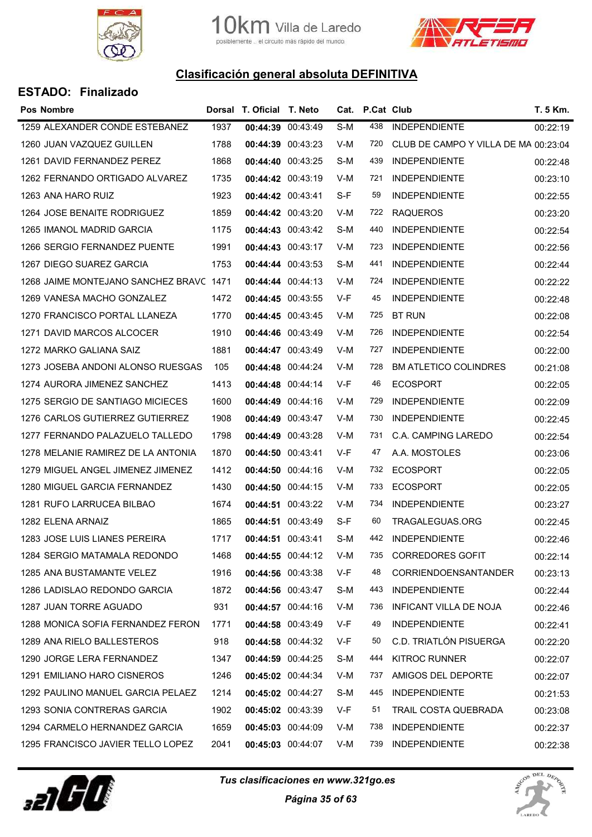



| <b>Pos Nombre</b>                       |      | Dorsal T. Oficial T. Neto |     | Cat. P.Cat Club |                                      | T. 5 Km. |
|-----------------------------------------|------|---------------------------|-----|-----------------|--------------------------------------|----------|
| 1259 ALEXANDER CONDE ESTEBANEZ          | 1937 | 00:44:39 00:43:49         | S-M | 438             | <b>INDEPENDIENTE</b>                 | 00:22:19 |
| 1260 JUAN VAZQUEZ GUILLEN               | 1788 | 00:44:39 00:43:23         | V-M | 720             | CLUB DE CAMPO Y VILLA DE MA 00:23:04 |          |
| 1261 DAVID FERNANDEZ PEREZ              | 1868 | 00:44:40 00:43:25         | S-M | 439             | <b>INDEPENDIENTE</b>                 | 00:22:48 |
| 1262 FERNANDO ORTIGADO ALVAREZ          | 1735 | 00:44:42 00:43:19         | V-M | 721             | <b>INDEPENDIENTE</b>                 | 00:23:10 |
| 1263 ANA HARO RUIZ                      | 1923 | 00:44:42 00:43:41         | S-F | 59              | <b>INDEPENDIENTE</b>                 | 00:22:55 |
| 1264 JOSE BENAITE RODRIGUEZ             | 1859 | 00:44:42 00:43:20         | V-M | 722             | <b>RAQUEROS</b>                      | 00:23:20 |
| 1265 IMANOL MADRID GARCIA               | 1175 | 00:44:43 00:43:42         | S-M | 440             | <b>INDEPENDIENTE</b>                 | 00:22:54 |
| 1266 SERGIO FERNANDEZ PUENTE            | 1991 | 00:44:43 00:43:17         | V-M | 723             | <b>INDEPENDIENTE</b>                 | 00:22:56 |
| 1267 DIEGO SUAREZ GARCIA                | 1753 | 00:44:44 00:43:53         | S-M | 441             | <b>INDEPENDIENTE</b>                 | 00:22:44 |
| 1268 JAIME MONTEJANO SANCHEZ BRAVC 1471 |      | 00:44:44 00:44:13         | V-M | 724             | <b>INDEPENDIENTE</b>                 | 00:22:22 |
| 1269 VANESA MACHO GONZALEZ              | 1472 | 00:44:45 00:43:55         | V-F | 45              | <b>INDEPENDIENTE</b>                 | 00:22:48 |
| 1270 FRANCISCO PORTAL LLANEZA           | 1770 | 00:44:45 00:43:45         | V-M | 725             | <b>BT RUN</b>                        | 00:22:08 |
| 1271 DAVID MARCOS ALCOCER               | 1910 | 00:44:46 00:43:49         | V-M | 726             | <b>INDEPENDIENTE</b>                 | 00:22:54 |
| 1272 MARKO GALIANA SAIZ                 | 1881 | 00:44:47 00:43:49         | V-M | 727             | <b>INDEPENDIENTE</b>                 | 00:22:00 |
| 1273 JOSEBA ANDONI ALONSO RUESGAS       | 105  | 00:44:48 00:44:24         | V-M | 728             | <b>BM ATLETICO COLINDRES</b>         | 00:21:08 |
| 1274 AURORA JIMENEZ SANCHEZ             | 1413 | 00:44:48 00:44:14         | V-F | 46              | <b>ECOSPORT</b>                      | 00:22:05 |
| 1275 SERGIO DE SANTIAGO MICIECES        | 1600 | 00:44:49 00:44:16         | V-M | 729             | <b>INDEPENDIENTE</b>                 | 00:22:09 |
| 1276 CARLOS GUTIERREZ GUTIERREZ         | 1908 | 00:44:49 00:43:47         | V-M | 730             | <b>INDEPENDIENTE</b>                 | 00:22:45 |
| 1277 FERNANDO PALAZUELO TALLEDO         | 1798 | 00:44:49 00:43:28         | V-M | 731             | C.A. CAMPING LAREDO                  | 00:22:54 |
| 1278 MELANIE RAMIREZ DE LA ANTONIA      | 1870 | 00:44:50 00:43:41         | V-F | 47              | A.A. MOSTOLES                        | 00:23:06 |
| 1279 MIGUEL ANGEL JIMENEZ JIMENEZ       | 1412 | 00:44:50 00:44:16         | V-M | 732             | <b>ECOSPORT</b>                      | 00:22:05 |
| 1280 MIGUEL GARCIA FERNANDEZ            | 1430 | 00:44:50 00:44:15         | V-M | 733             | <b>ECOSPORT</b>                      | 00:22:05 |
| 1281 RUFO LARRUCEA BILBAO               | 1674 | 00:44:51 00:43:22         | V-M | 734             | <b>INDEPENDIENTE</b>                 | 00:23:27 |
| 1282 ELENA ARNAIZ                       | 1865 | 00:44:51 00:43:49         | S-F | 60              | TRAGALEGUAS.ORG                      | 00:22:45 |
| 1283 JOSE LUIS LIANES PEREIRA           | 1717 | 00:44:51 00:43:41         | S-M | 442             | <b>INDEPENDIENTE</b>                 | 00:22:46 |
| 1284 SERGIO MATAMALA REDONDO            | 1468 | 00:44:55 00:44:12         | V-M | 735             | <b>CORREDORES GOFIT</b>              | 00:22:14 |
| 1285 ANA BUSTAMANTE VELEZ               | 1916 | 00:44:56 00:43:38         | V-F | 48              | <b>CORRIENDOENSANTANDER</b>          | 00:23:13 |
| 1286 LADISLAO REDONDO GARCIA            | 1872 | 00:44:56 00:43:47         | S-M | 443             | <b>INDEPENDIENTE</b>                 | 00:22:44 |
| 1287 JUAN TORRE AGUADO                  | 931  | 00:44:57 00:44:16         | V-M | 736             | <b>INFICANT VILLA DE NOJA</b>        | 00:22:46 |
| 1288 MONICA SOFIA FERNANDEZ FERON       | 1771 | 00:44:58 00:43:49         | V-F | 49              | <b>INDEPENDIENTE</b>                 | 00:22:41 |
| 1289 ANA RIELO BALLESTEROS              | 918  | 00:44:58 00:44:32         | V-F | 50              | C.D. TRIATLÓN PISUERGA               | 00:22:20 |
| 1290 JORGE LERA FERNANDEZ               | 1347 | 00:44:59 00:44:25         | S-M | 444             | <b>KITROC RUNNER</b>                 | 00:22:07 |
| 1291 EMILIANO HARO CISNEROS             | 1246 | 00:45:02 00:44:34         | V-M | 737             | AMIGOS DEL DEPORTE                   | 00:22:07 |
| 1292 PAULINO MANUEL GARCIA PELAEZ       | 1214 | 00:45:02 00:44:27         | S-M | 445             | <b>INDEPENDIENTE</b>                 | 00:21:53 |
| 1293 SONIA CONTRERAS GARCIA             | 1902 | 00:45:02 00:43:39         | V-F | 51              | TRAIL COSTA QUEBRADA                 | 00:23:08 |
| 1294 CARMELO HERNANDEZ GARCIA           | 1659 | 00:45:03 00:44:09         | V-M | 738             | <b>INDEPENDIENTE</b>                 | 00:22:37 |
| 1295 FRANCISCO JAVIER TELLO LOPEZ       | 2041 | 00:45:03 00:44:07         | V-M | 739             | <b>INDEPENDIENTE</b>                 | 00:22:38 |



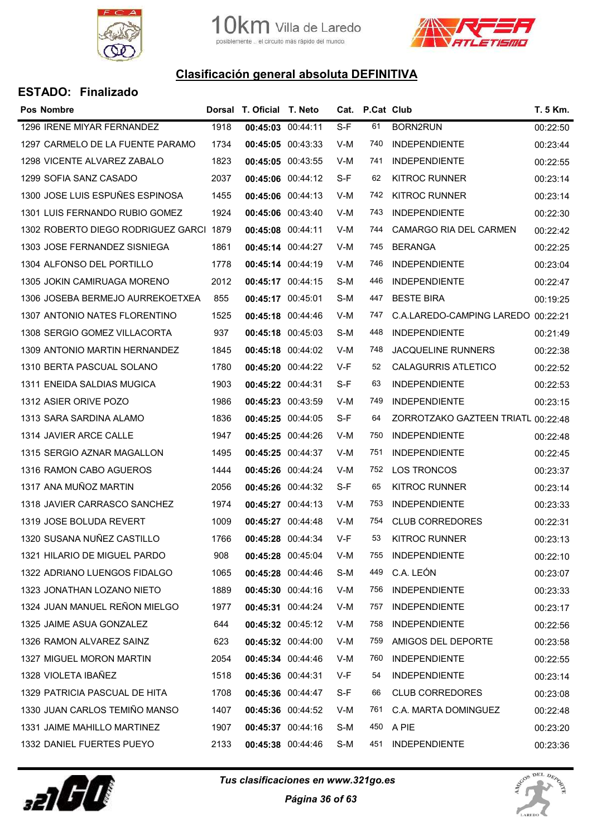



| <b>Pos Nombre</b>                       |      | Dorsal T. Oficial T. Neto |                   |       | Cat. P.Cat Club |                                    | T. 5 Km. |
|-----------------------------------------|------|---------------------------|-------------------|-------|-----------------|------------------------------------|----------|
| 1296 IRENE MIYAR FERNANDEZ              | 1918 | 00:45:03 00:44:11         |                   | $S-F$ | 61              | <b>BORN2RUN</b>                    | 00:22:50 |
| 1297 CARMELO DE LA FUENTE PARAMO        | 1734 |                           | 00:45:05 00:43:33 | V-M   | 740             | <b>INDEPENDIENTE</b>               | 00:23:44 |
| 1298 VICENTE ALVAREZ ZABALO             | 1823 | 00:45:05 00:43:55         |                   | V-M   | 741             | <b>INDEPENDIENTE</b>               | 00:22:55 |
| 1299 SOFIA SANZ CASADO                  | 2037 |                           | 00:45:06 00:44:12 | S-F   | 62              | <b>KITROC RUNNER</b>               | 00:23:14 |
| 1300 JOSE LUIS ESPUÑES ESPINOSA         | 1455 |                           | 00:45:06 00:44:13 | V-M   | 742             | <b>KITROC RUNNER</b>               | 00:23:14 |
| 1301 LUIS FERNANDO RUBIO GOMEZ          | 1924 |                           | 00:45:06 00:43:40 | V-M   | 743             | <b>INDEPENDIENTE</b>               | 00:22:30 |
| 1302 ROBERTO DIEGO RODRIGUEZ GARCI 1879 |      | 00:45:08 00:44:11         |                   | V-M   | 744             | CAMARGO RIA DEL CARMEN             | 00:22:42 |
| 1303 JOSE FERNANDEZ SISNIEGA            | 1861 | 00:45:14 00:44:27         |                   | V-M   | 745             | <b>BERANGA</b>                     | 00:22:25 |
| 1304 ALFONSO DEL PORTILLO               | 1778 | 00:45:14 00:44:19         |                   | V-M   | 746             | <b>INDEPENDIENTE</b>               | 00:23:04 |
| 1305 JOKIN CAMIRUAGA MORENO             | 2012 | 00:45:17 00:44:15         |                   | S-M   | 446             | <b>INDEPENDIENTE</b>               | 00:22:47 |
| 1306 JOSEBA BERMEJO AURREKOETXEA        | 855  | 00:45:17 00:45:01         |                   | S-M   | 447             | <b>BESTE BIRA</b>                  | 00:19:25 |
| 1307 ANTONIO NATES FLORENTINO           | 1525 |                           | 00:45:18 00:44:46 | V-M   | 747             | C.A.LAREDO-CAMPING LAREDO          | 00:22:21 |
| 1308 SERGIO GOMEZ VILLACORTA            | 937  | 00:45:18 00:45:03         |                   | S-M   | 448             | <b>INDEPENDIENTE</b>               | 00:21:49 |
| 1309 ANTONIO MARTIN HERNANDEZ           | 1845 |                           | 00:45:18 00:44:02 | V-M   | 748             | <b>JACQUELINE RUNNERS</b>          | 00:22:38 |
| 1310 BERTA PASCUAL SOLANO               | 1780 |                           | 00:45:20 00:44:22 | V-F   | 52              | <b>CALAGURRIS ATLETICO</b>         | 00:22:52 |
| 1311 ENEIDA SALDIAS MUGICA              | 1903 | 00:45:22 00:44:31         |                   | S-F   | 63              | <b>INDEPENDIENTE</b>               | 00:22:53 |
| 1312 ASIER ORIVE POZO                   | 1986 | 00:45:23 00:43:59         |                   | V-M   | 749             | <b>INDEPENDIENTE</b>               | 00:23:15 |
| 1313 SARA SARDINA ALAMO                 | 1836 | 00:45:25 00:44:05         |                   | S-F   | 64              | ZORROTZAKO GAZTEEN TRIATL 00:22:48 |          |
| 1314 JAVIER ARCE CALLE                  | 1947 | 00:45:25 00:44:26         |                   | V-M   | 750             | <b>INDEPENDIENTE</b>               | 00:22:48 |
| 1315 SERGIO AZNAR MAGALLON              | 1495 | 00:45:25 00:44:37         |                   | V-M   | 751             | <b>INDEPENDIENTE</b>               | 00:22:45 |
| 1316 RAMON CABO AGUEROS                 | 1444 |                           | 00:45:26 00:44:24 | V-M   | 752             | <b>LOS TRONCOS</b>                 | 00:23:37 |
| 1317 ANA MUÑOZ MARTIN                   | 2056 |                           | 00:45:26 00:44:32 | S-F   | 65              | <b>KITROC RUNNER</b>               | 00:23:14 |
| 1318 JAVIER CARRASCO SANCHEZ            | 1974 |                           | 00:45:27 00:44:13 | V-M   | 753             | <b>INDEPENDIENTE</b>               | 00:23:33 |
| 1319 JOSE BOLUDA REVERT                 | 1009 | 00:45:27 00:44:48         |                   | V-M   | 754             | <b>CLUB CORREDORES</b>             | 00:22:31 |
| 1320 SUSANA NUÑEZ CASTILLO              | 1766 |                           | 00:45:28 00:44:34 | V-F   | 53              | <b>KITROC RUNNER</b>               | 00:23:13 |
| 1321 HILARIO DE MIGUEL PARDO            | 908  | 00:45:28 00:45:04         |                   | V-M   | 755             | <b>INDEPENDIENTE</b>               | 00:22:10 |
| 1322 ADRIANO LUENGOS FIDALGO            | 1065 | 00:45:28 00:44:46         |                   | S-M   | 449             | C.A. LEÓN                          | 00:23:07 |
| 1323 JONATHAN LOZANO NIETO              | 1889 | 00:45:30 00:44:16         |                   | V-M   | 756             | <b>INDEPENDIENTE</b>               | 00:23:33 |
| 1324 JUAN MANUEL REÑON MIELGO           | 1977 |                           | 00:45:31 00:44:24 | V-M   | 757             | <b>INDEPENDIENTE</b>               | 00:23:17 |
| 1325 JAIME ASUA GONZALEZ                | 644  |                           | 00:45:32 00:45:12 | V-M   | 758             | <b>INDEPENDIENTE</b>               | 00:22:56 |
| 1326 RAMON ALVAREZ SAINZ                | 623  | 00:45:32 00:44:00         |                   | V-M   | 759             | AMIGOS DEL DEPORTE                 | 00:23:58 |
| 1327 MIGUEL MORON MARTIN                | 2054 |                           | 00:45:34 00:44:46 | V-M   | 760             | <b>INDEPENDIENTE</b>               | 00:22:55 |
| 1328 VIOLETA IBAÑEZ                     | 1518 | 00:45:36 00:44:31         |                   | V-F   | 54              | <b>INDEPENDIENTE</b>               | 00:23:14 |
| 1329 PATRICIA PASCUAL DE HITA           | 1708 |                           | 00:45:36 00:44:47 | S-F   | 66              | <b>CLUB CORREDORES</b>             | 00:23:08 |
| 1330 JUAN CARLOS TEMIÑO MANSO           | 1407 |                           | 00:45:36 00:44:52 | V-M   | 761             | C.A. MARTA DOMINGUEZ               | 00:22:48 |
| 1331 JAIME MAHILLO MARTINEZ             | 1907 | 00:45:37 00:44:16         |                   | S-M   | 450             | A PIE                              | 00:23:20 |
| 1332 DANIEL FUERTES PUEYO               | 2133 |                           | 00:45:38 00:44:46 | S-M   | 451             | <b>INDEPENDIENTE</b>               | 00:23:36 |



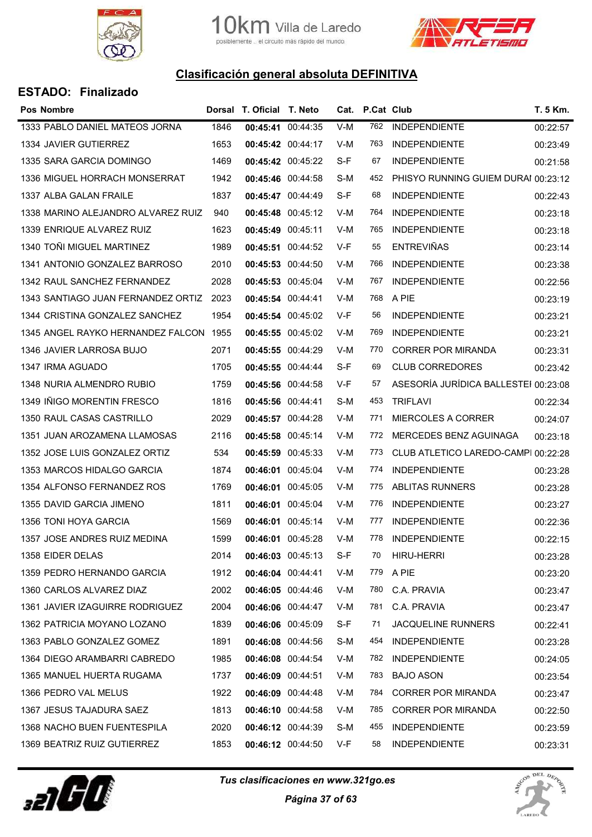



| <b>Pos Nombre</b>                  |      | Dorsal T. Oficial T. Neto |                   |       | Cat. P.Cat Club |                                      | T. 5 Km. |
|------------------------------------|------|---------------------------|-------------------|-------|-----------------|--------------------------------------|----------|
| 1333 PABLO DANIEL MATEOS JORNA     | 1846 | 00:45:41 00:44:35         |                   | $V-M$ | 762             | <b>INDEPENDIENTE</b>                 | 00:22:57 |
| 1334 JAVIER GUTIERREZ              | 1653 | 00:45:42 00:44:17         |                   | V-M   | 763             | <b>INDEPENDIENTE</b>                 | 00:23:49 |
| 1335 SARA GARCIA DOMINGO           | 1469 | 00:45:42 00:45:22         |                   | S-F   | 67              | <b>INDEPENDIENTE</b>                 | 00:21:58 |
| 1336 MIGUEL HORRACH MONSERRAT      | 1942 | 00:45:46 00:44:58         |                   | S-M   | 452             | PHISYO RUNNING GUIEM DURAI 00:23:12  |          |
| 1337 ALBA GALAN FRAILE             | 1837 | 00:45:47 00:44:49         |                   | S-F   | 68              | <b>INDEPENDIENTE</b>                 | 00:22:43 |
| 1338 MARINO ALEJANDRO ALVAREZ RUIZ | 940  |                           | 00:45:48 00:45:12 | V-M   | 764             | <b>INDEPENDIENTE</b>                 | 00:23:18 |
| 1339 ENRIQUE ALVAREZ RUIZ          | 1623 | 00:45:49 00:45:11         |                   | V-M   | 765             | <b>INDEPENDIENTE</b>                 | 00:23:18 |
| 1340 TOÑI MIGUEL MARTINEZ          | 1989 | 00:45:51 00:44:52         |                   | $V-F$ | 55              | <b>ENTREVIÑAS</b>                    | 00:23:14 |
| 1341 ANTONIO GONZALEZ BARROSO      | 2010 | 00:45:53 00:44:50         |                   | V-M   | 766             | <b>INDEPENDIENTE</b>                 | 00:23:38 |
| 1342 RAUL SANCHEZ FERNANDEZ        | 2028 | 00:45:53 00:45:04         |                   | V-M   | 767             | <b>INDEPENDIENTE</b>                 | 00:22:56 |
| 1343 SANTIAGO JUAN FERNANDEZ ORTIZ | 2023 | 00:45:54 00:44:41         |                   | V-M   | 768             | A PIE                                | 00:23:19 |
| 1344 CRISTINA GONZALEZ SANCHEZ     | 1954 |                           | 00:45:54 00:45:02 | V-F   | 56              | <b>INDEPENDIENTE</b>                 | 00:23:21 |
| 1345 ANGEL RAYKO HERNANDEZ FALCON  | 1955 | 00:45:55 00:45:02         |                   | V-M   | 769             | <b>INDEPENDIENTE</b>                 | 00:23:21 |
| 1346 JAVIER LARROSA BUJO           | 2071 |                           | 00:45:55 00:44:29 | V-M   | 770             | <b>CORRER POR MIRANDA</b>            | 00:23:31 |
| 1347 IRMA AGUADO                   | 1705 | 00:45:55 00:44:44         |                   | $S-F$ | 69              | <b>CLUB CORREDORES</b>               | 00:23:42 |
| 1348 NURIA ALMENDRO RUBIO          | 1759 | 00:45:56 00:44:58         |                   | V-F   | 57              | ASESORÍA JURÍDICA BALLESTEI 00:23:08 |          |
| 1349 IÑIGO MORENTIN FRESCO         | 1816 | 00:45:56 00:44:41         |                   | S-M   | 453             | <b>TRIFLAVI</b>                      | 00:22:34 |
| 1350 RAUL CASAS CASTRILLO          | 2029 | 00:45:57 00:44:28         |                   | V-M   | 771             | <b>MIERCOLES A CORRER</b>            | 00:24:07 |
| 1351 JUAN AROZAMENA LLAMOSAS       | 2116 | 00:45:58 00:45:14         |                   | V-M   | 772             | MERCEDES BENZ AGUINAGA               | 00:23:18 |
| 1352 JOSE LUIS GONZALEZ ORTIZ      | 534  | 00:45:59 00:45:33         |                   | V-M   | 773             | CLUB ATLETICO LAREDO-CAMPI 00:22:28  |          |
| 1353 MARCOS HIDALGO GARCIA         | 1874 | 00:46:01 00:45:04         |                   | V-M   | 774             | <b>INDEPENDIENTE</b>                 | 00:23:28 |
| 1354 ALFONSO FERNANDEZ ROS         | 1769 | 00:46:01 00:45:05         |                   | V-M   | 775             | ABLITAS RUNNERS                      | 00:23:28 |
| 1355 DAVID GARCIA JIMENO           | 1811 | 00:46:01 00:45:04         |                   | V-M   | 776             | <b>INDEPENDIENTE</b>                 | 00:23:27 |
| 1356 TONI HOYA GARCIA              | 1569 | 00:46:01 00:45:14         |                   | V-M   | 777             | <b>INDEPENDIENTE</b>                 | 00:22:36 |
| 1357 JOSE ANDRES RUIZ MEDINA       | 1599 | 00:46:01 00:45:28         |                   | V-M   | 778             | <b>INDEPENDIENTE</b>                 | 00:22:15 |
| 1358 EIDER DELAS                   | 2014 |                           | 00:46:03 00:45:13 | S-F   | 70              | <b>HIRU-HERRI</b>                    | 00:23:28 |
| 1359 PEDRO HERNANDO GARCIA         | 1912 | 00:46:04 00:44:41         |                   | V-M   | 779             | A PIE                                | 00:23:20 |
| 1360 CARLOS ALVAREZ DIAZ           | 2002 |                           | 00:46:05 00:44:46 | V-M   | 780             | C.A. PRAVIA                          | 00:23:47 |
| 1361 JAVIER IZAGUIRRE RODRIGUEZ    | 2004 |                           | 00:46:06 00:44:47 | V-M   | 781             | C.A. PRAVIA                          | 00:23:47 |
| 1362 PATRICIA MOYANO LOZANO        | 1839 | 00:46:06 00:45:09         |                   | S-F   | 71              | <b>JACQUELINE RUNNERS</b>            | 00:22:41 |
| 1363 PABLO GONZALEZ GOMEZ          | 1891 |                           | 00:46:08 00:44:56 | S-M   | 454             | <b>INDEPENDIENTE</b>                 | 00:23:28 |
| 1364 DIEGO ARAMBARRI CABREDO       | 1985 | 00:46:08 00:44:54         |                   | V-M   | 782             | <b>INDEPENDIENTE</b>                 | 00:24:05 |
| 1365 MANUEL HUERTA RUGAMA          | 1737 | 00:46:09 00:44:51         |                   | V-M   | 783             | <b>BAJO ASON</b>                     | 00:23:54 |
| 1366 PEDRO VAL MELUS               | 1922 | 00:46:09 00:44:48         |                   | V-M   | 784             | <b>CORRER POR MIRANDA</b>            | 00:23:47 |
| 1367 JESUS TAJADURA SAEZ           | 1813 | 00:46:10 00:44:58         |                   | V-M   | 785             | <b>CORRER POR MIRANDA</b>            | 00:22:50 |
| 1368 NACHO BUEN FUENTESPILA        | 2020 |                           | 00:46:12 00:44:39 | S-M   | 455             | <b>INDEPENDIENTE</b>                 | 00:23:59 |
| 1369 BEATRIZ RUIZ GUTIERREZ        | 1853 |                           | 00:46:12 00:44:50 | V-F   | 58              | <b>INDEPENDIENTE</b>                 | 00:23:31 |



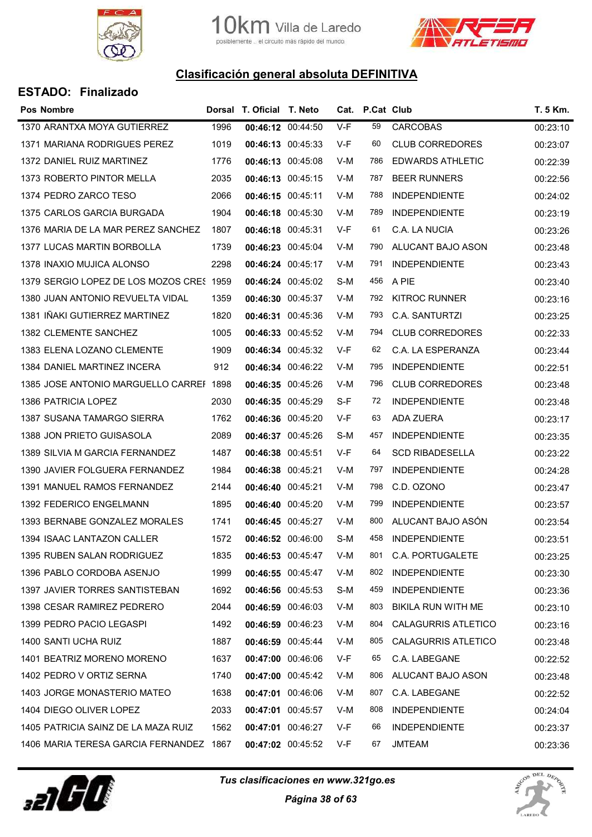



| <b>Pos Nombre</b>                        |      | Dorsal T. Oficial T. Neto |                   |       | Cat. P.Cat Club |                            | T. 5 Km. |
|------------------------------------------|------|---------------------------|-------------------|-------|-----------------|----------------------------|----------|
| 1370 ARANTXA MOYA GUTIERREZ              | 1996 | 00:46:12 00:44:50         |                   | $V-F$ | 59              | <b>CARCOBAS</b>            | 00:23:10 |
| 1371 MARIANA RODRIGUES PEREZ             | 1019 | 00:46:13 00:45:33         |                   | V-F   | 60              | <b>CLUB CORREDORES</b>     | 00:23:07 |
| 1372 DANIEL RUIZ MARTINEZ                | 1776 | 00:46:13 00:45:08         |                   | V-M   | 786             | <b>EDWARDS ATHLETIC</b>    | 00:22:39 |
| 1373 ROBERTO PINTOR MELLA                | 2035 | 00:46:13 00:45:15         |                   | V-M   | 787             | <b>BEER RUNNERS</b>        | 00:22:56 |
| 1374 PEDRO ZARCO TESO                    | 2066 | 00:46:15 00:45:11         |                   | V-M   | 788             | <b>INDEPENDIENTE</b>       | 00:24:02 |
| 1375 CARLOS GARCIA BURGADA               | 1904 | 00:46:18 00:45:30         |                   | V-M   | 789             | <b>INDEPENDIENTE</b>       | 00:23:19 |
| 1376 MARIA DE LA MAR PEREZ SANCHEZ       | 1807 | 00:46:18 00:45:31         |                   | V-F   | 61              | C.A. LA NUCIA              | 00:23:26 |
| <b>1377 LUCAS MARTIN BORBOLLA</b>        | 1739 | 00:46:23 00:45:04         |                   | V-M   | 790             | ALUCANT BAJO ASON          | 00:23:48 |
| 1378 INAXIO MUJICA ALONSO                | 2298 | 00:46:24 00:45:17         |                   | V-M   | 791             | <b>INDEPENDIENTE</b>       | 00:23:43 |
| 1379 SERGIO LOPEZ DE LOS MOZOS CRES 1959 |      |                           | 00:46:24 00:45:02 | S-M   | 456             | A PIE                      | 00:23:40 |
| 1380 JUAN ANTONIO REVUELTA VIDAL         | 1359 | 00:46:30 00:45:37         |                   | V-M   | 792             | <b>KITROC RUNNER</b>       | 00:23:16 |
| 1381 IÑAKI GUTIERREZ MARTINEZ            | 1820 | 00:46:31 00:45:36         |                   | V-M   | 793             | C.A. SANTURTZI             | 00:23:25 |
| 1382 CLEMENTE SANCHEZ                    | 1005 |                           | 00:46:33 00:45:52 | V-M   | 794             | <b>CLUB CORREDORES</b>     | 00:22:33 |
| 1383 ELENA LOZANO CLEMENTE               | 1909 |                           | 00:46:34 00:45:32 | V-F   | 62              | C.A. LA ESPERANZA          | 00:23:44 |
| 1384 DANIEL MARTINEZ INCERA              | 912  | 00:46:34 00:46:22         |                   | V-M   | 795             | <b>INDEPENDIENTE</b>       | 00:22:51 |
| 1385 JOSE ANTONIO MARGUELLO CARREF 1898  |      | 00:46:35 00:45:26         |                   | V-M   | 796             | <b>CLUB CORREDORES</b>     | 00:23:48 |
| 1386 PATRICIA LOPEZ                      | 2030 | 00:46:35 00:45:29         |                   | S-F   | 72              | <b>INDEPENDIENTE</b>       | 00:23:48 |
| 1387 SUSANA TAMARGO SIERRA               | 1762 | 00:46:36 00:45:20         |                   | V-F   | 63              | ADA ZUERA                  | 00:23:17 |
| 1388 JON PRIETO GUISASOLA                | 2089 | 00:46:37 00:45:26         |                   | S-M   | 457             | <b>INDEPENDIENTE</b>       | 00:23:35 |
| 1389 SILVIA M GARCIA FERNANDEZ           | 1487 | 00:46:38 00:45:51         |                   | V-F   | 64              | <b>SCD RIBADESELLA</b>     | 00:23:22 |
| 1390 JAVIER FOLGUERA FERNANDEZ           | 1984 | 00:46:38 00:45:21         |                   | V-M   | 797             | <b>INDEPENDIENTE</b>       | 00:24:28 |
| 1391 MANUEL RAMOS FERNANDEZ              | 2144 | 00:46:40 00:45:21         |                   | V-M   | 798             | C.D. OZONO                 | 00:23:47 |
| 1392 FEDERICO ENGELMANN                  | 1895 | 00:46:40 00:45:20         |                   | V-M   | 799             | <b>INDEPENDIENTE</b>       | 00:23:57 |
| 1393 BERNABE GONZALEZ MORALES            | 1741 | 00:46:45 00:45:27         |                   | V-M   | 800             | ALUCANT BAJO ASÓN          | 00:23:54 |
| 1394 ISAAC LANTAZON CALLER               | 1572 | 00:46:52 00:46:00         |                   | S-M   | 458             | <b>INDEPENDIENTE</b>       | 00:23:51 |
| 1395 RUBEN SALAN RODRIGUEZ               | 1835 | 00:46:53 00:45:47         |                   | V-M   | 801             | C.A. PORTUGALETE           | 00:23:25 |
| 1396 PABLO CORDOBA ASENJO                | 1999 |                           | 00:46:55 00:45:47 | V-M   | 802             | <b>INDEPENDIENTE</b>       | 00:23:30 |
| 1397 JAVIER TORRES SANTISTEBAN           | 1692 | 00:46:56 00:45:53         |                   | S-M   | 459             | <b>INDEPENDIENTE</b>       | 00:23:36 |
| 1398 CESAR RAMIREZ PEDRERO               | 2044 |                           | 00:46:59 00:46:03 | V-M   | 803             | BIKILA RUN WITH ME         | 00:23:10 |
| 1399 PEDRO PACIO LEGASPI                 | 1492 | 00:46:59 00:46:23         |                   | V-M   | 804             | <b>CALAGURRIS ATLETICO</b> | 00:23:16 |
| 1400 SANTI UCHA RUIZ                     | 1887 | 00:46:59 00:45:44         |                   | V-M   | 805             | <b>CALAGURRIS ATLETICO</b> | 00:23:48 |
| 1401 BEATRIZ MORENO MORENO               | 1637 | 00:47:00 00:46:06         |                   | V-F   | 65              | C.A. LABEGANE              | 00:22:52 |
| 1402 PEDRO V ORTIZ SERNA                 | 1740 | 00:47:00 00:45:42         |                   | V-M   | 806             | ALUCANT BAJO ASON          | 00:23:48 |
| 1403 JORGE MONASTERIO MATEO              | 1638 | 00:47:01 00:46:06         |                   | V-M   | 807             | C.A. LABEGANE              | 00:22:52 |
| 1404 DIEGO OLIVER LOPEZ                  | 2033 | 00:47:01 00:45:57         |                   | V-M   | 808             | <b>INDEPENDIENTE</b>       | 00:24:04 |
| 1405 PATRICIA SAINZ DE LA MAZA RUIZ      | 1562 | 00:47:01 00:46:27         |                   | V-F   | 66              | <b>INDEPENDIENTE</b>       | 00:23:37 |
| 1406 MARIA TERESA GARCIA FERNANDEZ 1867  |      |                           | 00:47:02 00:45:52 | V-F   | 67              | JMTEAM                     | 00:23:36 |



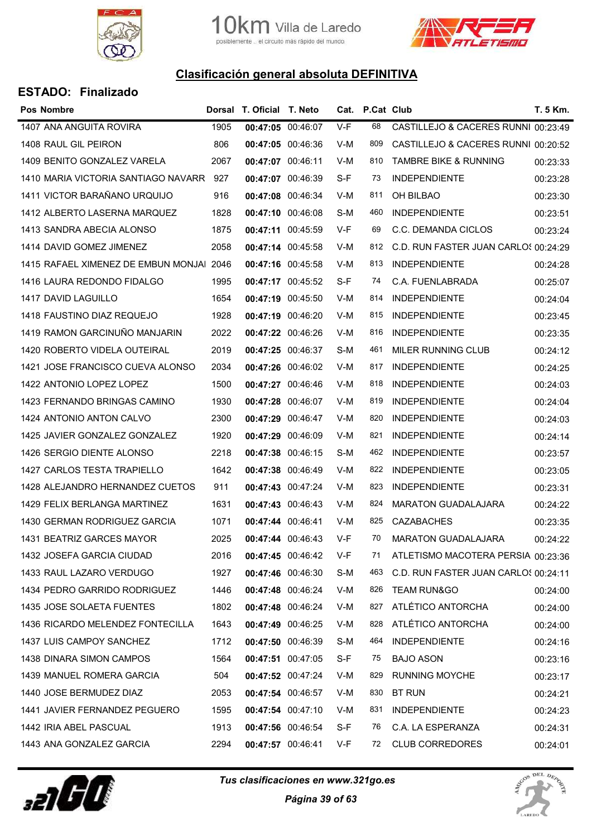



| <b>ESTADO: Finalizado</b>                |      |                           |                   |       |                 |                                      |          |
|------------------------------------------|------|---------------------------|-------------------|-------|-----------------|--------------------------------------|----------|
| <b>Pos Nombre</b>                        |      | Dorsal T. Oficial T. Neto |                   |       | Cat. P.Cat Club |                                      | T. 5 Km. |
| 1407 ANA ANGUITA ROVIRA                  | 1905 | 00:47:05 00:46:07         |                   | $V-F$ | 68              | CASTILLEJO & CACERES RUNNI 00:23:49  |          |
| 1408 RAUL GIL PEIRON                     | 806  |                           | 00:47:05 00:46:36 | V-M   | 809             | CASTILLEJO & CACERES RUNNI 00:20:52  |          |
| 1409 BENITO GONZALEZ VARELA              | 2067 | 00:47:07 00:46:11         |                   | V-M   | 810             | <b>TAMBRE BIKE &amp; RUNNING</b>     | 00:23:33 |
| 1410 MARIA VICTORIA SANTIAGO NAVARR 927  |      |                           | 00:47:07 00:46:39 | S-F   | 73              | <b>INDEPENDIENTE</b>                 | 00:23:28 |
| 1411 VICTOR BARAÑANO URQUIJO             | 916  |                           | 00:47:08 00:46:34 | V-M   | 811             | OH BILBAO                            | 00:23:30 |
| 1412 ALBERTO LASERNA MARQUEZ             | 1828 |                           | 00:47:10 00:46:08 | S-M   | 460             | <b>INDEPENDIENTE</b>                 | 00:23:51 |
| 1413 SANDRA ABECIA ALONSO                | 1875 |                           | 00:47:11 00:45:59 | V-F   | 69              | C.C. DEMANDA CICLOS                  | 00:23:24 |
| 1414 DAVID GOMEZ JIMENEZ                 | 2058 |                           | 00:47:14 00:45:58 | V-M   | 812             | C.D. RUN FASTER JUAN CARLOS 00:24:29 |          |
| 1415 RAFAEL XIMENEZ DE EMBUN MONJAI 2046 |      |                           | 00:47:16 00:45:58 | V-M   | 813             | <b>INDEPENDIENTE</b>                 | 00:24:28 |
| 1416 LAURA REDONDO FIDALGO               | 1995 |                           | 00:47:17 00:45:52 | S-F   | 74              | C.A. FUENLABRADA                     | 00:25:07 |
| 1417 DAVID LAGUILLO                      | 1654 |                           | 00:47:19 00:45:50 | V-M   | 814             | <b>INDEPENDIENTE</b>                 | 00:24:04 |
| 1418 FAUSTINO DIAZ REQUEJO               | 1928 |                           | 00:47:19 00:46:20 | V-M   | 815             | <b>INDEPENDIENTE</b>                 | 00:23:45 |
| 1419 RAMON GARCINUÑO MANJARIN            | 2022 |                           | 00:47:22 00:46:26 | V-M   | 816             | <b>INDEPENDIENTE</b>                 | 00:23:35 |
| 1420 ROBERTO VIDELA OUTEIRAL             | 2019 |                           | 00:47:25 00:46:37 | S-M   | 461             | MILER RUNNING CLUB                   | 00:24:12 |
| 1421 JOSE FRANCISCO CUEVA ALONSO         | 2034 |                           | 00:47:26 00:46:02 | V-M   | 817             | <b>INDEPENDIENTE</b>                 | 00:24:25 |
| 1422 ANTONIO LOPEZ LOPEZ                 | 1500 |                           | 00:47:27 00:46:46 | V-M   | 818             | <b>INDEPENDIENTE</b>                 | 00:24:03 |
| 1423 FERNANDO BRINGAS CAMINO             | 1930 |                           | 00:47:28 00:46:07 | V-M   | 819             | <b>INDEPENDIENTE</b>                 | 00:24:04 |
| 1424 ANTONIO ANTON CALVO                 | 2300 |                           | 00:47:29 00:46:47 | V-M   | 820             | <b>INDEPENDIENTE</b>                 | 00:24:03 |
| 1425 JAVIER GONZALEZ GONZALEZ            | 1920 |                           | 00:47:29 00:46:09 | V-M   | 821             | <b>INDEPENDIENTE</b>                 | 00:24:14 |
| 1426 SERGIO DIENTE ALONSO                | 2218 |                           | 00:47:38 00:46:15 | S-M   | 462             | <b>INDEPENDIENTE</b>                 | 00:23:57 |
| 1427 CARLOS TESTA TRAPIELLO              | 1642 |                           | 00:47:38 00:46:49 | V-M   | 822             | <b>INDEPENDIENTE</b>                 | 00:23:05 |
| 1428 ALEJANDRO HERNANDEZ CUETOS          | 911  |                           | 00:47:43 00:47:24 | V-M   | 823             | <b>INDEPENDIENTE</b>                 | 00:23:31 |
| 1429 FELIX BERLANGA MARTINEZ             | 1631 |                           | 00:47:43 00:46:43 | V-M   | 824             | <b>MARATON GUADALAJARA</b>           | 00:24:22 |
| 1430 GERMAN RODRIGUEZ GARCIA             | 1071 | 00:47:44 00:46:41         |                   | V-M   | 825             | <b>CAZABACHES</b>                    | 00:23:35 |
| 1431 BEATRIZ GARCES MAYOR                | 2025 |                           | 00:47:44 00:46:43 | V-F   | 70              | <b>MARATON GUADALAJARA</b>           | 00:24:22 |
| 1432 JOSEFA GARCIA CIUDAD                | 2016 |                           | 00:47:45 00:46:42 | V-F   | 71              | ATLETISMO MACOTERA PERSIA 00:23:36   |          |
| 1433 RAUL LAZARO VERDUGO                 | 1927 |                           | 00:47:46 00:46:30 | S-M   | 463             | C.D. RUN FASTER JUAN CARLOS 00:24:11 |          |
| 1434 PEDRO GARRIDO RODRIGUEZ             | 1446 |                           | 00:47:48 00:46:24 | V-M   | 826             | <b>TEAM RUN&amp;GO</b>               | 00:24:00 |
| 1435 JOSE SOLAETA FUENTES                | 1802 |                           | 00:47:48 00:46:24 | V-M   | 827             | ATLÉTICO ANTORCHA                    | 00:24:00 |
| 1436 RICARDO MELENDEZ FONTECILLA         | 1643 |                           | 00:47:49 00:46:25 | V-M   | 828             | ATLÉTICO ANTORCHA                    | 00:24:00 |
| 1437 LUIS CAMPOY SANCHEZ                 | 1712 |                           | 00:47:50 00:46:39 | S-M   | 464             | <b>INDEPENDIENTE</b>                 | 00:24:16 |
| 1438 DINARA SIMON CAMPOS                 | 1564 |                           | 00:47:51 00:47:05 | S-F   | 75              | <b>BAJO ASON</b>                     | 00:23:16 |
| 1439 MANUEL ROMERA GARCIA                | 504  |                           | 00:47:52 00:47:24 | V-M   | 829             | <b>RUNNING MOYCHE</b>                | 00:23:17 |
| 1440 JOSE BERMUDEZ DIAZ                  | 2053 |                           | 00:47:54 00:46:57 | V-M   | 830             | <b>BT RUN</b>                        | 00:24:21 |
| 1441 JAVIER FERNANDEZ PEGUERO            | 1595 |                           | 00:47:54 00:47:10 | V-M   | 831             | <b>INDEPENDIENTE</b>                 | 00:24:23 |
| 1442 IRIA ABEL PASCUAL                   | 1913 |                           | 00:47:56 00:46:54 | S-F   | 76              | C.A. LA ESPERANZA                    | 00:24:31 |
| 1443 ANA GONZALEZ GARCIA                 | 2294 |                           | 00:47:57 00:46:41 | V-F   | 72              | <b>CLUB CORREDORES</b>               | 00:24:01 |



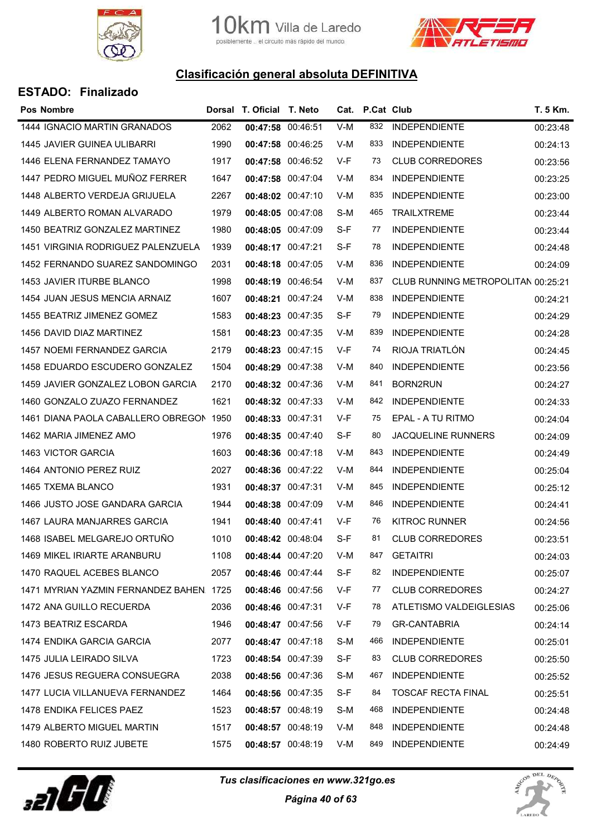



| <b>ESTADO: Finalizado</b> |  |  |
|---------------------------|--|--|
|                           |  |  |

| Pos Nombre                               |      | Dorsal T. Oficial T. Neto |       | Cat. P.Cat Club |                                    | T. 5 Km. |
|------------------------------------------|------|---------------------------|-------|-----------------|------------------------------------|----------|
| 1444 IGNACIO MARTIN GRANADOS             | 2062 | 00:47:58 00:46:51         | $V-M$ | 832             | <b>INDEPENDIENTE</b>               | 00:23:48 |
| <b>1445 JAVIER GUINEA ULIBARRI</b>       | 1990 | 00:47:58 00:46:25         | V-M   | 833             | <b>INDEPENDIENTE</b>               | 00:24:13 |
| 1446 ELENA FERNANDEZ TAMAYO              | 1917 | 00:47:58 00:46:52         | V-F   | 73              | <b>CLUB CORREDORES</b>             | 00:23:56 |
| 1447 PEDRO MIGUEL MUÑOZ FERRER           | 1647 | 00:47:58 00:47:04         | V-M   | 834             | <b>INDEPENDIENTE</b>               | 00:23:25 |
| 1448 ALBERTO VERDEJA GRIJUELA            | 2267 | 00:48:02 00:47:10         | V-M   | 835             | <b>INDEPENDIENTE</b>               | 00:23:00 |
| 1449 ALBERTO ROMAN ALVARADO              | 1979 | 00:48:05 00:47:08         | S-M   | 465             | <b>TRAILXTREME</b>                 | 00:23:44 |
| 1450 BEATRIZ GONZALEZ MARTINEZ           | 1980 | 00:48:05 00:47:09         | S-F   | 77              | <b>INDEPENDIENTE</b>               | 00:23:44 |
| 1451 VIRGINIA RODRIGUEZ PALENZUELA       | 1939 | 00:48:17 00:47:21         | S-F   | 78              | <b>INDEPENDIENTE</b>               | 00:24:48 |
| 1452 FERNANDO SUAREZ SANDOMINGO          | 2031 | 00:48:18 00:47:05         | V-M   | 836             | <b>INDEPENDIENTE</b>               | 00:24:09 |
| 1453 JAVIER ITURBE BLANCO                | 1998 | 00:48:19 00:46:54         | V-M   | 837             | CLUB RUNNING METROPOLITAN 00:25:21 |          |
| 1454 JUAN JESUS MENCIA ARNAIZ            | 1607 | 00:48:21 00:47:24         | V-M   | 838             | <b>INDEPENDIENTE</b>               | 00:24:21 |
| 1455 BEATRIZ JIMENEZ GOMEZ               | 1583 | 00:48:23 00:47:35         | S-F   | 79              | <b>INDEPENDIENTE</b>               | 00:24:29 |
| 1456 DAVID DIAZ MARTINEZ                 | 1581 | 00:48:23 00:47:35         | V-M   | 839             | <b>INDEPENDIENTE</b>               | 00:24:28 |
| 1457 NOEMI FERNANDEZ GARCIA              | 2179 | 00:48:23 00:47:15         | V-F   | 74              | RIOJA TRIATLÓN                     | 00:24:45 |
| 1458 EDUARDO ESCUDERO GONZALEZ           | 1504 | 00:48:29 00:47:38         | V-M   | 840             | <b>INDEPENDIENTE</b>               | 00:23:56 |
| 1459 JAVIER GONZALEZ LOBON GARCIA        | 2170 | 00:48:32 00:47:36         | V-M   | 841             | <b>BORN2RUN</b>                    | 00:24:27 |
| 1460 GONZALO ZUAZO FERNANDEZ             | 1621 | 00:48:32 00:47:33         | V-M   | 842             | <b>INDEPENDIENTE</b>               | 00:24:33 |
| 1461 DIANA PAOLA CABALLERO OBREGON 1950  |      | 00:48:33 00:47:31         | V-F   | 75              | EPAL - A TU RITMO                  | 00:24:04 |
| 1462 MARIA JIMENEZ AMO                   | 1976 | 00:48:35 00:47:40         | S-F   | 80              | <b>JACQUELINE RUNNERS</b>          | 00:24:09 |
| <b>1463 VICTOR GARCIA</b>                | 1603 | 00:48:36 00:47:18         | V-M   | 843             | <b>INDEPENDIENTE</b>               | 00:24:49 |
| 1464 ANTONIO PEREZ RUIZ                  | 2027 | 00:48:36 00:47:22         | V-M   | 844             | <b>INDEPENDIENTE</b>               | 00:25:04 |
| 1465 TXEMA BLANCO                        | 1931 | 00:48:37 00:47:31         | V-M   | 845             | <b>INDEPENDIENTE</b>               | 00:25:12 |
| 1466 JUSTO JOSE GANDARA GARCIA           | 1944 | 00:48:38 00:47:09         | V-M   | 846             | <b>INDEPENDIENTE</b>               | 00:24:41 |
| 1467 LAURA MANJARRES GARCIA              | 1941 | 00:48:40 00:47:41         | V-F   | 76              | <b>KITROC RUNNER</b>               | 00:24:56 |
| 1468 ISABEL MELGAREJO ORTUÑO             | 1010 | 00:48:42 00:48:04         | S-F   | 81              | <b>CLUB CORREDORES</b>             | 00:23:51 |
| 1469 MIKEL IRIARTE ARANBURU              | 1108 | 00:48:44 00:47:20         | V-M   | 847             | <b>GETAITRI</b>                    | 00:24:03 |
| 1470 RAQUEL ACEBES BLANCO                | 2057 | 00:48:46 00:47:44         | S-F   | 82              | <b>INDEPENDIENTE</b>               | 00:25:07 |
| 1471 MYRIAN YAZMIN FERNANDEZ BAHEN. 1725 |      | 00:48:46 00:47:56         | V-F   | 77              | <b>CLUB CORREDORES</b>             | 00:24:27 |
| 1472 ANA GUILLO RECUERDA                 | 2036 | 00:48:46 00:47:31         | V-F   | 78              | ATLETISMO VALDEIGLESIAS            | 00:25:06 |
| 1473 BEATRIZ ESCARDA                     | 1946 | 00:48:47 00:47:56         | V-F   | 79              | <b>GR-CANTABRIA</b>                | 00:24:14 |
| 1474 ENDIKA GARCIA GARCIA                | 2077 | 00:48:47 00:47:18         | S-M   | 466             | <b>INDEPENDIENTE</b>               | 00:25:01 |
| 1475 JULIA LEIRADO SILVA                 | 1723 | 00:48:54 00:47:39         | S-F   | 83              | <b>CLUB CORREDORES</b>             | 00:25:50 |
| 1476 JESUS REGUERA CONSUEGRA             | 2038 | 00:48:56 00:47:36         | S-M   | 467             | <b>INDEPENDIENTE</b>               | 00:25:52 |
| 1477 LUCIA VILLANUEVA FERNANDEZ          | 1464 | 00:48:56 00:47:35         | S-F   | 84              | <b>TOSCAF RECTA FINAL</b>          | 00:25:51 |
| 1478 ENDIKA FELICES PAEZ                 | 1523 | 00:48:57 00:48:19         | S-M   | 468             | <b>INDEPENDIENTE</b>               | 00:24:48 |
| 1479 ALBERTO MIGUEL MARTIN               | 1517 | 00:48:57 00:48:19         | V-M   | 848             | <b>INDEPENDIENTE</b>               | 00:24:48 |
| 1480 ROBERTO RUIZ JUBETE                 | 1575 | 00:48:57 00:48:19         | V-M   | 849             | <b>INDEPENDIENTE</b>               | 00:24:49 |
|                                          |      |                           |       |                 |                                    |          |



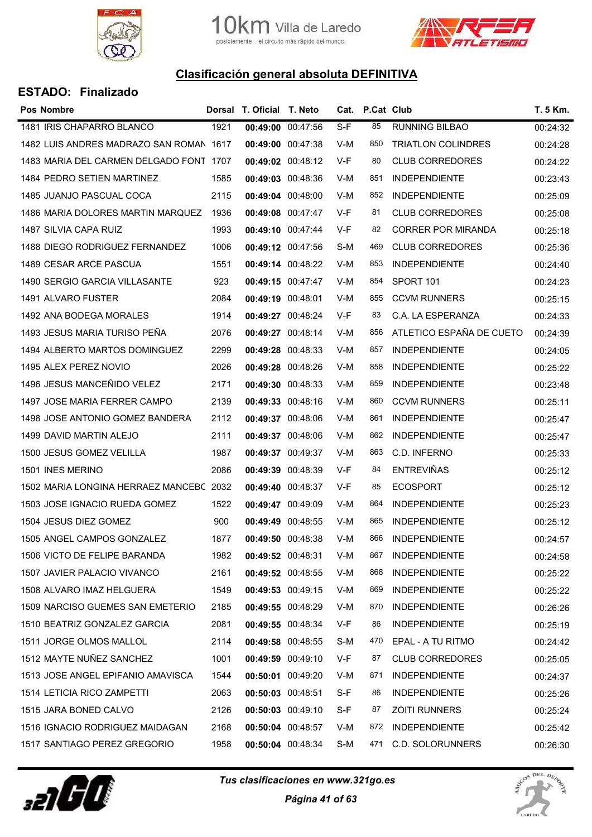



| <b>Pos Nombre</b>                       |      | Dorsal T. Oficial T. Neto |                   |     | Cat. P.Cat Club |                           | T. 5 Km. |
|-----------------------------------------|------|---------------------------|-------------------|-----|-----------------|---------------------------|----------|
| 1481 IRIS CHAPARRO BLANCO               | 1921 | 00:49:00 00:47:56         |                   | S-F | 85              | <b>RUNNING BILBAO</b>     | 00:24:32 |
| 1482 LUIS ANDRES MADRAZO SAN ROMAN 1617 |      | 00:49:00 00:47:38         |                   | V-M | 850             | <b>TRIATLON COLINDRES</b> | 00:24:28 |
| 1483 MARIA DEL CARMEN DELGADO FONT 1707 |      |                           | 00:49:02 00:48:12 | V-F | 80              | <b>CLUB CORREDORES</b>    | 00:24:22 |
| 1484 PEDRO SETIEN MARTINEZ              | 1585 | 00:49:03 00:48:36         |                   | V-M | 851             | <b>INDEPENDIENTE</b>      | 00:23:43 |
| 1485 JUANJO PASCUAL COCA                | 2115 |                           | 00:49:04 00:48:00 | V-M | 852             | <b>INDEPENDIENTE</b>      | 00:25:09 |
| 1486 MARIA DOLORES MARTIN MARQUEZ       | 1936 |                           | 00:49:08 00:47:47 | V-F | 81              | <b>CLUB CORREDORES</b>    | 00:25:08 |
| 1487 SILVIA CAPA RUIZ                   | 1993 | 00:49:10 00:47:44         |                   | V-F | 82              | <b>CORRER POR MIRANDA</b> | 00:25:18 |
| 1488 DIEGO RODRIGUEZ FERNANDEZ          | 1006 | 00:49:12 00:47:56         |                   | S-M | 469             | <b>CLUB CORREDORES</b>    | 00:25:36 |
| 1489 CESAR ARCE PASCUA                  | 1551 |                           | 00:49:14 00:48:22 | V-M | 853             | <b>INDEPENDIENTE</b>      | 00:24:40 |
| 1490 SERGIO GARCIA VILLASANTE           | 923  | 00:49:15 00:47:47         |                   | V-M | 854             | SPORT 101                 | 00:24:23 |
| 1491 ALVARO FUSTER                      | 2084 | 00:49:19 00:48:01         |                   | V-M | 855             | <b>CCVM RUNNERS</b>       | 00:25:15 |
| 1492 ANA BODEGA MORALES                 | 1914 | 00:49:27 00:48:24         |                   | V-F | 83              | C.A. LA ESPERANZA         | 00:24:33 |
| 1493 JESUS MARIA TURISO PEÑA            | 2076 |                           | 00:49:27 00:48:14 | V-M | 856             | ATLETICO ESPAÑA DE CUETO  | 00:24:39 |
| 1494 ALBERTO MARTOS DOMINGUEZ           | 2299 |                           | 00:49:28 00:48:33 | V-M | 857             | <b>INDEPENDIENTE</b>      | 00:24:05 |
| 1495 ALEX PEREZ NOVIO                   | 2026 |                           | 00:49:28 00:48:26 | V-M | 858             | <b>INDEPENDIENTE</b>      | 00:25:22 |
| 1496 JESUS MANCEÑIDO VELEZ              | 2171 | 00:49:30 00:48:33         |                   | V-M | 859             | <b>INDEPENDIENTE</b>      | 00:23:48 |
| 1497 JOSE MARIA FERRER CAMPO            | 2139 |                           | 00:49:33 00:48:16 | V-M | 860             | <b>CCVM RUNNERS</b>       | 00:25:11 |
| 1498 JOSE ANTONIO GOMEZ BANDERA         | 2112 |                           | 00:49:37 00:48:06 | V-M | 861             | <b>INDEPENDIENTE</b>      | 00:25:47 |
| 1499 DAVID MARTIN ALEJO                 | 2111 |                           | 00:49:37 00:48:06 | V-M | 862             | <b>INDEPENDIENTE</b>      | 00:25:47 |
| 1500 JESUS GOMEZ VELILLA                | 1987 | 00:49:37 00:49:37         |                   | V-M | 863             | C.D. INFERNO              | 00:25:33 |
| 1501 INES MERINO                        | 2086 |                           | 00:49:39 00:48:39 | V-F | 84              | <b>ENTREVIÑAS</b>         | 00:25:12 |
| 1502 MARIA LONGINA HERRAEZ MANCEBC 2032 |      | 00:49:40 00:48:37         |                   | V-F | 85              | <b>ECOSPORT</b>           | 00:25:12 |
| 1503 JOSE IGNACIO RUEDA GOMEZ           | 1522 | 00:49:47 00:49:09         |                   | V-M | 864             | <b>INDEPENDIENTE</b>      | 00:25:23 |
| 1504 JESUS DIEZ GOMEZ                   | 900  | 00:49:49 00:48:55         |                   | V-M | 865             | <b>INDEPENDIENTE</b>      | 00:25:12 |
| 1505 ANGEL CAMPOS GONZALEZ              | 1877 | 00:49:50 00:48:38         |                   | V-M | 866             | <b>INDEPENDIENTE</b>      | 00:24:57 |
| 1506 VICTO DE FELIPE BARANDA            | 1982 | 00:49:52 00:48:31         |                   | V-M | 867             | <b>INDEPENDIENTE</b>      | 00:24:58 |
| 1507 JAVIER PALACIO VIVANCO             | 2161 |                           | 00:49:52 00:48:55 | V-M | 868             | <b>INDEPENDIENTE</b>      | 00:25:22 |
| 1508 ALVARO IMAZ HELGUERA               | 1549 |                           | 00:49:53 00:49:15 | V-M | 869             | <b>INDEPENDIENTE</b>      | 00:25:22 |
| 1509 NARCISO GUEMES SAN EMETERIO        | 2185 |                           | 00:49:55 00:48:29 | V-M | 870             | <b>INDEPENDIENTE</b>      | 00:26:26 |
| 1510 BEATRIZ GONZALEZ GARCIA            | 2081 |                           | 00:49:55 00:48:34 | V-F | 86              | <b>INDEPENDIENTE</b>      | 00:25:19 |
| 1511 JORGE OLMOS MALLOL                 | 2114 |                           | 00:49:58 00:48:55 | S-M | 470             | EPAL - A TU RITMO         | 00:24:42 |
| 1512 MAYTE NUÑEZ SANCHEZ                | 1001 |                           | 00:49:59 00:49:10 | V-F | 87              | <b>CLUB CORREDORES</b>    | 00:25:05 |
| 1513 JOSE ANGEL EPIFANIO AMAVISCA       | 1544 | 00:50:01 00:49:20         |                   | V-M | 871             | <b>INDEPENDIENTE</b>      | 00:24:37 |
| 1514 LETICIA RICO ZAMPETTI              | 2063 | 00:50:03 00:48:51         |                   | S-F | 86              | <b>INDEPENDIENTE</b>      | 00:25:26 |
| 1515 JARA BONED CALVO                   | 2126 |                           | 00:50:03 00:49:10 | S-F | 87              | <b>ZOITI RUNNERS</b>      | 00:25:24 |
| 1516 IGNACIO RODRIGUEZ MAIDAGAN         | 2168 | 00:50:04 00:48:57         |                   | V-M | 872             | <b>INDEPENDIENTE</b>      | 00:25:42 |
| 1517 SANTIAGO PEREZ GREGORIO            | 1958 | 00:50:04 00:48:34         |                   | S-M | 471             | C.D. SOLORUNNERS          | 00:26:30 |



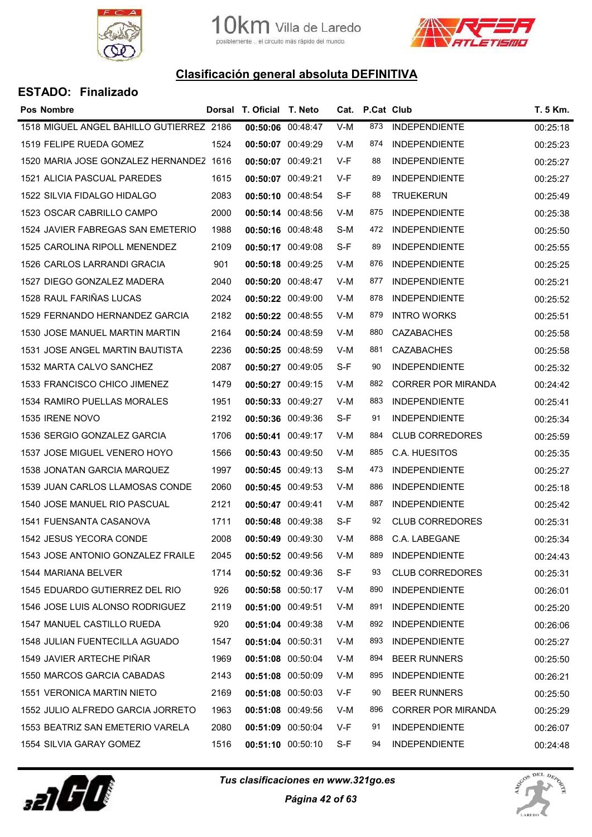



| Pos Nombre                               |      | Dorsal T. Oficial T. Neto |       | Cat. P.Cat Club |                           | T. 5 Km. |
|------------------------------------------|------|---------------------------|-------|-----------------|---------------------------|----------|
| 1518 MIGUEL ANGEL BAHILLO GUTIERREZ 2186 |      | 00:50:06 00:48:47         | $V-M$ | 873             | <b>INDEPENDIENTE</b>      | 00:25:18 |
| 1519 FELIPE RUEDA GOMEZ                  | 1524 | 00:50:07 00:49:29         | V-M   | 874             | <b>INDEPENDIENTE</b>      | 00:25:23 |
| 1520 MARIA JOSE GONZALEZ HERNANDEZ 1616  |      | 00:50:07 00:49:21         | V-F   | 88              | <b>INDEPENDIENTE</b>      | 00:25:27 |
| 1521 ALICIA PASCUAL PAREDES              | 1615 | 00:50:07 00:49:21         | V-F   | 89              | <b>INDEPENDIENTE</b>      | 00:25:27 |
| 1522 SILVIA FIDALGO HIDALGO              | 2083 | 00:50:10 00:48:54         | S-F   | 88              | <b>TRUEKERUN</b>          | 00:25:49 |
| 1523 OSCAR CABRILLO CAMPO                | 2000 | 00:50:14 00:48:56         | V-M   | 875             | <b>INDEPENDIENTE</b>      | 00:25:38 |
| 1524 JAVIER FABREGAS SAN EMETERIO        | 1988 | 00:50:16 00:48:48         | S-M   | 472             | <b>INDEPENDIENTE</b>      | 00:25:50 |
| 1525 CAROLINA RIPOLL MENENDEZ            | 2109 | 00:50:17 00:49:08         | S-F   | 89              | <b>INDEPENDIENTE</b>      | 00:25:55 |
| 1526 CARLOS LARRANDI GRACIA              | 901  | 00:50:18 00:49:25         | V-M   | 876             | <b>INDEPENDIENTE</b>      | 00:25:25 |
| 1527 DIEGO GONZALEZ MADERA               | 2040 | 00:50:20 00:48:47         | V-M   | 877             | <b>INDEPENDIENTE</b>      | 00:25:21 |
| 1528 RAUL FARIÑAS LUCAS                  | 2024 | 00:50:22 00:49:00         | V-M   | 878             | <b>INDEPENDIENTE</b>      | 00:25:52 |
| 1529 FERNANDO HERNANDEZ GARCIA           | 2182 | 00:50:22 00:48:55         | V-M   | 879             | <b>INTRO WORKS</b>        | 00:25:51 |
| 1530 JOSE MANUEL MARTIN MARTIN           | 2164 | 00:50:24 00:48:59         | V-M   | 880             | <b>CAZABACHES</b>         | 00:25:58 |
| <b>1531 JOSE ANGEL MARTIN BAUTISTA</b>   | 2236 | 00:50:25 00:48:59         | V-M   | 881             | <b>CAZABACHES</b>         | 00:25:58 |
| 1532 MARTA CALVO SANCHEZ                 | 2087 | 00:50:27 00:49:05         | S-F   | 90              | <b>INDEPENDIENTE</b>      | 00:25:32 |
| 1533 FRANCISCO CHICO JIMENEZ             | 1479 | 00:50:27 00:49:15         | V-M   | 882             | <b>CORRER POR MIRANDA</b> | 00:24:42 |
| 1534 RAMIRO PUELLAS MORALES              | 1951 | 00:50:33 00:49:27         | V-M   | 883             | <b>INDEPENDIENTE</b>      | 00:25:41 |
| 1535 IRENE NOVO                          | 2192 | 00:50:36 00:49:36         | S-F   | 91              | <b>INDEPENDIENTE</b>      | 00:25:34 |
| 1536 SERGIO GONZALEZ GARCIA              | 1706 | 00:50:41 00:49:17         | V-M   | 884             | <b>CLUB CORREDORES</b>    | 00:25:59 |
| 1537 JOSE MIGUEL VENERO HOYO             | 1566 | 00:50:43 00:49:50         | V-M   | 885             | C.A. HUESITOS             | 00:25:35 |
| 1538 JONATAN GARCIA MARQUEZ              | 1997 | 00:50:45 00:49:13         | S-M   | 473             | <b>INDEPENDIENTE</b>      | 00:25:27 |
| 1539 JUAN CARLOS LLAMOSAS CONDE          | 2060 | 00:50:45 00:49:53         | V-M   | 886             | <b>INDEPENDIENTE</b>      | 00:25:18 |
| 1540 JOSE MANUEL RIO PASCUAL             | 2121 | 00:50:47 00:49:41         | V-M   | 887             | <b>INDEPENDIENTE</b>      | 00:25:42 |
| 1541 FUENSANTA CASANOVA                  | 1711 | 00:50:48 00:49:38         | S-F   | 92              | <b>CLUB CORREDORES</b>    | 00:25:31 |
| 1542 JESUS YECORA CONDE                  | 2008 | 00:50:49 00:49:30         | V-M   | 888             | C.A. LABEGANE             | 00:25:34 |
| 1543 JOSE ANTONIO GONZALEZ FRAILE        | 2045 | 00:50:52 00:49:56         | V-M   | 889             | <b>INDEPENDIENTE</b>      | 00:24:43 |
| 1544 MARIANA BELVER                      | 1714 | 00:50:52 00:49:36         | S-F   | 93              | <b>CLUB CORREDORES</b>    | 00:25:31 |
| 1545 EDUARDO GUTIERREZ DEL RIO           | 926  | 00:50:58 00:50:17         | V-M   | 890             | <b>INDEPENDIENTE</b>      | 00:26:01 |
| 1546 JOSE LUIS ALONSO RODRIGUEZ          | 2119 | 00:51:00 00:49:51         | V-M   | 891             | <b>INDEPENDIENTE</b>      | 00:25:20 |
| 1547 MANUEL CASTILLO RUEDA               | 920  | 00:51:04 00:49:38         | V-M   | 892             | <b>INDEPENDIENTE</b>      | 00:26:06 |
| 1548 JULIAN FUENTECILLA AGUADO           | 1547 | 00:51:04 00:50:31         | V-M   | 893             | <b>INDEPENDIENTE</b>      | 00:25:27 |
| 1549 JAVIER ARTECHE PIÑAR                | 1969 | 00:51:08 00:50:04         | V-M   | 894             | <b>BEER RUNNERS</b>       | 00:25:50 |
| 1550 MARCOS GARCIA CABADAS               | 2143 | 00:51:08 00:50:09         | V-M   | 895             | <b>INDEPENDIENTE</b>      | 00:26:21 |
| <b>1551 VERONICA MARTIN NIETO</b>        | 2169 | 00:51:08 00:50:03         | V-F   | 90              | <b>BEER RUNNERS</b>       | 00:25:50 |
| 1552 JULIO ALFREDO GARCIA JORRETO        | 1963 | 00:51:08 00:49:56         | V-M   | 896             | <b>CORRER POR MIRANDA</b> | 00:25:29 |
| 1553 BEATRIZ SAN EMETERIO VARELA         | 2080 | 00:51:09 00:50:04         | V-F   | 91              | <b>INDEPENDIENTE</b>      | 00:26:07 |
| 1554 SILVIA GARAY GOMEZ                  | 1516 | 00:51:10 00:50:10         | S-F   | 94              | <b>INDEPENDIENTE</b>      | 00:24:48 |



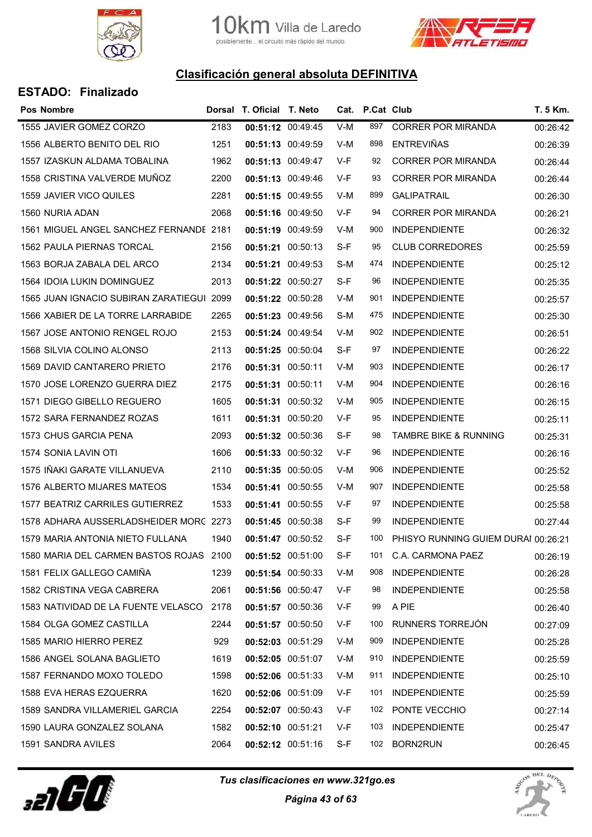



|  | <b>ESTADO: Finalizado</b> |
|--|---------------------------|
|--|---------------------------|

| <b>Pos Nombre</b>                         |      | Dorsal T. Oficial T. Neto |       | Cat. P.Cat Club |                                     | T. 5 Km. |
|-------------------------------------------|------|---------------------------|-------|-----------------|-------------------------------------|----------|
| 1555 JAVIER GOMEZ CORZO                   | 2183 | 00:51:12 00:49:45         | $V-M$ | 897             | <b>CORRER POR MIRANDA</b>           | 00:26:42 |
| 1556 ALBERTO BENITO DEL RIO               | 1251 | 00:51:13 00:49:59         | V-M   | 898             | <b>ENTREVIÑAS</b>                   | 00:26:39 |
| 1557 IZASKUN ALDAMA TOBALINA              | 1962 | 00:51:13 00:49:47         | V-F   | 92              | <b>CORRER POR MIRANDA</b>           | 00:26:44 |
| 1558 CRISTINA VALVERDE MUÑOZ              | 2200 | 00:51:13 00:49:46         | V-F   | 93              | <b>CORRER POR MIRANDA</b>           | 00:26:44 |
| 1559 JAVIER VICO QUILES                   | 2281 | 00:51:15 00:49:55         | V-M   | 899             | <b>GALIPATRAIL</b>                  | 00:26:30 |
| 1560 NURIA ADAN                           | 2068 | 00:51:16 00:49:50         | V-F   | 94              | <b>CORRER POR MIRANDA</b>           | 00:26:21 |
| 1561 MIGUEL ANGEL SANCHEZ FERNANDE 2181   |      | 00:51:19 00:49:59         | V-M   | 900             | <b>INDEPENDIENTE</b>                | 00:26:32 |
| 1562 PAULA PIERNAS TORCAL                 | 2156 | 00:51:21 00:50:13         | S-F   | 95              | <b>CLUB CORREDORES</b>              | 00:25:59 |
| 1563 BORJA ZABALA DEL ARCO                | 2134 | 00:51:21 00:49:53         | S-M   | 474             | <b>INDEPENDIENTE</b>                | 00:25:12 |
| 1564 IDOIA LUKIN DOMINGUEZ                | 2013 | 00:51:22 00:50:27         | S-F   | 96              | <b>INDEPENDIENTE</b>                | 00:25:35 |
| 1565 JUAN IGNACIO SUBIRAN ZARATIEGUI 2099 |      | 00:51:22 00:50:28         | V-M   | 901             | <b>INDEPENDIENTE</b>                | 00:25:57 |
| 1566 XABIER DE LA TORRE LARRABIDE         | 2265 | 00:51:23 00:49:56         | S-M   | 475             | <b>INDEPENDIENTE</b>                | 00:25:30 |
| 1567 JOSE ANTONIO RENGEL ROJO             | 2153 | 00:51:24 00:49:54         | V-M   | 902             | <b>INDEPENDIENTE</b>                | 00:26:51 |
| 1568 SILVIA COLINO ALONSO                 | 2113 | 00:51:25 00:50:04         | S-F   | 97              | <b>INDEPENDIENTE</b>                | 00:26:22 |
| 1569 DAVID CANTARERO PRIETO               | 2176 | 00:51:31 00:50:11         | V-M   | 903             | <b>INDEPENDIENTE</b>                | 00:26:17 |
| 1570 JOSE LORENZO GUERRA DIEZ             | 2175 | 00:51:31 00:50:11         | V-M   | 904             | <b>INDEPENDIENTE</b>                | 00:26:16 |
| 1571 DIEGO GIBELLO REGUERO                | 1605 | 00:51:31 00:50:32         | V-M   | 905             | <b>INDEPENDIENTE</b>                | 00:26:15 |
| 1572 SARA FERNANDEZ ROZAS                 | 1611 | 00:51:31 00:50:20         | V-F   | 95              | <b>INDEPENDIENTE</b>                | 00:25:11 |
| 1573 CHUS GARCIA PENA                     | 2093 | 00:51:32 00:50:36         | S-F   | 98              | <b>TAMBRE BIKE &amp; RUNNING</b>    | 00:25:31 |
| 1574 SONIA LAVIN OTI                      | 1606 | 00:51:33 00:50:32         | V-F   | 96              | <b>INDEPENDIENTE</b>                | 00:26:16 |
| 1575 IÑAKI GARATE VILLANUEVA              | 2110 | 00:51:35 00:50:05         | V-M   | 906             | <b>INDEPENDIENTE</b>                | 00:25:52 |
| 1576 ALBERTO MIJARES MATEOS               | 1534 | 00:51:41 00:50:55         | V-M   | 907             | <b>INDEPENDIENTE</b>                | 00:25:58 |
| 1577 BEATRIZ CARRILES GUTIERREZ           | 1533 | 00:51:41 00:50:55         | V-F   | 97              | <b>INDEPENDIENTE</b>                | 00:25:58 |
| 1578 ADHARA AUSSERLADSHEIDER MORC 2273    |      | 00:51:45 00:50:38         | S-F   | 99              | <b>INDEPENDIENTE</b>                | 00:27:44 |
| 1579 MARIA ANTONIA NIETO FULLANA          | 1940 | 00:51:47 00:50:52         | S-F   | 100             | PHISYO RUNNING GUIEM DURAI 00:26:21 |          |
| 1580 MARIA DEL CARMEN BASTOS ROJAS 2100   |      | 00:51:52 00:51:00         | S-F   | 101             | C.A. CARMONA PAEZ                   | 00:26:19 |
| 1581 FELIX GALLEGO CAMIÑA                 | 1239 | 00:51:54 00:50:33         | V-M   | 908             | <b>INDEPENDIENTE</b>                | 00:26:28 |
| 1582 CRISTINA VEGA CABRERA                | 2061 | 00:51:56 00:50:47         | V-F   | 98              | <b>INDEPENDIENTE</b>                | 00:25:58 |
| 1583 NATIVIDAD DE LA FUENTE VELASCO       | 2178 | 00:51:57 00:50:36         | V-F   | 99              | A PIE                               | 00:26:40 |
| 1584 OLGA GOMEZ CASTILLA                  | 2244 | 00:51:57 00:50:50         | V-F   | 100             | RUNNERS TORREJON                    | 00:27:09 |
| 1585 MARIO HIERRO PEREZ                   | 929  | 00:52:03 00:51:29         | V-M   | 909             | <b>INDEPENDIENTE</b>                | 00:25:28 |
| 1586 ANGEL SOLANA BAGLIETO                | 1619 | 00:52:05 00:51:07         | V-M   | 910             | <b>INDEPENDIENTE</b>                | 00:25:59 |
| 1587 FERNANDO MOXO TOLEDO                 | 1598 | 00:52:06 00:51:33         | V-M   | 911             | <b>INDEPENDIENTE</b>                | 00:25:10 |
| 1588 EVA HERAS EZQUERRA                   | 1620 | 00:52:06 00:51:09         | V-F   | 101             | <b>INDEPENDIENTE</b>                | 00:25:59 |
| 1589 SANDRA VILLAMERIEL GARCIA            | 2254 | 00:52:07 00:50:43         | V-F   | 102             | PONTE VECCHIO                       | 00:27:14 |
| 1590 LAURA GONZALEZ SOLANA                | 1582 | 00:52:10 00:51:21         | V-F   | 103             | <b>INDEPENDIENTE</b>                | 00:25:47 |
| 1591 SANDRA AVILES                        | 2064 | 00:52:12 00:51:16         | S-F   | 102             | BORN2RUN                            | 00:26:45 |
|                                           |      |                           |       |                 |                                     |          |



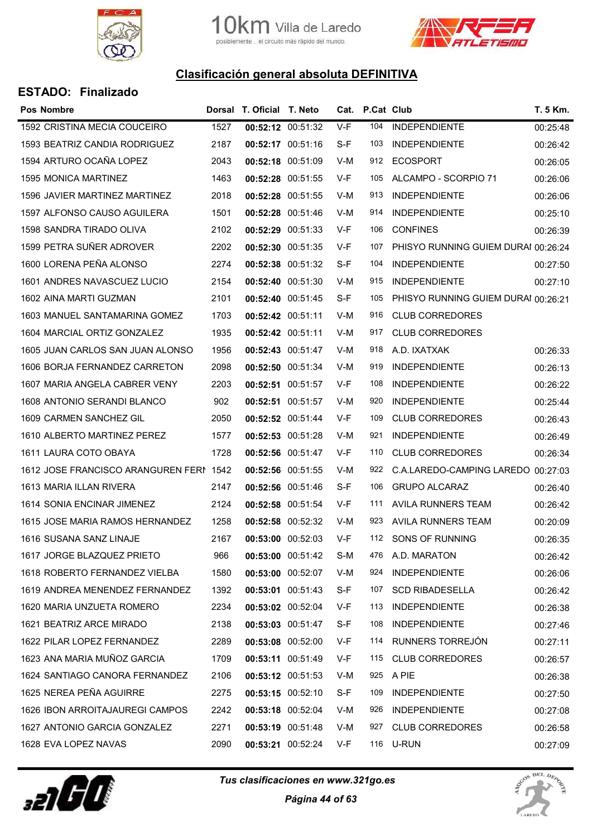



| <b>ESTADO: Finalizado</b> |
|---------------------------|
|                           |

| <b>Pos Nombre</b>                       |      | Dorsal T. Oficial T. Neto |                   |       | Cat. P.Cat Club |                                     | T. 5 Km. |
|-----------------------------------------|------|---------------------------|-------------------|-------|-----------------|-------------------------------------|----------|
| 1592 CRISTINA MECIA COUCEIRO            | 1527 | 00:52:12 00:51:32         |                   | $V-F$ | 104             | <b>INDEPENDIENTE</b>                | 00:25:48 |
| 1593 BEATRIZ CANDIA RODRIGUEZ           | 2187 | 00:52:17 00:51:16         |                   | S-F   | 103             | <b>INDEPENDIENTE</b>                | 00:26:42 |
| 1594 ARTURO OCAÑA LOPEZ                 | 2043 | 00:52:18 00:51:09         |                   | V-M   | 912             | <b>ECOSPORT</b>                     | 00:26:05 |
| <b>1595 MONICA MARTINEZ</b>             | 1463 | 00:52:28 00:51:55         |                   | V-F   | 105             | ALCAMPO - SCORPIO 71                | 00:26:06 |
| 1596 JAVIER MARTINEZ MARTINEZ           | 2018 | 00:52:28 00:51:55         |                   | V-M   | 913             | <b>INDEPENDIENTE</b>                | 00:26:06 |
| 1597 ALFONSO CAUSO AGUILERA             | 1501 | 00:52:28 00:51:46         |                   | V-M   | 914             | <b>INDEPENDIENTE</b>                | 00:25:10 |
| 1598 SANDRA TIRADO OLIVA                | 2102 | 00:52:29 00:51:33         |                   | V-F   | 106             | <b>CONFINES</b>                     | 00:26:39 |
| 1599 PETRA SUÑER ADROVER                | 2202 | 00:52:30 00:51:35         |                   | V-F   | 107             | PHISYO RUNNING GUIEM DURAI 00:26:24 |          |
| 1600 LORENA PEÑA ALONSO                 | 2274 |                           | 00:52:38 00:51:32 | S-F   | 104             | <b>INDEPENDIENTE</b>                | 00:27:50 |
| 1601 ANDRES NAVASCUEZ LUCIO             | 2154 | 00:52:40 00:51:30         |                   | V-M   | 915             | <b>INDEPENDIENTE</b>                | 00:27:10 |
| 1602 AINA MARTI GUZMAN                  | 2101 | 00:52:40 00:51:45         |                   | S-F   | 105             | PHISYO RUNNING GUIEM DURAI 00:26:21 |          |
| 1603 MANUEL SANTAMARINA GOMEZ           | 1703 | 00:52:42 00:51:11         |                   | V-M   | 916             | <b>CLUB CORREDORES</b>              |          |
| 1604 MARCIAL ORTIZ GONZALEZ             | 1935 | 00:52:42 00:51:11         |                   | V-M   | 917             | <b>CLUB CORREDORES</b>              |          |
| 1605 JUAN CARLOS SAN JUAN ALONSO        | 1956 | 00:52:43 00:51:47         |                   | V-M   | 918             | A.D. IXATXAK                        | 00:26:33 |
| 1606 BORJA FERNANDEZ CARRETON           | 2098 | 00:52:50 00:51:34         |                   | V-M   | 919             | <b>INDEPENDIENTE</b>                | 00:26:13 |
| 1607 MARIA ANGELA CABRER VENY           | 2203 | 00:52:51 00:51:57         |                   | V-F   | 108             | <b>INDEPENDIENTE</b>                | 00:26:22 |
| 1608 ANTONIO SERANDI BLANCO             | 902  | 00:52:51 00:51:57         |                   | V-M   | 920             | <b>INDEPENDIENTE</b>                | 00:25:44 |
| 1609 CARMEN SANCHEZ GIL                 | 2050 | 00:52:52 00:51:44         |                   | V-F   | 109             | <b>CLUB CORREDORES</b>              | 00:26:43 |
| 1610 ALBERTO MARTINEZ PEREZ             | 1577 | 00:52:53 00:51:28         |                   | V-M   | 921             | <b>INDEPENDIENTE</b>                | 00:26:49 |
| 1611 LAURA COTO OBAYA                   | 1728 | 00:52:56 00:51:47         |                   | V-F   | 110             | <b>CLUB CORREDORES</b>              | 00:26:34 |
| 1612 JOSE FRANCISCO ARANGUREN FERI 1542 |      | 00:52:56 00:51:55         |                   | V-M   | 922             | C.A.LAREDO-CAMPING LAREDO           | 00:27:03 |
| 1613 MARIA ILLAN RIVERA                 | 2147 | 00:52:56 00:51:46         |                   | S-F   | 106             | <b>GRUPO ALCARAZ</b>                | 00:26:40 |
| 1614 SONIA ENCINAR JIMENEZ              | 2124 | 00:52:58 00:51:54         |                   | V-F   | 111             | <b>AVILA RUNNERS TEAM</b>           | 00:26:42 |
| 1615 JOSE MARIA RAMOS HERNANDEZ         | 1258 | 00:52:58 00:52:32         |                   | V-M   | 923             | AVILA RUNNERS TEAM                  | 00:20:09 |
| 1616 SUSANA SANZ LINAJE                 | 2167 | 00:53:00 00:52:03         |                   | V-F   | 112             | SONS OF RUNNING                     | 00:26:35 |
| 1617 JORGE BLAZQUEZ PRIETO              | 966  |                           | 00:53:00 00:51:42 | S-M   | 476             | A.D. MARATON                        | 00:26:42 |
| 1618 ROBERTO FERNANDEZ VIELBA           | 1580 |                           | 00:53:00 00:52:07 | V-M   | 924             | <b>INDEPENDIENTE</b>                | 00:26:06 |
| 1619 ANDREA MENENDEZ FERNANDEZ          | 1392 | 00:53:01 00:51:43         |                   | S-F   | 107             | <b>SCD RIBADESELLA</b>              | 00:26:42 |
| 1620 MARIA UNZUETA ROMERO               | 2234 |                           | 00:53:02 00:52:04 | V-F   | 113             | <b>INDEPENDIENTE</b>                | 00:26:38 |
| 1621 BEATRIZ ARCE MIRADO                | 2138 | 00:53:03 00:51:47         |                   | S-F   | 108             | <b>INDEPENDIENTE</b>                | 00:27:46 |
| 1622 PILAR LOPEZ FERNANDEZ              | 2289 | 00:53:08 00:52:00         |                   | V-F   | 114             | RUNNERS TORREJÓN                    | 00:27:11 |
| 1623 ANA MARIA MUÑOZ GARCIA             | 1709 | 00:53:11 00:51:49         |                   | V-F   | 115             | <b>CLUB CORREDORES</b>              | 00:26:57 |
| 1624 SANTIAGO CANORA FERNANDEZ          | 2106 | 00:53:12 00:51:53         |                   | V-M   | 925             | A PIE                               | 00:26:38 |
| 1625 NEREA PEÑA AGUIRRE                 | 2275 | 00:53:15 00:52:10         |                   | S-F   | 109             | <b>INDEPENDIENTE</b>                | 00:27:50 |
| 1626 IBON ARROITAJAUREGI CAMPOS         | 2242 | 00:53:18 00:52:04         |                   | V-M   | 926             | <b>INDEPENDIENTE</b>                | 00:27:08 |
| 1627 ANTONIO GARCIA GONZALEZ            | 2271 | 00:53:19 00:51:48         |                   | V-M   | 927             | <b>CLUB CORREDORES</b>              | 00:26:58 |
| 1628 EVA LOPEZ NAVAS                    | 2090 |                           | 00:53:21 00:52:24 | V-F   |                 | 116 U-RUN                           | 00:27:09 |



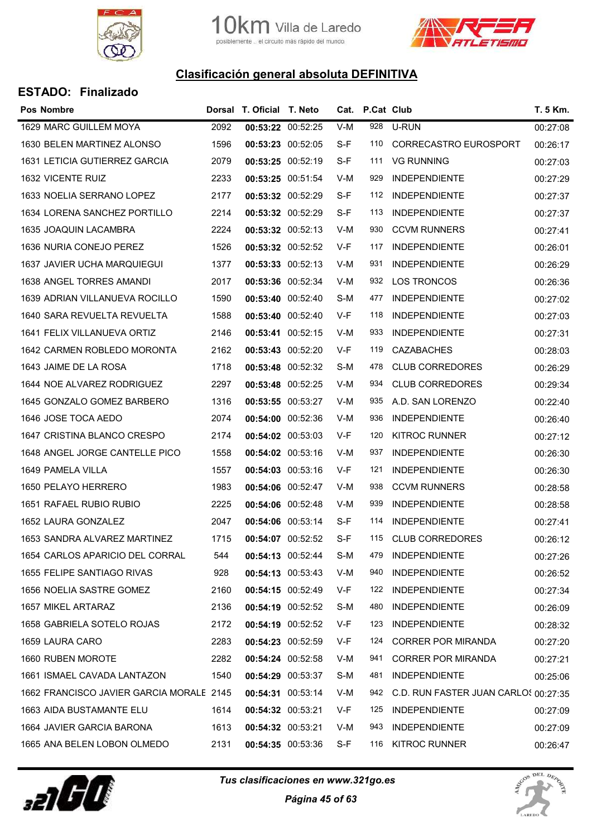



| <b>ESTADO: Finalizado</b> |
|---------------------------|
|                           |

| <b>Pos Nombre</b>                        |      | Dorsal T. Oficial T. Neto |                   | Cat. | P.Cat Club |                                      | T. 5 Km. |
|------------------------------------------|------|---------------------------|-------------------|------|------------|--------------------------------------|----------|
| 1629 MARC GUILLEM MOYA                   | 2092 |                           | 00:53:22 00:52:25 | V-M  | 928        | U-RUN                                | 00:27:08 |
| 1630 BELEN MARTINEZ ALONSO               | 1596 |                           | 00:53:23 00:52:05 | S-F  | 110        | CORRECASTRO EUROSPORT                | 00:26:17 |
| <b>1631 LETICIA GUTIERREZ GARCIA</b>     | 2079 |                           | 00:53:25 00:52:19 | S-F  | 111        | <b>VG RUNNING</b>                    | 00:27:03 |
| 1632 VICENTE RUIZ                        | 2233 |                           | 00:53:25 00:51:54 | V-M  | 929        | <b>INDEPENDIENTE</b>                 | 00:27:29 |
| 1633 NOELIA SERRANO LOPEZ                | 2177 |                           | 00:53:32 00:52:29 | S-F  | 112        | <b>INDEPENDIENTE</b>                 | 00:27:37 |
| 1634 LORENA SANCHEZ PORTILLO             | 2214 |                           | 00:53:32 00:52:29 | S-F  | 113        | <b>INDEPENDIENTE</b>                 | 00:27:37 |
| 1635 JOAQUIN LACAMBRA                    | 2224 |                           | 00:53:32 00:52:13 | V-M  | 930        | <b>CCVM RUNNERS</b>                  | 00:27:41 |
| 1636 NURIA CONEJO PEREZ                  | 1526 |                           | 00:53:32 00:52:52 | V-F  | 117        | <b>INDEPENDIENTE</b>                 | 00:26:01 |
| 1637 JAVIER UCHA MARQUIEGUI              | 1377 |                           | 00:53:33 00:52:13 | V-M  | 931        | <b>INDEPENDIENTE</b>                 | 00:26:29 |
| 1638 ANGEL TORRES AMANDI                 | 2017 | 00:53:36 00:52:34         |                   | V-M  | 932        | <b>LOS TRONCOS</b>                   | 00:26:36 |
| 1639 ADRIAN VILLANUEVA ROCILLO           | 1590 |                           | 00:53:40 00:52:40 | S-M  | 477        | <b>INDEPENDIENTE</b>                 | 00:27:02 |
| 1640 SARA REVUELTA REVUELTA              | 1588 |                           | 00:53:40 00:52:40 | V-F  | 118        | <b>INDEPENDIENTE</b>                 | 00:27:03 |
| 1641 FELIX VILLANUEVA ORTIZ              | 2146 |                           | 00:53:41 00:52:15 | V-M  | 933        | <b>INDEPENDIENTE</b>                 | 00:27:31 |
| 1642 CARMEN ROBLEDO MORONTA              | 2162 |                           | 00:53:43 00:52:20 | V-F  | 119        | <b>CAZABACHES</b>                    | 00:28:03 |
| 1643 JAIME DE LA ROSA                    | 1718 |                           | 00:53:48 00:52:32 | S-M  | 478        | <b>CLUB CORREDORES</b>               | 00:26:29 |
| 1644 NOE ALVAREZ RODRIGUEZ               | 2297 | 00:53:48 00:52:25         |                   | V-M  | 934        | <b>CLUB CORREDORES</b>               | 00:29:34 |
| 1645 GONZALO GOMEZ BARBERO               | 1316 | 00:53:55 00:53:27         |                   | V-M  | 935        | A.D. SAN LORENZO                     | 00:22:40 |
| 1646 JOSE TOCA AEDO                      | 2074 |                           | 00:54:00 00:52:36 | V-M  | 936        | <b>INDEPENDIENTE</b>                 | 00:26:40 |
| 1647 CRISTINA BLANCO CRESPO              | 2174 |                           | 00:54:02 00:53:03 | V-F  | 120        | <b>KITROC RUNNER</b>                 | 00:27:12 |
| 1648 ANGEL JORGE CANTELLE PICO           | 1558 |                           | 00:54:02 00:53:16 | V-M  | 937        | <b>INDEPENDIENTE</b>                 | 00:26:30 |
| 1649 PAMELA VILLA                        | 1557 |                           | 00:54:03 00:53:16 | V-F  | 121        | <b>INDEPENDIENTE</b>                 | 00:26:30 |
| 1650 PELAYO HERRERO                      | 1983 |                           | 00:54:06 00:52:47 | V-M  | 938        | <b>CCVM RUNNERS</b>                  | 00:28:58 |
| 1651 RAFAEL RUBIO RUBIO                  | 2225 |                           | 00:54:06 00:52:48 | V-M  | 939        | <b>INDEPENDIENTE</b>                 | 00:28:58 |
| 1652 LAURA GONZALEZ                      | 2047 |                           | 00:54:06 00:53:14 | S-F  | 114        | <b>INDEPENDIENTE</b>                 | 00:27:41 |
| 1653 SANDRA ALVAREZ MARTINEZ             | 1715 |                           | 00:54:07 00:52:52 | S-F  | 115        | <b>CLUB CORREDORES</b>               | 00:26:12 |
| 1654 CARLOS APARICIO DEL CORRAL          | 544  |                           | 00:54:13 00:52:44 | S-M  | 479        | <b>INDEPENDIENTE</b>                 | 00:27:26 |
| 1655 FELIPE SANTIAGO RIVAS               | 928  |                           | 00:54:13 00:53:43 | V-M  | 940        | <b>INDEPENDIENTE</b>                 | 00:26:52 |
| 1656 NOELIA SASTRE GOMEZ                 | 2160 |                           | 00:54:15 00:52:49 | V-F  | 122        | <b>INDEPENDIENTE</b>                 | 00:27:34 |
| 1657 MIKEL ARTARAZ                       | 2136 |                           | 00:54:19 00:52:52 | S-M  | 480        | <b>INDEPENDIENTE</b>                 | 00:26:09 |
| 1658 GABRIELA SOTELO ROJAS               | 2172 |                           | 00:54:19 00:52:52 | V-F  | 123        | <b>INDEPENDIENTE</b>                 | 00:28:32 |
| 1659 LAURA CARO                          | 2283 |                           | 00:54:23 00:52:59 | V-F  | 124        | <b>CORRER POR MIRANDA</b>            | 00:27:20 |
| 1660 RUBEN MOROTE                        | 2282 |                           | 00:54:24 00:52:58 | V-M  | 941        | <b>CORRER POR MIRANDA</b>            | 00:27:21 |
| 1661 ISMAEL CAVADA LANTAZON              | 1540 |                           | 00:54:29 00:53:37 | S-M  | 481        | <b>INDEPENDIENTE</b>                 | 00:25:06 |
| 1662 FRANCISCO JAVIER GARCIA MORALE 2145 |      |                           | 00:54:31 00:53:14 | V-M  | 942        | C.D. RUN FASTER JUAN CARLOS 00:27:35 |          |
| 1663 AIDA BUSTAMANTE ELU                 | 1614 | 00:54:32 00:53:21         |                   | V-F  | 125        | <b>INDEPENDIENTE</b>                 | 00:27:09 |
| 1664 JAVIER GARCIA BARONA                | 1613 | 00:54:32 00:53:21         |                   | V-M  | 943        | <b>INDEPENDIENTE</b>                 | 00:27:09 |
| 1665 ANA BELEN LOBON OLMEDO              | 2131 |                           | 00:54:35 00:53:36 | S-F  | 116        | <b>KITROC RUNNER</b>                 | 00:26:47 |



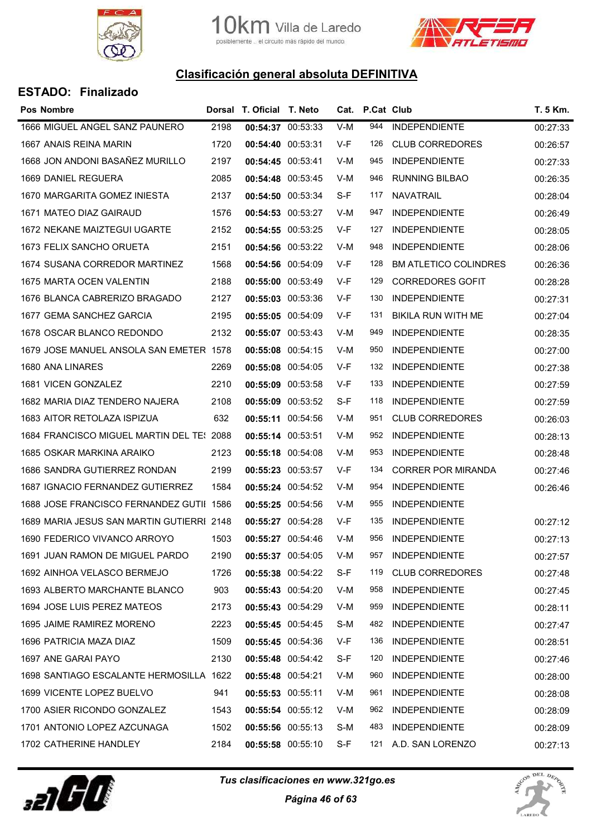



| Pos Nombre                                |      | Dorsal T. Oficial T. Neto |                   |       | Cat. P.Cat Club |                              | T. 5 Km. |
|-------------------------------------------|------|---------------------------|-------------------|-------|-----------------|------------------------------|----------|
| 1666 MIGUEL ANGEL SANZ PAUNERO            | 2198 | 00:54:37 00:53:33         |                   | $V-M$ | 944             | <b>INDEPENDIENTE</b>         | 00:27:33 |
| 1667 ANAIS REINA MARIN                    | 1720 | 00:54:40 00:53:31         |                   | V-F   | 126             | <b>CLUB CORREDORES</b>       | 00:26:57 |
| 1668 JON ANDONI BASAÑEZ MURILLO           | 2197 | 00:54:45 00:53:41         |                   | V-M   | 945             | <b>INDEPENDIENTE</b>         | 00:27:33 |
| 1669 DANIEL REGUERA                       | 2085 | 00:54:48 00:53:45         |                   | V-M   | 946             | <b>RUNNING BILBAO</b>        | 00:26:35 |
| 1670 MARGARITA GOMEZ INIESTA              | 2137 | 00:54:50 00:53:34         |                   | S-F   | 117             | <b>NAVATRAIL</b>             | 00:28:04 |
| 1671 MATEO DIAZ GAIRAUD                   | 1576 | 00:54:53 00:53:27         |                   | V-M   | 947             | <b>INDEPENDIENTE</b>         | 00:26:49 |
| 1672 NEKANE MAIZTEGUI UGARTE              | 2152 | 00:54:55 00:53:25         |                   | V-F   | 127             | <b>INDEPENDIENTE</b>         | 00:28:05 |
| 1673 FELIX SANCHO ORUETA                  | 2151 |                           | 00:54:56 00:53:22 | V-M   | 948             | <b>INDEPENDIENTE</b>         | 00:28:06 |
| 1674 SUSANA CORREDOR MARTINEZ             | 1568 | 00:54:56 00:54:09         |                   | V-F   | 128             | <b>BM ATLETICO COLINDRES</b> | 00:26:36 |
| 1675 MARTA OCEN VALENTIN                  | 2188 | 00:55:00 00:53:49         |                   | V-F   | 129             | <b>CORREDORES GOFIT</b>      | 00:28:28 |
| 1676 BLANCA CABRERIZO BRAGADO             | 2127 |                           | 00:55:03 00:53:36 | V-F   | 130             | <b>INDEPENDIENTE</b>         | 00:27:31 |
| 1677 GEMA SANCHEZ GARCIA                  | 2195 | 00:55:05 00:54:09         |                   | V-F   | 131             | BIKILA RUN WITH ME           | 00:27:04 |
| 1678 OSCAR BLANCO REDONDO                 | 2132 | 00:55:07 00:53:43         |                   | V-M   | 949             | <b>INDEPENDIENTE</b>         | 00:28:35 |
| 1679 JOSE MANUEL ANSOLA SAN EMETER 1578   |      | 00:55:08 00:54:15         |                   | V-M   | 950             | <b>INDEPENDIENTE</b>         | 00:27:00 |
| 1680 ANA LINARES                          | 2269 | 00:55:08 00:54:05         |                   | V-F   | 132             | <b>INDEPENDIENTE</b>         | 00:27:38 |
| 1681 VICEN GONZALEZ                       | 2210 | 00:55:09 00:53:58         |                   | V-F   | 133             | <b>INDEPENDIENTE</b>         | 00:27:59 |
| 1682 MARIA DIAZ TENDERO NAJERA            | 2108 | 00:55:09 00:53:52         |                   | S-F   | 118             | <b>INDEPENDIENTE</b>         | 00:27:59 |
| 1683 AITOR RETOLAZA ISPIZUA               | 632  | 00:55:11 00:54:56         |                   | V-M   | 951             | <b>CLUB CORREDORES</b>       | 00:26:03 |
| 1684 FRANCISCO MIGUEL MARTIN DEL TE: 2088 |      |                           | 00:55:14 00:53:51 | V-M   | 952             | <b>INDEPENDIENTE</b>         | 00:28:13 |
| 1685 OSKAR MARKINA ARAIKO                 | 2123 | 00:55:18 00:54:08         |                   | V-M   | 953             | <b>INDEPENDIENTE</b>         | 00:28:48 |
| 1686 SANDRA GUTIERREZ RONDAN              | 2199 | 00:55:23 00:53:57         |                   | V-F   | 134             | <b>CORRER POR MIRANDA</b>    | 00:27:46 |
| 1687 IGNACIO FERNANDEZ GUTIERREZ          | 1584 | 00:55:24 00:54:52         |                   | V-M   | 954             | <b>INDEPENDIENTE</b>         | 00:26:46 |
| 1688 JOSE FRANCISCO FERNANDEZ GUTII 1586  |      | 00:55:25 00:54:56         |                   | V-M   | 955             | <b>INDEPENDIENTE</b>         |          |
| 1689 MARIA JESUS SAN MARTIN GUTIERRI 2148 |      | 00:55:27 00:54:28         |                   | V-F   | 135             | <b>INDEPENDIENTE</b>         | 00:27:12 |
| 1690 FEDERICO VIVANCO ARROYO              | 1503 |                           | 00:55:27 00:54:46 | V-M   | 956             | <b>INDEPENDIENTE</b>         | 00:27:13 |
| 1691 JUAN RAMON DE MIGUEL PARDO           | 2190 | 00:55:37 00:54:05         |                   | V-M   | 957             | <b>INDEPENDIENTE</b>         | 00:27:57 |
| 1692 AINHOA VELASCO BERMEJO               | 1726 | 00:55:38 00:54:22         |                   | S-F   | 119             | <b>CLUB CORREDORES</b>       | 00:27:48 |
| 1693 ALBERTO MARCHANTE BLANCO             | 903  | 00:55:43 00:54:20         |                   | V-M   | 958             | <b>INDEPENDIENTE</b>         | 00:27:45 |
| 1694 JOSE LUIS PEREZ MATEOS               | 2173 |                           | 00:55:43 00:54:29 | V-M   | 959             | <b>INDEPENDIENTE</b>         | 00:28:11 |
| 1695 JAIME RAMIREZ MORENO                 | 2223 | 00:55:45 00:54:45         |                   | S-M   | 482             | <b>INDEPENDIENTE</b>         | 00:27:47 |
| 1696 PATRICIA MAZA DIAZ                   | 1509 | 00:55:45 00:54:36         |                   | V-F   | 136             | <b>INDEPENDIENTE</b>         | 00:28:51 |
| 1697 ANE GARAI PAYO                       | 2130 | 00:55:48 00:54:42         |                   | S-F   | 120             | <b>INDEPENDIENTE</b>         | 00:27:46 |
| 1698 SANTIAGO ESCALANTE HERMOSILLA 1622   |      | 00:55:48 00:54:21         |                   | V-M   | 960             | <b>INDEPENDIENTE</b>         | 00:28:00 |
| 1699 VICENTE LOPEZ BUELVO                 | 941  | 00:55:53 00:55:11         |                   | V-M   | 961             | <b>INDEPENDIENTE</b>         | 00:28:08 |
| 1700 ASIER RICONDO GONZALEZ               | 1543 | 00:55:54 00:55:12         |                   | V-M   | 962             | <b>INDEPENDIENTE</b>         | 00:28:09 |
| 1701 ANTONIO LOPEZ AZCUNAGA               | 1502 |                           | 00:55:56 00:55:13 | S-M   | 483             | <b>INDEPENDIENTE</b>         | 00:28:09 |
| 1702 CATHERINE HANDLEY                    | 2184 |                           | 00:55:58 00:55:10 | $S-F$ | 121             | A.D. SAN LORENZO             | 00:27:13 |



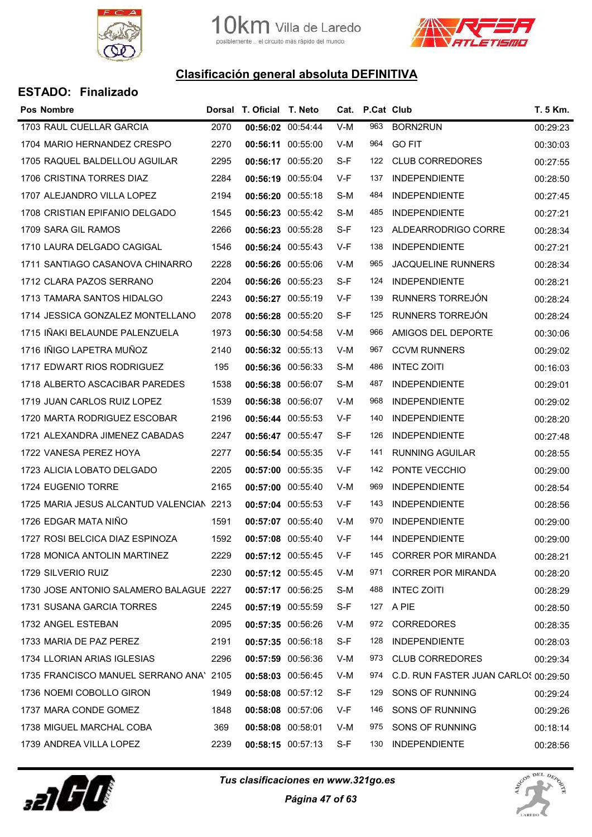



| <b>Pos Nombre</b>                        |      | Dorsal T. Oficial T. Neto |                   |     | Cat. P.Cat Club |                                      | T. 5 Km. |
|------------------------------------------|------|---------------------------|-------------------|-----|-----------------|--------------------------------------|----------|
| 1703 RAUL CUELLAR GARCIA                 | 2070 |                           | 00:56:02 00:54:44 | V-M | 963             | BORN2RUN                             | 00:29:23 |
| 1704 MARIO HERNANDEZ CRESPO              | 2270 | 00:56:11 00:55:00         |                   | V-M | 964             | <b>GO FIT</b>                        | 00:30:03 |
| 1705 RAQUEL BALDELLOU AGUILAR            | 2295 | 00:56:17 00:55:20         |                   | S-F | 122             | <b>CLUB CORREDORES</b>               | 00:27:55 |
| 1706 CRISTINA TORRES DIAZ                | 2284 | 00:56:19 00:55:04         |                   | V-F | 137             | <b>INDEPENDIENTE</b>                 | 00:28:50 |
| 1707 ALEJANDRO VILLA LOPEZ               | 2194 |                           | 00:56:20 00:55:18 | S-M | 484             | <b>INDEPENDIENTE</b>                 | 00:27:45 |
| 1708 CRISTIAN EPIFANIO DELGADO           | 1545 |                           | 00:56:23 00:55:42 | S-M | 485             | <b>INDEPENDIENTE</b>                 | 00:27:21 |
| 1709 SARA GIL RAMOS                      | 2266 | 00:56:23 00:55:28         |                   | S-F | 123             | ALDEARRODRIGO CORRE                  | 00:28:34 |
| 1710 LAURA DELGADO CAGIGAL               | 1546 | 00:56:24 00:55:43         |                   | V-F | 138             | <b>INDEPENDIENTE</b>                 | 00:27:21 |
| 1711 SANTIAGO CASANOVA CHINARRO          | 2228 | 00:56:26 00:55:06         |                   | V-M | 965             | <b>JACQUELINE RUNNERS</b>            | 00:28:34 |
| 1712 CLARA PAZOS SERRANO                 | 2204 | 00:56:26 00:55:23         |                   | S-F | 124             | <b>INDEPENDIENTE</b>                 | 00:28:21 |
| 1713 TAMARA SANTOS HIDALGO               | 2243 | 00:56:27 00:55:19         |                   | V-F | 139             | RUNNERS TORREJÓN                     | 00:28:24 |
| 1714 JESSICA GONZALEZ MONTELLANO         | 2078 |                           | 00:56:28 00:55:20 | S-F | 125             | RUNNERS TORREJÓN                     | 00:28:24 |
| 1715 IÑAKI BELAUNDE PALENZUELA           | 1973 | 00:56:30 00:54:58         |                   | V-M | 966             | AMIGOS DEL DEPORTE                   | 00:30:06 |
| 1716 IÑIGO LAPETRA MUÑOZ                 | 2140 | 00:56:32 00:55:13         |                   | V-M | 967             | <b>CCVM RUNNERS</b>                  | 00:29:02 |
| 1717 EDWART RIOS RODRIGUEZ               | 195  |                           | 00:56:36 00:56:33 | S-M | 486             | <b>INTEC ZOITI</b>                   | 00:16:03 |
| 1718 ALBERTO ASCACIBAR PAREDES           | 1538 | 00:56:38 00:56:07         |                   | S-M | 487             | <b>INDEPENDIENTE</b>                 | 00:29:01 |
| 1719 JUAN CARLOS RUIZ LOPEZ              | 1539 | 00:56:38 00:56:07         |                   | V-M | 968             | <b>INDEPENDIENTE</b>                 | 00:29:02 |
| 1720 MARTA RODRIGUEZ ESCOBAR             | 2196 | 00:56:44 00:55:53         |                   | V-F | 140             | <b>INDEPENDIENTE</b>                 | 00:28:20 |
| 1721 ALEXANDRA JIMENEZ CABADAS           | 2247 | 00:56:47 00:55:47         |                   | S-F | 126             | <b>INDEPENDIENTE</b>                 | 00:27:48 |
| 1722 VANESA PEREZ HOYA                   | 2277 |                           | 00:56:54 00:55:35 | V-F | 141             | RUNNING AGUILAR                      | 00:28:55 |
| 1723 ALICIA LOBATO DELGADO               | 2205 |                           | 00:57:00 00:55:35 | V-F | 142             | PONTE VECCHIO                        | 00:29:00 |
| 1724 EUGENIO TORRE                       | 2165 | 00:57:00 00:55:40         |                   | V-M | 969             | <b>INDEPENDIENTE</b>                 | 00:28:54 |
| 1725 MARIA JESUS ALCANTUD VALENCIAN 2213 |      | 00:57:04 00:55:53         |                   | V-F | 143             | <b>INDEPENDIENTE</b>                 | 00:28:56 |
| 1726 EDGAR MATA NIÑO                     | 1591 | 00:57:07 00:55:40         |                   | V-M | 970             | <b>INDEPENDIENTE</b>                 | 00:29:00 |
| 1727 ROSI BELCICA DIAZ ESPINOZA          | 1592 | 00:57:08 00:55:40         |                   | V-F | 144             | <b>INDEPENDIENTE</b>                 | 00:29:00 |
| 1728 MONICA ANTOLIN MARTINEZ             | 2229 |                           | 00:57:12 00:55:45 | V-F | 145             | <b>CORRER POR MIRANDA</b>            | 00:28:21 |
| 1729 SILVERIO RUIZ                       | 2230 |                           | 00:57:12 00:55:45 | V-M | 971             | <b>CORRER POR MIRANDA</b>            | 00:28:20 |
| 1730 JOSE ANTONIO SALAMERO BALAGUE 2227  |      | 00:57:17 00:56:25         |                   | S-M | 488             | <b>INTEC ZOITI</b>                   | 00:28:29 |
| 1731 SUSANA GARCIA TORRES                | 2245 |                           | 00:57:19 00:55:59 | S-F |                 | 127 A PIE                            | 00:28:50 |
| 1732 ANGEL ESTEBAN                       | 2095 | 00:57:35 00:56:26         |                   | V-M | 972             | <b>CORREDORES</b>                    | 00:28:35 |
| 1733 MARIA DE PAZ PEREZ                  | 2191 |                           | 00:57:35 00:56:18 | S-F | 128             | <b>INDEPENDIENTE</b>                 | 00:28:03 |
| 1734 LLORIAN ARIAS IGLESIAS              | 2296 | 00:57:59 00:56:36         |                   | V-M | 973             | <b>CLUB CORREDORES</b>               | 00:29:34 |
| 1735 FRANCISCO MANUEL SERRANO ANA' 2105  |      |                           | 00:58:03 00:56:45 | V-M | 974             | C.D. RUN FASTER JUAN CARLOS 00:29:50 |          |
| 1736 NOEMI COBOLLO GIRON                 | 1949 |                           | 00:58:08 00:57:12 | S-F | 129             | SONS OF RUNNING                      | 00:29:24 |
| 1737 MARA CONDE GOMEZ                    | 1848 | 00:58:08 00:57:06         |                   | V-F | 146             | SONS OF RUNNING                      | 00:29:26 |
| 1738 MIGUEL MARCHAL COBA                 | 369  | 00:58:08 00:58:01         |                   | V-M | 975             | SONS OF RUNNING                      | 00:18:14 |
| 1739 ANDREA VILLA LOPEZ                  | 2239 |                           | 00:58:15 00:57:13 | S-F | 130             | <b>INDEPENDIENTE</b>                 | 00:28:56 |



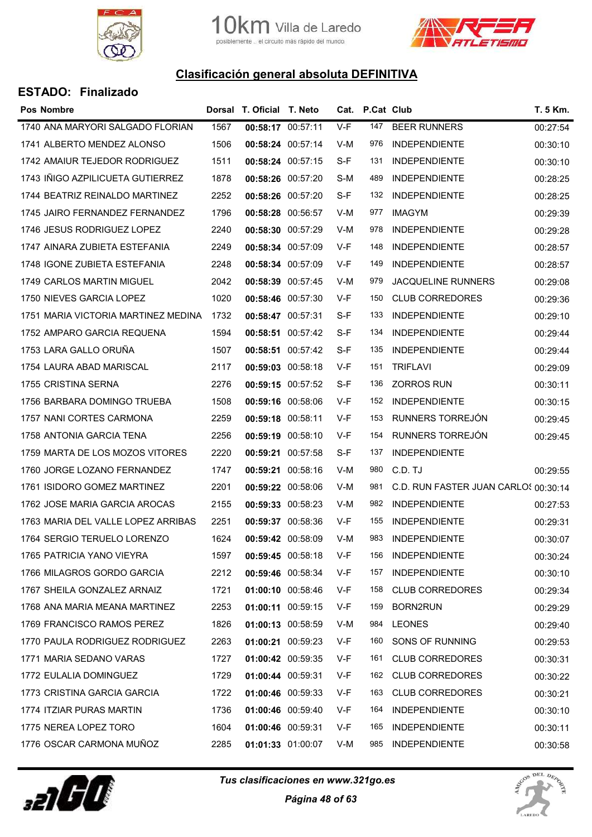



| <b>Pos Nombre</b>                   |      | Dorsal T. Oficial T. Neto |                   |       | Cat. P.Cat Club |                                      | T. 5 Km. |
|-------------------------------------|------|---------------------------|-------------------|-------|-----------------|--------------------------------------|----------|
| 1740 ANA MARYORI SALGADO FLORIAN    | 1567 | 00:58:17 00:57:11         |                   | $V-F$ | 147             | <b>BEER RUNNERS</b>                  | 00:27:54 |
| 1741 ALBERTO MENDEZ ALONSO          | 1506 | 00:58:24 00:57:14         |                   | V-M   | 976             | <b>INDEPENDIENTE</b>                 | 00:30:10 |
| 1742 AMAIUR TEJEDOR RODRIGUEZ       | 1511 | 00:58:24 00:57:15         |                   | S-F   | 131             | <b>INDEPENDIENTE</b>                 | 00:30:10 |
| 1743 IÑIGO AZPILICUETA GUTIERREZ    | 1878 | 00:58:26 00:57:20         |                   | S-M   | 489             | <b>INDEPENDIENTE</b>                 | 00:28:25 |
| 1744 BEATRIZ REINALDO MARTINEZ      | 2252 | 00:58:26 00:57:20         |                   | S-F   | 132             | <b>INDEPENDIENTE</b>                 | 00:28:25 |
| 1745 JAIRO FERNANDEZ FERNANDEZ      | 1796 | 00:58:28 00:56:57         |                   | V-M   | 977             | <b>IMAGYM</b>                        | 00:29:39 |
| 1746 JESUS RODRIGUEZ LOPEZ          | 2240 | 00:58:30 00:57:29         |                   | V-M   | 978             | <b>INDEPENDIENTE</b>                 | 00:29:28 |
| 1747 AINARA ZUBIETA ESTEFANIA       | 2249 | 00:58:34 00:57:09         |                   | V-F   | 148             | <b>INDEPENDIENTE</b>                 | 00:28:57 |
| 1748 IGONE ZUBIETA ESTEFANIA        | 2248 | 00:58:34 00:57:09         |                   | V-F   | 149             | <b>INDEPENDIENTE</b>                 | 00:28:57 |
| 1749 CARLOS MARTIN MIGUEL           | 2042 | 00:58:39 00:57:45         |                   | V-M   | 979             | <b>JACQUELINE RUNNERS</b>            | 00:29:08 |
| 1750 NIEVES GARCIA LOPEZ            | 1020 | 00:58:46 00:57:30         |                   | V-F   | 150             | <b>CLUB CORREDORES</b>               | 00:29:36 |
| 1751 MARIA VICTORIA MARTINEZ MEDINA | 1732 | 00:58:47 00:57:31         |                   | S-F   | 133             | <b>INDEPENDIENTE</b>                 | 00:29:10 |
| 1752 AMPARO GARCIA REQUENA          | 1594 | 00:58:51 00:57:42         |                   | S-F   | 134             | <b>INDEPENDIENTE</b>                 | 00:29:44 |
| 1753 LARA GALLO ORUNA               | 1507 | 00:58:51 00:57:42         |                   | S-F   | 135             | <b>INDEPENDIENTE</b>                 | 00:29:44 |
| 1754 LAURA ABAD MARISCAL            | 2117 | 00:59:03 00:58:18         |                   | V-F   | 151             | <b>TRIFLAVI</b>                      | 00:29:09 |
| 1755 CRISTINA SERNA                 | 2276 | 00:59:15 00:57:52         |                   | S-F   | 136             | <b>ZORROS RUN</b>                    | 00:30:11 |
| 1756 BARBARA DOMINGO TRUEBA         | 1508 | 00:59:16 00:58:06         |                   | V-F   | 152             | <b>INDEPENDIENTE</b>                 | 00:30:15 |
| 1757 NANI CORTES CARMONA            | 2259 | 00:59:18 00:58:11         |                   | V-F   | 153             | RUNNERS TORREJÓN                     | 00:29:45 |
| 1758 ANTONIA GARCIA TENA            | 2256 | 00:59:19 00:58:10         |                   | V-F   | 154             | RUNNERS TORREJÓN                     | 00:29:45 |
| 1759 MARTA DE LOS MOZOS VITORES     | 2220 | 00:59:21 00:57:58         |                   | S-F   | 137             | <b>INDEPENDIENTE</b>                 |          |
| 1760 JORGE LOZANO FERNANDEZ         | 1747 | 00:59:21 00:58:16         |                   | V-M   | 980             | C.D. TJ                              | 00:29:55 |
| 1761 ISIDORO GOMEZ MARTINEZ         | 2201 | 00:59:22 00:58:06         |                   | V-M   | 981             | C.D. RUN FASTER JUAN CARLOS 00:30:14 |          |
| 1762 JOSE MARIA GARCIA AROCAS       | 2155 | 00:59:33 00:58:23         |                   | V-M   | 982             | <b>INDEPENDIENTE</b>                 | 00:27:53 |
| 1763 MARIA DEL VALLE LOPEZ ARRIBAS  | 2251 | 00:59:37 00:58:36         |                   | V-F   | 155             | <b>INDEPENDIENTE</b>                 | 00:29:31 |
| 1764 SERGIO TERUELO LORENZO         | 1624 |                           | 00:59:42 00:58:09 | V-M   | 983             | <b>INDEPENDIENTE</b>                 | 00:30:07 |
| 1765 PATRICIA YANO VIEYRA           | 1597 | 00:59:45 00:58:18         |                   | V-F   | 156             | <b>INDEPENDIENTE</b>                 | 00:30:24 |
| 1766 MILAGROS GORDO GARCIA          | 2212 | 00:59:46 00:58:34         |                   | V-F   | 157             | <b>INDEPENDIENTE</b>                 | 00:30:10 |
| 1767 SHEILA GONZALEZ ARNAIZ         | 1721 | 01:00:10 00:58:46         |                   | V-F   | 158             | <b>CLUB CORREDORES</b>               | 00:29:34 |
| 1768 ANA MARIA MEANA MARTINEZ       | 2253 | 01:00:11 00:59:15         |                   | V-F   | 159             | BORN2RUN                             | 00:29:29 |
| 1769 FRANCISCO RAMOS PEREZ          | 1826 | 01:00:13 00:58:59         |                   | V-M   | 984             | <b>LEONES</b>                        | 00:29:40 |
| 1770 PAULA RODRIGUEZ RODRIGUEZ      | 2263 | 01:00:21 00:59:23         |                   | V-F   | 160             | SONS OF RUNNING                      | 00:29:53 |
| 1771 MARIA SEDANO VARAS             | 1727 | 01:00:42 00:59:35         |                   | V-F   | 161             | <b>CLUB CORREDORES</b>               | 00:30:31 |
| 1772 EULALIA DOMINGUEZ              | 1729 | 01:00:44 00:59:31         |                   | V-F   | 162             | <b>CLUB CORREDORES</b>               | 00:30:22 |
| 1773 CRISTINA GARCIA GARCIA         | 1722 | 01:00:46 00:59:33         |                   | V-F   | 163             | <b>CLUB CORREDORES</b>               | 00:30:21 |
| 1774 ITZIAR PURAS MARTIN            | 1736 | 01:00:46 00:59:40         |                   | V-F   | 164             | <b>INDEPENDIENTE</b>                 | 00:30:10 |
| 1775 NEREA LOPEZ TORO               | 1604 | 01:00:46 00:59:31         |                   | V-F   | 165             | <b>INDEPENDIENTE</b>                 | 00:30:11 |
| 1776 OSCAR CARMONA MUÑOZ            | 2285 | 01:01:33 01:00:07         |                   | V-M   | 985             | <b>INDEPENDIENTE</b>                 | 00:30:58 |



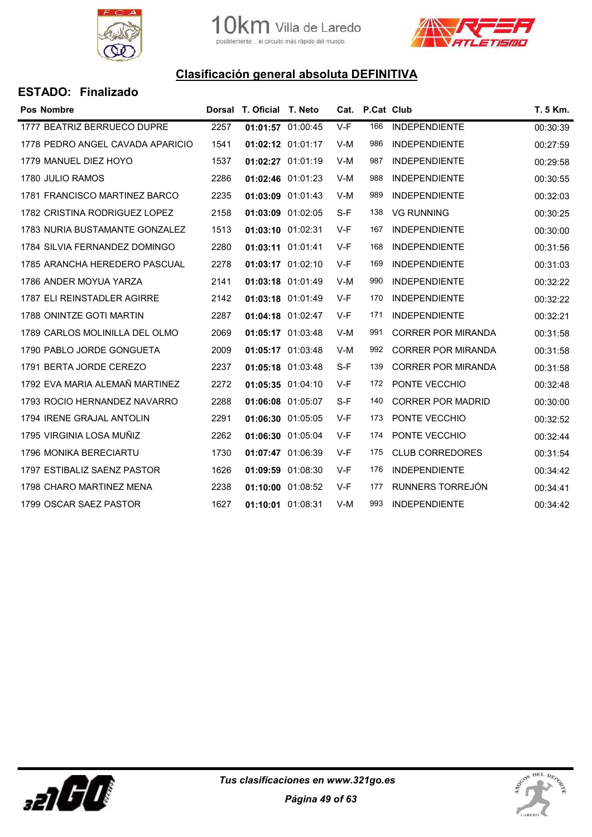



| <b>ESTADO: Finalizado</b> |  |
|---------------------------|--|
|---------------------------|--|

| <b>Pos Nombre</b>                |      | Dorsal T. Oficial T. Neto |                   | Cat.  | <b>P.Cat Club</b> |                           | T. 5 Km. |
|----------------------------------|------|---------------------------|-------------------|-------|-------------------|---------------------------|----------|
| 1777 BEATRIZ BERRUECO DUPRE      | 2257 | 01:01:57 01:00:45         |                   | V-F   | 166               | <b>INDEPENDIENTE</b>      | 00:30:39 |
| 1778 PEDRO ANGEL CAVADA APARICIO | 1541 |                           | 01:02:12 01:01:17 | V-M   | 986               | <b>INDEPENDIENTE</b>      | 00:27:59 |
| 1779 MANUEL DIEZ HOYO            | 1537 | 01:02:27 01:01:19         |                   | V-M   | 987               | <b>INDEPENDIENTE</b>      | 00:29:58 |
| 1780 JULIO RAMOS                 | 2286 |                           | 01:02:46 01:01:23 | $V-M$ | 988               | <b>INDEPENDIENTE</b>      | 00:30:55 |
| 1781 FRANCISCO MARTINEZ BARCO    | 2235 | 01:03:09 01:01:43         |                   | V-M   | 989               | <b>INDEPENDIENTE</b>      | 00:32:03 |
| 1782 CRISTINA RODRIGUEZ LOPEZ    | 2158 | 01:03:09 01:02:05         |                   | S-F   | 138               | <b>VG RUNNING</b>         | 00:30:25 |
| 1783 NURIA BUSTAMANTE GONZALEZ   | 1513 | 01:03:10 01:02:31         |                   | V-F   | 167               | <b>INDEPENDIENTE</b>      | 00:30:00 |
| 1784 SILVIA FERNANDEZ DOMINGO    | 2280 | 01:03:11 01:01:41         |                   | V-F   | 168               | <b>INDEPENDIENTE</b>      | 00:31:56 |
| 1785 ARANCHA HEREDERO PASCUAL    | 2278 | 01:03:17 01:02:10         |                   | V-F   | 169               | <b>INDEPENDIENTE</b>      | 00:31:03 |
| 1786 ANDER MOYUA YARZA           | 2141 | 01:03:18 01:01:49         |                   | V-M   | 990               | <b>INDEPENDIENTE</b>      | 00:32:22 |
| 1787 ELI REINSTADLER AGIRRE      | 2142 | 01:03:18 01:01:49         |                   | V-F   | 170               | <b>INDEPENDIENTE</b>      | 00:32:22 |
| 1788 ONINTZE GOTI MARTIN         | 2287 | 01:04:18 01:02:47         |                   | V-F   | 171               | <b>INDEPENDIENTE</b>      | 00:32:21 |
| 1789 CARLOS MOLINILLA DEL OLMO   | 2069 | 01:05:17 01:03:48         |                   | $V-M$ | 991               | <b>CORRER POR MIRANDA</b> | 00:31:58 |
| 1790 PABLO JORDE GONGUETA        | 2009 | 01:05:17 01:03:48         |                   | V-M   | 992               | <b>CORRER POR MIRANDA</b> | 00:31:58 |
| 1791 BERTA JORDE CEREZO          | 2237 | 01:05:18 01:03:48         |                   | S-F   | 139               | <b>CORRER POR MIRANDA</b> | 00:31:58 |
| 1792 EVA MARIA ALEMAÑ MARTINEZ   | 2272 |                           | 01:05:35 01:04:10 | V-F   | 172               | PONTE VECCHIO             | 00:32:48 |
| 1793 ROCIO HERNANDEZ NAVARRO     | 2288 | 01:06:08 01:05:07         |                   | S-F   | 140               | <b>CORRER POR MADRID</b>  | 00:30:00 |
| 1794 IRENE GRAJAL ANTOLIN        | 2291 | 01:06:30 01:05:05         |                   | $V-F$ | 173               | PONTE VECCHIO             | 00:32:52 |
| 1795 VIRGINIA LOSA MUÑIZ         | 2262 | 01:06:30 01:05:04         |                   | V-F   | 174               | PONTE VECCHIO             | 00:32:44 |
| 1796 MONIKA BERECIARTU           | 1730 | 01:07:47 01:06:39         |                   | V-F   | 175               | <b>CLUB CORREDORES</b>    | 00:31:54 |
| 1797 ESTIBALIZ SAENZ PASTOR      | 1626 |                           | 01:09:59 01:08:30 | V-F   | 176               | <b>INDEPENDIENTE</b>      | 00:34:42 |
| 1798 CHARO MARTINEZ MENA         | 2238 | 01:10:00 01:08:52         |                   | V-F   | 177               | RUNNERS TORREJÓN          | 00:34:41 |
| 1799 OSCAR SAEZ PASTOR           | 1627 | 01:10:01 01:08:31         |                   | $V-M$ | 993               | <b>INDEPENDIENTE</b>      | 00:34:42 |



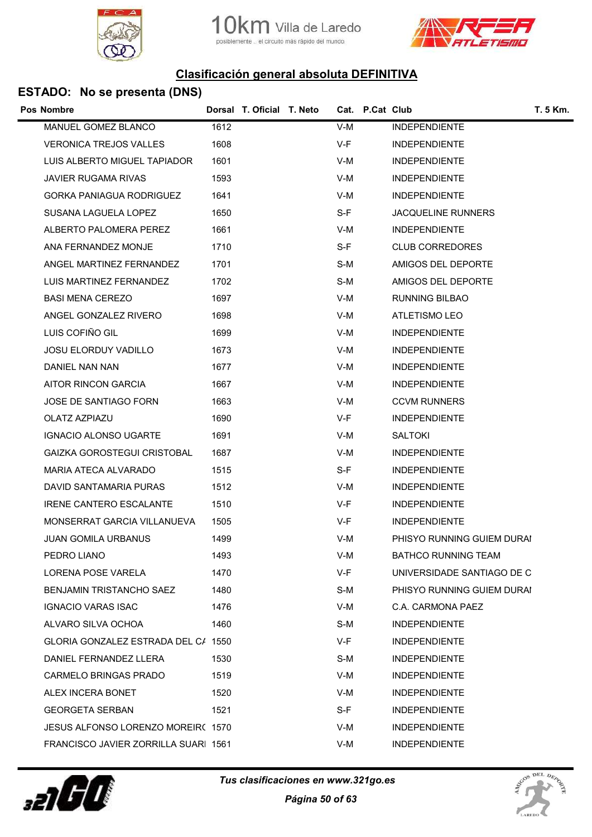





| Pos Nombre                           | Dorsal T. Oficial T. Neto | Cat. P.Cat Club |                            | T. 5 Km. |
|--------------------------------------|---------------------------|-----------------|----------------------------|----------|
| MANUEL GOMEZ BLANCO                  | 1612                      | $V-M$           | <b>INDEPENDIENTE</b>       |          |
| <b>VERONICA TREJOS VALLES</b>        | 1608                      | V-F             | <b>INDEPENDIENTE</b>       |          |
| LUIS ALBERTO MIGUEL TAPIADOR         | 1601                      | V-M             | <b>INDEPENDIENTE</b>       |          |
| JAVIER RUGAMA RIVAS                  | 1593                      | V-M             | <b>INDEPENDIENTE</b>       |          |
| <b>GORKA PANIAGUA RODRIGUEZ</b>      | 1641                      | V-M             | <b>INDEPENDIENTE</b>       |          |
| SUSANA LAGUELA LOPEZ                 | 1650                      | S-F             | <b>JACQUELINE RUNNERS</b>  |          |
| ALBERTO PALOMERA PEREZ               | 1661                      | V-M             | <b>INDEPENDIENTE</b>       |          |
| ANA FERNANDEZ MONJE                  | 1710                      | S-F             | <b>CLUB CORREDORES</b>     |          |
| ANGEL MARTINEZ FERNANDEZ             | 1701                      | S-M             | AMIGOS DEL DEPORTE         |          |
| LUIS MARTINEZ FERNANDEZ              | 1702                      | S-M             | AMIGOS DEL DEPORTE         |          |
| <b>BASI MENA CEREZO</b>              | 1697                      | V-M             | <b>RUNNING BILBAO</b>      |          |
| ANGEL GONZALEZ RIVERO                | 1698                      | V-M             | <b>ATLETISMO LEO</b>       |          |
| LUIS COFIÑO GIL                      | 1699                      | V-M             | <b>INDEPENDIENTE</b>       |          |
| JOSU ELORDUY VADILLO                 | 1673                      | V-M             | <b>INDEPENDIENTE</b>       |          |
| DANIEL NAN NAN                       | 1677                      | V-M             | <b>INDEPENDIENTE</b>       |          |
| AITOR RINCON GARCIA                  | 1667                      | V-M             | <b>INDEPENDIENTE</b>       |          |
| JOSE DE SANTIAGO FORN                | 1663                      | V-M             | <b>CCVM RUNNERS</b>        |          |
| <b>OLATZ AZPIAZU</b>                 | 1690                      | V-F             | <b>INDEPENDIENTE</b>       |          |
| <b>IGNACIO ALONSO UGARTE</b>         | 1691                      | V-M             | <b>SALTOKI</b>             |          |
| GAIZKA GOROSTEGUI CRISTOBAL          | 1687                      | V-M             | <b>INDEPENDIENTE</b>       |          |
| MARIA ATECA ALVARADO                 | 1515                      | S-F             | <b>INDEPENDIENTE</b>       |          |
| DAVID SANTAMARIA PURAS               | 1512                      | V-M             | <b>INDEPENDIENTE</b>       |          |
| <b>IRENE CANTERO ESCALANTE</b>       | 1510                      | V-F             | <b>INDEPENDIENTE</b>       |          |
| MONSERRAT GARCIA VILLANUEVA          | 1505                      | V-F             | <b>INDEPENDIENTE</b>       |          |
| <b>JUAN GOMILA URBANUS</b>           | 1499                      | V-M             | PHISYO RUNNING GUIEM DURAI |          |
| PEDRO LIANO                          | 1493                      | V-M             | <b>BATHCO RUNNING TEAM</b> |          |
| <b>LORENA POSE VARELA</b>            | 1470                      | V-F             | UNIVERSIDADE SANTIAGO DE C |          |
| <b>BENJAMIN TRISTANCHO SAEZ</b>      | 1480                      | S-M             | PHISYO RUNNING GUIEM DURAI |          |
| IGNACIO VARAS ISAC                   | 1476                      | V-M             | C.A. CARMONA PAEZ          |          |
| ALVARO SILVA OCHOA                   | 1460                      | S-M             | <b>INDEPENDIENTE</b>       |          |
| GLORIA GONZALEZ ESTRADA DEL C/ 1550  |                           | V-F             | <b>INDEPENDIENTE</b>       |          |
| DANIEL FERNANDEZ LLERA               | 1530                      | S-M             | <b>INDEPENDIENTE</b>       |          |
| CARMELO BRINGAS PRADO                | 1519                      | V-M             | <b>INDEPENDIENTE</b>       |          |
| ALEX INCERA BONET                    | 1520                      | V-M             | <b>INDEPENDIENTE</b>       |          |
| <b>GEORGETA SERBAN</b>               | 1521                      | S-F             | <b>INDEPENDIENTE</b>       |          |
| JESUS ALFONSO LORENZO MOREIR( 1570   |                           | V-M             | <b>INDEPENDIENTE</b>       |          |
| FRANCISCO JAVIER ZORRILLA SUARI 1561 |                           | V-M             | <b>INDEPENDIENTE</b>       |          |
|                                      |                           |                 |                            |          |



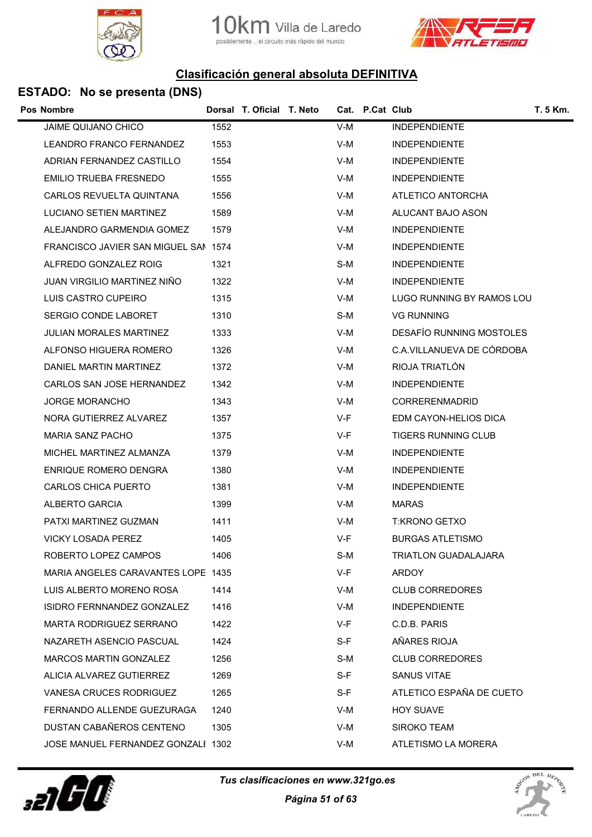



| <b>Pos Nombre</b>                    |      | Dorsal T. Oficial T. Neto |       | Cat. P.Cat Club |                                 | <b>T. 5 Km.</b> |
|--------------------------------------|------|---------------------------|-------|-----------------|---------------------------------|-----------------|
| <b>JAIME QUIJANO CHICO</b>           | 1552 |                           | V-M   |                 | <b>INDEPENDIENTE</b>            |                 |
| LEANDRO FRANCO FERNANDEZ             | 1553 |                           | V-M   |                 | <b>INDEPENDIENTE</b>            |                 |
| ADRIAN FERNANDEZ CASTILLO            | 1554 |                           | V-M   |                 | <b>INDEPENDIENTE</b>            |                 |
| EMILIO TRUEBA FRESNEDO               | 1555 |                           | V-M   |                 | <b>INDEPENDIENTE</b>            |                 |
| CARLOS REVUELTA QUINTANA             | 1556 |                           | V-M   |                 | ATLETICO ANTORCHA               |                 |
| LUCIANO SETIEN MARTINEZ              | 1589 |                           | V-M   |                 | ALUCANT BAJO ASON               |                 |
| ALEJANDRO GARMENDIA GOMEZ            | 1579 |                           | V-M   |                 | <b>INDEPENDIENTE</b>            |                 |
| FRANCISCO JAVIER SAN MIGUEL SAN 1574 |      |                           | V-M   |                 | <b>INDEPENDIENTE</b>            |                 |
| ALFREDO GONZALEZ ROIG                | 1321 |                           | S-M   |                 | <b>INDEPENDIENTE</b>            |                 |
| JUAN VIRGILIO MARTINEZ NINO          | 1322 |                           | V-M   |                 | <b>INDEPENDIENTE</b>            |                 |
| LUIS CASTRO CUPEIRO                  | 1315 |                           | V-M   |                 | LUGO RUNNING BY RAMOS LOU       |                 |
| <b>SERGIO CONDE LABORET</b>          | 1310 |                           | S-M   |                 | <b>VG RUNNING</b>               |                 |
| JULIAN MORALES MARTINEZ              | 1333 |                           | V-M   |                 | <b>DESAFÍO RUNNING MOSTOLES</b> |                 |
| ALFONSO HIGUERA ROMERO               | 1326 |                           | V-M   |                 | C.A.VILLANUEVA DE CÓRDOBA       |                 |
| DANIEL MARTIN MARTINEZ               | 1372 |                           | V-M   |                 | RIOJA TRIATLÓN                  |                 |
| CARLOS SAN JOSE HERNANDEZ            | 1342 |                           | V-M   |                 | <b>INDEPENDIENTE</b>            |                 |
| JORGE MORANCHO                       | 1343 |                           | V-M   |                 | CORRERENMADRID                  |                 |
| NORA GUTIERREZ ALVAREZ               | 1357 |                           | V-F   |                 | EDM CAYON-HELIOS DICA           |                 |
| <b>MARIA SANZ PACHO</b>              | 1375 |                           | V-F   |                 | <b>TIGERS RUNNING CLUB</b>      |                 |
| MICHEL MARTINEZ ALMANZA              | 1379 |                           | V-M   |                 | <b>INDEPENDIENTE</b>            |                 |
| <b>ENRIQUE ROMERO DENGRA</b>         | 1380 |                           | V-M   |                 | <b>INDEPENDIENTE</b>            |                 |
| CARLOS CHICA PUERTO                  | 1381 |                           | V-M   |                 | <b>INDEPENDIENTE</b>            |                 |
| ALBERTO GARCIA                       | 1399 |                           | V-M   |                 | <b>MARAS</b>                    |                 |
| PATXI MARTINEZ GUZMAN                | 1411 |                           | V-M   |                 | <b>T:KRONO GETXO</b>            |                 |
| VICKY LOSADA PEREZ                   | 1405 |                           | V-F   |                 | <b>BURGAS ATLETISMO</b>         |                 |
| ROBERTO LOPEZ CAMPOS                 | 1406 |                           | S-M   |                 | TRIATLON GUADALAJARA            |                 |
| MARIA ANGELES CARAVANTES LOPE 1435   |      |                           | $V-F$ |                 | <b>ARDOY</b>                    |                 |
| LUIS ALBERTO MORENO ROSA             | 1414 |                           | V-M   |                 | <b>CLUB CORREDORES</b>          |                 |
| ISIDRO FERNNANDEZ GONZALEZ           | 1416 |                           | V-M   |                 | <b>INDEPENDIENTE</b>            |                 |
| MARTA RODRIGUEZ SERRANO              | 1422 |                           | V-F   |                 | C.D.B. PARIS                    |                 |
| NAZARETH ASENCIO PASCUAL             | 1424 |                           | S-F   |                 | AÑARES RIOJA                    |                 |
| MARCOS MARTIN GONZALEZ               | 1256 |                           | S-M   |                 | <b>CLUB CORREDORES</b>          |                 |
| ALICIA ALVAREZ GUTIERREZ             | 1269 |                           | $S-F$ |                 | <b>SANUS VITAE</b>              |                 |
| VANESA CRUCES RODRIGUEZ              | 1265 |                           | $S-F$ |                 | ATLETICO ESPAÑA DE CUETO        |                 |
| FERNANDO ALLENDE GUEZURAGA           | 1240 |                           | V-M   |                 | <b>HOY SUAVE</b>                |                 |
| DUSTAN CABAÑEROS CENTENO             | 1305 |                           | V-M   |                 | SIROKO TEAM                     |                 |
| JOSE MANUEL FERNANDEZ GONZALI 1302   |      |                           | V-M   |                 | ATLETISMO LA MORERA             |                 |
|                                      |      |                           |       |                 |                                 |                 |



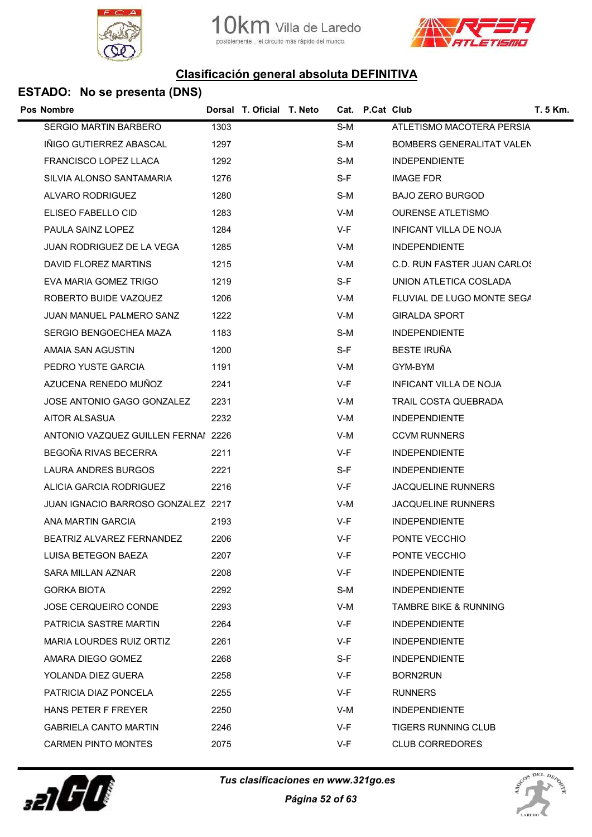





| Pos Nombre                          |      | Dorsal T. Oficial T. Neto |       | Cat. P.Cat Club |                             | T. 5 Km. |
|-------------------------------------|------|---------------------------|-------|-----------------|-----------------------------|----------|
| <b>SERGIO MARTIN BARBERO</b>        | 1303 |                           | S-M   |                 | ATLETISMO MACOTERA PERSIA   |          |
| IÑIGO GUTIERREZ ABASCAL             | 1297 |                           | S-M   |                 | BOMBERS GENERALITAT VALEN   |          |
| FRANCISCO LOPEZ LLACA               | 1292 |                           | S-M   |                 | <b>INDEPENDIENTE</b>        |          |
| SILVIA ALONSO SANTAMARIA            | 1276 |                           | S-F   |                 | <b>IMAGE FDR</b>            |          |
| ALVARO RODRIGUEZ                    | 1280 |                           | S-M   |                 | <b>BAJO ZERO BURGOD</b>     |          |
| ELISEO FABELLO CID                  | 1283 |                           | V-M   |                 | <b>OURENSE ATLETISMO</b>    |          |
| PAULA SAINZ LOPEZ                   | 1284 |                           | V-F   |                 | INFICANT VILLA DE NOJA      |          |
| JUAN RODRIGUEZ DE LA VEGA           | 1285 |                           | V-M   |                 | <b>INDEPENDIENTE</b>        |          |
| DAVID FLOREZ MARTINS                | 1215 |                           | V-M   |                 | C.D. RUN FASTER JUAN CARLOS |          |
| EVA MARIA GOMEZ TRIGO               | 1219 |                           | S-F   |                 | UNION ATLETICA COSLADA      |          |
| ROBERTO BUIDE VAZQUEZ               | 1206 |                           | V-M   |                 | FLUVIAL DE LUGO MONTE SEGA  |          |
| JUAN MANUEL PALMERO SANZ            | 1222 |                           | V-M   |                 | <b>GIRALDA SPORT</b>        |          |
| SERGIO BENGOECHEA MAZA              | 1183 |                           | S-M   |                 | <b>INDEPENDIENTE</b>        |          |
| AMAIA SAN AGUSTIN                   | 1200 |                           | S-F   |                 | <b>BESTE IRUÑA</b>          |          |
| PEDRO YUSTE GARCIA                  | 1191 |                           | V-M   |                 | GYM-BYM                     |          |
| AZUCENA RENEDO MUÑOZ                | 2241 |                           | V-F   |                 | INFICANT VILLA DE NOJA      |          |
| JOSE ANTONIO GAGO GONZALEZ          | 2231 |                           | V-M   |                 | TRAIL COSTA QUEBRADA        |          |
| AITOR ALSASUA                       | 2232 |                           | V-M   |                 | <b>INDEPENDIENTE</b>        |          |
| ANTONIO VAZQUEZ GUILLEN FERNAI 2226 |      |                           | V-M   |                 | <b>CCVM RUNNERS</b>         |          |
| BEGOÑA RIVAS BECERRA                | 2211 |                           | V-F   |                 | <b>INDEPENDIENTE</b>        |          |
| LAURA ANDRES BURGOS                 | 2221 |                           | S-F   |                 | <b>INDEPENDIENTE</b>        |          |
| ALICIA GARCIA RODRIGUEZ             | 2216 |                           | V-F   |                 | JACQUELINE RUNNERS          |          |
| JUAN IGNACIO BARROSO GONZALEZ 2217  |      |                           | V-M   |                 | <b>JACQUELINE RUNNERS</b>   |          |
| ANA MARTIN GARCIA                   | 2193 |                           | V-F   |                 | <b>INDEPENDIENTE</b>        |          |
| BEATRIZ ALVAREZ FERNANDEZ           | 2206 |                           | V-F   |                 | PONTE VECCHIO               |          |
| LUISA BETEGON BAEZA                 | 2207 |                           | $V-F$ |                 | PONTE VECCHIO               |          |
| SARA MILLAN AZNAR                   | 2208 |                           | V-F   |                 | <b>INDEPENDIENTE</b>        |          |
| <b>GORKA BIOTA</b>                  | 2292 |                           | S-M   |                 | <b>INDEPENDIENTE</b>        |          |
| <b>JOSE CERQUEIRO CONDE</b>         | 2293 |                           | V-M   |                 | TAMBRE BIKE & RUNNING       |          |
| PATRICIA SASTRE MARTIN              | 2264 |                           | V-F   |                 | <b>INDEPENDIENTE</b>        |          |
| MARIA LOURDES RUIZ ORTIZ            | 2261 |                           | V-F   |                 | <b>INDEPENDIENTE</b>        |          |
| AMARA DIEGO GOMEZ                   | 2268 |                           | S-F   |                 | <b>INDEPENDIENTE</b>        |          |
| YOLANDA DIEZ GUERA                  | 2258 |                           | V-F   |                 | <b>BORN2RUN</b>             |          |
| PATRICIA DIAZ PONCELA               | 2255 |                           | V-F   |                 | <b>RUNNERS</b>              |          |
| <b>HANS PETER F FREYER</b>          | 2250 |                           | V-M   |                 | <b>INDEPENDIENTE</b>        |          |
| <b>GABRIELA CANTO MARTIN</b>        | 2246 |                           | V-F   |                 | TIGERS RUNNING CLUB         |          |
| <b>CARMEN PINTO MONTES</b>          | 2075 |                           | V-F   |                 | <b>CLUB CORREDORES</b>      |          |
|                                     |      |                           |       |                 |                             |          |



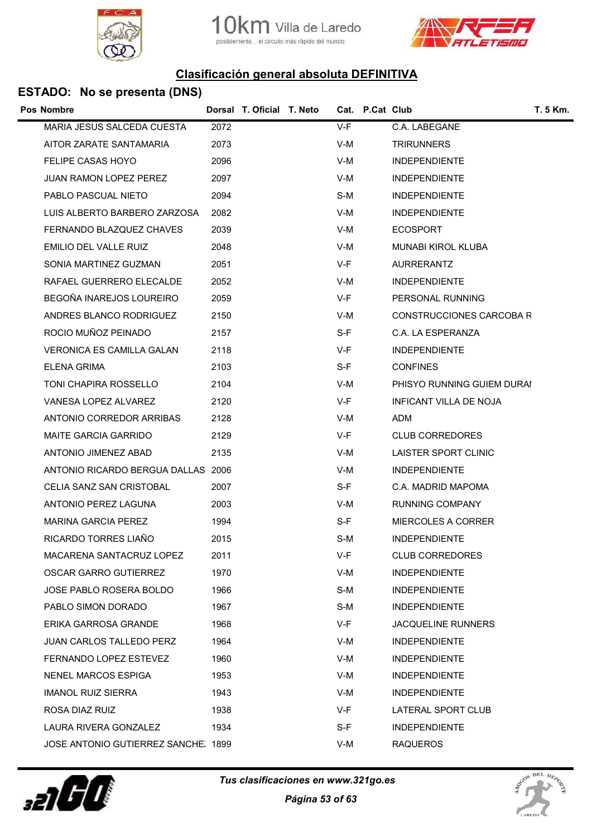





| <b>Pos Nombre</b>                   |      | Dorsal T. Oficial T. Neto |       | Cat. P.Cat Club |                            | T. 5 Km. |
|-------------------------------------|------|---------------------------|-------|-----------------|----------------------------|----------|
| MARIA JESUS SALCEDA CUESTA          | 2072 |                           | $V-F$ |                 | C.A. LABEGANE              |          |
| AITOR ZARATE SANTAMARIA             | 2073 |                           | V-M   |                 | <b>TRIRUNNERS</b>          |          |
| <b>FELIPE CASAS HOYO</b>            | 2096 |                           | V-M   |                 | <b>INDEPENDIENTE</b>       |          |
| <b>JUAN RAMON LOPEZ PEREZ</b>       | 2097 |                           | V-M   |                 | <b>INDEPENDIENTE</b>       |          |
| PABLO PASCUAL NIETO                 | 2094 |                           | S-M   |                 | <b>INDEPENDIENTE</b>       |          |
| LUIS ALBERTO BARBERO ZARZOSA        | 2082 |                           | V-M   |                 | <b>INDEPENDIENTE</b>       |          |
| FERNANDO BLAZQUEZ CHAVES            | 2039 |                           | V-M   |                 | <b>ECOSPORT</b>            |          |
| EMILIO DEL VALLE RUIZ               | 2048 |                           | V-M   |                 | <b>MUNABI KIROL KLUBA</b>  |          |
| SONIA MARTINEZ GUZMAN               | 2051 |                           | V-F   |                 | <b>AURRERANTZ</b>          |          |
| RAFAEL GUERRERO ELECALDE            | 2052 |                           | V-M   |                 | <b>INDEPENDIENTE</b>       |          |
| BEGOÑA INAREJOS LOUREIRO            | 2059 |                           | V-F   |                 | PERSONAL RUNNING           |          |
| ANDRES BLANCO RODRIGUEZ             | 2150 |                           | V-M   |                 | CONSTRUCCIONES CARCOBA R   |          |
| ROCIO MUÑOZ PEINADO                 | 2157 |                           | S-F   |                 | C.A. LA ESPERANZA          |          |
| <b>VERONICA ES CAMILLA GALAN</b>    | 2118 |                           | V-F   |                 | <b>INDEPENDIENTE</b>       |          |
| ELENA GRIMA                         | 2103 |                           | S-F   |                 | <b>CONFINES</b>            |          |
| TONI CHAPIRA ROSSELLO               | 2104 |                           | V-M   |                 | PHISYO RUNNING GUIEM DURAI |          |
| VANESA LOPEZ ALVAREZ                | 2120 |                           | V-F   |                 | INFICANT VILLA DE NOJA     |          |
| ANTONIO CORREDOR ARRIBAS            | 2128 |                           | V-M   |                 | ADM                        |          |
| <b>MAITE GARCIA GARRIDO</b>         | 2129 |                           | V-F   |                 | <b>CLUB CORREDORES</b>     |          |
| ANTONIO JIMENEZ ABAD                | 2135 |                           | V-M   |                 | LAISTER SPORT CLINIC       |          |
| ANTONIO RICARDO BERGUA DALLAS 2006  |      |                           | V-M   |                 | <b>INDEPENDIENTE</b>       |          |
| CELIA SANZ SAN CRISTOBAL            | 2007 |                           | S-F   |                 | C.A. MADRID MAPOMA         |          |
| ANTONIO PEREZ LAGUNA                | 2003 |                           | V-M   |                 | <b>RUNNING COMPANY</b>     |          |
| MARINA GARCIA PEREZ                 | 1994 |                           | S-F   |                 | <b>MIERCOLES A CORRER</b>  |          |
| RICARDO TORRES LIAÑO                | 2015 |                           | S-M   |                 | <b>INDEPENDIENTE</b>       |          |
| MACARENA SANTACRUZ LOPEZ            | 2011 |                           | V-F   |                 | <b>CLUB CORREDORES</b>     |          |
| OSCAR GARRO GUTIERREZ               | 1970 |                           | V-M   |                 | <b>INDEPENDIENTE</b>       |          |
| JOSE PABLO ROSERA BOLDO             | 1966 |                           | S-M   |                 | <b>INDEPENDIENTE</b>       |          |
| PABLO SIMON DORADO                  | 1967 |                           | S-M   |                 | <b>INDEPENDIENTE</b>       |          |
| ERIKA GARROSA GRANDE                | 1968 |                           | V-F   |                 | <b>JACQUELINE RUNNERS</b>  |          |
| <b>JUAN CARLOS TALLEDO PERZ</b>     | 1964 |                           | V-M   |                 | <b>INDEPENDIENTE</b>       |          |
| FERNANDO LOPEZ ESTEVEZ              | 1960 |                           | V-M   |                 | <b>INDEPENDIENTE</b>       |          |
| NENEL MARCOS ESPIGA                 | 1953 |                           | V-M   |                 | <b>INDEPENDIENTE</b>       |          |
| <b>IMANOL RUIZ SIERRA</b>           | 1943 |                           | V-M   |                 | <b>INDEPENDIENTE</b>       |          |
| ROSA DIAZ RUIZ                      | 1938 |                           | V-F   |                 | LATERAL SPORT CLUB         |          |
| LAURA RIVERA GONZALEZ               | 1934 |                           | S-F   |                 | <b>INDEPENDIENTE</b>       |          |
| JOSE ANTONIO GUTIERREZ SANCHE. 1899 |      |                           | V-M   |                 | <b>RAQUEROS</b>            |          |
|                                     |      |                           |       |                 |                            |          |



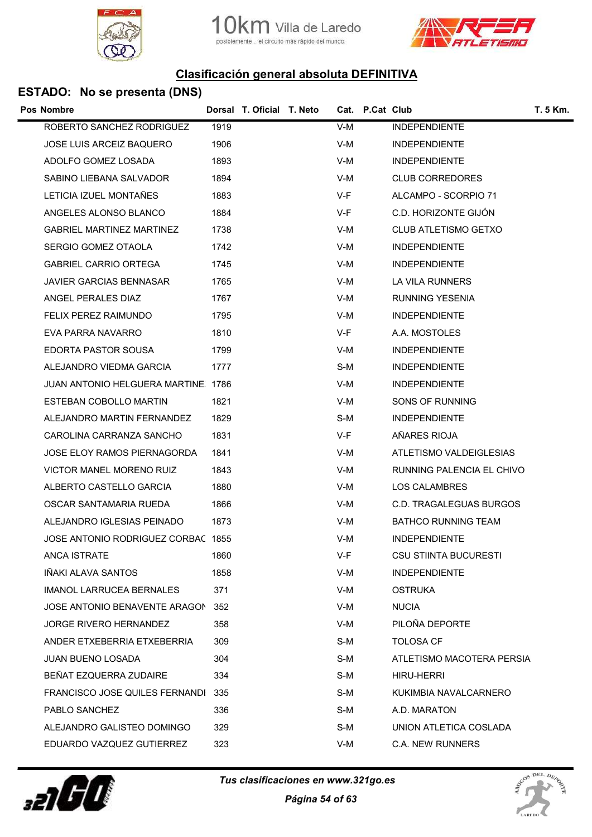





| Pos Nombre |                                     |      | Dorsal T. Oficial T. Neto |       | Cat. P.Cat Club |                              | T. 5 Km. |
|------------|-------------------------------------|------|---------------------------|-------|-----------------|------------------------------|----------|
|            | ROBERTO SANCHEZ RODRIGUEZ           | 1919 |                           | $V-M$ |                 | <b>INDEPENDIENTE</b>         |          |
|            | <b>JOSE LUIS ARCEIZ BAQUERO</b>     | 1906 |                           | V-M   |                 | <b>INDEPENDIENTE</b>         |          |
|            | ADOLFO GOMEZ LOSADA                 | 1893 |                           | V-M   |                 | <b>INDEPENDIENTE</b>         |          |
|            | SABINO LIEBANA SALVADOR             | 1894 |                           | V-M   |                 | <b>CLUB CORREDORES</b>       |          |
|            | LETICIA IZUEL MONTAÑES              | 1883 |                           | V-F   |                 | ALCAMPO - SCORPIO 71         |          |
|            | ANGELES ALONSO BLANCO               | 1884 |                           | V-F   |                 | C.D. HORIZONTE GIJÓN         |          |
|            | <b>GABRIEL MARTINEZ MARTINEZ</b>    | 1738 |                           | V-M   |                 | CLUB ATLETISMO GETXO         |          |
|            | SERGIO GOMEZ OTAOLA                 | 1742 |                           | V-M   |                 | <b>INDEPENDIENTE</b>         |          |
|            | <b>GABRIEL CARRIO ORTEGA</b>        | 1745 |                           | V-M   |                 | <b>INDEPENDIENTE</b>         |          |
|            | JAVIER GARCIAS BENNASAR             | 1765 |                           | V-M   |                 | LA VILA RUNNERS              |          |
|            | ANGEL PERALES DIAZ                  | 1767 |                           | V-M   |                 | <b>RUNNING YESENIA</b>       |          |
|            | FELIX PEREZ RAIMUNDO                | 1795 |                           | V-M   |                 | <b>INDEPENDIENTE</b>         |          |
|            | EVA PARRA NAVARRO                   | 1810 |                           | V-F   |                 | A.A. MOSTOLES                |          |
|            | EDORTA PASTOR SOUSA                 | 1799 |                           | V-M   |                 | <b>INDEPENDIENTE</b>         |          |
|            | ALEJANDRO VIEDMA GARCIA             | 1777 |                           | S-M   |                 | <b>INDEPENDIENTE</b>         |          |
|            | JUAN ANTONIO HELGUERA MARTINE, 1786 |      |                           | V-M   |                 | <b>INDEPENDIENTE</b>         |          |
|            | ESTEBAN COBOLLO MARTIN              | 1821 |                           | V-M   |                 | SONS OF RUNNING              |          |
|            | ALEJANDRO MARTIN FERNANDEZ          | 1829 |                           | S-M   |                 | <b>INDEPENDIENTE</b>         |          |
|            | CAROLINA CARRANZA SANCHO            | 1831 |                           | V-F   |                 | AÑARES RIOJA                 |          |
|            | JOSE ELOY RAMOS PIERNAGORDA         | 1841 |                           | V-M   |                 | ATLETISMO VALDEIGLESIAS      |          |
|            | VICTOR MANEL MORENO RUIZ            | 1843 |                           | V-M   |                 | RUNNING PALENCIA EL CHIVO    |          |
|            | ALBERTO CASTELLO GARCIA             | 1880 |                           | V-M   |                 | LOS CALAMBRES                |          |
|            | OSCAR SANTAMARIA RUEDA              | 1866 |                           | V-M   |                 | C.D. TRAGALEGUAS BURGOS      |          |
|            | ALEJANDRO IGLESIAS PEINADO          | 1873 |                           | V-M   |                 | <b>BATHCO RUNNING TEAM</b>   |          |
|            | JOSE ANTONIO RODRIGUEZ CORBAC 1855  |      |                           | V-M   |                 | <b>INDEPENDIENTE</b>         |          |
|            | <b>ANCA ISTRATE</b>                 | 1860 |                           | V-F   |                 | <b>CSU STIINTA BUCURESTI</b> |          |
|            | IÑAKI ALAVA SANTOS                  | 1858 |                           | V-M   |                 | <b>INDEPENDIENTE</b>         |          |
|            | IMANOL LARRUCEA BERNALES            | 371  |                           | V-M   |                 | <b>OSTRUKA</b>               |          |
|            | JOSE ANTONIO BENAVENTE ARAGON       | 352  |                           | V-M   |                 | <b>NUCIA</b>                 |          |
|            | JORGE RIVERO HERNANDEZ              | 358  |                           | V-M   |                 | PILOÑA DEPORTE               |          |
|            | ANDER ETXEBERRIA ETXEBERRIA         | 309  |                           | S-M   |                 | TOLOSA CF                    |          |
|            | <b>JUAN BUENO LOSADA</b>            | 304  |                           | S-M   |                 | ATLETISMO MACOTERA PERSIA    |          |
|            | BEÑAT EZQUERRA ZUDAIRE              | 334  |                           | S-M   |                 | <b>HIRU-HERRI</b>            |          |
|            | FRANCISCO JOSE QUILES FERNANDI 335  |      |                           | S-M   |                 | KUKIMBIA NAVALCARNERO        |          |
|            | PABLO SANCHEZ                       | 336  |                           | S-M   |                 | A.D. MARATON                 |          |
|            | ALEJANDRO GALISTEO DOMINGO          | 329  |                           | S-M   |                 | UNION ATLETICA COSLADA       |          |
|            | EDUARDO VAZQUEZ GUTIERREZ           | 323  |                           | V-M   |                 | C.A. NEW RUNNERS             |          |



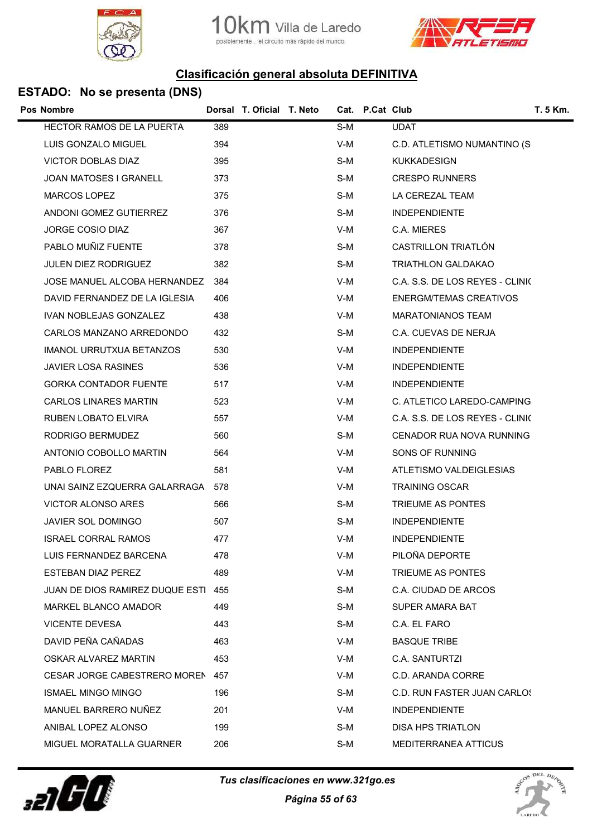





|     |                                                                                                                                      |                           |                               | T. 5 Km.                                                                                                                                                                                                      |
|-----|--------------------------------------------------------------------------------------------------------------------------------------|---------------------------|-------------------------------|---------------------------------------------------------------------------------------------------------------------------------------------------------------------------------------------------------------|
| 389 |                                                                                                                                      | S-M                       | <b>UDAT</b>                   |                                                                                                                                                                                                               |
| 394 |                                                                                                                                      | V-M                       |                               |                                                                                                                                                                                                               |
| 395 |                                                                                                                                      | S-M                       | <b>KUKKADESIGN</b>            |                                                                                                                                                                                                               |
| 373 |                                                                                                                                      | S-M                       | <b>CRESPO RUNNERS</b>         |                                                                                                                                                                                                               |
| 375 |                                                                                                                                      | S-M                       | LA CEREZAL TEAM               |                                                                                                                                                                                                               |
| 376 |                                                                                                                                      | S-M                       | <b>INDEPENDIENTE</b>          |                                                                                                                                                                                                               |
| 367 |                                                                                                                                      | V-M                       | C.A. MIERES                   |                                                                                                                                                                                                               |
| 378 |                                                                                                                                      | S-M                       | CASTRILLON TRIATLÓN           |                                                                                                                                                                                                               |
| 382 |                                                                                                                                      | S-M                       | <b>TRIATHLON GALDAKAO</b>     |                                                                                                                                                                                                               |
| 384 |                                                                                                                                      | V-M                       |                               |                                                                                                                                                                                                               |
| 406 |                                                                                                                                      | V-M                       | <b>ENERGM/TEMAS CREATIVOS</b> |                                                                                                                                                                                                               |
| 438 |                                                                                                                                      | V-M                       | <b>MARATONIANOS TEAM</b>      |                                                                                                                                                                                                               |
| 432 |                                                                                                                                      | S-M                       | C.A. CUEVAS DE NERJA          |                                                                                                                                                                                                               |
| 530 |                                                                                                                                      | V-M                       | <b>INDEPENDIENTE</b>          |                                                                                                                                                                                                               |
| 536 |                                                                                                                                      | V-M                       | <b>INDEPENDIENTE</b>          |                                                                                                                                                                                                               |
| 517 |                                                                                                                                      | V-M                       | <b>INDEPENDIENTE</b>          |                                                                                                                                                                                                               |
| 523 |                                                                                                                                      | V-M                       |                               |                                                                                                                                                                                                               |
| 557 |                                                                                                                                      | V-M                       |                               |                                                                                                                                                                                                               |
| 560 |                                                                                                                                      | S-M                       |                               |                                                                                                                                                                                                               |
| 564 |                                                                                                                                      | V-M                       | SONS OF RUNNING               |                                                                                                                                                                                                               |
| 581 |                                                                                                                                      | V-M                       | ATLETISMO VALDEIGLESIAS       |                                                                                                                                                                                                               |
| 578 |                                                                                                                                      | V-M                       | TRAINING OSCAR                |                                                                                                                                                                                                               |
| 566 |                                                                                                                                      | S-M                       | TRIEUME AS PONTES             |                                                                                                                                                                                                               |
| 507 |                                                                                                                                      | S-M                       | <b>INDEPENDIENTE</b>          |                                                                                                                                                                                                               |
| 477 |                                                                                                                                      | V-M                       | <b>INDEPENDIENTE</b>          |                                                                                                                                                                                                               |
| 478 |                                                                                                                                      | $V-M$                     | PILOÑA DEPORTE                |                                                                                                                                                                                                               |
| 489 |                                                                                                                                      | V-M                       | TRIEUME AS PONTES             |                                                                                                                                                                                                               |
| 455 |                                                                                                                                      | S-M                       | C.A. CIUDAD DE ARCOS          |                                                                                                                                                                                                               |
| 449 |                                                                                                                                      | S-M                       | SUPER AMARA BAT               |                                                                                                                                                                                                               |
| 443 |                                                                                                                                      | S-M                       | C.A. EL FARO                  |                                                                                                                                                                                                               |
| 463 |                                                                                                                                      | V-M                       | <b>BASQUE TRIBE</b>           |                                                                                                                                                                                                               |
| 453 |                                                                                                                                      | V-M                       | C.A. SANTURTZI                |                                                                                                                                                                                                               |
|     |                                                                                                                                      | V-M                       | C.D. ARANDA CORRE             |                                                                                                                                                                                                               |
| 196 |                                                                                                                                      | S-M                       |                               |                                                                                                                                                                                                               |
| 201 |                                                                                                                                      | V-M                       | <b>INDEPENDIENTE</b>          |                                                                                                                                                                                                               |
| 199 |                                                                                                                                      | S-M                       | DISA HPS TRIATLON             |                                                                                                                                                                                                               |
| 206 |                                                                                                                                      | S-M                       | <b>MEDITERRANEA ATTICUS</b>   |                                                                                                                                                                                                               |
|     | JOSE MANUEL ALCOBA HERNANDEZ<br>UNAI SAINZ EZQUERRA GALARRAGA<br>JUAN DE DIOS RAMIREZ DUQUE ESTI<br>CESAR JORGE CABESTRERO MOREN 457 | Dorsal T. Oficial T. Neto |                               | Cat. P.Cat Club<br>C.D. ATLETISMO NUMANTINO (S<br>C.A. S.S. DE LOS REYES - CLINIC<br>C. ATLETICO LAREDO-CAMPING<br>C.A. S.S. DE LOS REYES - CLINIC<br>CENADOR RUA NOVA RUNNING<br>C.D. RUN FASTER JUAN CARLOS |



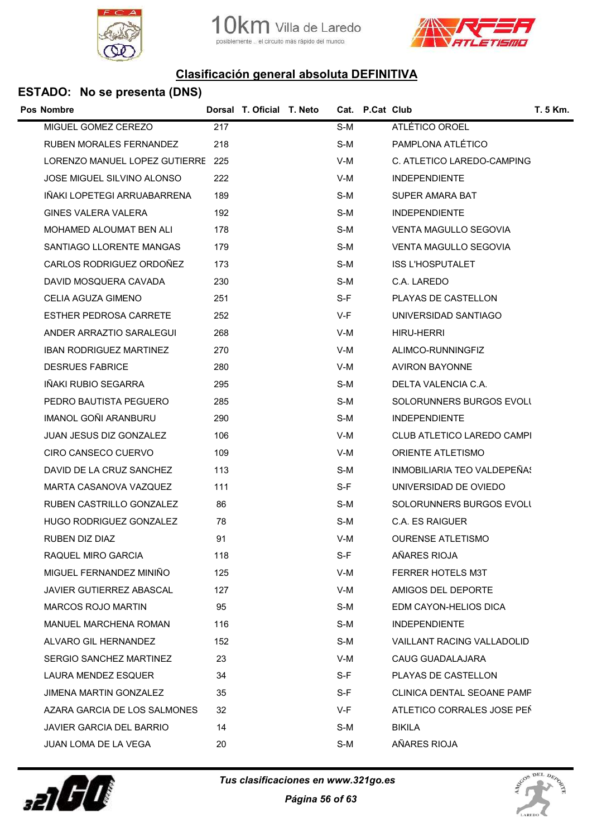

Villa de Laredo el circuito más rápido del mundo. posible



## Clasificación general absoluta DEFINITIVA

| Pos Nombre                        |     | Dorsal T. Oficial T. Neto |       | Cat. P.Cat Club |                              | T. 5 Km. |
|-----------------------------------|-----|---------------------------|-------|-----------------|------------------------------|----------|
| MIGUEL GOMEZ CEREZO               | 217 |                           | S-M   |                 | ATLÉTICO OROEL               |          |
| <b>RUBEN MORALES FERNANDEZ</b>    | 218 |                           | S-M   |                 | PAMPLONA ATLÉTICO            |          |
| LORENZO MANUEL LOPEZ GUTIERRE 225 |     |                           | V-M   |                 | C. ATLETICO LAREDO-CAMPING   |          |
| <b>JOSE MIGUEL SILVINO ALONSO</b> | 222 |                           | V-M   |                 | <b>INDEPENDIENTE</b>         |          |
| INAKI LOPETEGI ARRUABARRENA       | 189 |                           | S-M   |                 | SUPER AMARA BAT              |          |
| GINES VALERA VALERA               | 192 |                           | S-M   |                 | <b>INDEPENDIENTE</b>         |          |
| MOHAMED ALOUMAT BEN ALI           | 178 |                           | S-M   |                 | <b>VENTA MAGULLO SEGOVIA</b> |          |
| SANTIAGO LLORENTE MANGAS          | 179 |                           | S-M   |                 | VENTA MAGULLO SEGOVIA        |          |
| CARLOS RODRIGUEZ ORDOÑEZ          | 173 |                           | S-M   |                 | <b>ISS L'HOSPUTALET</b>      |          |
| DAVID MOSQUERA CAVADA             | 230 |                           | S-M   |                 | C.A. LAREDO                  |          |
| CELIA AGUZA GIMENO                | 251 |                           | $S-F$ |                 | PLAYAS DE CASTELLON          |          |
| <b>ESTHER PEDROSA CARRETE</b>     | 252 |                           | V-F   |                 | UNIVERSIDAD SANTIAGO         |          |
| ANDER ARRAZTIO SARALEGUI          | 268 |                           | V-M   |                 | HIRU-HERRI                   |          |
| <b>IBAN RODRIGUEZ MARTINEZ</b>    | 270 |                           | V-M   |                 | ALIMCO-RUNNINGFIZ            |          |
| <b>DESRUES FABRICE</b>            | 280 |                           | V-M   |                 | <b>AVIRON BAYONNE</b>        |          |
| IÑAKI RUBIO SEGARRA               | 295 |                           | $S-M$ |                 | DELTA VALENCIA C.A.          |          |
| PEDRO BAUTISTA PEGUERO            | 285 |                           | S-M   |                 | SOLORUNNERS BURGOS EVOLL     |          |
| IMANOL GOÑI ARANBURU              | 290 |                           | S-M   |                 | <b>INDEPENDIENTE</b>         |          |
| JUAN JESUS DIZ GONZALEZ           | 106 |                           | $V-M$ |                 | CLUB ATLETICO LAREDO CAMPI   |          |
| CIRO CANSECO CUERVO               | 109 |                           | V-M   |                 | <b>ORIENTE ATLETISMO</b>     |          |
| DAVID DE LA CRUZ SANCHEZ          | 113 |                           | S-M   |                 | INMOBILIARIA TEO VALDEPENAS  |          |
| MARTA CASANOVA VAZQUEZ            | 111 |                           | S-F   |                 | UNIVERSIDAD DE OVIEDO        |          |
| RUBEN CASTRILLO GONZALEZ          | 86  |                           | S-M   |                 | SOLORUNNERS BURGOS EVOLI     |          |
| HUGO RODRIGUEZ GONZALEZ           | 78  |                           | S-M   |                 | C.A. ES RAIGUER              |          |
| RUBEN DIZ DIAZ                    | 91  |                           | V-M   |                 | <b>OURENSE ATLETISMO</b>     |          |
| RAQUEL MIRO GARCIA                | 118 |                           | S-F   |                 | AÑARES RIOJA                 |          |
| MIGUEL FERNANDEZ MINIÑO           | 125 |                           | $V-M$ |                 | FERRER HOTELS M3T            |          |
| <b>JAVIER GUTIERREZ ABASCAL</b>   | 127 |                           | V-M   |                 | AMIGOS DEL DEPORTE           |          |
| MARCOS ROJO MARTIN                | 95  |                           | S-M   |                 | EDM CAYON-HELIOS DICA        |          |
| <b>MANUEL MARCHENA ROMAN</b>      | 116 |                           | S-M   |                 | <b>INDEPENDIENTE</b>         |          |
| ALVARO GIL HERNANDEZ              | 152 |                           | S-M   |                 | VAILLANT RACING VALLADOLID   |          |
| SERGIO SANCHEZ MARTINEZ           | 23  |                           | V-M   |                 | CAUG GUADALAJARA             |          |
| LAURA MENDEZ ESQUER               | 34  |                           | S-F   |                 | PLAYAS DE CASTELLON          |          |
| JIMENA MARTIN GONZALEZ            | 35  |                           | S-F   |                 | CLINICA DENTAL SEOANE PAMF   |          |
| AZARA GARCIA DE LOS SALMONES      | 32  |                           | V-F   |                 | ATLETICO CORRALES JOSE PEÑ   |          |
| JAVIER GARCIA DEL BARRIO          | 14  |                           | S-M   |                 | <b>BIKILA</b>                |          |
| JUAN LOMA DE LA VEGA              | 20  |                           | S-M   |                 | AÑARES RIOJA                 |          |
|                                   |     |                           |       |                 |                              |          |



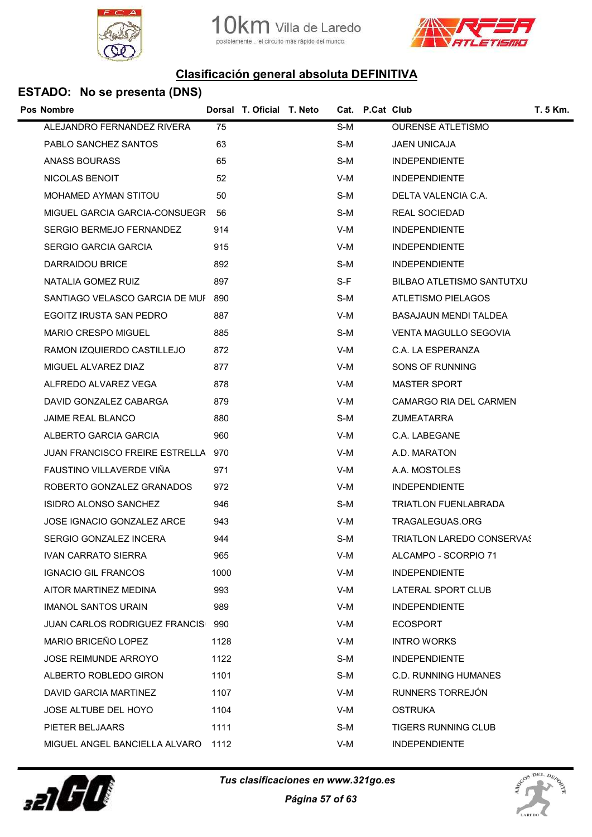



| <b>Pos Nombre</b>                    |      | Dorsal T. Oficial T. Neto |       | Cat. P.Cat Club |                                  | <b>T. 5 Km.</b> |
|--------------------------------------|------|---------------------------|-------|-----------------|----------------------------------|-----------------|
| ALEJANDRO FERNANDEZ RIVERA           | 75   |                           | S-M   |                 | <b>OURENSE ATLETISMO</b>         |                 |
| PABLO SANCHEZ SANTOS                 | 63   |                           | S-M   |                 | <b>JAEN UNICAJA</b>              |                 |
| ANASS BOURASS                        | 65   |                           | S-M   |                 | <b>INDEPENDIENTE</b>             |                 |
| <b>NICOLAS BENOIT</b>                | 52   |                           | V-M   |                 | <b>INDEPENDIENTE</b>             |                 |
| MOHAMED AYMAN STITOU                 | 50   |                           | S-M   |                 | DELTA VALENCIA C.A.              |                 |
| MIGUEL GARCIA GARCIA-CONSUEGR        | 56   |                           | S-M   |                 | REAL SOCIEDAD                    |                 |
| SERGIO BERMEJO FERNANDEZ             | 914  |                           | V-M   |                 | <b>INDEPENDIENTE</b>             |                 |
| SERGIO GARCIA GARCIA                 | 915  |                           | V-M   |                 | <b>INDEPENDIENTE</b>             |                 |
| DARRAIDOU BRICE                      | 892  |                           | S-M   |                 | <b>INDEPENDIENTE</b>             |                 |
| NATALIA GOMEZ RUIZ                   | 897  |                           | $S-F$ |                 | BILBAO ATLETISMO SANTUTXU        |                 |
| SANTIAGO VELASCO GARCIA DE MUI 890   |      |                           | S-M   |                 | ATLETISMO PIELAGOS               |                 |
| EGOITZ IRUSTA SAN PEDRO              | 887  |                           | V-M   |                 | BASAJAUN MENDI TALDEA            |                 |
| MARIO CRESPO MIGUEL                  | 885  |                           | S-M   |                 | VENTA MAGULLO SEGOVIA            |                 |
| RAMON IZQUIERDO CASTILLEJO           | 872  |                           | V-M   |                 | C.A. LA ESPERANZA                |                 |
| MIGUEL ALVAREZ DIAZ                  | 877  |                           | V-M   |                 | SONS OF RUNNING                  |                 |
| ALFREDO ALVAREZ VEGA                 | 878  |                           | V-M   |                 | <b>MASTER SPORT</b>              |                 |
| DAVID GONZALEZ CABARGA               | 879  |                           | V-M   |                 | CAMARGO RIA DEL CARMEN           |                 |
| <b>JAIME REAL BLANCO</b>             | 880  |                           | S-M   |                 | <b>ZUMEATARRA</b>                |                 |
| ALBERTO GARCIA GARCIA                | 960  |                           | V-M   |                 | C.A. LABEGANE                    |                 |
| JUAN FRANCISCO FREIRE ESTRELLA 970   |      |                           | V-M   |                 | A.D. MARATON                     |                 |
| FAUSTINO VILLAVERDE VIÑA             | 971  |                           | V-M   |                 | A.A. MOSTOLES                    |                 |
| ROBERTO GONZALEZ GRANADOS            | 972  |                           | V-M   |                 | <b>INDEPENDIENTE</b>             |                 |
| <b>ISIDRO ALONSO SANCHEZ</b>         | 946  |                           | S-M   |                 | <b>TRIATLON FUENLABRADA</b>      |                 |
| JOSE IGNACIO GONZALEZ ARCE           | 943  |                           | V-M   |                 | TRAGALEGUAS.ORG                  |                 |
| SERGIO GONZALEZ INCERA               | 944  |                           | S-M   |                 | <b>TRIATLON LAREDO CONSERVAS</b> |                 |
| <b>IVAN CARRATO SIERRA</b>           | 965  |                           | V-M   |                 | ALCAMPO - SCORPIO 71             |                 |
| <b>IGNACIO GIL FRANCOS</b>           | 1000 |                           | V-M   |                 | <b>INDEPENDIENTE</b>             |                 |
| AITOR MARTINEZ MEDINA                | 993  |                           | V-M   |                 | LATERAL SPORT CLUB               |                 |
| <b>IMANOL SANTOS URAIN</b>           | 989  |                           | V-M   |                 | <b>INDEPENDIENTE</b>             |                 |
| <b>JUAN CARLOS RODRIGUEZ FRANCIS</b> | 990  |                           | V-M   |                 | <b>ECOSPORT</b>                  |                 |
| MARIO BRICEÑO LOPEZ                  | 1128 |                           | V-M   |                 | <b>INTRO WORKS</b>               |                 |
| JOSE REIMUNDE ARROYO                 | 1122 |                           | S-M   |                 | <b>INDEPENDIENTE</b>             |                 |
| ALBERTO ROBLEDO GIRON                | 1101 |                           | S-M   |                 | <b>C.D. RUNNING HUMANES</b>      |                 |
| DAVID GARCIA MARTINEZ                | 1107 |                           | V-M   |                 | RUNNERS TORREJÓN                 |                 |
| <b>JOSE ALTUBE DEL HOYO</b>          | 1104 |                           | V-M   |                 | <b>OSTRUKA</b>                   |                 |
| PIETER BELJAARS                      | 1111 |                           | S-M   |                 | TIGERS RUNNING CLUB              |                 |
| MIGUEL ANGEL BANCIELLA ALVARO        | 1112 |                           | V-M   |                 | <b>INDEPENDIENTE</b>             |                 |
|                                      |      |                           |       |                 |                                  |                 |



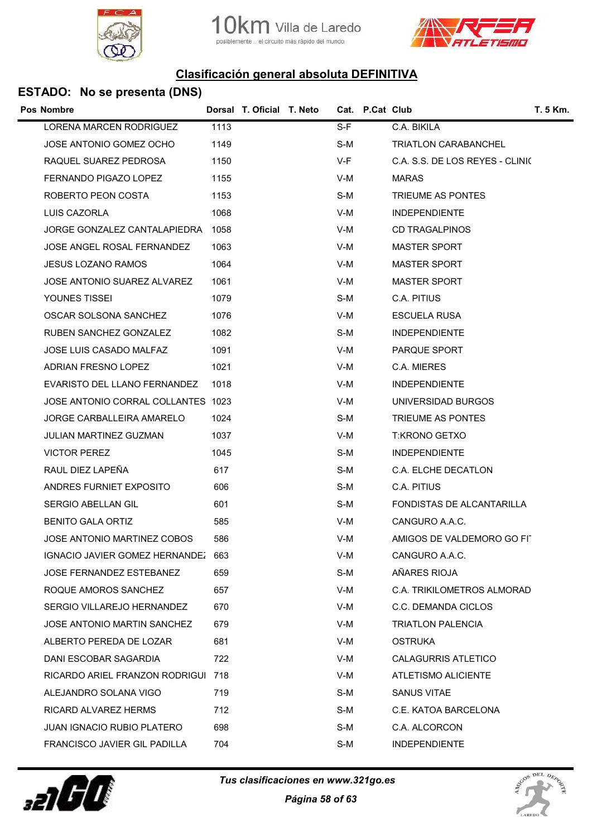





| <b>Pos Nombre</b>                  |      | Dorsal T. Oficial T. Neto |       | Cat. P.Cat Club |                                 | T. 5 Km. |
|------------------------------------|------|---------------------------|-------|-----------------|---------------------------------|----------|
| LORENA MARCEN RODRIGUEZ            | 1113 |                           | S-F   |                 | C.A. BIKILA                     |          |
| JOSE ANTONIO GOMEZ OCHO            | 1149 |                           | S-M   |                 | <b>TRIATLON CARABANCHEL</b>     |          |
| RAQUEL SUAREZ PEDROSA              | 1150 |                           | V-F   |                 | C.A. S.S. DE LOS REYES - CLINIC |          |
| FERNANDO PIGAZO LOPEZ              | 1155 |                           | V-M   |                 | <b>MARAS</b>                    |          |
| ROBERTO PEON COSTA                 | 1153 |                           | S-M   |                 | TRIEUME AS PONTES               |          |
| LUIS CAZORLA                       | 1068 |                           | $V-M$ |                 | <b>INDEPENDIENTE</b>            |          |
| JORGE GONZALEZ CANTALAPIEDRA 1058  |      |                           | V-M   |                 | <b>CD TRAGALPINOS</b>           |          |
| JOSE ANGEL ROSAL FERNANDEZ         | 1063 |                           | $V-M$ |                 | <b>MASTER SPORT</b>             |          |
| <b>JESUS LOZANO RAMOS</b>          | 1064 |                           | V-M   |                 | <b>MASTER SPORT</b>             |          |
| JOSE ANTONIO SUAREZ ALVAREZ        | 1061 |                           | V-M   |                 | <b>MASTER SPORT</b>             |          |
| YOUNES TISSEI                      | 1079 |                           | S-M   |                 | C.A. PITIUS                     |          |
| OSCAR SOLSONA SANCHEZ              | 1076 |                           | V-M   |                 | <b>ESCUELA RUSA</b>             |          |
| RUBEN SANCHEZ GONZALEZ             | 1082 |                           | S-M   |                 | <b>INDEPENDIENTE</b>            |          |
| JOSE LUIS CASADO MALFAZ            | 1091 |                           | V-M   |                 | PARQUE SPORT                    |          |
| <b>ADRIAN FRESNO LOPEZ</b>         | 1021 |                           | V-M   |                 | C.A. MIERES                     |          |
| EVARISTO DEL LLANO FERNANDEZ       | 1018 |                           | V-M   |                 | <b>INDEPENDIENTE</b>            |          |
| JOSE ANTONIO CORRAL COLLANTES 1023 |      |                           | V-M   |                 | UNIVERSIDAD BURGOS              |          |
| JORGE CARBALLEIRA AMARELO          | 1024 |                           | S-M   |                 | TRIEUME AS PONTES               |          |
| <b>JULIAN MARTINEZ GUZMAN</b>      | 1037 |                           | V-M   |                 | <b>T:KRONO GETXO</b>            |          |
| <b>VICTOR PEREZ</b>                | 1045 |                           | S-M   |                 | <b>INDEPENDIENTE</b>            |          |
| RAUL DIEZ LAPEÑA                   | 617  |                           | S-M   |                 | C.A. ELCHE DECATLON             |          |
| ANDRES FURNIET EXPOSITO            | 606  |                           | S-M   |                 | C.A. PITIUS                     |          |
| <b>SERGIO ABELLAN GIL</b>          | 601  |                           | S-M   |                 | FONDISTAS DE ALCANTARILLA       |          |
| <b>BENITO GALA ORTIZ</b>           | 585  |                           | V-M   |                 | CANGURO A.A.C.                  |          |
| JOSE ANTONIO MARTINEZ COBOS        | 586  |                           | V-M   |                 | AMIGOS DE VALDEMORO GO FIT      |          |
| IGNACIO JAVIER GOMEZ HERNANDEZ 663 |      |                           | $V-M$ |                 | CANGURO A.A.C.                  |          |
| JOSE FERNANDEZ ESTEBANEZ           | 659  |                           | S-M   |                 | AÑARES RIOJA                    |          |
| ROQUE AMOROS SANCHEZ               | 657  |                           | V-M   |                 | C.A. TRIKILOMETROS ALMORAD      |          |
| SERGIO VILLAREJO HERNANDEZ         | 670  |                           | V-M   |                 | C.C. DEMANDA CICLOS             |          |
| JOSE ANTONIO MARTIN SANCHEZ        | 679  |                           | V-M   |                 | <b>TRIATLON PALENCIA</b>        |          |
| ALBERTO PEREDA DE LOZAR            | 681  |                           | V-M   |                 | <b>OSTRUKA</b>                  |          |
| DANI ESCOBAR SAGARDIA              | 722  |                           | V-M   |                 | <b>CALAGURRIS ATLETICO</b>      |          |
| RICARDO ARIEL FRANZON RODRIGUI 718 |      |                           | V-M   |                 | ATLETISMO ALICIENTE             |          |
| ALEJANDRO SOLANA VIGO              | 719  |                           | S-M   |                 | <b>SANUS VITAE</b>              |          |
| RICARD ALVAREZ HERMS               | 712  |                           | S-M   |                 | C.E. KATOA BARCELONA            |          |
| <b>JUAN IGNACIO RUBIO PLATERO</b>  | 698  |                           | S-M   |                 | C.A. ALCORCON                   |          |
| FRANCISCO JAVIER GIL PADILLA       | 704  |                           | S-M   |                 | <b>INDEPENDIENTE</b>            |          |
|                                    |      |                           |       |                 |                                 |          |



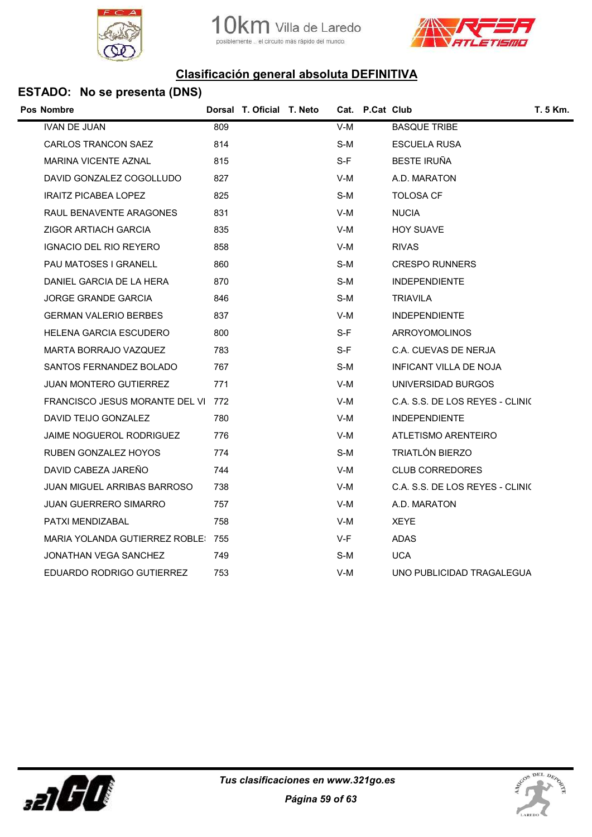





| Pos Nombre                         |     | Dorsal T. Oficial T. Neto |     | Cat. P.Cat Club |                                 | T. 5 Km. |
|------------------------------------|-----|---------------------------|-----|-----------------|---------------------------------|----------|
| <b>IVAN DE JUAN</b>                | 809 |                           | V-M |                 | <b>BASQUE TRIBE</b>             |          |
| <b>CARLOS TRANCON SAEZ</b>         | 814 |                           | S-M |                 | ESCUELA RUSA                    |          |
| <b>MARINA VICENTE AZNAL</b>        | 815 |                           | S-F |                 | <b>BESTE IRUÑA</b>              |          |
| DAVID GONZALEZ COGOLLUDO           | 827 |                           | V-M |                 | A.D. MARATON                    |          |
| <b>IRAITZ PICABEA LOPEZ</b>        | 825 |                           | S-M |                 | <b>TOLOSA CF</b>                |          |
| RAUL BENAVENTE ARAGONES            | 831 |                           | V-M |                 | <b>NUCIA</b>                    |          |
| ZIGOR ARTIACH GARCIA               | 835 |                           | V-M |                 | <b>HOY SUAVE</b>                |          |
| <b>IGNACIO DEL RIO REYERO</b>      | 858 |                           | V-M |                 | <b>RIVAS</b>                    |          |
| PAU MATOSES I GRANELL              | 860 |                           | S-M |                 | <b>CRESPO RUNNERS</b>           |          |
| DANIEL GARCIA DE LA HERA           | 870 |                           | S-M |                 | <b>INDEPENDIENTE</b>            |          |
| <b>JORGE GRANDE GARCIA</b>         | 846 |                           | S-M |                 | TRIAVILA                        |          |
| <b>GERMAN VALERIO BERBES</b>       | 837 |                           | V-M |                 | <b>INDEPENDIENTE</b>            |          |
| HELENA GARCIA ESCUDERO             | 800 |                           | S-F |                 | ARROYOMOLINOS                   |          |
| MARTA BORRAJO VAZQUEZ              | 783 |                           | S-F |                 | C.A. CUEVAS DE NERJA            |          |
| SANTOS FERNANDEZ BOLADO            | 767 |                           | S-M |                 | INFICANT VILLA DE NOJA          |          |
| JUAN MONTERO GUTIERREZ             | 771 |                           | V-M |                 | UNIVERSIDAD BURGOS              |          |
| FRANCISCO JESUS MORANTE DEL VI 772 |     |                           | V-M |                 | C.A. S.S. DE LOS REYES - CLINIC |          |
| DAVID TEIJO GONZALEZ               | 780 |                           | V-M |                 | <b>INDEPENDIENTE</b>            |          |
| <b>JAIME NOGUEROL RODRIGUEZ</b>    | 776 |                           | V-M |                 | ATLETISMO ARENTEIRO             |          |
| <b>RUBEN GONZALEZ HOYOS</b>        | 774 |                           | S-M |                 | <b>TRIATLÓN BIERZO</b>          |          |
| DAVID CABEZA JAREÑO                | 744 |                           | V-M |                 | <b>CLUB CORREDORES</b>          |          |
| JUAN MIGUEL ARRIBAS BARROSO        | 738 |                           | V-M |                 | C.A. S.S. DE LOS REYES - CLINIC |          |
| <b>JUAN GUERRERO SIMARRO</b>       | 757 |                           | V-M |                 | A.D. MARATON                    |          |
| PATXI MENDIZABAL                   | 758 |                           | V-M |                 | <b>XEYE</b>                     |          |
| MARIA YOLANDA GUTIERREZ ROBLE: 755 |     |                           | V-F |                 | <b>ADAS</b>                     |          |
| JONATHAN VEGA SANCHEZ              | 749 |                           | S-M |                 | <b>UCA</b>                      |          |
| EDUARDO RODRIGO GUTIERREZ          | 753 |                           | V-M |                 | UNO PUBLICIDAD TRAGALEGUA       |          |
|                                    |     |                           |     |                 |                                 |          |



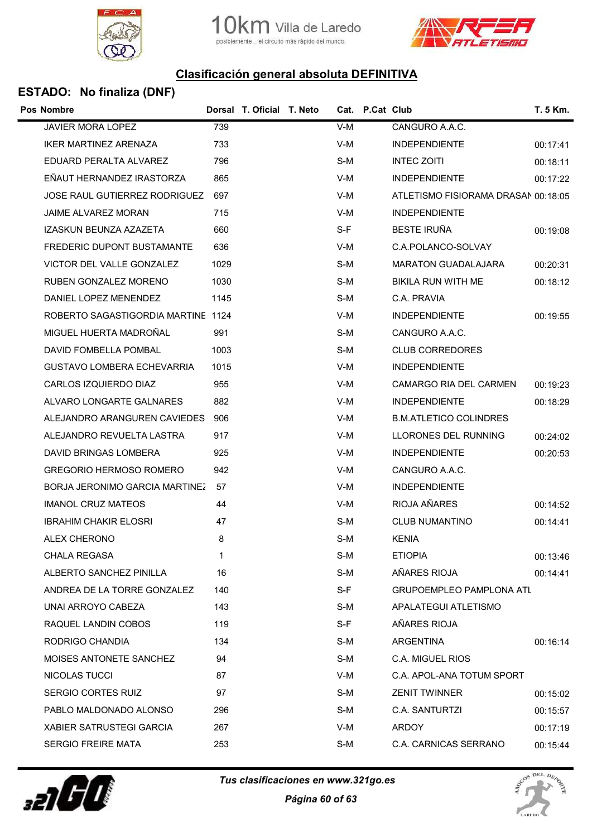



### ESTADO: No finaliza (DNF)

| Pos Nombre                            |      | Dorsal T. Oficial T. Neto |       | Cat. P.Cat Club |                                     | T. 5 Km. |
|---------------------------------------|------|---------------------------|-------|-----------------|-------------------------------------|----------|
| JAVIER MORA LOPEZ                     | 739  |                           | V-M   |                 | CANGURO A.A.C.                      |          |
| <b>IKER MARTINEZ ARENAZA</b>          | 733  |                           | V-M   |                 | <b>INDEPENDIENTE</b>                | 00:17:41 |
| EDUARD PERALTA ALVAREZ                | 796  |                           | S-M   |                 | <b>INTEC ZOITI</b>                  | 00:18:11 |
| EÑAUT HERNANDEZ IRASTORZA             | 865  |                           | V-M   |                 | <b>INDEPENDIENTE</b>                | 00:17:22 |
| JOSE RAUL GUTIERREZ RODRIGUEZ         | 697  |                           | V-M   |                 | ATLETISMO FISIORAMA DRASAN 00:18:05 |          |
| <b>JAIME ALVAREZ MORAN</b>            | 715  |                           | V-M   |                 | <b>INDEPENDIENTE</b>                |          |
| IZASKUN BEUNZA AZAZETA                | 660  |                           | S-F   |                 | <b>BESTE IRUÑA</b>                  | 00:19:08 |
| <b>FREDERIC DUPONT BUSTAMANTE</b>     | 636  |                           | V-M   |                 | C.A.POLANCO-SOLVAY                  |          |
| VICTOR DEL VALLE GONZALEZ             | 1029 |                           | S-M   |                 | <b>MARATON GUADALAJARA</b>          | 00:20:31 |
| RUBEN GONZALEZ MORENO                 | 1030 |                           | S-M   |                 | BIKILA RUN WITH ME                  | 00:18:12 |
| DANIEL LOPEZ MENENDEZ                 | 1145 |                           | S-M   |                 | C.A. PRAVIA                         |          |
| ROBERTO SAGASTIGORDIA MARTINE 1124    |      |                           | V-M   |                 | <b>INDEPENDIENTE</b>                | 00:19:55 |
| MIGUEL HUERTA MADROÑAL                | 991  |                           | S-M   |                 | CANGURO A.A.C.                      |          |
| DAVID FOMBELLA POMBAL                 | 1003 |                           | S-M   |                 | <b>CLUB CORREDORES</b>              |          |
| <b>GUSTAVO LOMBERA ECHEVARRIA</b>     | 1015 |                           | V-M   |                 | <b>INDEPENDIENTE</b>                |          |
| CARLOS IZQUIERDO DIAZ                 | 955  |                           | V-M   |                 | CAMARGO RIA DEL CARMEN              | 00:19:23 |
| ALVARO LONGARTE GALNARES              | 882  |                           | $V-M$ |                 | <b>INDEPENDIENTE</b>                | 00:18:29 |
| ALEJANDRO ARANGUREN CAVIEDES          | 906  |                           | V-M   |                 | <b>B.M.ATLETICO COLINDRES</b>       |          |
| ALEJANDRO REVUELTA LASTRA             | 917  |                           | V-M   |                 | LLORONES DEL RUNNING                | 00:24:02 |
| DAVID BRINGAS LOMBERA                 | 925  |                           | V-M   |                 | <b>INDEPENDIENTE</b>                | 00:20:53 |
| <b>GREGORIO HERMOSO ROMERO</b>        | 942  |                           | V-M   |                 | CANGURO A.A.C.                      |          |
| <b>BORJA JERONIMO GARCIA MARTINEZ</b> | 57   |                           | V-M   |                 | <b>INDEPENDIENTE</b>                |          |
| <b>IMANOL CRUZ MATEOS</b>             | 44   |                           | V-M   |                 | RIOJA AÑARES                        | 00:14:52 |
| <b>IBRAHIM CHAKIR ELOSRI</b>          | 47   |                           | S-M   |                 | <b>CLUB NUMANTINO</b>               | 00:14:41 |
| ALEX CHERONO                          | 8    |                           | S-M   |                 | <b>KENIA</b>                        |          |
| CHALA REGASA                          | 1    |                           | $S-M$ |                 | <b>ETIOPIA</b>                      | 00:13:46 |
| ALBERTO SANCHEZ PINILLA               | 16   |                           | $S-M$ |                 | AÑARES RIOJA                        | 00:14:41 |
| ANDREA DE LA TORRE GONZALEZ           | 140  |                           | $S-F$ |                 | <b>GRUPOEMPLEO PAMPLONA ATL</b>     |          |
| UNAI ARROYO CABEZA                    | 143  |                           | S-M   |                 | APALATEGUI ATLETISMO                |          |
| RAQUEL LANDIN COBOS                   | 119  |                           | S-F   |                 | AÑARES RIOJA                        |          |
| RODRIGO CHANDIA                       | 134  |                           | S-M   |                 | ARGENTINA                           | 00:16:14 |
| MOISES ANTONETE SANCHEZ               | 94   |                           | S-M   |                 | C.A. MIGUEL RIOS                    |          |
| NICOLAS TUCCI                         | 87   |                           | V-M   |                 | C.A. APOL-ANA TOTUM SPORT           |          |
| <b>SERGIO CORTES RUIZ</b>             | 97   |                           | S-M   |                 | <b>ZENIT TWINNER</b>                | 00:15:02 |
| PABLO MALDONADO ALONSO                | 296  |                           | S-M   |                 | C.A. SANTURTZI                      | 00:15:57 |
| <b>XABIER SATRUSTEGI GARCIA</b>       | 267  |                           | V-M   |                 | <b>ARDOY</b>                        | 00:17:19 |
| <b>SERGIO FREIRE MATA</b>             | 253  |                           | S-M   |                 | C.A. CARNICAS SERRANO               | 00:15:44 |



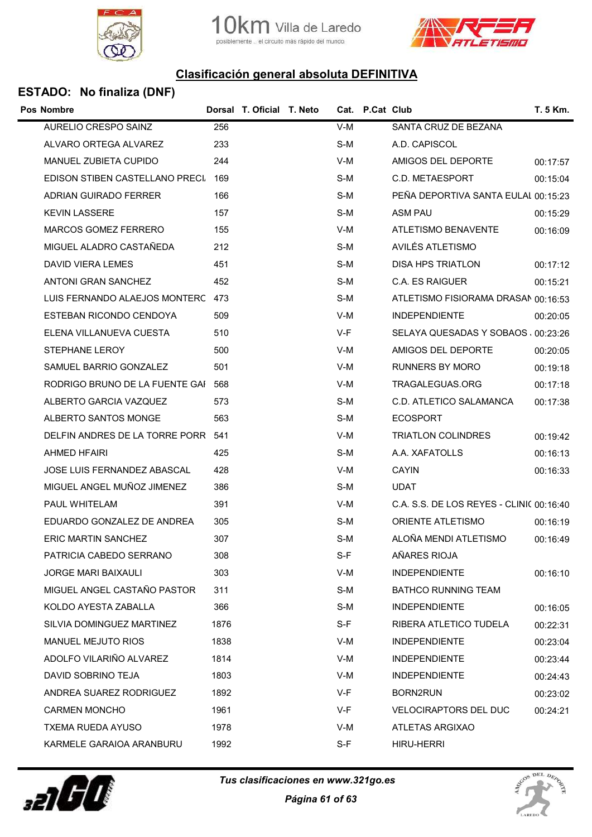





### ESTADO: No finaliza (DNF)

| <b>Pos Nombre</b>                  |      | Dorsal T. Oficial T. Neto |       | Cat. P.Cat Club |                                          | T. 5 Km. |
|------------------------------------|------|---------------------------|-------|-----------------|------------------------------------------|----------|
| AURELIO CRESPO SAINZ               | 256  |                           | $V-M$ |                 | SANTA CRUZ DE BEZANA                     |          |
| ALVARO ORTEGA ALVAREZ              | 233  |                           | S-M   |                 | A.D. CAPISCOL                            |          |
| MANUEL ZUBIETA CUPIDO              | 244  |                           | V-M   |                 | AMIGOS DEL DEPORTE                       | 00:17:57 |
| EDISON STIBEN CASTELLANO PRECI     | 169  |                           | S-M   |                 | C.D. METAESPORT                          | 00:15:04 |
| ADRIAN GUIRADO FERRER              | 166  |                           | S-M   |                 | PEÑA DEPORTIVA SANTA EULAI 00:15:23      |          |
| <b>KEVIN LASSERE</b>               | 157  |                           | S-M   |                 | ASM PAU                                  | 00:15:29 |
| MARCOS GOMEZ FERRERO               | 155  |                           | V-M   |                 | ATLETISMO BENAVENTE                      | 00:16:09 |
| MIGUEL ALADRO CASTAÑEDA            | 212  |                           | S-M   |                 | AVILÉS ATLETISMO                         |          |
| DAVID VIERA LEMES                  | 451  |                           | S-M   |                 | <b>DISA HPS TRIATLON</b>                 | 00:17:12 |
| ANTONI GRAN SANCHEZ                | 452  |                           | S-M   |                 | C.A. ES RAIGUER                          | 00:15:21 |
| LUIS FERNANDO ALAEJOS MONTERC 473  |      |                           | S-M   |                 | ATLETISMO FISIORAMA DRASAN 00:16:53      |          |
| ESTEBAN RICONDO CENDOYA            | 509  |                           | V-M   |                 | <b>INDEPENDIENTE</b>                     | 00:20:05 |
| ELENA VILLANUEVA CUESTA            | 510  |                           | V-F   |                 | SELAYA QUESADAS Y SOBAOS 00:23:26        |          |
| STEPHANE LEROY                     | 500  |                           | V-M   |                 | AMIGOS DEL DEPORTE                       | 00:20:05 |
| SAMUEL BARRIO GONZALEZ             | 501  |                           | V-M   |                 | <b>RUNNERS BY MORO</b>                   | 00:19:18 |
| RODRIGO BRUNO DE LA FUENTE GAI     | 568  |                           | V-M   |                 | TRAGALEGUAS.ORG                          | 00:17:18 |
| ALBERTO GARCIA VAZQUEZ             | 573  |                           | S-M   |                 | C.D. ATLETICO SALAMANCA                  | 00:17:38 |
| ALBERTO SANTOS MONGE               | 563  |                           | S-M   |                 | <b>ECOSPORT</b>                          |          |
| DELFIN ANDRES DE LA TORRE PORR 541 |      |                           | V-M   |                 | <b>TRIATLON COLINDRES</b>                | 00:19:42 |
| AHMED HFAIRI                       | 425  |                           | S-M   |                 | A.A. XAFATOLLS                           | 00:16:13 |
| JOSE LUIS FERNANDEZ ABASCAL        | 428  |                           | V-M   |                 | <b>CAYIN</b>                             | 00:16:33 |
| MIGUEL ANGEL MUÑOZ JIMENEZ         | 386  |                           | S-M   |                 | <b>UDAT</b>                              |          |
| PAUL WHITELAM                      | 391  |                           | V-M   |                 | C.A. S.S. DE LOS REYES - CLINI( 00:16:40 |          |
| EDUARDO GONZALEZ DE ANDREA         | 305  |                           | S-M   |                 | <b>ORIENTE ATLETISMO</b>                 | 00:16:19 |
| <b>ERIC MARTIN SANCHEZ</b>         | 307  |                           | S-M   |                 | ALOÑA MENDI ATLETISMO                    | 00:16:49 |
| PATRICIA CABEDO SERRANO            | 308  |                           | S-F   |                 | AÑARES RIOJA                             |          |
| <b>JORGE MARI BAIXAULI</b>         | 303  |                           | V-M   |                 | <b>INDEPENDIENTE</b>                     | 00:16:10 |
| MIGUEL ANGEL CASTAÑO PASTOR        | 311  |                           | S-M   |                 | BATHCO RUNNING TEAM                      |          |
| KOLDO AYESTA ZABALLA               | 366  |                           | S-M   |                 | <b>INDEPENDIENTE</b>                     | 00:16:05 |
| SILVIA DOMINGUEZ MARTINEZ          | 1876 |                           | $S-F$ |                 | RIBERA ATLETICO TUDELA                   | 00:22:31 |
| <b>MANUEL MEJUTO RIOS</b>          | 1838 |                           | V-M   |                 | <b>INDEPENDIENTE</b>                     | 00:23:04 |
| ADOLFO VILARIÑO ALVAREZ            | 1814 |                           | V-M   |                 | <b>INDEPENDIENTE</b>                     | 00:23:44 |
| DAVID SOBRINO TEJA                 | 1803 |                           | V-M   |                 | <b>INDEPENDIENTE</b>                     | 00:24:43 |
| ANDREA SUAREZ RODRIGUEZ            | 1892 |                           | V-F   |                 | <b>BORN2RUN</b>                          | 00:23:02 |
| <b>CARMEN MONCHO</b>               | 1961 |                           | V-F   |                 | <b>VELOCIRAPTORS DEL DUC</b>             | 00:24:21 |
| TXEMA RUEDA AYUSO                  | 1978 |                           | V-M   |                 | ATLETAS ARGIXAO                          |          |
| KARMELE GARAIOA ARANBURU           | 1992 |                           | $S-F$ |                 | <b>HIRU-HERRI</b>                        |          |



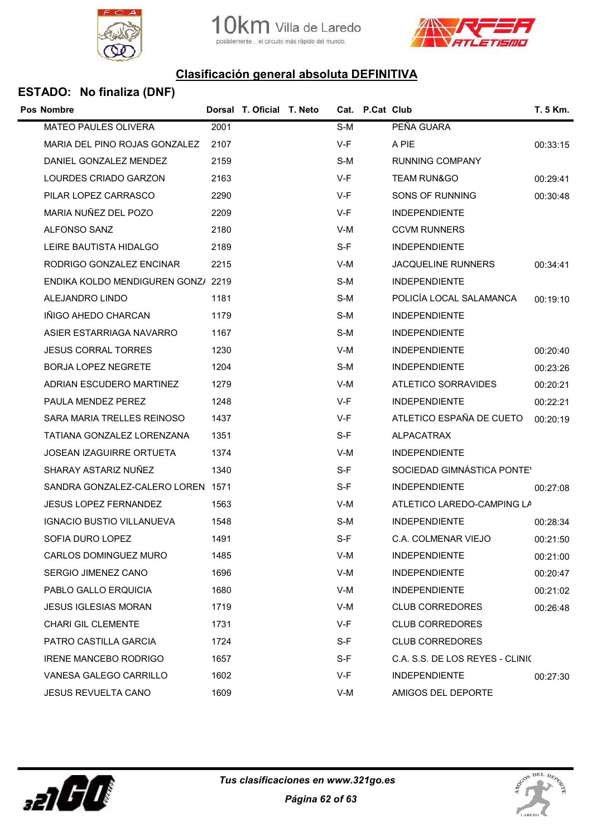





### ESTADO: No finaliza (DNF)

| <b>Pos Nombre</b>                  |      | Dorsal T. Oficial T. Neto |       | Cat. P.Cat Club |                                 | T. 5 Km. |
|------------------------------------|------|---------------------------|-------|-----------------|---------------------------------|----------|
| MATEO PAULES OLIVERA               | 2001 |                           | S-M   |                 | PEÑA GUARA                      |          |
| MARIA DEL PINO ROJAS GONZALEZ      | 2107 |                           | V-F   |                 | A PIE                           | 00:33:15 |
| DANIEL GONZALEZ MENDEZ             | 2159 |                           | S-M   |                 | <b>RUNNING COMPANY</b>          |          |
| LOURDES CRIADO GARZON              | 2163 |                           | V-F   |                 | <b>TEAM RUN&amp;GO</b>          | 00:29:41 |
| PILAR LOPEZ CARRASCO               | 2290 |                           | $V-F$ |                 | SONS OF RUNNING                 | 00:30:48 |
| MARIA NUÑEZ DEL POZO               | 2209 |                           | V-F   |                 | <b>INDEPENDIENTE</b>            |          |
| <b>ALFONSO SANZ</b>                | 2180 |                           | V-M   |                 | <b>CCVM RUNNERS</b>             |          |
| LEIRE BAUTISTA HIDALGO             | 2189 |                           | $S-F$ |                 | <b>INDEPENDIENTE</b>            |          |
| RODRIGO GONZALEZ ENCINAR           | 2215 |                           | V-M   |                 | <b>JACQUELINE RUNNERS</b>       | 00:34:41 |
| ENDIKA KOLDO MENDIGUREN GONZ/ 2219 |      |                           | S-M   |                 | <b>INDEPENDIENTE</b>            |          |
| ALEJANDRO LINDO                    | 1181 |                           | S-M   |                 | POLICÍA LOCAL SALAMANCA         | 00:19:10 |
| IÑIGO AHEDO CHARCAN                | 1179 |                           | S-M   |                 | <b>INDEPENDIENTE</b>            |          |
| ASIER ESTARRIAGA NAVARRO           | 1167 |                           | S-M   |                 | <b>INDEPENDIENTE</b>            |          |
| <b>JESUS CORRAL TORRES</b>         | 1230 |                           | V-M   |                 | <b>INDEPENDIENTE</b>            | 00:20:40 |
| <b>BORJA LOPEZ NEGRETE</b>         | 1204 |                           | S-M   |                 | <b>INDEPENDIENTE</b>            | 00:23:26 |
| ADRIAN ESCUDERO MARTINEZ           | 1279 |                           | V-M   |                 | ATLETICO SORRAVIDES             | 00:20:21 |
| PAULA MENDEZ PEREZ                 | 1248 |                           | V-F   |                 | <b>INDEPENDIENTE</b>            | 00:22:21 |
| SARA MARIA TRELLES REINOSO         | 1437 |                           | V-F   |                 | ATLETICO ESPAÑA DE CUETO        | 00:20:19 |
| TATIANA GONZALEZ LORENZANA         | 1351 |                           | S-F   |                 | <b>ALPACATRAX</b>               |          |
| <b>JOSEAN IZAGUIRRE ORTUETA</b>    | 1374 |                           | V-M   |                 | <b>INDEPENDIENTE</b>            |          |
| SHARAY ASTARIZ NUÑEZ               | 1340 |                           | $S-F$ |                 | SOCIEDAD GIMNÁSTICA PONTEY      |          |
| SANDRA GONZALEZ-CALERO LOREN 1571  |      |                           | $S-F$ |                 | <b>INDEPENDIENTE</b>            | 00:27:08 |
| <b>JESUS LOPEZ FERNANDEZ</b>       | 1563 |                           | $V-M$ |                 | ATLETICO LAREDO-CAMPING LA      |          |
| <b>IGNACIO BUSTIO VILLANUEVA</b>   | 1548 |                           | S-M   |                 | <b>INDEPENDIENTE</b>            | 00:28:34 |
| SOFIA DURO LOPEZ                   | 1491 |                           | S-F   |                 | C.A. COLMENAR VIEJO             | 00:21:50 |
| CARLOS DOMINGUEZ MURO              | 1485 |                           | $V-M$ |                 | <b>INDEPENDIENTE</b>            | 00:21:00 |
| SERGIO JIMENEZ CANO                | 1696 |                           | V-M   |                 | <b>INDEPENDIENTE</b>            | 00:20:47 |
| PABLO GALLO ERQUICIA               | 1680 |                           | V-M   |                 | <b>INDEPENDIENTE</b>            | 00:21:02 |
| <b>JESUS IGLESIAS MORAN</b>        | 1719 |                           | V-M   |                 | <b>CLUB CORREDORES</b>          | 00:26:48 |
| <b>CHARI GIL CLEMENTE</b>          | 1731 |                           | V-F   |                 | <b>CLUB CORREDORES</b>          |          |
| PATRO CASTILLA GARCIA              | 1724 |                           | $S-F$ |                 | <b>CLUB CORREDORES</b>          |          |
| <b>IRENE MANCEBO RODRIGO</b>       | 1657 |                           | $S-F$ |                 | C.A. S.S. DE LOS REYES - CLINIC |          |
| VANESA GALEGO CARRILLO             | 1602 |                           | V-F   |                 | <b>INDEPENDIENTE</b>            | 00:27:30 |
| <b>JESUS REVUELTA CANO</b>         | 1609 |                           | V-M   |                 | AMIGOS DEL DEPORTE              |          |